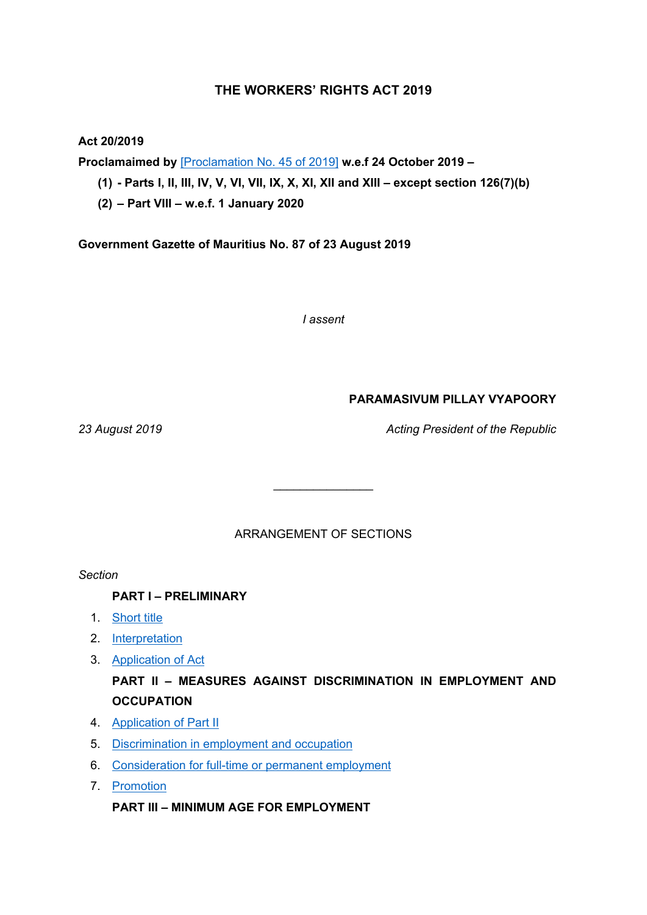## **THE WORKERS' RIGHTS ACT 2019**

#### **Act 20/2019**

**Proclamaimed by** [\[Proclamation](https://supremecourt.govmu.org/_layouts/CLIS.DMS/search/searchdocumentbykey.aspx?ID=%5BProclamation%20No.%2045%20of%202019%5D&list=Legislations) No. 45 of 2019] **w.e.f 24 October 2019 –**

(1) - Parts I, II, III, IV, V, VI, VII, IX, X, XI, XII and XIII - except section  $126(7)(b)$ 

**(2) – Part VIII – w.e.f. 1 January 2020**

**Government Gazette of Mauritius No. 87 of 23 August 2019**

*I assent*

## **PARAMASIVUM PILLAY VYAPOORY**

*23 August 2019 Acting President of the Republic*

ARRANGEMENT OF SECTIONS

 $\mathcal{L}$  , we have the set of the set of the set of the set of the set of the set of the set of the set of the set of the set of the set of the set of the set of the set of the set of the set of the set of the set of the

*Section*

**PART I – PRELIMINARY**

- 1. [Short](#page-6-0) title
- 2. [Interpretation](#page-6-1)
- 3. [Application](#page-13-0) of Act

## **PART II – MEASURES AGAINST DISCRIMINATION IN EMPLOYMENT AND OCCUPATION**

- 4. [Application](#page-15-0) of Part II
- 5. [Discrimination](#page-15-1) in employment and occupation
- 6. [Consideration](#page-16-0) for full-time or permanent employment
- 7. [Promotion](#page-17-0)

**PART III – MINIMUM AGE FOR EMPLOYMENT**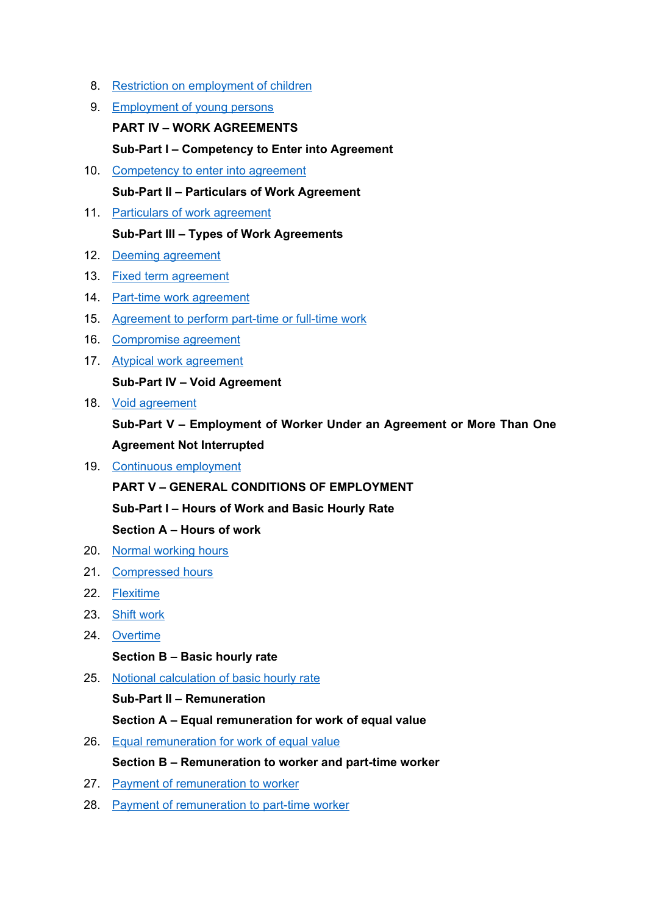- 8. Restriction on [employment](#page-17-1) of children
- 9. [Employment](#page-17-2) of young persons **PART IV – WORK AGREEMENTS Sub-Part I – Competency to Enter into Agreement**
- 10. [Competency](#page-18-0) to enter into agreement **Sub-Part II – Particulars of Work Agreement**
- 11. Particulars of work [agreement](#page-18-1)

## **Sub-Part III – Types of Work Agreements**

- 12. Deeming [agreement](#page-18-2)
- 13. Fixed term [agreement](#page-19-0)
- 14. Part-time work [agreement](#page-20-0)
- 15. [Agreement](#page-22-0) to perform part-time or full-time work
- 16. [Compromise](#page-24-0) agreement
- 17. Atypical work [agreement](#page-25-0)

## **Sub-Part IV – Void Agreement**

18. Void [agreement](#page-26-0)

**Sub-Part V – Employment of Worker Under an Agreement or More Than One Agreement Not Interrupted**

19. Continuous [employment](#page-27-0)

**PART V – GENERAL CONDITIONS OF EMPLOYMENT**

**Sub-Part I – Hours of Work and Basic Hourly Rate**

**Section A – Hours of work**

- 20. Normal [working](#page-27-1) hours
- 21. [Compressed](#page-29-0) hours
- 22. [Flexitime](#page-29-1)
- 23. Shift [work](#page-30-0)
- 24. [Overtime](#page-31-0)

## **Section B – Basic hourly rate**

25. Notional [calculation](#page-34-0) of basic hourly rate

## **Sub-Part II – Remuneration**

**Section A – Equal remuneration for work of equal value**

26. Equal [remuneration](#page-34-1) for work of equal value

## **Section B – Remuneration to worker and part-time worker**

- 27. Payment of [remuneration](#page-35-0) to worker
- 28. Payment of [remuneration](#page-37-0) to part-time worker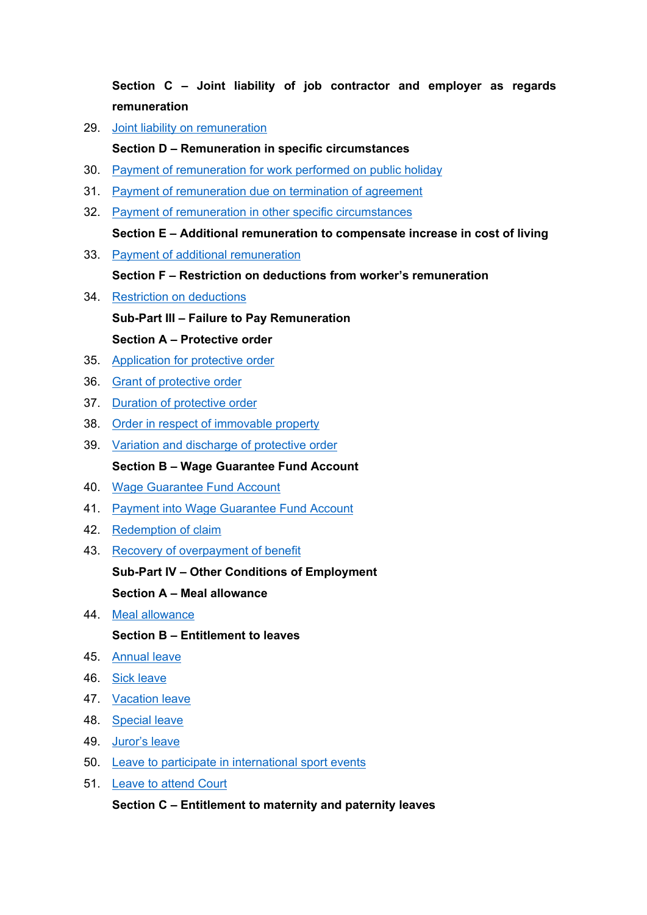**Section C – Joint liability of job contractor and employer as regards remuneration**

29. Joint liability on [remuneration](#page-37-1)

### **Section D – Remuneration in specific circumstances**

- 30. Payment of [remuneration](#page-38-0) for work performed on public holiday
- 31. Payment of [remuneration](#page-38-1) due on termination of agreement
- 32. Payment of remuneration in other specific [circumstances](#page-39-0) **Section E – Additional remuneration to compensate increase in cost of living**
- 33. Payment of additional [remuneration](#page-42-0)

**Section F – Restriction on deductions from worker's remuneration**

- 34. Restriction on [deductions](#page-45-0) **Sub-Part III – Failure to Pay Remuneration Section A – Protective order**
- 35. [Application](#page-46-0) for protective order
- 36. Grant of [protective](#page-47-0) order
- 37. Duration of [protective](#page-48-0) order
- 38. Order in respect of [immovable](#page-48-1) property
- 39. Variation and [discharge](#page-49-0) of protective order **Section B – Wage Guarantee Fund Account**
- 40. Wage [Guarantee](#page-50-0) Fund Account
- 41. Payment into Wage [Guarantee](#page-51-0) Fund Account
- 42. [Redemption](#page-51-1) of claim
- 43. Recovery of [overpayment](#page-52-0) of benefit

#### **Sub-Part IV – Other Conditions of Employment**

### **Section A – Meal allowance**

44. Meal [allowance](#page-53-0)

#### **Section B – Entitlement to leaves**

- 45. [Annual](#page-54-0) leave
- 46. Sick [leave](#page-56-0)
- 47. [Vacation](#page-59-0) leave
- 48. [Special](#page-59-1) leave
- 49. [Juror's](#page-60-0) leave
- 50. Leave to participate in [international](#page-60-1) sport events
- 51. Leave to [attend](#page-60-2) Court

#### **Section C – Entitlement to maternity and paternity leaves**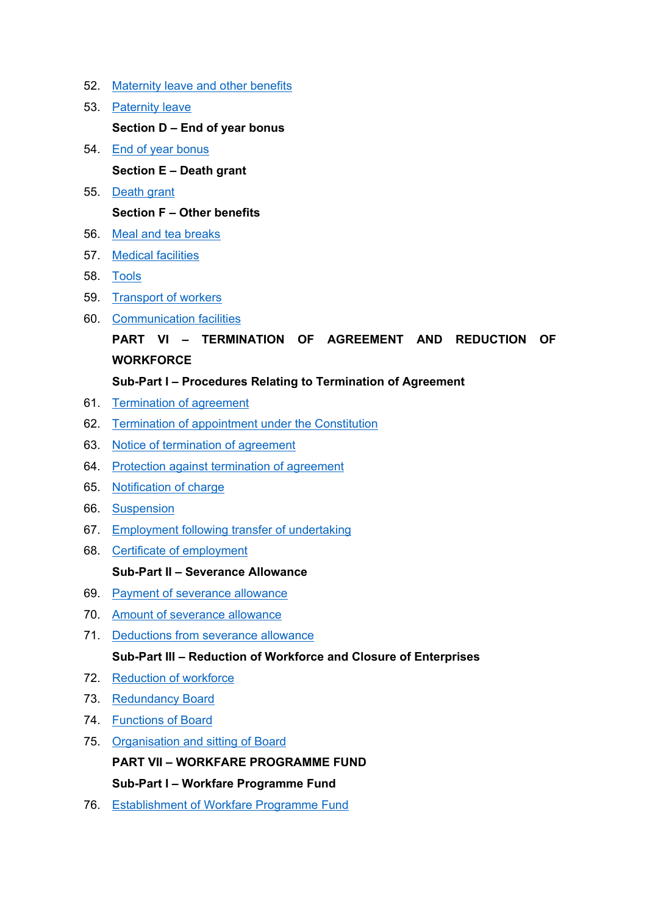- 52. [Maternity](#page-61-0) leave and other benefits
- 53. [Paternity](#page-63-0) leave **Section D – End of year bonus** 54. End of year [bonus](#page-64-0)

**Section E – Death grant**

55. [Death](#page-65-0) grant

## **Section F – Other benefits**

- 56. Meal and tea [breaks](#page-66-0)
- 57. Medical [facilities](#page-66-1)
- 58. [Tools](#page-67-0)
- 59. [Transport](#page-67-1) of workers
- 60. [Communication](#page-68-0) facilities

# **PART VI – TERMINATION OF AGREEMENT AND REDUCTION OF WORKFORCE**

## **Sub-Part I – Procedures Relating to Termination of Agreement**

- 61. [Termination](#page-68-1) of agreement
- 62. Termination of [appointment](#page-69-0) under the Constitution
- 63. Notice of [termination](#page-70-0) of agreement
- 64. Protection against [termination](#page-71-0) of agreement
- 65. [Notification](#page-75-0) of charge
- 66. [Suspension](#page-75-1)
- 67. [Employment](#page-76-0) following transfer of undertaking
- 68. Certificate of [employment](#page-77-0)

#### **Sub-Part II – Severance Allowance**

- 69. Payment of [severance](#page-78-0) allowance
- 70. Amount of [severance](#page-78-1) allowance
- 71. [Deductions](#page-80-0) from severance allowance **Sub-Part III – Reduction of Workforce and Closure of Enterprises**
- 72. [Reduction](#page-80-1) of workforce
- 73. [Redundancy](#page-84-0) Board
- 74. [Functions](#page-86-0) of Board
- 75. [Organisation](#page-86-1) and sitting of Board

**PART VII – WORKFARE PROGRAMME FUND**

**Sub-Part I – Workfare Programme Fund**

76. [Establishment](#page-88-0) of Workfare Programme Fund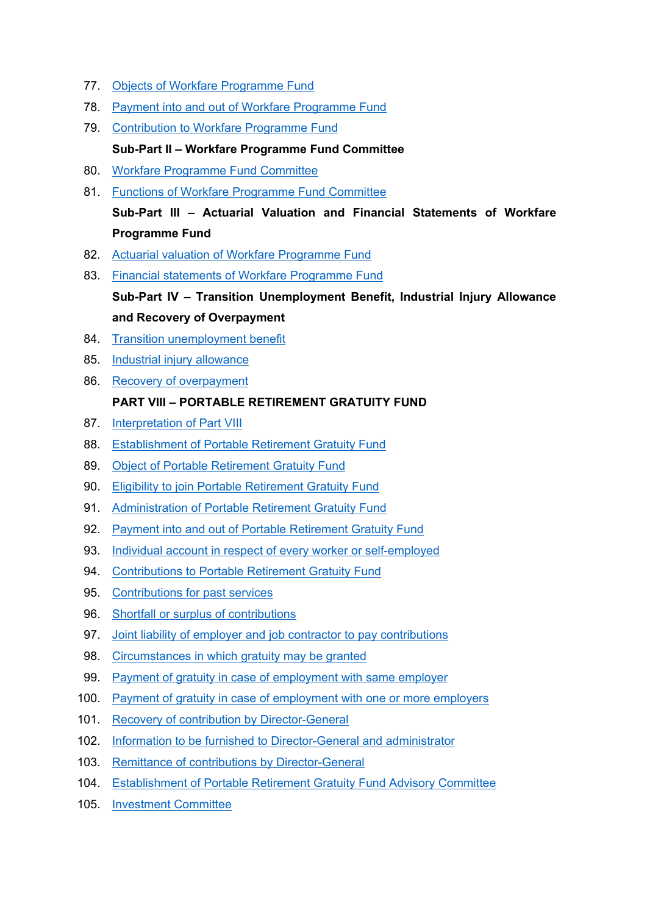- 77. Objects of Workfare [Programme](#page-88-1) Fund
- 78. Payment into and out of Workfare [Programme](#page-89-0) Fund
- 79. [Contribution](#page-89-1) to Workfare Programme Fund **Sub-Part II – Workfare Programme Fund Committee**
- 80. Workfare [Programme](#page-90-0) Fund Committee
- 81. Functions of Workfare [Programme](#page-90-1) Fund Committee **Sub-Part III – Actuarial Valuation and Financial Statements of Workfare Programme Fund**
- 82. Actuarial valuation of Workfare [Programme](#page-91-0) Fund
- 83. Financial statements of Workfare [Programme](#page-92-0) Fund **Sub-Part IV – Transition Unemployment Benefit, Industrial Injury Allowance and Recovery of Overpayment**
- 84. Transition [unemployment](#page-92-1) benefit
- 85. Industrial injury [allowance](#page-96-0)
- 86. Recovery of [overpayment](#page-97-0)

## **PART VIII – PORTABLE RETIREMENT GRATUITY FUND**

- 87. [Interpretation](#page-97-1) of Part VIII
- 88. [Establishment](#page-99-0) of Portable Retirement Gratuity Fund
- 89. Object of Portable [Retirement](#page-99-1) Gratuity Fund
- 90. Eligibility to join Portable [Retirement](#page-100-0) Gratuity Fund
- 91. [Administration](#page-100-1) of Portable Retirement Gratuity Fund
- 92. Payment into and out of Portable [Retirement](#page-101-0) Gratuity Fund
- 93. Individual account in respect of every worker or [self-employed](#page-102-0)
- 94. [Contributions](#page-102-1) to Portable Retirement Gratuity Fund
- 95. [Contributions](#page-103-0) for past services
- 96. Shortfall or surplus of [contributions](#page-104-0)
- 97. Joint liability of employer and job contractor to pay [contributions](#page-107-0)
- 98. [Circumstances](#page-107-1) in which gratuity may be granted
- 99. Payment of gratuity in case of [employment](#page-108-0) with same employer
- 100. Payment of gratuity in case of [employment](#page-109-0) with one or more employers
- 101. Recovery of contribution by [Director-General](#page-110-0)
- 102. Information to be furnished to [Director-General](#page-110-1) and administrator
- 103. Remittance of contributions by [Director-General](#page-111-0)
- 104. [Establishment](#page-112-0) of Portable Retirement Gratuity Fund Advisory Committee
- 105. [Investment](#page-113-0) Committee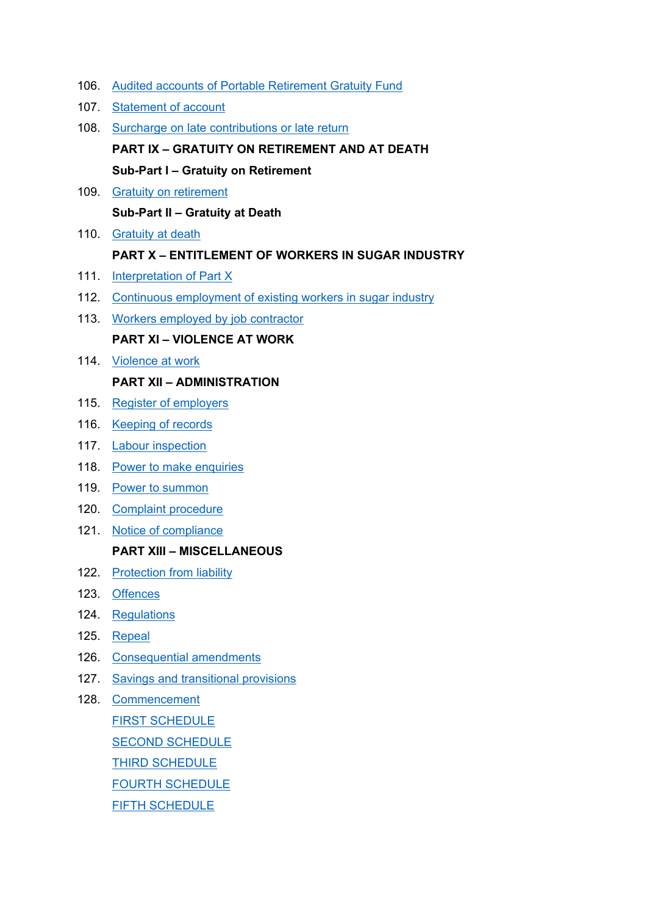- 106. Audited accounts of Portable [Retirement](#page-114-0) Gratuity Fund
- 107. [Statement](#page-114-1) of account
- 108. Surcharge on late [contributions](#page-114-2) or late return **PART IX – GRATUITY ON RETIREMENT AND AT DEATH**

**Sub-Part I – Gratuity on Retirement**

109. Gratuity on [retirement](#page-115-0)

**Sub-Part II – Gratuity at Death**

110. [Gratuity](#page-119-0) at death

### **PART X – ENTITLEMENT OF WORKERS IN SUGAR INDUSTRY**

- 111. [Interpretation](#page-119-1) of Part X
- 112. Continuous [employment](#page-120-0) of existing workers in sugar industry
- 113. Workers employed by job [contractor](#page-120-1) **PART XI – VIOLENCE AT WORK**
- 114. [Violence](#page-122-0) at work

#### **PART XII – ADMINISTRATION**

- 115. Register of [employers](#page-124-0)
- 116. [Keeping](#page-124-1) of records
- 117. Labour [inspection](#page-125-0)
- 118. Power to make [enquiries](#page-125-1)
- 119. Power to [summon](#page-127-0)
- 120. [Complaint](#page-128-0) procedure
- 121. Notice of [compliance](#page-128-1)

#### **PART XIII – MISCELLANEOUS**

- 122. [Protection](#page-130-0) from liability
- 123. [Offences](#page-130-1)
- 124. [Regulations](#page-131-0)
- 125. [Repeal](#page-131-1)
- 126. [Consequential](#page-132-0) amendments
- 127. Savings and [transitional](#page-135-0) provisions
- 128. [Commencement](#page-136-0) FIRST [SCHEDULE](#page-138-0) SECOND [SCHEDULE](#page-140-0) THIRD [SCHEDULE](#page-141-0) FOURTH [SCHEDULE](#page-142-0) FIFTH [SCHEDULE](#page-142-1)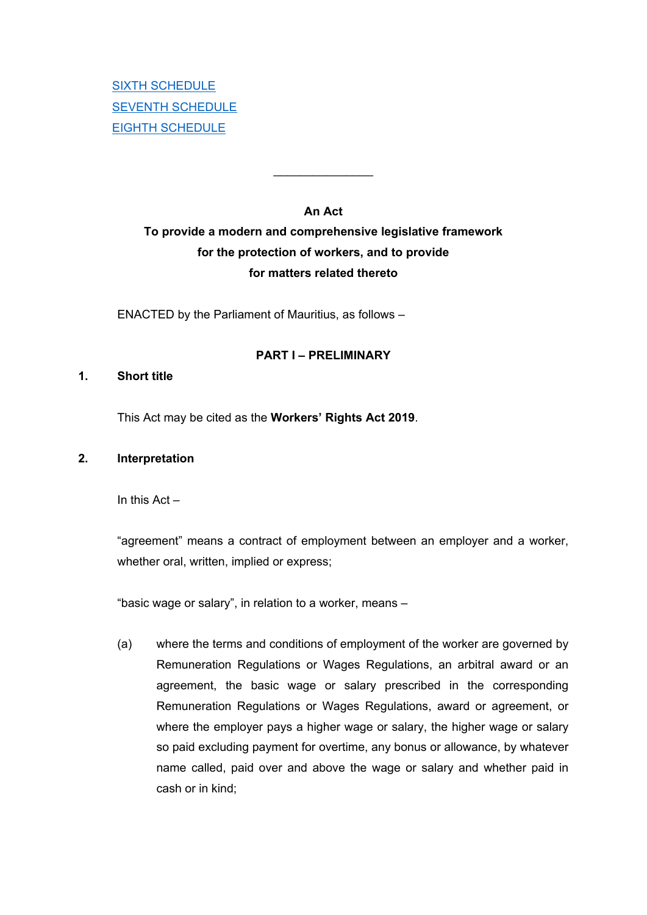# **An Act To provide a modern and comprehensive legislative framework for the protection of workers, and to provide for matters related thereto**

 $\overline{\phantom{a}}$ 

ENACTED by the Parliament of Mauritius, as follows –

### **PART I – PRELIMINARY**

#### <span id="page-6-0"></span>**1. Short title**

This Act may be cited as the **Workers' Rights Act 2019**.

#### <span id="page-6-1"></span>**2. Interpretation**

In this Act –

"agreement" means a contract of employment between an employer and a worker, whether oral, written, implied or express;

"basic wage or salary", in relation to a worker, means –

(a) where the terms and conditions of employment of the worker are governed by Remuneration Regulations or Wages Regulations, an arbitral award or an agreement, the basic wage or salary prescribed in the corresponding Remuneration Regulations or Wages Regulations, award or agreement, or where the employer pays a higher wage or salary, the higher wage or salary so paid excluding payment for overtime, any bonus or allowance, by whatever name called, paid over and above the wage or salary and whether paid in cash or in kind;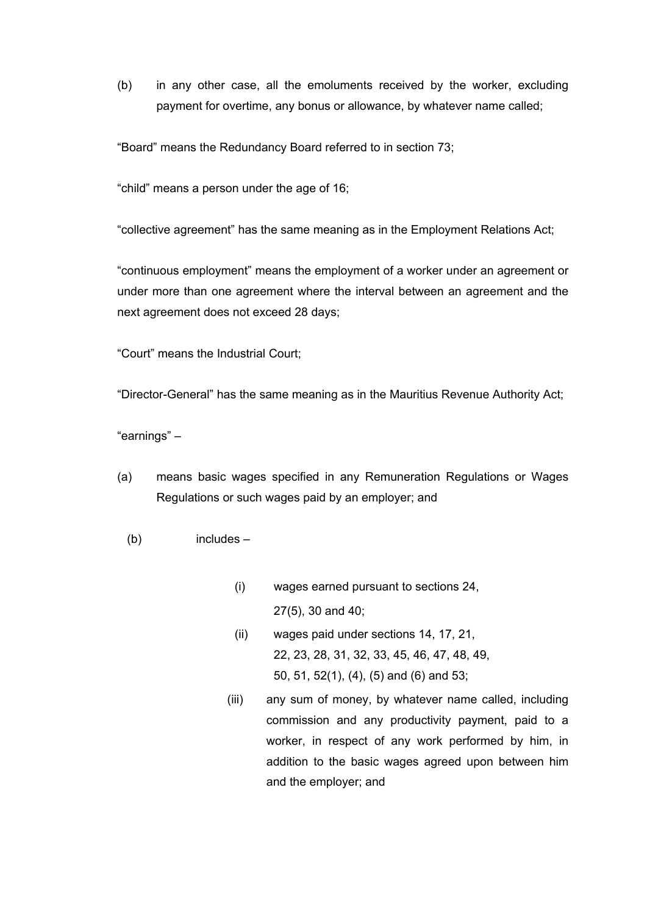(b) in any other case, all the emoluments received by the worker, excluding payment for overtime, any bonus or allowance, by whatever name called;

"Board" means the Redundancy Board referred to in section 73;

"child" means a person under the age of 16;

"collective agreement" has the same meaning as in the Employment Relations Act;

"continuous employment" means the employment of a worker under an agreement or under more than one agreement where the interval between an agreement and the next agreement does not exceed 28 days;

"Court" means the Industrial Court;

"Director-General" has the same meaning as in the Mauritius Revenue Authority Act;

"earnings" –

- (a) means basic wages specified in any Remuneration Regulations or Wages Regulations or such wages paid by an employer; and
	- (b) includes
		- (i) wages earned pursuant to sections 24, 27(5), 30 and 40;
		- (ii) wages paid under sections 14, 17, 21, 22, 23, 28, 31, 32, 33, 45, 46, 47, 48, 49, 50, 51, 52(1), (4), (5) and (6) and 53;
		- (iii) any sum of money, by whatever name called, including commission and any productivity payment, paid to a worker, in respect of any work performed by him, in addition to the basic wages agreed upon between him and the employer; and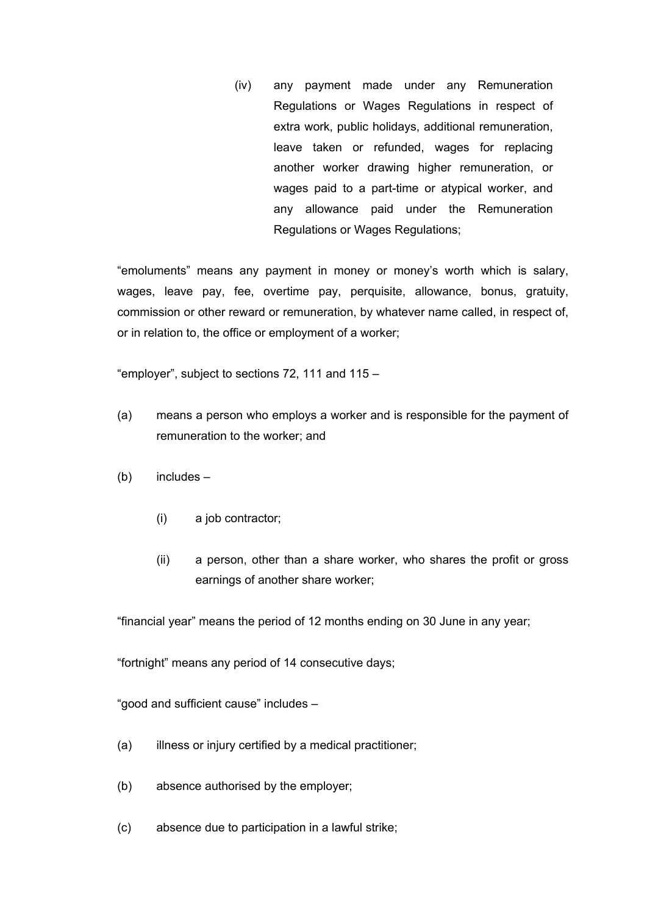(iv) any payment made under any Remuneration Regulations or Wages Regulations in respect of extra work, public holidays, additional remuneration, leave taken or refunded, wages for replacing another worker drawing higher remuneration, or wages paid to a part-time or atypical worker, and any allowance paid under the Remuneration Regulations or Wages Regulations;

"emoluments" means any payment in money or money's worth which is salary, wages, leave pay, fee, overtime pay, perquisite, allowance, bonus, gratuity, commission or other reward or remuneration, by whatever name called, in respect of, or in relation to, the office or employment of a worker;

"employer", subject to sections 72, 111 and 115 –

- (a) means a person who employs a worker and is responsible for the payment of remuneration to the worker; and
- (b) includes
	- (i) a job contractor;
	- (ii) a person, other than a share worker, who shares the profit or gross earnings of another share worker;

"financial year" means the period of 12 months ending on 30 June in any year;

"fortnight" means any period of 14 consecutive days;

"good and sufficient cause" includes –

- (a) illness or injury certified by a medical practitioner;
- (b) absence authorised by the employer;
- (c) absence due to participation in a lawful strike;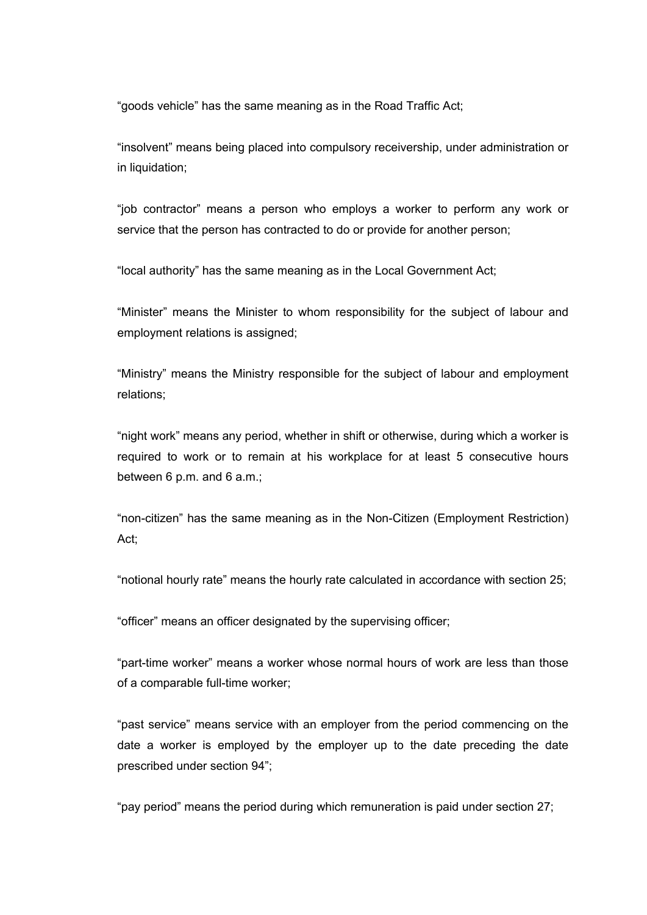"goods vehicle" has the same meaning as in the Road Traffic Act;

"insolvent" means being placed into compulsory receivership, under administration or in liquidation;

"job contractor" means a person who employs a worker to perform any work or service that the person has contracted to do or provide for another person;

"local authority" has the same meaning as in the Local Government Act;

"Minister" means the Minister to whom responsibility for the subject of labour and employment relations is assigned;

"Ministry" means the Ministry responsible for the subject of labour and employment relations;

"night work" means any period, whether in shift or otherwise, during which a worker is required to work or to remain at his workplace for at least 5 consecutive hours between 6 p.m. and 6 a.m.;

"non-citizen" has the same meaning as in the Non-Citizen (Employment Restriction) Act;

"notional hourly rate" means the hourly rate calculated in accordance with section 25;

"officer" means an officer designated by the supervising officer;

"part-time worker" means a worker whose normal hours of work are less than those of a comparable full-time worker;

"past service" means service with an employer from the period commencing on the date a worker is employed by the employer up to the date preceding the date prescribed under section 94";

"pay period" means the period during which remuneration is paid under section 27;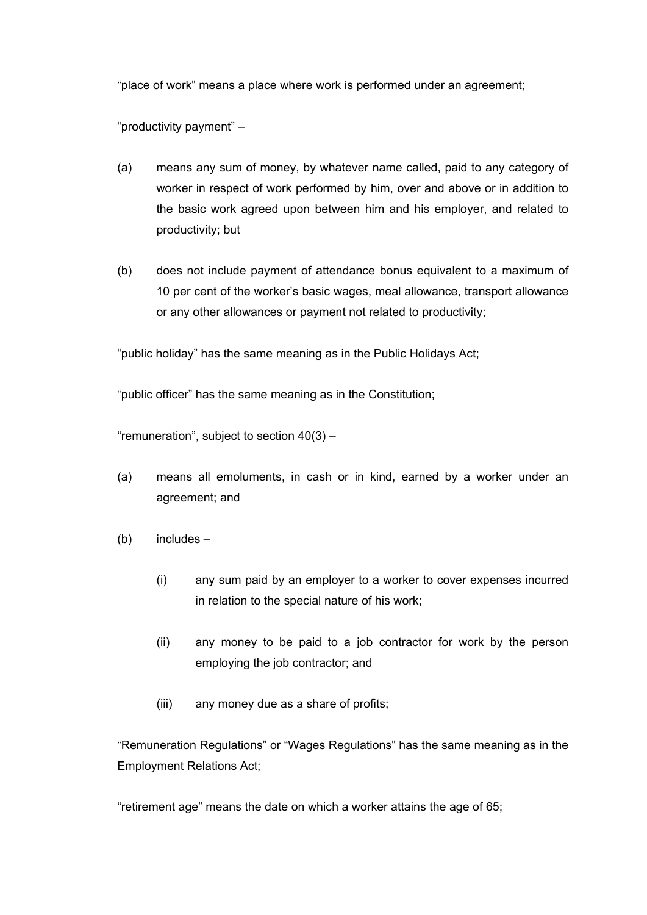"place of work" means a place where work is performed under an agreement;

"productivity payment" –

- (a) means any sum of money, by whatever name called, paid to any category of worker in respect of work performed by him, over and above or in addition to the basic work agreed upon between him and his employer, and related to productivity; but
- (b) does not include payment of attendance bonus equivalent to a maximum of 10 per cent of the worker's basic wages, meal allowance, transport allowance or any other allowances or payment not related to productivity;

"public holiday" has the same meaning as in the Public Holidays Act;

"public officer" has the same meaning as in the Constitution;

"remuneration", subject to section  $40(3)$  -

- (a) means all emoluments, in cash or in kind, earned by a worker under an agreement; and
- (b) includes
	- (i) any sum paid by an employer to a worker to cover expenses incurred in relation to the special nature of his work;
	- (ii) any money to be paid to a job contractor for work by the person employing the job contractor; and
	- (iii) any money due as a share of profits;

"Remuneration Regulations" or "Wages Regulations" has the same meaning as in the Employment Relations Act;

"retirement age" means the date on which a worker attains the age of 65;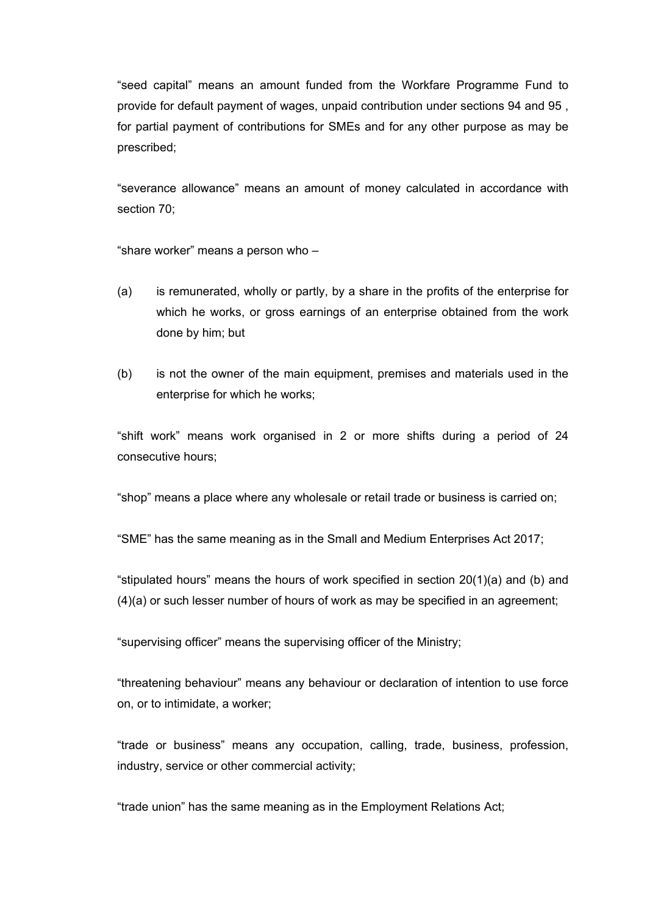"seed capital" means an amount funded from the Workfare Programme Fund to provide for default payment of wages, unpaid contribution under sections 94 and 95 , for partial payment of contributions for SMEs and for any other purpose as may be prescribed;

"severance allowance" means an amount of money calculated in accordance with section 70;

"share worker" means a person who –

- (a) is remunerated, wholly or partly, by a share in the profits of the enterprise for which he works, or gross earnings of an enterprise obtained from the work done by him; but
- (b) is not the owner of the main equipment, premises and materials used in the enterprise for which he works;

"shift work" means work organised in 2 or more shifts during a period of 24 consecutive hours;

"shop" means a place where any wholesale or retail trade or business is carried on;

"SME" has the same meaning as in the Small and Medium Enterprises Act 2017;

"stipulated hours" means the hours of work specified in section 20(1)(a) and (b) and (4)(a) or such lesser number of hours of work as may be specified in an agreement;

"supervising officer" means the supervising officer of the Ministry;

"threatening behaviour" means any behaviour or declaration of intention to use force on, or to intimidate, a worker;

"trade or business" means any occupation, calling, trade, business, profession, industry, service or other commercial activity;

"trade union" has the same meaning as in the Employment Relations Act;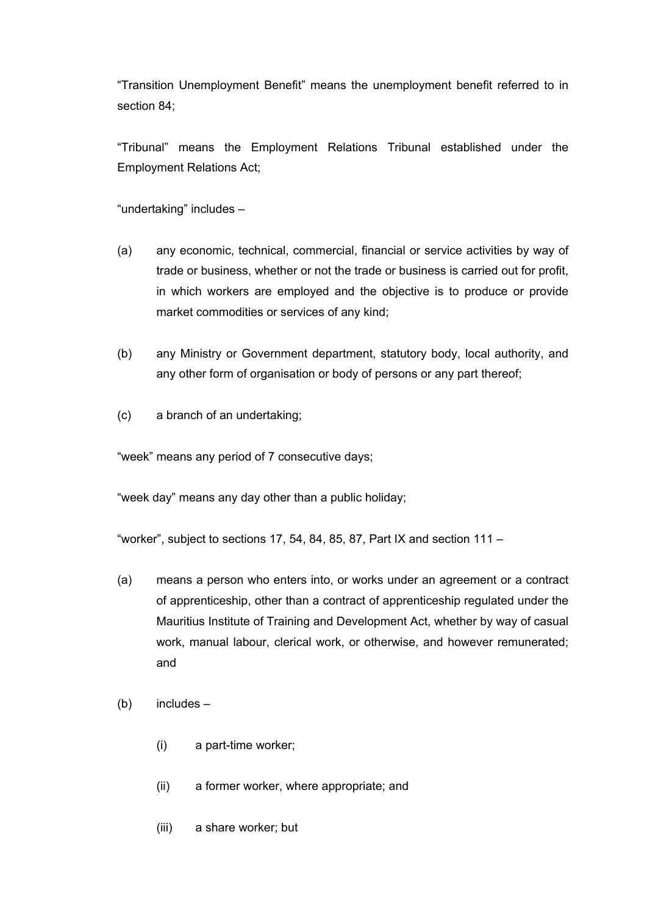"Transition Unemployment Benefit" means the unemployment benefit referred to in section 84;

"Tribunal" means the Employment Relations Tribunal established under the Employment Relations Act;

"undertaking" includes –

- (a) any economic, technical, commercial, financial or service activities by way of trade or business, whether or not the trade or business is carried out for profit, in which workers are employed and the objective is to produce or provide market commodities or services of any kind;
- (b) any Ministry or Government department, statutory body, local authority, and any other form of organisation or body of persons or any part thereof;
- (c) a branch of an undertaking;

"week" means any period of 7 consecutive days;

"week day" means any day other than a public holiday;

"worker", subject to sections 17, 54, 84, 85, 87, Part IX and section  $111 -$ 

- (a) means a person who enters into, or works under an agreement or a contract of apprenticeship, other than a contract of apprenticeship regulated under the Mauritius Institute of Training and Development Act, whether by way of casual work, manual labour, clerical work, or otherwise, and however remunerated; and
- (b) includes
	- (i) a part-time worker;
	- (ii) a former worker, where appropriate; and
	- (iii) a share worker; but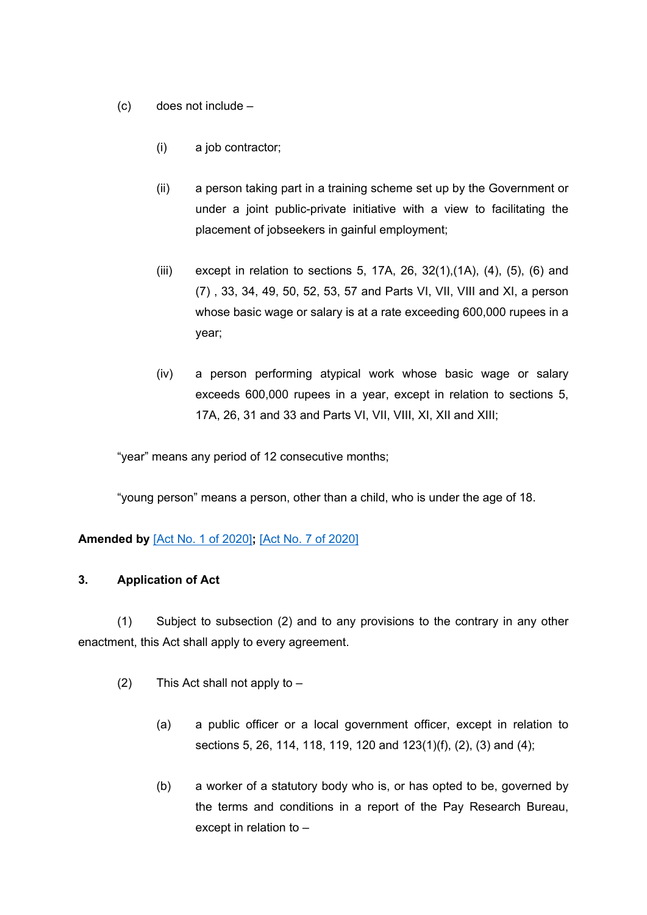- (c) does not include
	- (i) a job contractor;
	- (ii) a person taking part in a training scheme set up by the Government or under a joint public-private initiative with a view to facilitating the placement of jobseekers in gainful employment;
	- (iii) except in relation to sections 5, 17A, 26, 32(1),  $(1A)$ ,  $(4)$ ,  $(5)$ ,  $(6)$  and (7) , 33, 34, 49, 50, 52, 53, 57 and Parts VI, VII, VIII and XI, a person whose basic wage or salary is at a rate exceeding 600,000 rupees in a year;
	- (iv) a person performing atypical work whose basic wage or salary exceeds 600,000 rupees in a year, except in relation to sections 5, 17A, 26, 31 and 33 and Parts VI, VII, VIII, XI, XII and XIII;

"year" means any period of 12 consecutive months;

"young person" means a person, other than a child, who is under the age of 18.

## **Amended by** [Act No. 1 of [2020\]](https://supremecourt.govmu.org/_layouts/CLIS.DMS/search/searchdocumentbykey.aspx?ID=%5BAct%20No.%201%20of%202020%5D&list=Legislations)**;** [Act No. 7 of [2020\]](https://supremecourt.govmu.org/_layouts/CLIS.DMS/search/searchdocumentbykey.aspx?ID=%5BAct%20No.%207%20of%202020%5D&list=Legislations)

#### <span id="page-13-0"></span>**3. Application of Act**

(1) Subject to subsection (2) and to any provisions to the contrary in any other enactment, this Act shall apply to every agreement.

- (2) This Act shall not apply to
	- (a) a public officer or a local government officer, except in relation to sections 5, 26, 114, 118, 119, 120 and 123(1)(f), (2), (3) and (4);
	- (b) a worker of a statutory body who is, or has opted to be, governed by the terms and conditions in a report of the Pay Research Bureau, except in relation to –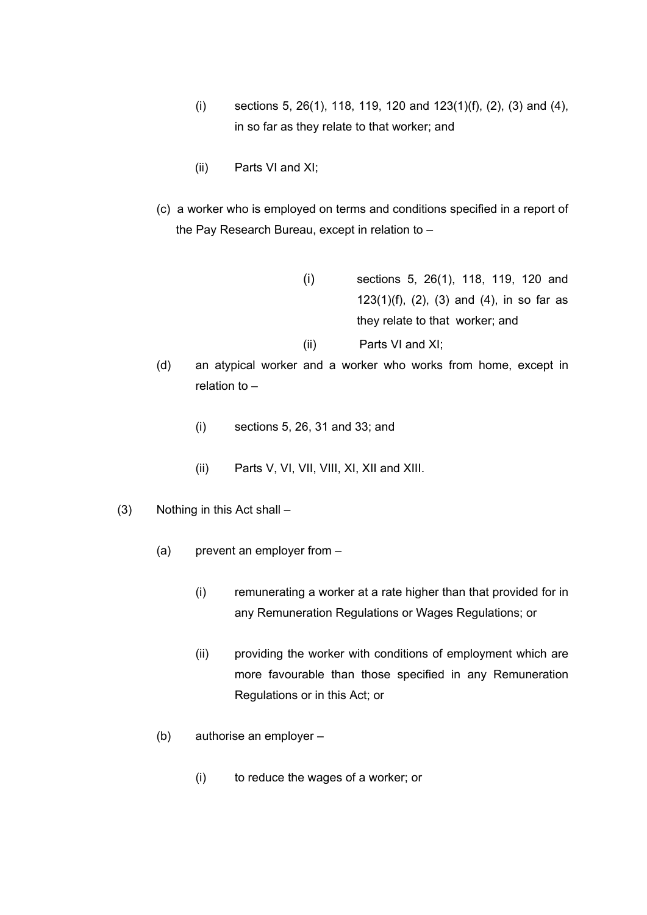- (i) sections 5, 26(1), 118, 119, 120 and  $123(1)(f)$ , (2), (3) and (4), in so far as they relate to that worker; and
- (ii) Parts VI and XI;
- (c) a worker who is employed on terms and conditions specified in a report of the Pay Research Bureau, except in relation to –
	- (i) sections 5, 26(1), 118, 119, 120 and 123(1)(f), (2), (3) and (4), in so far as they relate to that worker; and (ii) Parts VI and XI;
- (d) an atypical worker and a worker who works from home, except in relation to –
	- (i) sections 5, 26, 31 and 33; and
	- (ii) Parts V, VI, VII, VIII, XI, XII and XIII.
- (3) Nothing in this Act shall
	- (a) prevent an employer from
		- (i) remunerating a worker at a rate higher than that provided for in any Remuneration Regulations or Wages Regulations; or
		- (ii) providing the worker with conditions of employment which are more favourable than those specified in any Remuneration Regulations or in this Act; or
	- (b) authorise an employer
		- (i) to reduce the wages of a worker; or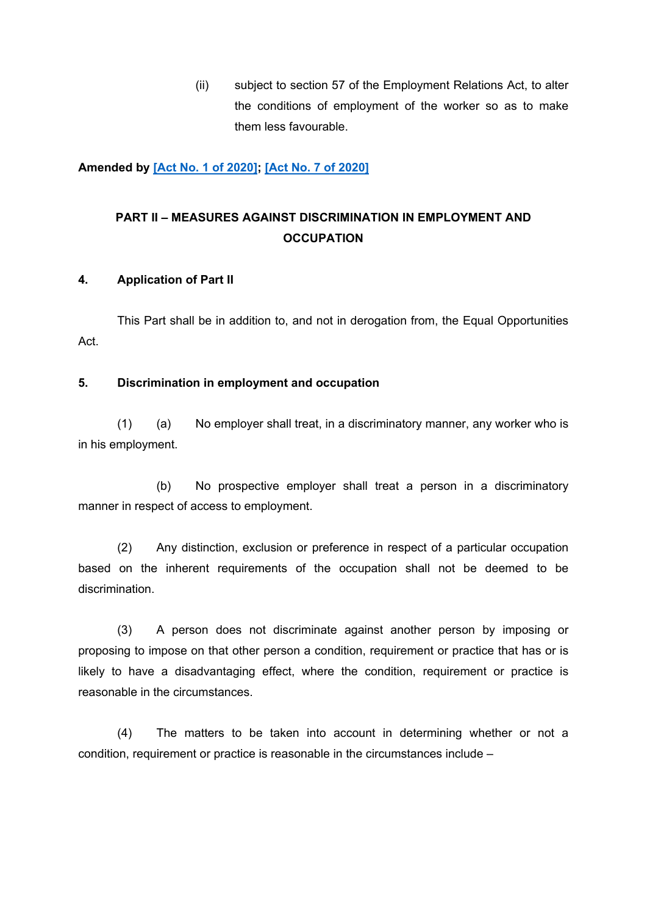(ii) subject to section 57 of the Employment Relations Act, to alter the conditions of employment of the worker so as to make them less favourable.

#### **Amended by [Act No. 1 of [2020\]](https://supremecourt.govmu.org/_layouts/CLIS.DMS/search/searchdocumentbykey.aspx?ID=%5BAct%20No.%201%20of%202020%5D&list=Legislations); [Act No. 7 of [2020\]](https://supremecourt.govmu.org/_layouts/CLIS.DMS/search/searchdocumentbykey.aspx?ID=%5BAct%20No.%207%20of%202020%5D&list=Legislations)**

# **PART II – MEASURES AGAINST DISCRIMINATION IN EMPLOYMENT AND OCCUPATION**

#### <span id="page-15-0"></span>**4. Application of Part II**

This Part shall be in addition to, and not in derogation from, the Equal Opportunities Act.

#### <span id="page-15-1"></span>**5. Discrimination in employment and occupation**

(1) (a) No employer shall treat, in a discriminatory manner, any worker who is in his employment.

(b) No prospective employer shall treat a person in a discriminatory manner in respect of access to employment.

(2) Any distinction, exclusion or preference in respect of a particular occupation based on the inherent requirements of the occupation shall not be deemed to be discrimination.

(3) A person does not discriminate against another person by imposing or proposing to impose on that other person a condition, requirement or practice that has or is likely to have a disadvantaging effect, where the condition, requirement or practice is reasonable in the circumstances.

(4) The matters to be taken into account in determining whether or not a condition, requirement or practice is reasonable in the circumstances include –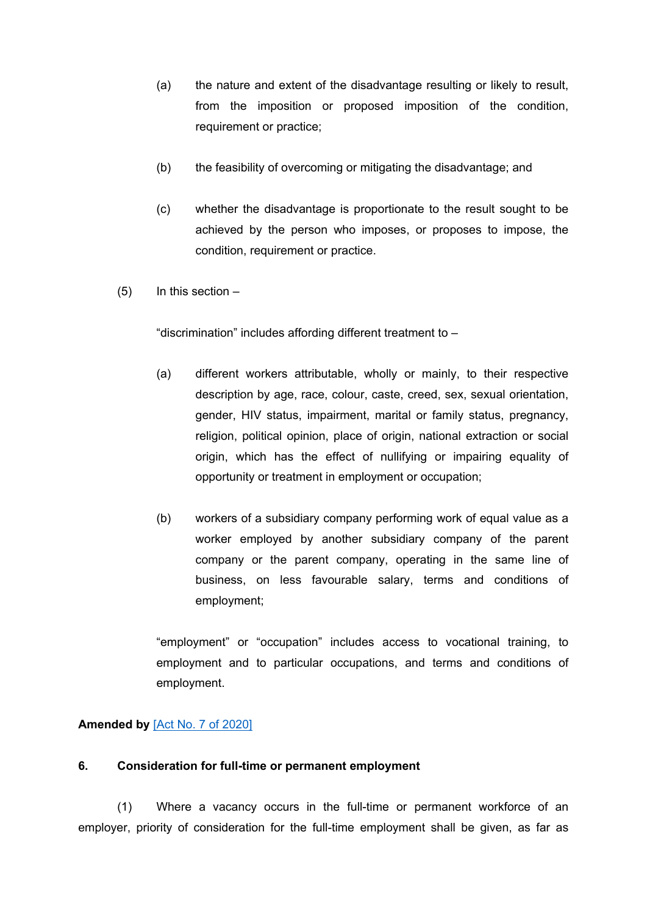- (a) the nature and extent of the disadvantage resulting or likely to result, from the imposition or proposed imposition of the condition, requirement or practice;
- (b) the feasibility of overcoming or mitigating the disadvantage; and
- (c) whether the disadvantage is proportionate to the result sought to be achieved by the person who imposes, or proposes to impose, the condition, requirement or practice.
- (5) In this section –

"discrimination" includes affording different treatment to –

- (a) different workers attributable, wholly or mainly, to their respective description by age, race, colour, caste, creed, sex, sexual orientation, gender, HIV status, impairment, marital or family status, pregnancy, religion, political opinion, place of origin, national extraction or social origin, which has the effect of nullifying or impairing equality of opportunity or treatment in employment or occupation;
- (b) workers of a subsidiary company performing work of equal value as a worker employed by another subsidiary company of the parent company or the parent company, operating in the same line of business, on less favourable salary, terms and conditions of employment;

"employment" or "occupation" includes access to vocational training, to employment and to particular occupations, and terms and conditions of employment.

## **Amended by** [Act No. 7 of [2020\]](https://supremecourt.govmu.org/_layouts/CLIS.DMS/search/searchdocumentbykey.aspx?ID=%5BAct%20No.%207%20of%202020%5D&list=Legislations)

#### <span id="page-16-0"></span>**6. Consideration for full-time or permanent employment**

(1) Where a vacancy occurs in the full-time or permanent workforce of an employer, priority of consideration for the full-time employment shall be given, as far as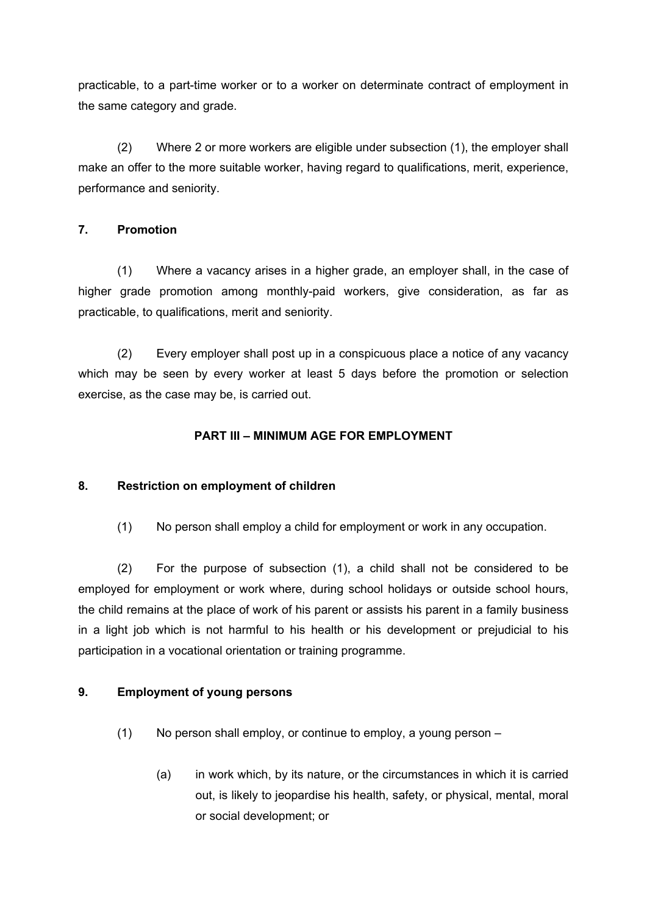practicable, to a part-time worker or to a worker on determinate contract of employment in the same category and grade.

(2) Where 2 or more workers are eligible under subsection (1), the employer shall make an offer to the more suitable worker, having regard to qualifications, merit, experience, performance and seniority.

## <span id="page-17-0"></span>**7. Promotion**

(1) Where a vacancy arises in a higher grade, an employer shall, in the case of higher grade promotion among monthly-paid workers, give consideration, as far as practicable, to qualifications, merit and seniority.

(2) Every employer shall post up in a conspicuous place a notice of any vacancy which may be seen by every worker at least 5 days before the promotion or selection exercise, as the case may be, is carried out.

## **PART III – MINIMUM AGE FOR EMPLOYMENT**

## <span id="page-17-1"></span>**8. Restriction on employment of children**

(1) No person shall employ a child for employment or work in any occupation.

(2) For the purpose of subsection (1), a child shall not be considered to be employed for employment or work where, during school holidays or outside school hours, the child remains at the place of work of his parent or assists his parent in a family business in a light job which is not harmful to his health or his development or prejudicial to his participation in a vocational orientation or training programme.

## <span id="page-17-2"></span>**9. Employment of young persons**

- (1) No person shall employ, or continue to employ, a young person
	- (a) in work which, by its nature, or the circumstances in which it is carried out, is likely to jeopardise his health, safety, or physical, mental, moral or social development; or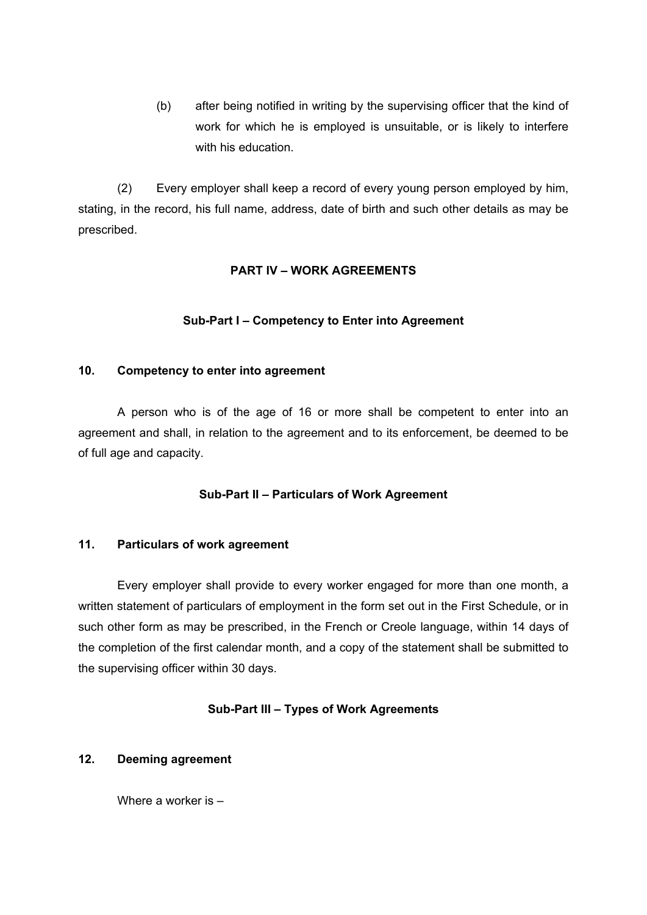(b) after being notified in writing by the supervising officer that the kind of work for which he is employed is unsuitable, or is likely to interfere with his education.

(2) Every employer shall keep a record of every young person employed by him, stating, in the record, his full name, address, date of birth and such other details as may be prescribed.

### **PART IV – WORK AGREEMENTS**

### **Sub-Part I – Competency to Enter into Agreement**

#### <span id="page-18-0"></span>**10. Competency to enter into agreement**

A person who is of the age of 16 or more shall be competent to enter into an agreement and shall, in relation to the agreement and to its enforcement, be deemed to be of full age and capacity.

## **Sub-Part II – Particulars of Work Agreement**

#### <span id="page-18-1"></span>**11. Particulars of work agreement**

Every employer shall provide to every worker engaged for more than one month, a written statement of particulars of employment in the form set out in the First Schedule, or in such other form as may be prescribed, in the French or Creole language, within 14 days of the completion of the first calendar month, and a copy of the statement shall be submitted to the supervising officer within 30 days.

#### **Sub-Part III – Types of Work Agreements**

#### <span id="page-18-2"></span>**12. Deeming agreement**

Where a worker is –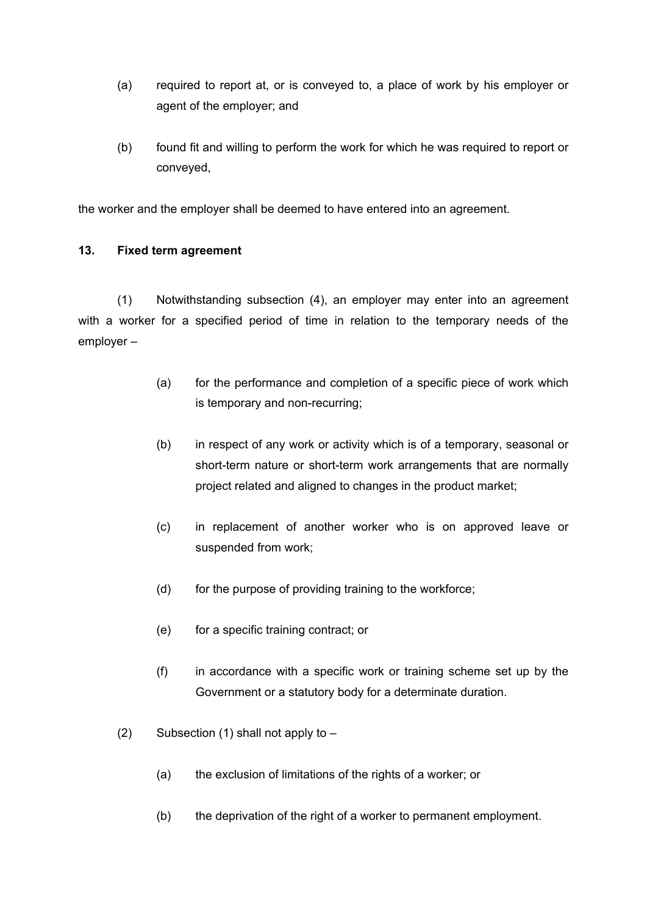- (a) required to report at, or is conveyed to, a place of work by his employer or agent of the employer; and
- (b) found fit and willing to perform the work for which he was required to report or conveyed,

the worker and the employer shall be deemed to have entered into an agreement.

### <span id="page-19-0"></span>**13. Fixed term agreement**

(1) Notwithstanding subsection (4), an employer may enter into an agreement with a worker for a specified period of time in relation to the temporary needs of the employer –

- (a) for the performance and completion of a specific piece of work which is temporary and non-recurring;
- (b) in respect of any work or activity which is of a temporary, seasonal or short-term nature or short-term work arrangements that are normally project related and aligned to changes in the product market;
- (c) in replacement of another worker who is on approved leave or suspended from work;
- (d) for the purpose of providing training to the workforce;
- (e) for a specific training contract; or
- (f) in accordance with a specific work or training scheme set up by the Government or a statutory body for a determinate duration.
- (2) Subsection (1) shall not apply to  $-$ 
	- (a) the exclusion of limitations of the rights of a worker; or
	- (b) the deprivation of the right of a worker to permanent employment.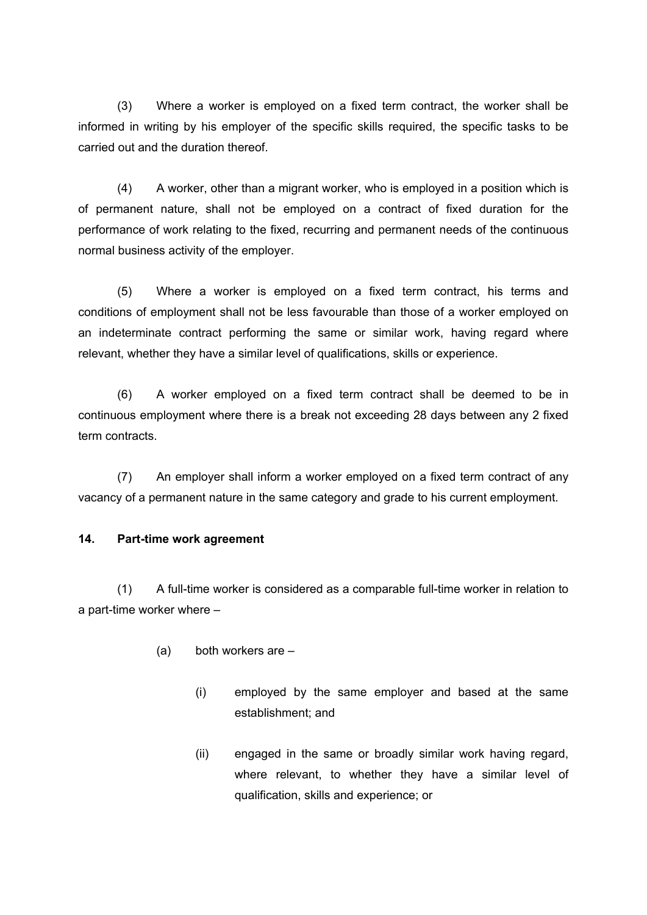(3) Where a worker is employed on a fixed term contract, the worker shall be informed in writing by his employer of the specific skills required, the specific tasks to be carried out and the duration thereof.

(4) A worker, other than a migrant worker, who is employed in a position which is of permanent nature, shall not be employed on a contract of fixed duration for the performance of work relating to the fixed, recurring and permanent needs of the continuous normal business activity of the employer.

(5) Where a worker is employed on a fixed term contract, his terms and conditions of employment shall not be less favourable than those of a worker employed on an indeterminate contract performing the same or similar work, having regard where relevant, whether they have a similar level of qualifications, skills or experience.

(6) A worker employed on a fixed term contract shall be deemed to be in continuous employment where there is a break not exceeding 28 days between any 2 fixed term contracts

(7) An employer shall inform a worker employed on a fixed term contract of any vacancy of a permanent nature in the same category and grade to his current employment.

#### <span id="page-20-0"></span>**14. Part-time work agreement**

(1) A full-time worker is considered as a comparable full-time worker in relation to a part-time worker where –

- (a) both workers are
	- (i) employed by the same employer and based at the same establishment; and
	- (ii) engaged in the same or broadly similar work having regard, where relevant, to whether they have a similar level of qualification, skills and experience; or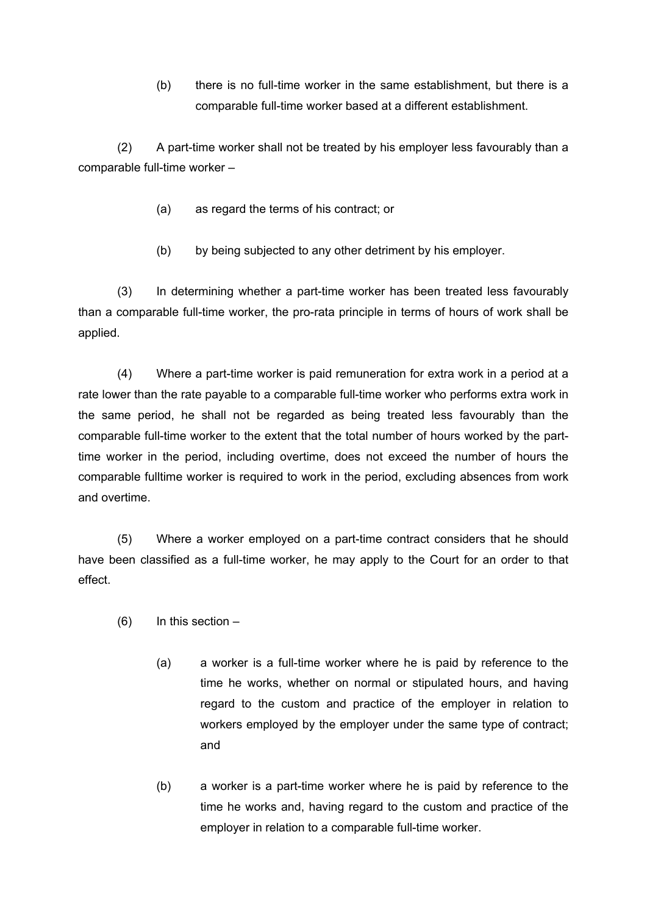(b) there is no full-time worker in the same establishment, but there is a comparable full-time worker based at a different establishment.

(2) A part-time worker shall not be treated by his employer less favourably than a comparable full-time worker –

- (a) as regard the terms of his contract; or
- (b) by being subjected to any other detriment by his employer.

(3) In determining whether a part-time worker has been treated less favourably than a comparable full-time worker, the pro-rata principle in terms of hours of work shall be applied.

(4) Where a part-time worker is paid remuneration for extra work in a period at a rate lower than the rate payable to a comparable full-time worker who performs extra work in the same period, he shall not be regarded as being treated less favourably than the comparable full-time worker to the extent that the total number of hours worked by the parttime worker in the period, including overtime, does not exceed the number of hours the comparable fulltime worker is required to work in the period, excluding absences from work and overtime.

(5) Where a worker employed on a part-time contract considers that he should have been classified as a full-time worker, he may apply to the Court for an order to that effect.

- $(6)$  In this section
	- (a) a worker is a full-time worker where he is paid by reference to the time he works, whether on normal or stipulated hours, and having regard to the custom and practice of the employer in relation to workers employed by the employer under the same type of contract; and
	- (b) a worker is a part-time worker where he is paid by reference to the time he works and, having regard to the custom and practice of the employer in relation to a comparable full-time worker.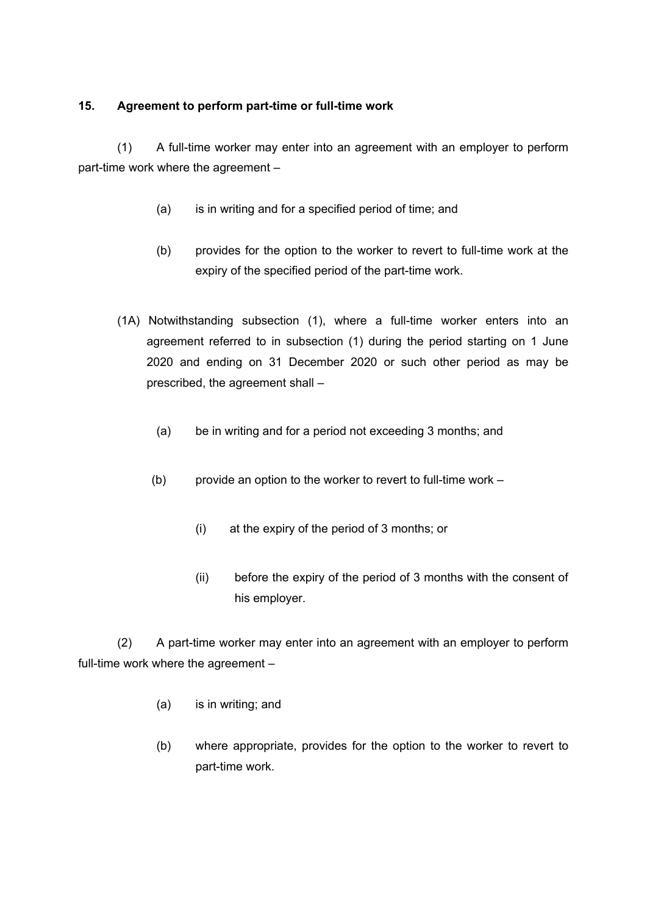## <span id="page-22-0"></span>**15. Agreement to perform part-time or full-time work**

(1) A full-time worker may enter into an agreement with an employer to perform part-time work where the agreement –

- (a) is in writing and for a specified period of time; and
- (b) provides for the option to the worker to revert to full-time work at the expiry of the specified period of the part-time work.
- (1A) Notwithstanding subsection (1), where a full-time worker enters into an agreement referred to in subsection (1) during the period starting on 1 June 2020 and ending on 31 December 2020 or such other period as may be prescribed, the agreement shall –
	- (a) be in writing and for a period not exceeding 3 months; and
	- (b) provide an option to the worker to revert to full-time work
		- (i) at the expiry of the period of 3 months; or
		- (ii) before the expiry of the period of 3 months with the consent of his employer.

(2) A part-time worker may enter into an agreement with an employer to perform full-time work where the agreement –

- (a) is in writing; and
- (b) where appropriate, provides for the option to the worker to revert to part-time work.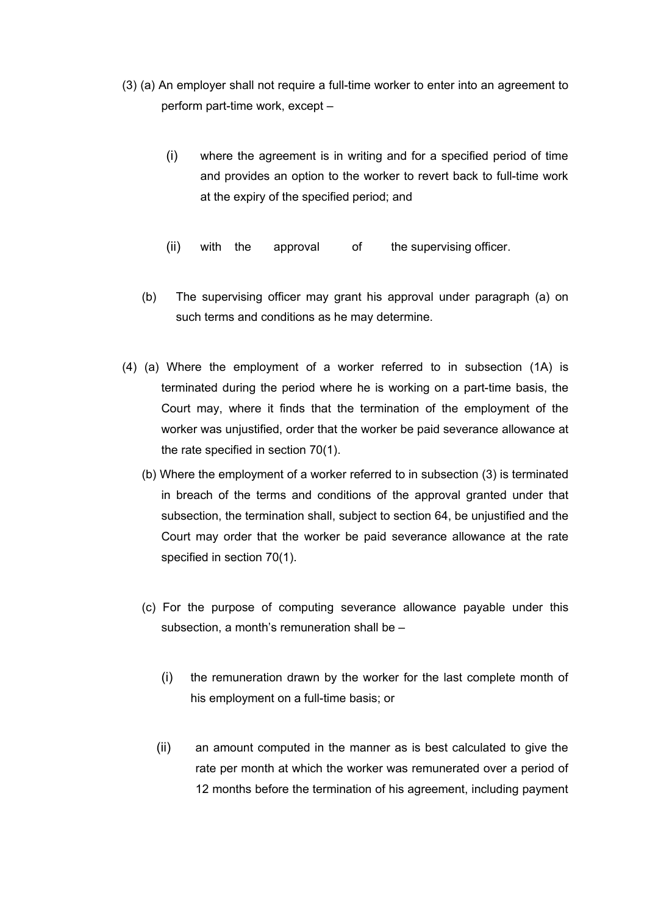- (3) (a) An employer shall not require a full-time worker to enter into an agreement to perform part-time work, except –
	- (i) where the agreement is in writing and for a specified period of time and provides an option to the worker to revert back to full-time work at the expiry of the specified period; and
	- (ii) with the approval of the supervising officer.
	- (b) The supervising officer may grant his approval under paragraph (a) on such terms and conditions as he may determine.
- (4) (a) Where the employment of a worker referred to in subsection (1A) is terminated during the period where he is working on a part-time basis, the Court may, where it finds that the termination of the employment of the worker was unjustified, order that the worker be paid severance allowance at the rate specified in section 70(1).
	- (b) Where the employment of a worker referred to in subsection (3) is terminated in breach of the terms and conditions of the approval granted under that subsection, the termination shall, subject to section 64, be unjustified and the Court may order that the worker be paid severance allowance at the rate specified in section 70(1).
	- (c) For the purpose of computing severance allowance payable under this subsection, a month's remuneration shall be –
		- (i) the remuneration drawn by the worker for the last complete month of his employment on a full-time basis; or
		- (ii) an amount computed in the manner as is best calculated to give the rate per month at which the worker was remunerated over a period of 12 months before the termination of his agreement, including payment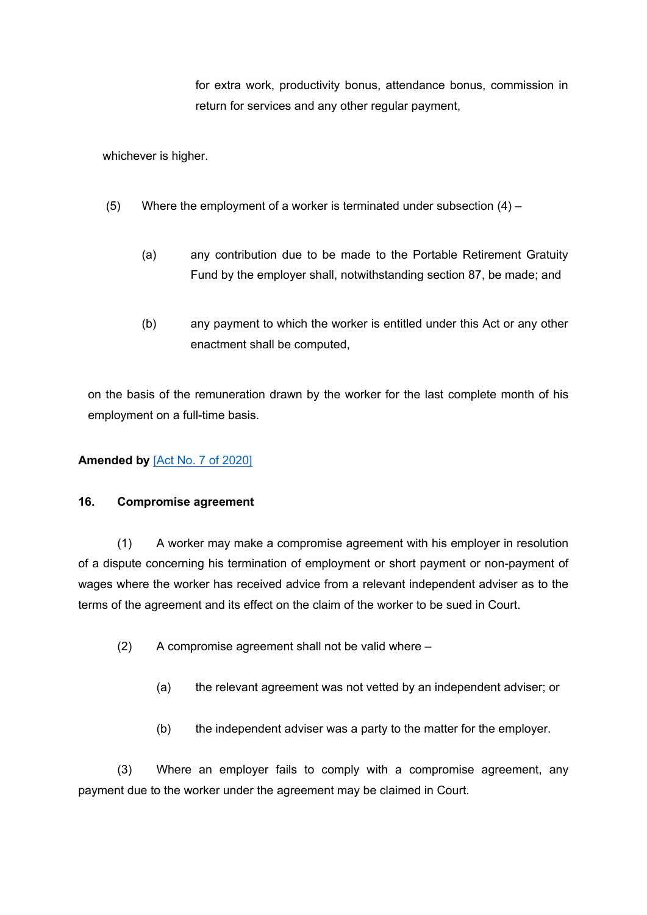for extra work, productivity bonus, attendance bonus, commission in return for services and any other regular payment,

whichever is higher.

- (5) Where the employment of a worker is terminated under subsection  $(4)$ 
	- (a) any contribution due to be made to the Portable Retirement Gratuity Fund by the employer shall, notwithstanding section 87, be made; and
	- (b) any payment to which the worker is entitled under this Act or any other enactment shall be computed,

on the basis of the remuneration drawn by the worker for the last complete month of his employment on a full-time basis.

## **Amended by** [Act No. 7 of [2020\]](https://supremecourt.govmu.org/_layouts/CLIS.DMS/search/searchdocumentbykey.aspx?ID=%5BAct%20No.%207%20of%202020%5D&list=Legislations)

#### <span id="page-24-0"></span>**16. Compromise agreement**

(1) A worker may make a compromise agreement with his employer in resolution of a dispute concerning his termination of employment or short payment or non-payment of wages where the worker has received advice from a relevant independent adviser as to the terms of the agreement and its effect on the claim of the worker to be sued in Court.

- (2) A compromise agreement shall not be valid where
	- (a) the relevant agreement was not vetted by an independent adviser; or
	- (b) the independent adviser was a party to the matter for the employer.

(3) Where an employer fails to comply with a compromise agreement, any payment due to the worker under the agreement may be claimed in Court.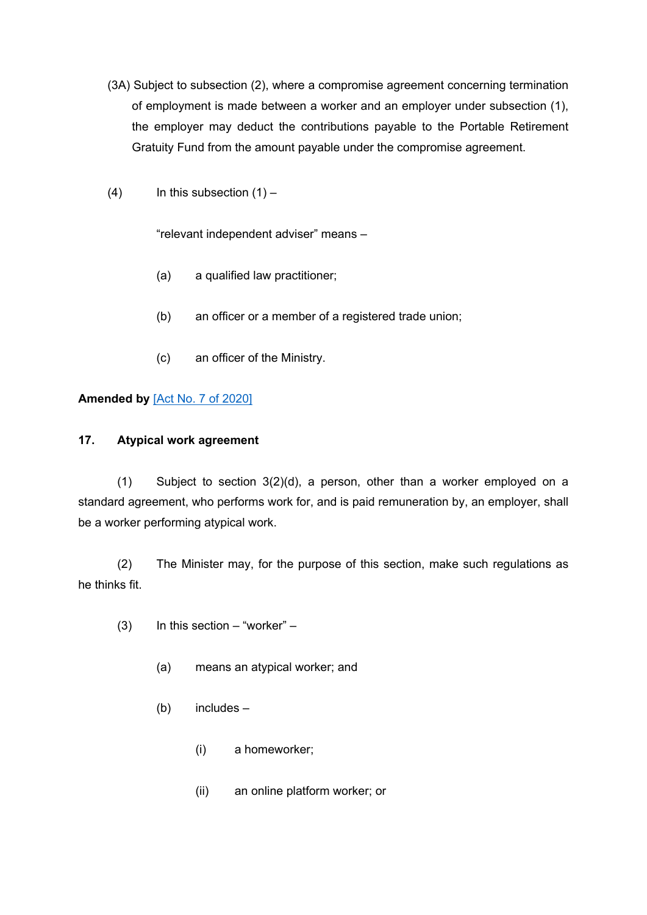- (3A) Subject to subsection (2), where a compromise agreement concerning termination of employment is made between a worker and an employer under subsection (1), the employer may deduct the contributions payable to the Portable Retirement Gratuity Fund from the amount payable under the compromise agreement.
- (4) In this subsection  $(1)$  –

"relevant independent adviser" means –

- (a) a qualified law practitioner;
- (b) an officer or a member of a registered trade union;
- (c) an officer of the Ministry.

## **Amended by** [Act No. 7 of [2020\]](https://supremecourt.govmu.org/_layouts/CLIS.DMS/search/searchdocumentbykey.aspx?ID=%5BAct%20No.%207%20of%202020%5D&list=Legislations)

## <span id="page-25-0"></span>**17. Atypical work agreement**

(1) Subject to section 3(2)(d), a person, other than a worker employed on a standard agreement, who performs work for, and is paid remuneration by, an employer, shall be a worker performing atypical work.

(2) The Minister may, for the purpose of this section, make such regulations as he thinks fit.

- $(3)$  In this section "worker"
	- (a) means an atypical worker; and
	- (b) includes
		- (i) a homeworker;
		- (ii) an online platform worker; or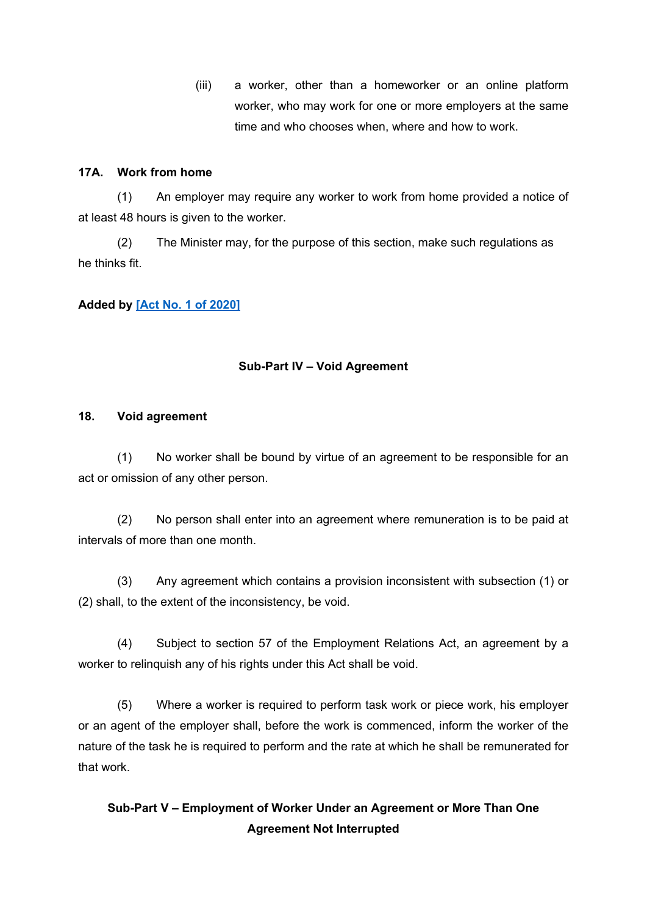(iii) a worker, other than a homeworker or an online platform worker, who may work for one or more employers at the same time and who chooses when, where and how to work.

### **17A. Work from home**

(1) An employer may require any worker to work from home provided a notice of at least 48 hours is given to the worker.

(2) The Minister may, for the purpose of this section, make such regulations as he thinks fit.

## **Added by [Act No. 1 of [2020\]](https://supremecourt.govmu.org/_layouts/CLIS.DMS/search/searchdocumentbykey.aspx?ID=%5BAct%20No.%201%20of%202020%5D&list=Legislations)**

### **Sub-Part IV – Void Agreement**

#### <span id="page-26-0"></span>**18. Void agreement**

(1) No worker shall be bound by virtue of an agreement to be responsible for an act or omission of any other person.

(2) No person shall enter into an agreement where remuneration is to be paid at intervals of more than one month.

(3) Any agreement which contains a provision inconsistent with subsection (1) or (2) shall, to the extent of the inconsistency, be void.

(4) Subject to section 57 of the Employment Relations Act, an agreement by a worker to relinquish any of his rights under this Act shall be void.

(5) Where a worker is required to perform task work or piece work, his employer or an agent of the employer shall, before the work is commenced, inform the worker of the nature of the task he is required to perform and the rate at which he shall be remunerated for that work.

# **Sub-Part V – Employment of Worker Under an Agreement or More Than One Agreement Not Interrupted**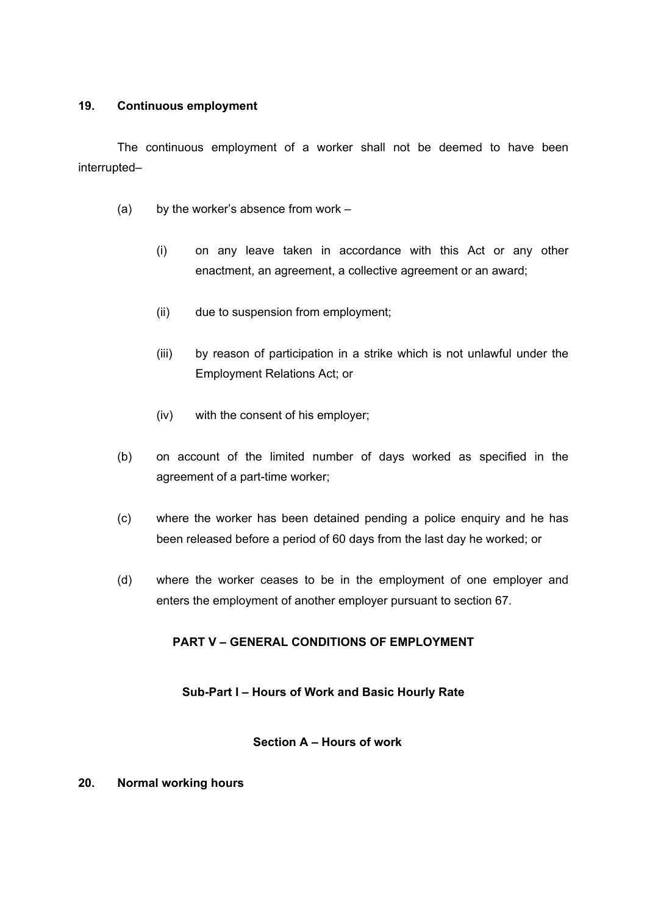#### <span id="page-27-0"></span>**19. Continuous employment**

The continuous employment of a worker shall not be deemed to have been interrupted–

- (a) by the worker's absence from work
	- (i) on any leave taken in accordance with this Act or any other enactment, an agreement, a collective agreement or an award;
	- (ii) due to suspension from employment;
	- (iii) by reason of participation in a strike which is not unlawful under the Employment Relations Act; or
	- (iv) with the consent of his employer;
- (b) on account of the limited number of days worked as specified in the agreement of a part-time worker;
- (c) where the worker has been detained pending a police enquiry and he has been released before a period of 60 days from the last day he worked; or
- (d) where the worker ceases to be in the employment of one employer and enters the employment of another employer pursuant to section 67.

## **PART V – GENERAL CONDITIONS OF EMPLOYMENT**

## **Sub-Part I – Hours of Work and Basic Hourly Rate**

#### **Section A – Hours of work**

#### <span id="page-27-1"></span>**20. Normal working hours**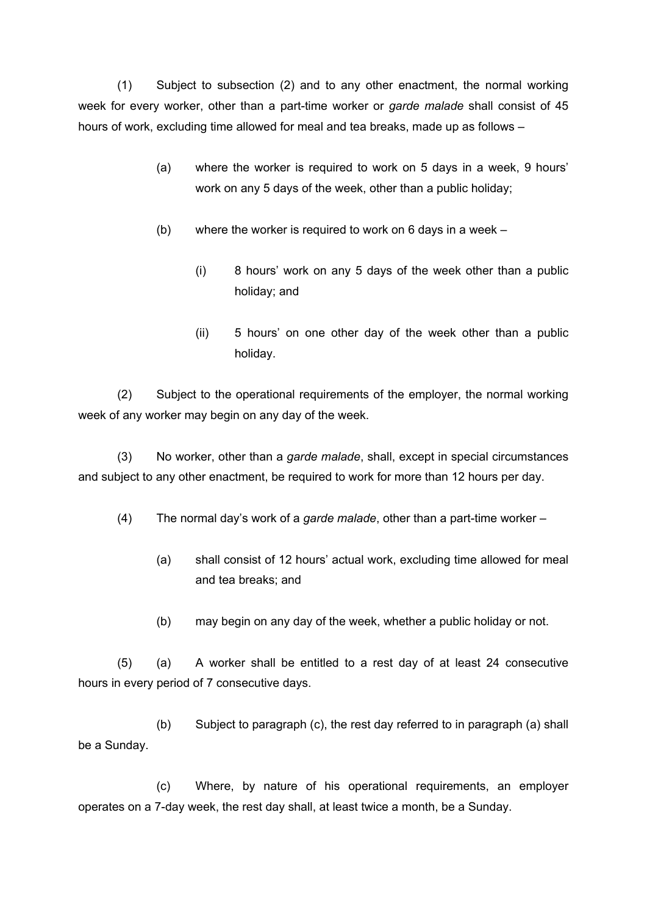(1) Subject to subsection (2) and to any other enactment, the normal working week for every worker, other than a part-time worker or *garde malade* shall consist of 45 hours of work, excluding time allowed for meal and tea breaks, made up as follows –

- (a) where the worker is required to work on 5 days in a week, 9 hours' work on any 5 days of the week, other than a public holiday;
- (b) where the worker is required to work on 6 days in a week
	- (i) 8 hours' work on any 5 days of the week other than a public holiday; and
	- (ii) 5 hours' on one other day of the week other than a public holiday.

(2) Subject to the operational requirements of the employer, the normal working week of any worker may begin on any day of the week.

(3) No worker, other than a *garde malade*, shall, except in special circumstances and subject to any other enactment, be required to work for more than 12 hours per day.

(4) The normal day's work of a *garde malade*, other than a part-time worker –

- (a) shall consist of 12 hours' actual work, excluding time allowed for meal and tea breaks; and
- (b) may begin on any day of the week, whether a public holiday or not.

(5) (a) A worker shall be entitled to a rest day of at least 24 consecutive hours in every period of 7 consecutive days.

(b) Subject to paragraph (c), the rest day referred to in paragraph (a) shall be a Sunday.

(c) Where, by nature of his operational requirements, an employer operates on a 7-day week, the rest day shall, at least twice a month, be a Sunday.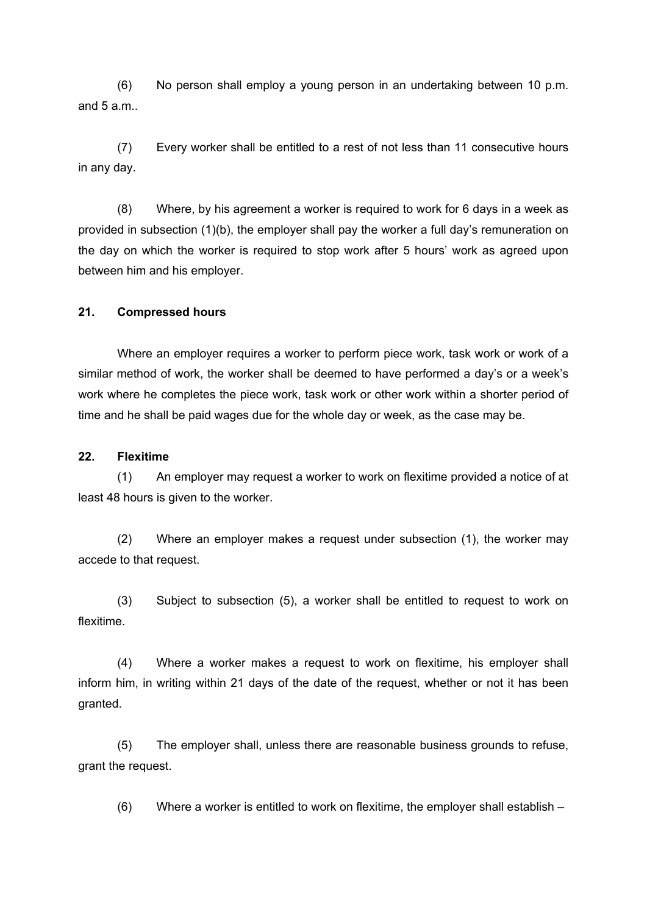(6) No person shall employ a young person in an undertaking between 10 p.m. and 5 a.m..

(7) Every worker shall be entitled to a rest of not less than 11 consecutive hours in any day.

(8) Where, by his agreement a worker is required to work for 6 days in a week as provided in subsection (1)(b), the employer shall pay the worker a full day's remuneration on the day on which the worker is required to stop work after 5 hours' work as agreed upon between him and his employer.

#### <span id="page-29-0"></span>**21. Compressed hours**

Where an employer requires a worker to perform piece work, task work or work of a similar method of work, the worker shall be deemed to have performed a day's or a week's work where he completes the piece work, task work or other work within a shorter period of time and he shall be paid wages due for the whole day or week, as the case may be.

#### <span id="page-29-1"></span>**22. Flexitime**

(1) An employer may request a worker to work on flexitime provided a notice of at least 48 hours is given to the worker.

(2) Where an employer makes a request under subsection (1), the worker may accede to that request.

(3) Subject to subsection (5), a worker shall be entitled to request to work on flexitime.

(4) Where a worker makes a request to work on flexitime, his employer shall inform him, in writing within 21 days of the date of the request, whether or not it has been granted.

(5) The employer shall, unless there are reasonable business grounds to refuse, grant the request.

(6) Where a worker is entitled to work on flexitime, the employer shall establish –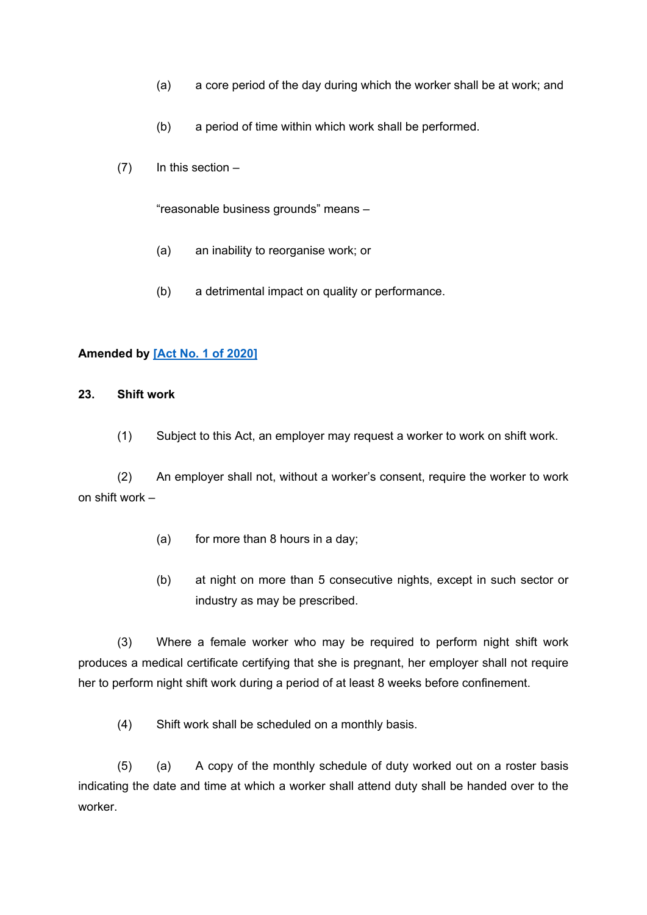- (a) a core period of the day during which the worker shall be at work; and
- (b) a period of time within which work shall be performed.
- $(7)$  In this section –

"reasonable business grounds" means –

- (a) an inability to reorganise work; or
- (b) a detrimental impact on quality or performance.

#### <span id="page-30-0"></span>**Amended by [Act No. 1 of [2020\]](https://supremecourt.govmu.org/_layouts/CLIS.DMS/search/searchdocumentbykey.aspx?ID=%5BAct%20No.%201%20of%202020%5D&list=Legislations)**

#### **23. Shift work**

(1) Subject to this Act, an employer may request a worker to work on shift work.

(2) An employer shall not, without a worker's consent, require the worker to work on shift work –

- (a) for more than 8 hours in a day;
- (b) at night on more than 5 consecutive nights, except in such sector or industry as may be prescribed.

(3) Where a female worker who may be required to perform night shift work produces a medical certificate certifying that she is pregnant, her employer shall not require her to perform night shift work during a period of at least 8 weeks before confinement.

(4) Shift work shall be scheduled on a monthly basis.

(5) (a) A copy of the monthly schedule of duty worked out on a roster basis indicating the date and time at which a worker shall attend duty shall be handed over to the worker.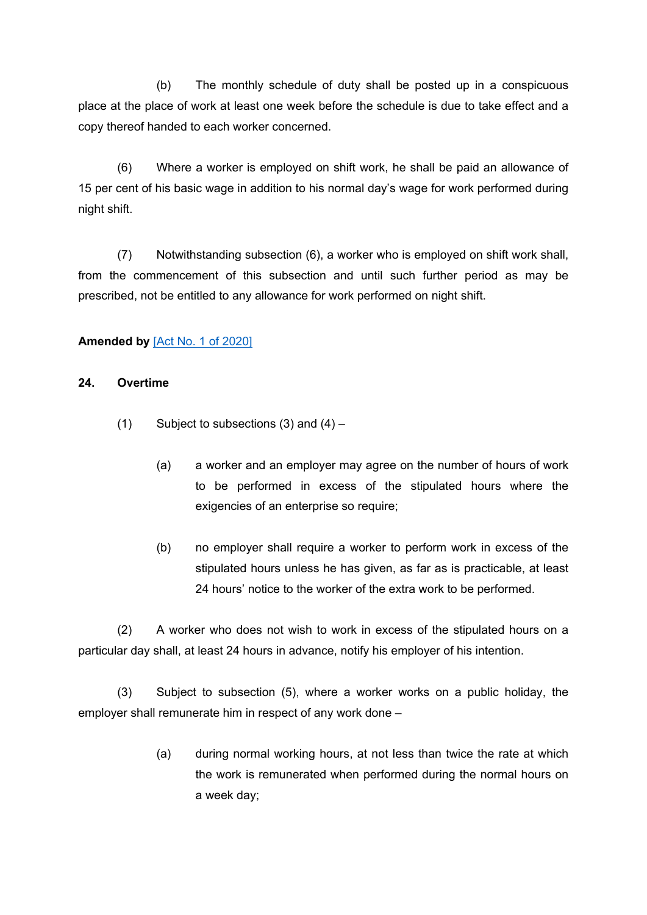(b) The monthly schedule of duty shall be posted up in a conspicuous place at the place of work at least one week before the schedule is due to take effect and a copy thereof handed to each worker concerned.

(6) Where a worker is employed on shift work, he shall be paid an allowance of 15 per cent of his basic wage in addition to his normal day's wage for work performed during night shift.

(7) Notwithstanding subsection (6), a worker who is employed on shift work shall, from the commencement of this subsection and until such further period as may be prescribed, not be entitled to any allowance for work performed on night shift.

## **Amended by** [Act No. 1 of [2020\]](https://supremecourt.govmu.org/_layouts/CLIS.DMS/search/searchdocumentbykey.aspx?ID=%5BAct%20No.%201%20of%202020%5D&list=Legislations)

### <span id="page-31-0"></span>**24. Overtime**

- (1) Subject to subsections  $(3)$  and  $(4)$ 
	- (a) a worker and an employer may agree on the number of hours of work to be performed in excess of the stipulated hours where the exigencies of an enterprise so require;
	- (b) no employer shall require a worker to perform work in excess of the stipulated hours unless he has given, as far as is practicable, at least 24 hours' notice to the worker of the extra work to be performed.

(2) A worker who does not wish to work in excess of the stipulated hours on a particular day shall, at least 24 hours in advance, notify his employer of his intention.

(3) Subject to subsection (5), where a worker works on a public holiday, the employer shall remunerate him in respect of any work done –

> (a) during normal working hours, at not less than twice the rate at which the work is remunerated when performed during the normal hours on a week day;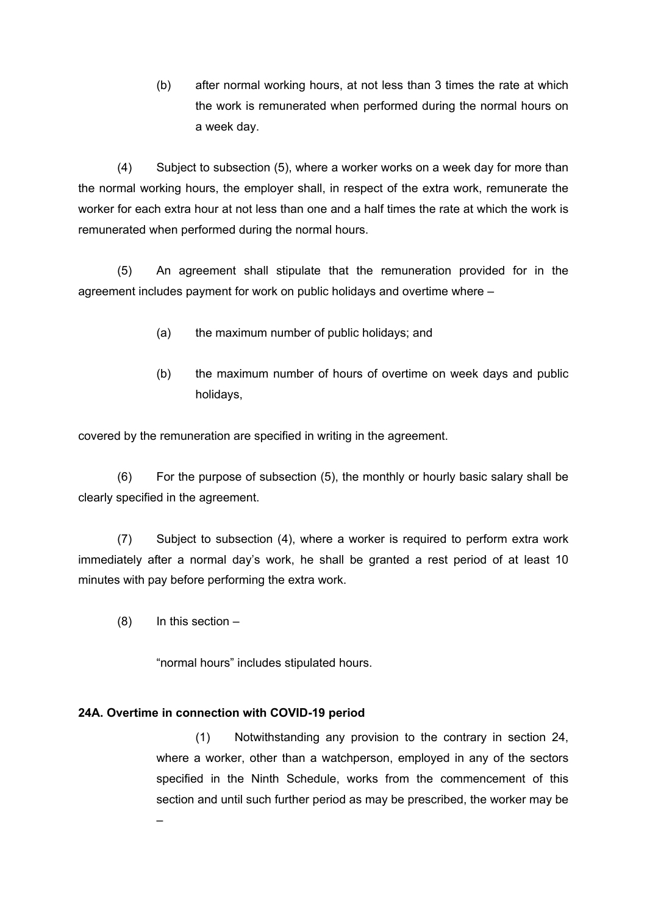(b) after normal working hours, at not less than 3 times the rate at which the work is remunerated when performed during the normal hours on a week day.

(4) Subject to subsection (5), where a worker works on a week day for more than the normal working hours, the employer shall, in respect of the extra work, remunerate the worker for each extra hour at not less than one and a half times the rate at which the work is remunerated when performed during the normal hours.

(5) An agreement shall stipulate that the remuneration provided for in the agreement includes payment for work on public holidays and overtime where –

- (a) the maximum number of public holidays; and
- (b) the maximum number of hours of overtime on week days and public holidays,

covered by the remuneration are specified in writing in the agreement.

(6) For the purpose of subsection (5), the monthly or hourly basic salary shall be clearly specified in the agreement.

(7) Subject to subsection (4), where a worker is required to perform extra work immediately after a normal day's work, he shall be granted a rest period of at least 10 minutes with pay before performing the extra work.

 $(8)$  In this section –

–

"normal hours" includes stipulated hours.

#### **24A. Overtime in connection with COVID-19 period**

(1) Notwithstanding any provision to the contrary in section 24, where a worker, other than a watchperson, employed in any of the sectors specified in the Ninth Schedule, works from the commencement of this section and until such further period as may be prescribed, the worker may be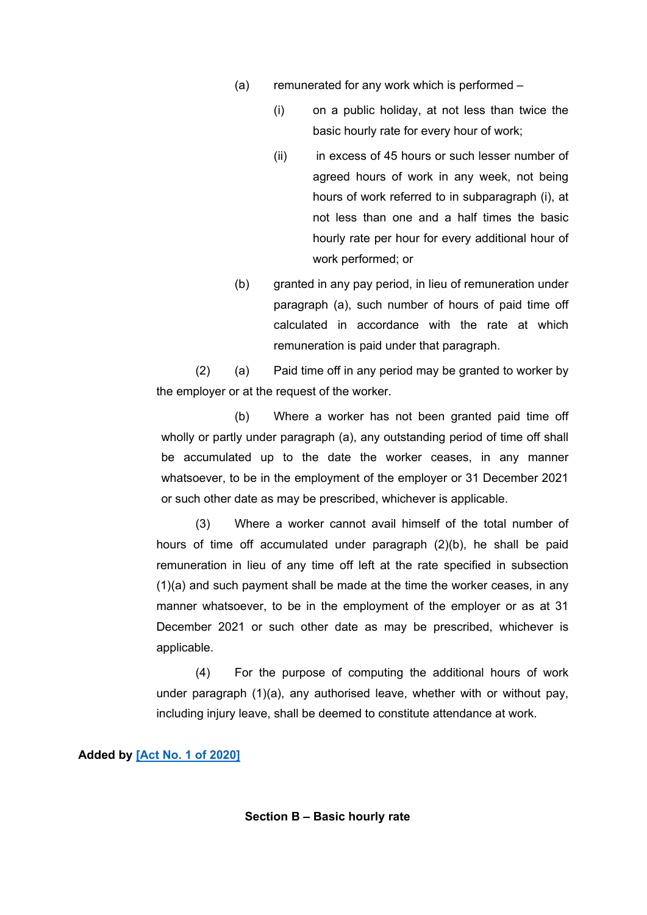- (a) remunerated for any work which is performed
	- (i) on a public holiday, at not less than twice the basic hourly rate for every hour of work;
	- (ii) in excess of 45 hours or such lesser number of agreed hours of work in any week, not being hours of work referred to in subparagraph (i), at not less than one and a half times the basic hourly rate per hour for every additional hour of work performed; or
- (b) granted in any pay period, in lieu of remuneration under paragraph (a), such number of hours of paid time off calculated in accordance with the rate at which remuneration is paid under that paragraph.

(2) (a) Paid time off in any period may be granted to worker by the employer or at the request of the worker.

(b) Where a worker has not been granted paid time off wholly or partly under paragraph (a), any outstanding period of time off shall be accumulated up to the date the worker ceases, in any manner whatsoever, to be in the employment of the employer or 31 December 2021 or such other date as may be prescribed, whichever is applicable.

(3) Where a worker cannot avail himself of the total number of hours of time off accumulated under paragraph (2)(b), he shall be paid remuneration in lieu of any time off left at the rate specified in subsection (1)(a) and such payment shall be made at the time the worker ceases, in any manner whatsoever, to be in the employment of the employer or as at 31 December 2021 or such other date as may be prescribed, whichever is applicable.

(4) For the purpose of computing the additional hours of work under paragraph (1)(a), any authorised leave, whether with or without pay, including injury leave, shall be deemed to constitute attendance at work.

#### **Added by [Act No. 1 of [2020\]](https://supremecourt.govmu.org/_layouts/CLIS.DMS/search/searchdocumentbykey.aspx?ID=%5BAct%20No.%201%20of%202020%5D&list=Legislations)**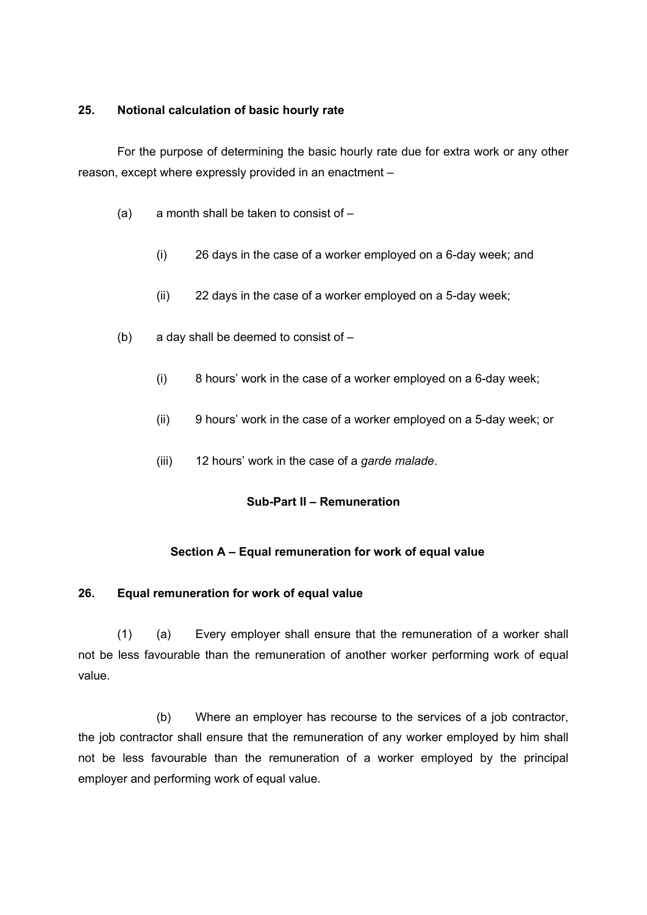### <span id="page-34-0"></span>**25. Notional calculation of basic hourly rate**

For the purpose of determining the basic hourly rate due for extra work or any other reason, except where expressly provided in an enactment –

- (a) a month shall be taken to consist of  $-$ 
	- (i) 26 days in the case of a worker employed on a 6-day week; and
	- (ii) 22 days in the case of a worker employed on a 5-day week;
- (b) a day shall be deemed to consist of
	- (i) 8 hours' work in the case of a worker employed on a 6-day week;
	- (ii) 9 hours' work in the case of a worker employed on a 5-day week; or
	- (iii) 12 hours' work in the case of a *garde malade*.

## **Sub-Part II – Remuneration**

## **Section A – Equal remuneration for work of equal value**

## <span id="page-34-1"></span>**26. Equal remuneration for work of equal value**

(1) (a) Every employer shall ensure that the remuneration of a worker shall not be less favourable than the remuneration of another worker performing work of equal value.

(b) Where an employer has recourse to the services of a job contractor, the job contractor shall ensure that the remuneration of any worker employed by him shall not be less favourable than the remuneration of a worker employed by the principal employer and performing work of equal value.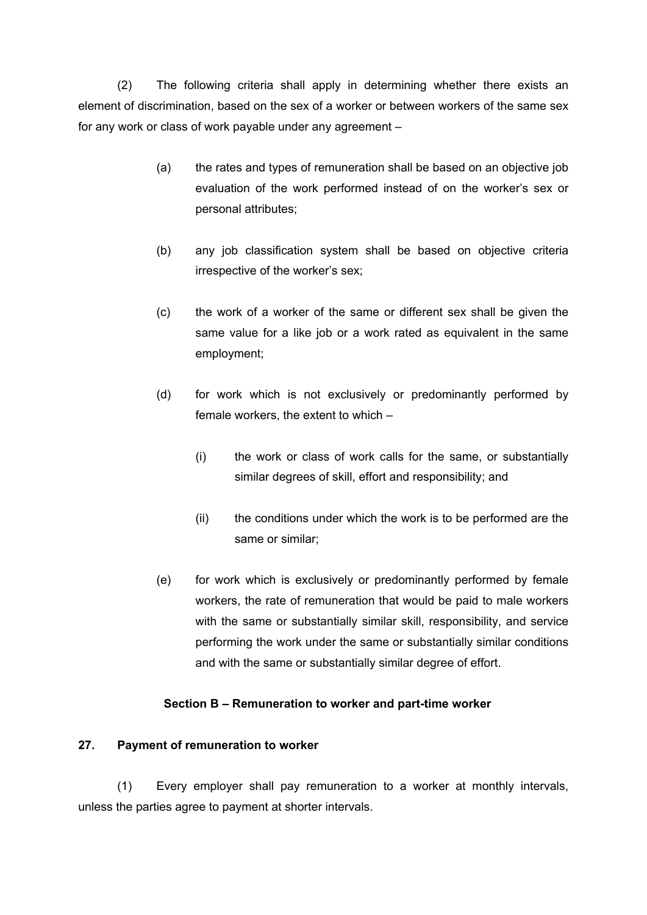(2) The following criteria shall apply in determining whether there exists an element of discrimination, based on the sex of a worker or between workers of the same sex for any work or class of work payable under any agreement –

- (a) the rates and types of remuneration shall be based on an objective job evaluation of the work performed instead of on the worker's sex or personal attributes;
- (b) any job classification system shall be based on objective criteria irrespective of the worker's sex;
- (c) the work of a worker of the same or different sex shall be given the same value for a like job or a work rated as equivalent in the same employment;
- (d) for work which is not exclusively or predominantly performed by female workers, the extent to which –
	- (i) the work or class of work calls for the same, or substantially similar degrees of skill, effort and responsibility; and
	- (ii) the conditions under which the work is to be performed are the same or similar;
- (e) for work which is exclusively or predominantly performed by female workers, the rate of remuneration that would be paid to male workers with the same or substantially similar skill, responsibility, and service performing the work under the same or substantially similar conditions and with the same or substantially similar degree of effort.

## **Section B – Remuneration to worker and part-time worker**

#### <span id="page-35-0"></span>**27. Payment of remuneration to worker**

(1) Every employer shall pay remuneration to a worker at monthly intervals, unless the parties agree to payment at shorter intervals.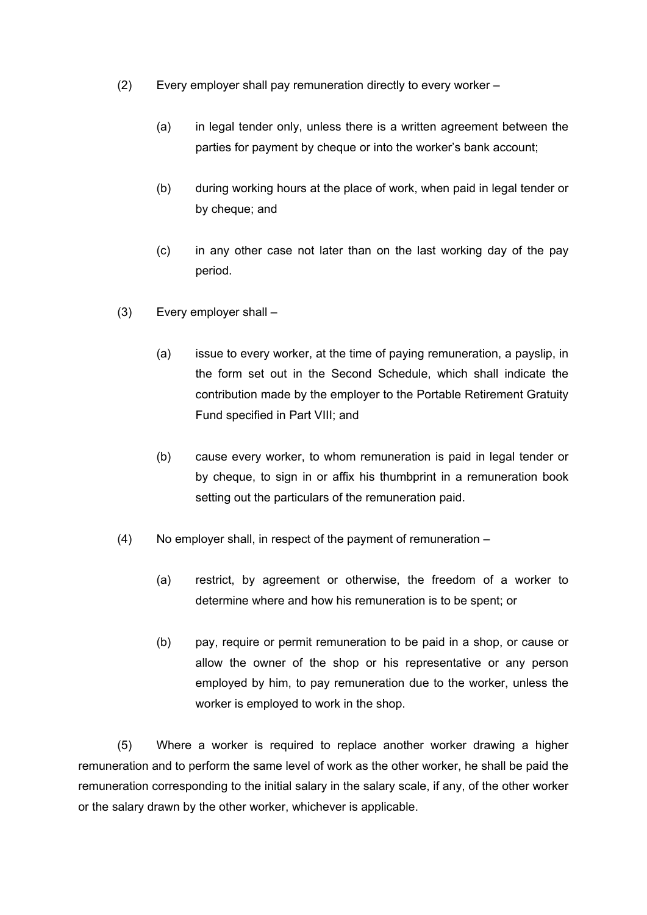- (2) Every employer shall pay remuneration directly to every worker
	- (a) in legal tender only, unless there is a written agreement between the parties for payment by cheque or into the worker's bank account;
	- (b) during working hours at the place of work, when paid in legal tender or by cheque; and
	- (c) in any other case not later than on the last working day of the pay period.
- (3) Every employer shall
	- (a) issue to every worker, at the time of paying remuneration, a payslip, in the form set out in the Second Schedule, which shall indicate the contribution made by the employer to the Portable Retirement Gratuity Fund specified in Part VIII; and
	- (b) cause every worker, to whom remuneration is paid in legal tender or by cheque, to sign in or affix his thumbprint in a remuneration book setting out the particulars of the remuneration paid.
- (4) No employer shall, in respect of the payment of remuneration
	- (a) restrict, by agreement or otherwise, the freedom of a worker to determine where and how his remuneration is to be spent; or
	- (b) pay, require or permit remuneration to be paid in a shop, or cause or allow the owner of the shop or his representative or any person employed by him, to pay remuneration due to the worker, unless the worker is employed to work in the shop.

(5) Where a worker is required to replace another worker drawing a higher remuneration and to perform the same level of work as the other worker, he shall be paid the remuneration corresponding to the initial salary in the salary scale, if any, of the other worker or the salary drawn by the other worker, whichever is applicable.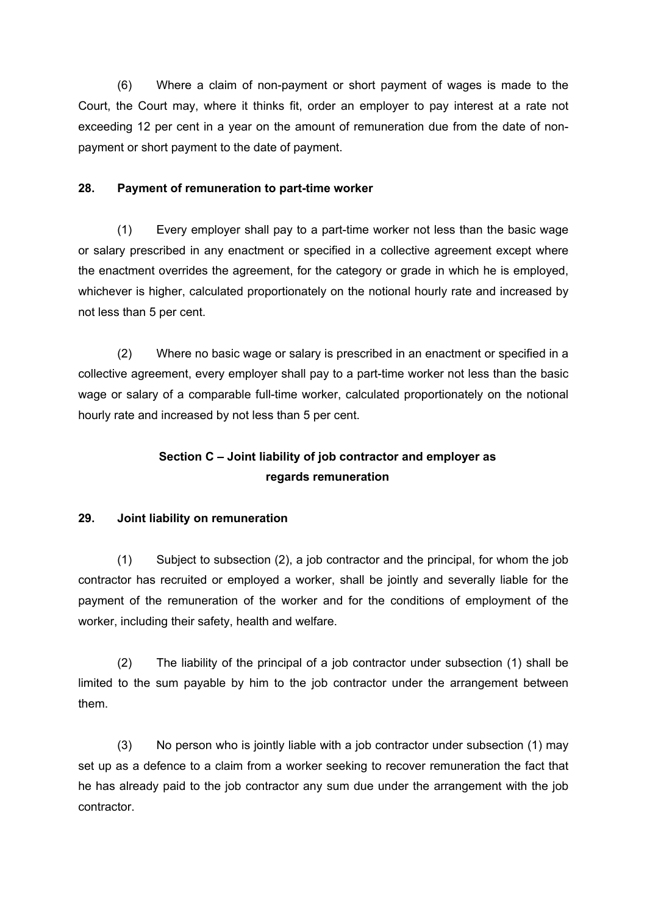(6) Where a claim of non-payment or short payment of wages is made to the Court, the Court may, where it thinks fit, order an employer to pay interest at a rate not exceeding 12 per cent in a year on the amount of remuneration due from the date of nonpayment or short payment to the date of payment.

### **28. Payment of remuneration to part-time worker**

(1) Every employer shall pay to a part-time worker not less than the basic wage or salary prescribed in any enactment or specified in a collective agreement except where the enactment overrides the agreement, for the category or grade in which he is employed, whichever is higher, calculated proportionately on the notional hourly rate and increased by not less than 5 per cent.

(2) Where no basic wage or salary is prescribed in an enactment or specified in a collective agreement, every employer shall pay to a part-time worker not less than the basic wage or salary of a comparable full-time worker, calculated proportionately on the notional hourly rate and increased by not less than 5 per cent.

# **Section C – Joint liability of job contractor and employer as regards remuneration**

# **29. Joint liability on remuneration**

(1) Subject to subsection (2), a job contractor and the principal, for whom the job contractor has recruited or employed a worker, shall be jointly and severally liable for the payment of the remuneration of the worker and for the conditions of employment of the worker, including their safety, health and welfare.

(2) The liability of the principal of a job contractor under subsection (1) shall be limited to the sum payable by him to the job contractor under the arrangement between them.

(3) No person who is jointly liable with a job contractor under subsection (1) may set up as a defence to a claim from a worker seeking to recover remuneration the fact that he has already paid to the job contractor any sum due under the arrangement with the job contractor.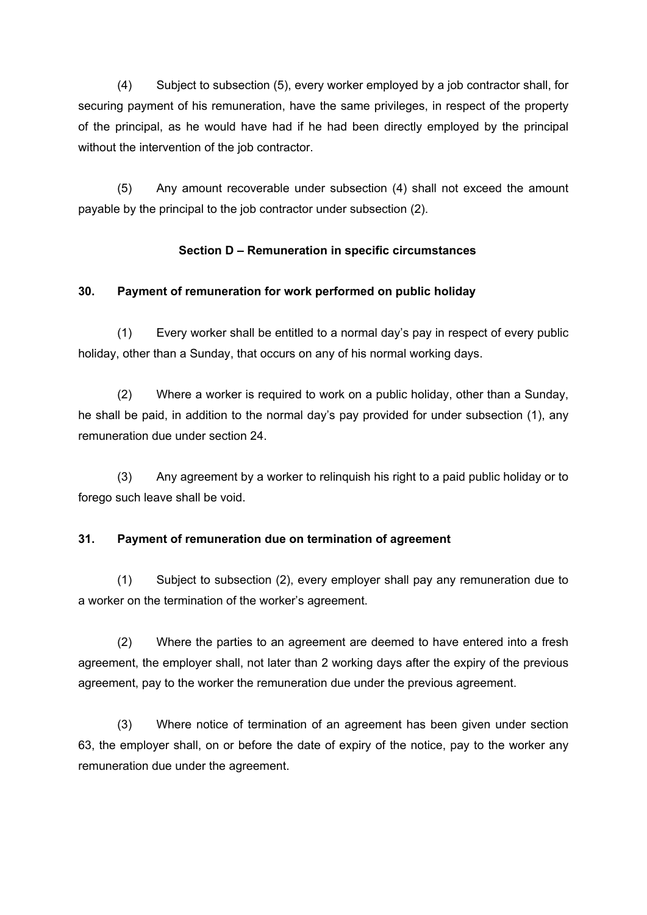(4) Subject to subsection (5), every worker employed by a job contractor shall, for securing payment of his remuneration, have the same privileges, in respect of the property of the principal, as he would have had if he had been directly employed by the principal without the intervention of the job contractor.

(5) Any amount recoverable under subsection (4) shall not exceed the amount payable by the principal to the job contractor under subsection (2).

# **Section D – Remuneration in specific circumstances**

# **30. Payment of remuneration for work performed on public holiday**

(1) Every worker shall be entitled to a normal day's pay in respect of every public holiday, other than a Sunday, that occurs on any of his normal working days.

(2) Where a worker is required to work on a public holiday, other than a Sunday, he shall be paid, in addition to the normal day's pay provided for under subsection (1), any remuneration due under section 24.

(3) Any agreement by a worker to relinquish his right to a paid public holiday or to forego such leave shall be void.

# **31. Payment of remuneration due on termination of agreement**

(1) Subject to subsection (2), every employer shall pay any remuneration due to a worker on the termination of the worker's agreement.

(2) Where the parties to an agreement are deemed to have entered into a fresh agreement, the employer shall, not later than 2 working days after the expiry of the previous agreement, pay to the worker the remuneration due under the previous agreement.

(3) Where notice of termination of an agreement has been given under section 63, the employer shall, on or before the date of expiry of the notice, pay to the worker any remuneration due under the agreement.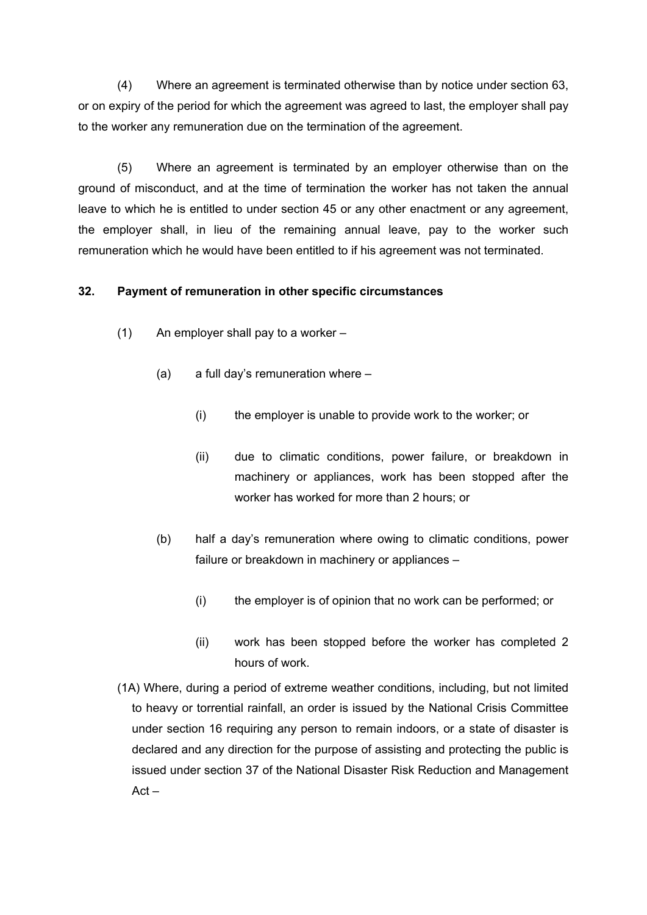(4) Where an agreement is terminated otherwise than by notice under section 63, or on expiry of the period for which the agreement was agreed to last, the employer shall pay to the worker any remuneration due on the termination of the agreement.

(5) Where an agreement is terminated by an employer otherwise than on the ground of misconduct, and at the time of termination the worker has not taken the annual leave to which he is entitled to under section 45 or any other enactment or any agreement, the employer shall, in lieu of the remaining annual leave, pay to the worker such remuneration which he would have been entitled to if his agreement was not terminated.

### **32. Payment of remuneration in other specific circumstances**

- (1) An employer shall pay to a worker
	- (a) a full day's remuneration where
		- (i) the employer is unable to provide work to the worker; or
		- (ii) due to climatic conditions, power failure, or breakdown in machinery or appliances, work has been stopped after the worker has worked for more than 2 hours; or
	- (b) half a day's remuneration where owing to climatic conditions, power failure or breakdown in machinery or appliances –
		- (i) the employer is of opinion that no work can be performed; or
		- (ii) work has been stopped before the worker has completed 2 hours of work.
- (1A) Where, during a period of extreme weather conditions, including, but not limited to heavy or torrential rainfall, an order is issued by the National Crisis Committee under section 16 requiring any person to remain indoors, or a state of disaster is declared and any direction for the purpose of assisting and protecting the public is issued under section 37 of the National Disaster Risk Reduction and Management  $Act -$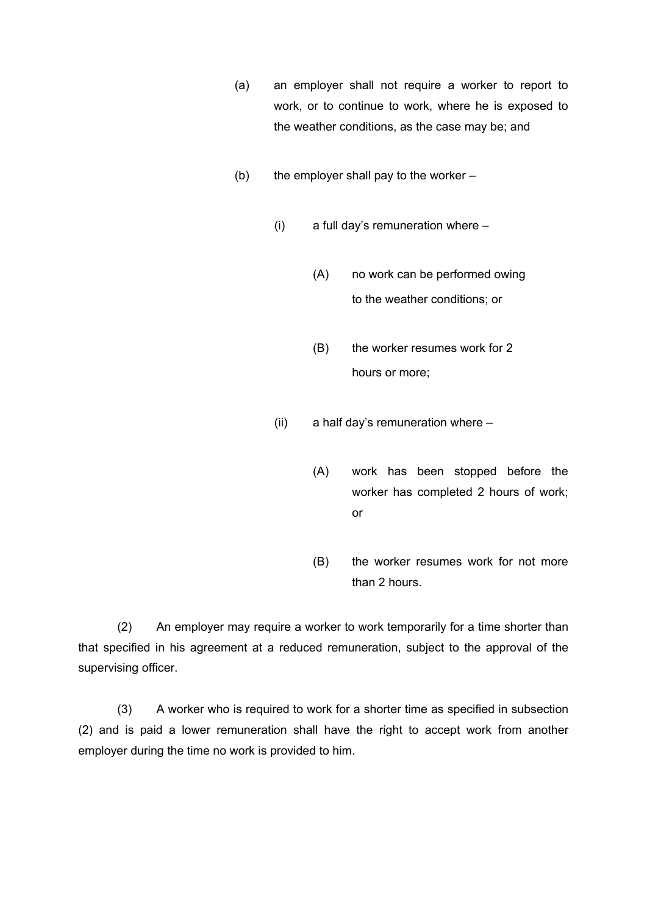- (a) an employer shall not require a worker to report to work, or to continue to work, where he is exposed to the weather conditions, as the case may be; and
- (b) the employer shall pay to the worker  $-$ 
	- (i) a full day's remuneration where
		- (A) no work can be performed owing to the weather conditions; or
		- (B) the worker resumes work for 2 hours or more;
	- (ii) a half day's remuneration where
		- (A) work has been stopped before the worker has completed 2 hours of work; or
		- (B) the worker resumes work for not more than 2 hours.

(2) An employer may require a worker to work temporarily for a time shorter than that specified in his agreement at a reduced remuneration, subject to the approval of the supervising officer.

(3) A worker who is required to work for a shorter time as specified in subsection (2) and is paid a lower remuneration shall have the right to accept work from another employer during the time no work is provided to him.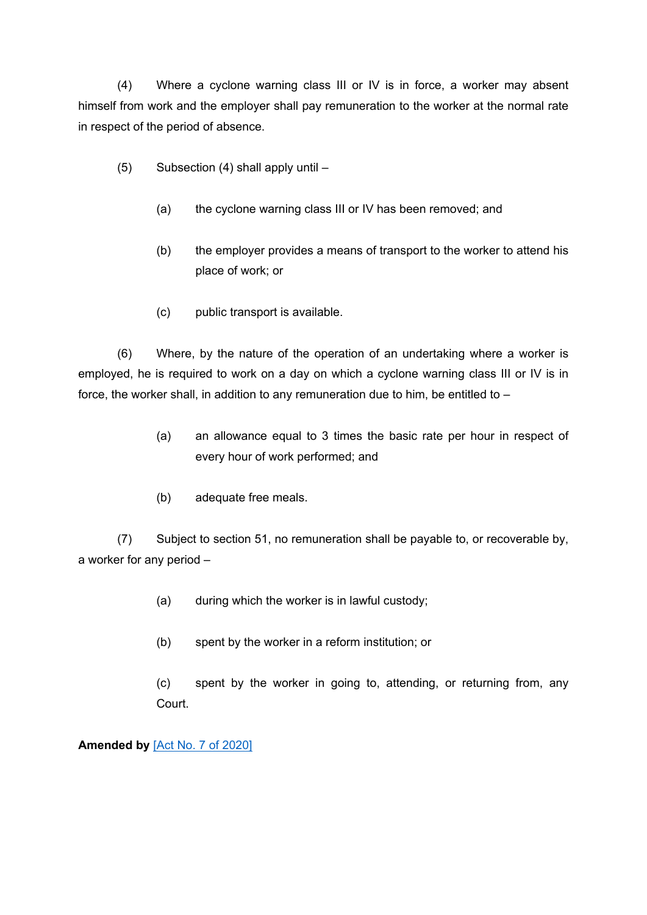(4) Where a cyclone warning class III or IV is in force, a worker may absent himself from work and the employer shall pay remuneration to the worker at the normal rate in respect of the period of absence.

- (5) Subsection (4) shall apply until
	- (a) the cyclone warning class III or IV has been removed; and
	- (b) the employer provides a means of transport to the worker to attend his place of work; or
	- (c) public transport is available.

(6) Where, by the nature of the operation of an undertaking where a worker is employed, he is required to work on a day on which a cyclone warning class III or IV is in force, the worker shall, in addition to any remuneration due to him, be entitled to –

- (a) an allowance equal to 3 times the basic rate per hour in respect of every hour of work performed; and
- (b) adequate free meals.

(7) Subject to section 51, no remuneration shall be payable to, or recoverable by, a worker for any period –

- (a) during which the worker is in lawful custody;
- (b) spent by the worker in a reform institution; or

(c) spent by the worker in going to, attending, or returning from, any Court.

**Amended by** [Act No. 7 of [2020\]](https://supremecourt.govmu.org/_layouts/CLIS.DMS/search/searchdocumentbykey.aspx?ID=%5BAct%20No.%207%20of%202020%5D&list=Legislations)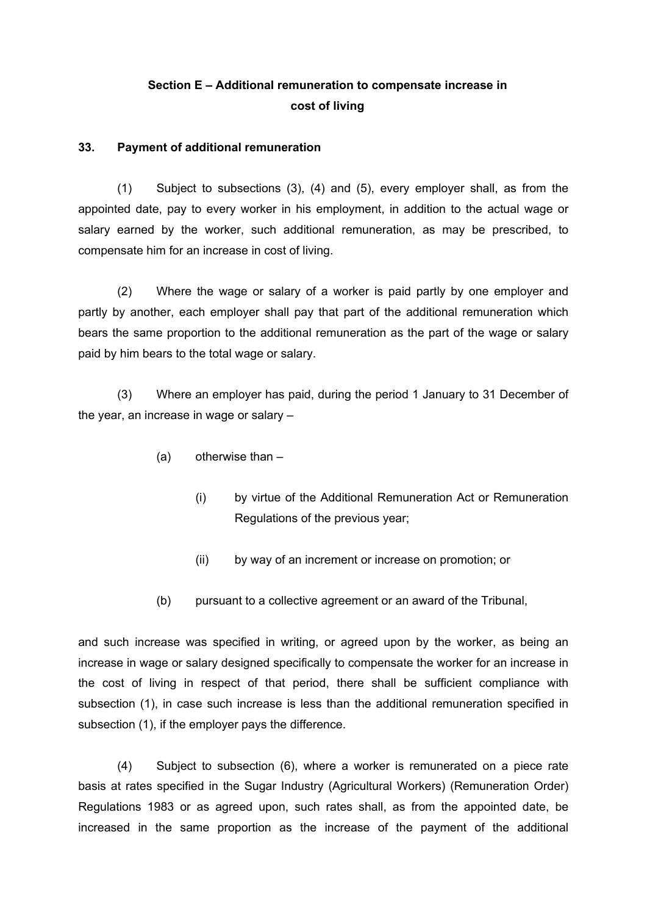# **Section E – Additional remuneration to compensate increase in cost of living**

#### **33. Payment of additional remuneration**

(1) Subject to subsections (3), (4) and (5), every employer shall, as from the appointed date, pay to every worker in his employment, in addition to the actual wage or salary earned by the worker, such additional remuneration, as may be prescribed, to compensate him for an increase in cost of living.

(2) Where the wage or salary of a worker is paid partly by one employer and partly by another, each employer shall pay that part of the additional remuneration which bears the same proportion to the additional remuneration as the part of the wage or salary paid by him bears to the total wage or salary.

(3) Where an employer has paid, during the period 1 January to 31 December of the year, an increase in wage or salary –

- (a) otherwise than
	- (i) by virtue of the Additional Remuneration Act or Remuneration Regulations of the previous year;
	- (ii) by way of an increment or increase on promotion; or
- (b) pursuant to a collective agreement or an award of the Tribunal,

and such increase was specified in writing, or agreed upon by the worker, as being an increase in wage or salary designed specifically to compensate the worker for an increase in the cost of living in respect of that period, there shall be sufficient compliance with subsection (1), in case such increase is less than the additional remuneration specified in subsection (1), if the employer pays the difference.

(4) Subject to subsection (6), where a worker is remunerated on a piece rate basis at rates specified in the Sugar Industry (Agricultural Workers) (Remuneration Order) Regulations 1983 or as agreed upon, such rates shall, as from the appointed date, be increased in the same proportion as the increase of the payment of the additional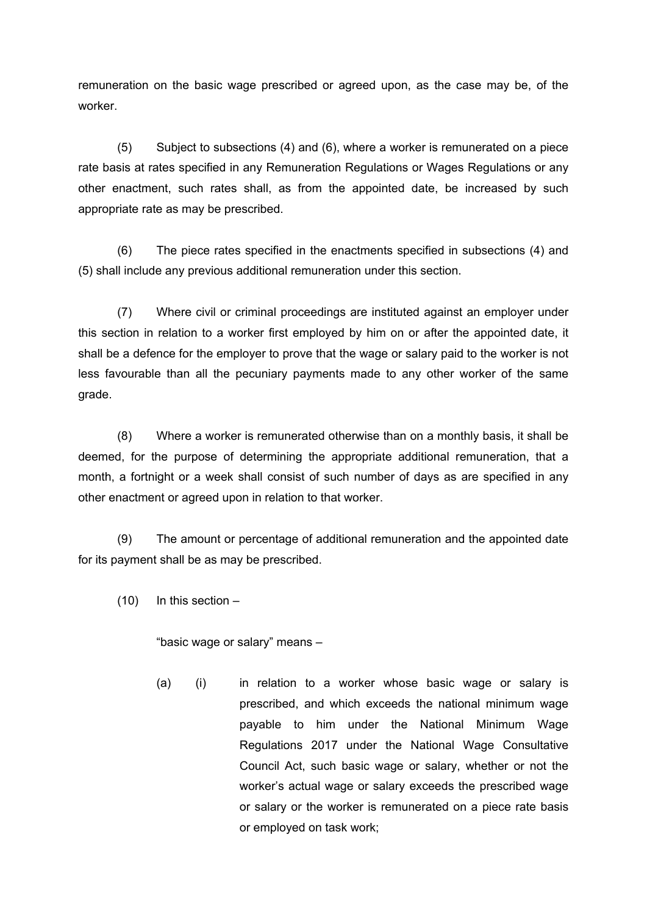remuneration on the basic wage prescribed or agreed upon, as the case may be, of the worker.

(5) Subject to subsections (4) and (6), where a worker is remunerated on a piece rate basis at rates specified in any Remuneration Regulations or Wages Regulations or any other enactment, such rates shall, as from the appointed date, be increased by such appropriate rate as may be prescribed.

(6) The piece rates specified in the enactments specified in subsections (4) and (5) shall include any previous additional remuneration under this section.

(7) Where civil or criminal proceedings are instituted against an employer under this section in relation to a worker first employed by him on or after the appointed date, it shall be a defence for the employer to prove that the wage or salary paid to the worker is not less favourable than all the pecuniary payments made to any other worker of the same grade.

(8) Where a worker is remunerated otherwise than on a monthly basis, it shall be deemed, for the purpose of determining the appropriate additional remuneration, that a month, a fortnight or a week shall consist of such number of days as are specified in any other enactment or agreed upon in relation to that worker.

(9) The amount or percentage of additional remuneration and the appointed date for its payment shall be as may be prescribed.

 $(10)$  In this section –

"basic wage or salary" means –

(a) (i) in relation to a worker whose basic wage or salary is prescribed, and which exceeds the national minimum wage payable to him under the National Minimum Wage Regulations 2017 under the National Wage Consultative Council Act, such basic wage or salary, whether or not the worker's actual wage or salary exceeds the prescribed wage or salary or the worker is remunerated on a piece rate basis or employed on task work;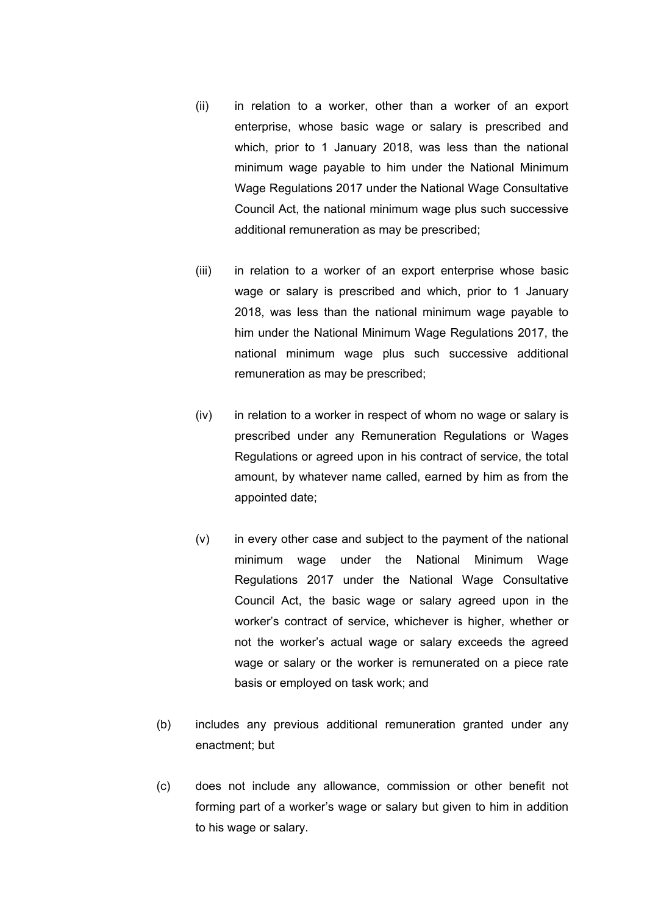- (ii) in relation to a worker, other than a worker of an export enterprise, whose basic wage or salary is prescribed and which, prior to 1 January 2018, was less than the national minimum wage payable to him under the National Minimum Wage Regulations 2017 under the National Wage Consultative Council Act, the national minimum wage plus such successive additional remuneration as may be prescribed;
- (iii) in relation to a worker of an export enterprise whose basic wage or salary is prescribed and which, prior to 1 January 2018, was less than the national minimum wage payable to him under the National Minimum Wage Regulations 2017, the national minimum wage plus such successive additional remuneration as may be prescribed;
- (iv) in relation to a worker in respect of whom no wage or salary is prescribed under any Remuneration Regulations or Wages Regulations or agreed upon in his contract of service, the total amount, by whatever name called, earned by him as from the appointed date;
- (v) in every other case and subject to the payment of the national minimum wage under the National Minimum Wage Regulations 2017 under the National Wage Consultative Council Act, the basic wage or salary agreed upon in the worker's contract of service, whichever is higher, whether or not the worker's actual wage or salary exceeds the agreed wage or salary or the worker is remunerated on a piece rate basis or employed on task work; and
- (b) includes any previous additional remuneration granted under any enactment; but
- (c) does not include any allowance, commission or other benefit not forming part of a worker's wage or salary but given to him in addition to his wage or salary.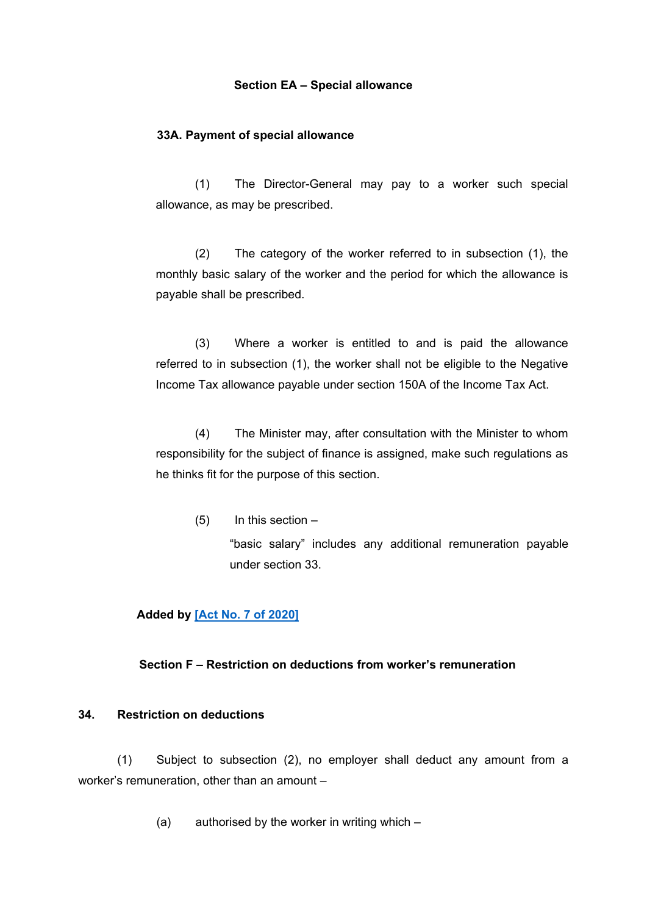#### **Section EA – Special allowance**

#### **33A. Payment of special allowance**

(1) The Director-General may pay to a worker such special allowance, as may be prescribed.

(2) The category of the worker referred to in subsection (1), the monthly basic salary of the worker and the period for which the allowance is payable shall be prescribed.

(3) Where a worker is entitled to and is paid the allowance referred to in subsection (1), the worker shall not be eligible to the Negative Income Tax allowance payable under section 150A of the Income Tax Act.

(4) The Minister may, after consultation with the Minister to whom responsibility for the subject of finance is assigned, make such regulations as he thinks fit for the purpose of this section.

(5) In this section –

"basic salary" includes any additional remuneration payable under section 33.

#### **Added by [Act No. 7 of [2020\]](https://supremecourt.govmu.org/_layouts/CLIS.DMS/search/searchdocumentbykey.aspx?ID=%5BAct%20No.%207%20of%202020%5D&list=Legislations)**

#### **Section F – Restriction on deductions from worker's remuneration**

#### **34. Restriction on deductions**

(1) Subject to subsection (2), no employer shall deduct any amount from a worker's remuneration, other than an amount –

(a) authorised by the worker in writing which –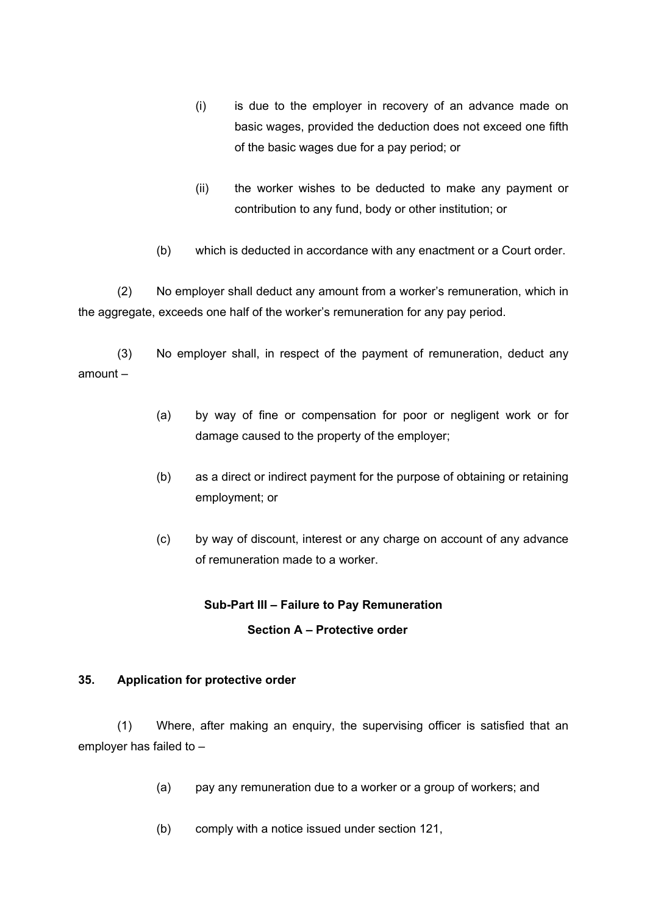- (i) is due to the employer in recovery of an advance made on basic wages, provided the deduction does not exceed one fifth of the basic wages due for a pay period; or
- (ii) the worker wishes to be deducted to make any payment or contribution to any fund, body or other institution; or
- (b) which is deducted in accordance with any enactment or a Court order.

(2) No employer shall deduct any amount from a worker's remuneration, which in the aggregate, exceeds one half of the worker's remuneration for any pay period.

(3) No employer shall, in respect of the payment of remuneration, deduct any amount –

- (a) by way of fine or compensation for poor or negligent work or for damage caused to the property of the employer;
- (b) as a direct or indirect payment for the purpose of obtaining or retaining employment; or
- (c) by way of discount, interest or any charge on account of any advance of remuneration made to a worker.

# **Sub-Part III – Failure to Pay Remuneration Section A – Protective order**

#### **35. Application for protective order**

(1) Where, after making an enquiry, the supervising officer is satisfied that an employer has failed to –

- (a) pay any remuneration due to a worker or a group of workers; and
- (b) comply with a notice issued under section 121,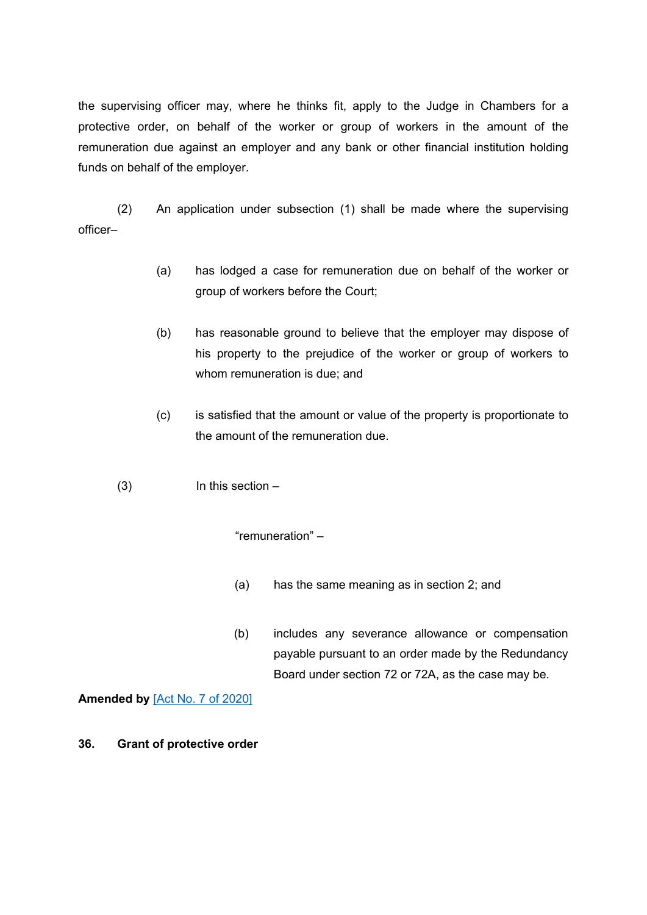the supervising officer may, where he thinks fit, apply to the Judge in Chambers for a protective order, on behalf of the worker or group of workers in the amount of the remuneration due against an employer and any bank or other financial institution holding funds on behalf of the employer.

(2) An application under subsection (1) shall be made where the supervising officer–

- (a) has lodged a case for remuneration due on behalf of the worker or group of workers before the Court;
- (b) has reasonable ground to believe that the employer may dispose of his property to the prejudice of the worker or group of workers to whom remuneration is due; and
- (c) is satisfied that the amount or value of the property is proportionate to the amount of the remuneration due.
- (3) In this section –

"remuneration" –

- (a) has the same meaning as in section 2; and
- (b) includes any severance allowance or compensation payable pursuant to an order made by the Redundancy Board under section 72 or 72A, as the case may be.

**Amended by** [Act No. 7 of [2020\]](https://supremecourt.govmu.org/_layouts/CLIS.DMS/search/searchdocumentbykey.aspx?ID=%5BAct%20No.%207%20of%202020%5D&list=Legislations)

**36. Grant of protective order**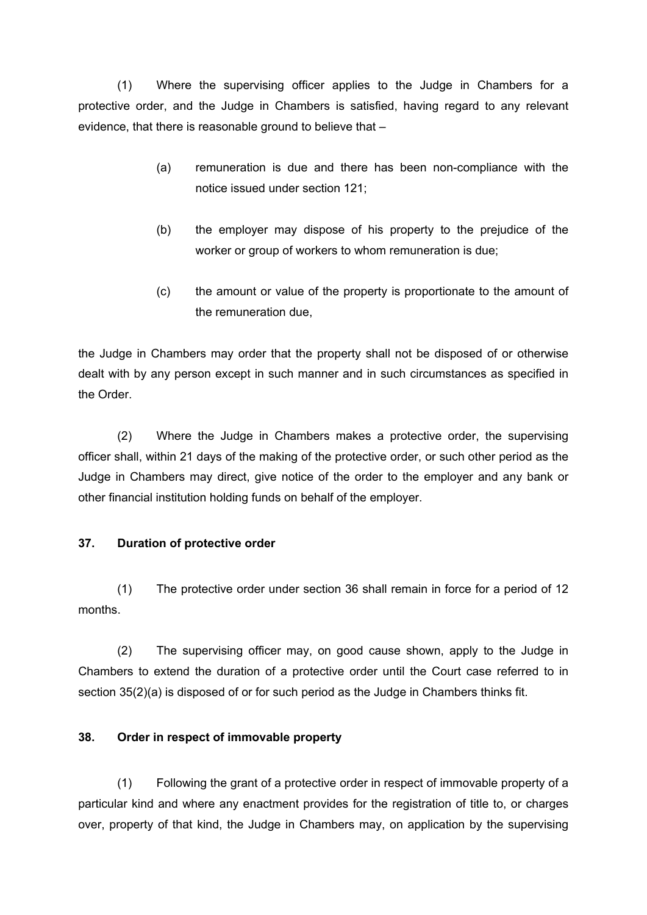(1) Where the supervising officer applies to the Judge in Chambers for a protective order, and the Judge in Chambers is satisfied, having regard to any relevant evidence, that there is reasonable ground to believe that –

- (a) remuneration is due and there has been non-compliance with the notice issued under section 121;
- (b) the employer may dispose of his property to the prejudice of the worker or group of workers to whom remuneration is due;
- (c) the amount or value of the property is proportionate to the amount of the remuneration due,

the Judge in Chambers may order that the property shall not be disposed of or otherwise dealt with by any person except in such manner and in such circumstances as specified in the Order.

(2) Where the Judge in Chambers makes a protective order, the supervising officer shall, within 21 days of the making of the protective order, or such other period as the Judge in Chambers may direct, give notice of the order to the employer and any bank or other financial institution holding funds on behalf of the employer.

# **37. Duration of protective order**

(1) The protective order under section 36 shall remain in force for a period of 12 months.

(2) The supervising officer may, on good cause shown, apply to the Judge in Chambers to extend the duration of a protective order until the Court case referred to in section 35(2)(a) is disposed of or for such period as the Judge in Chambers thinks fit.

# **38. Order in respect of immovable property**

(1) Following the grant of a protective order in respect of immovable property of a particular kind and where any enactment provides for the registration of title to, or charges over, property of that kind, the Judge in Chambers may, on application by the supervising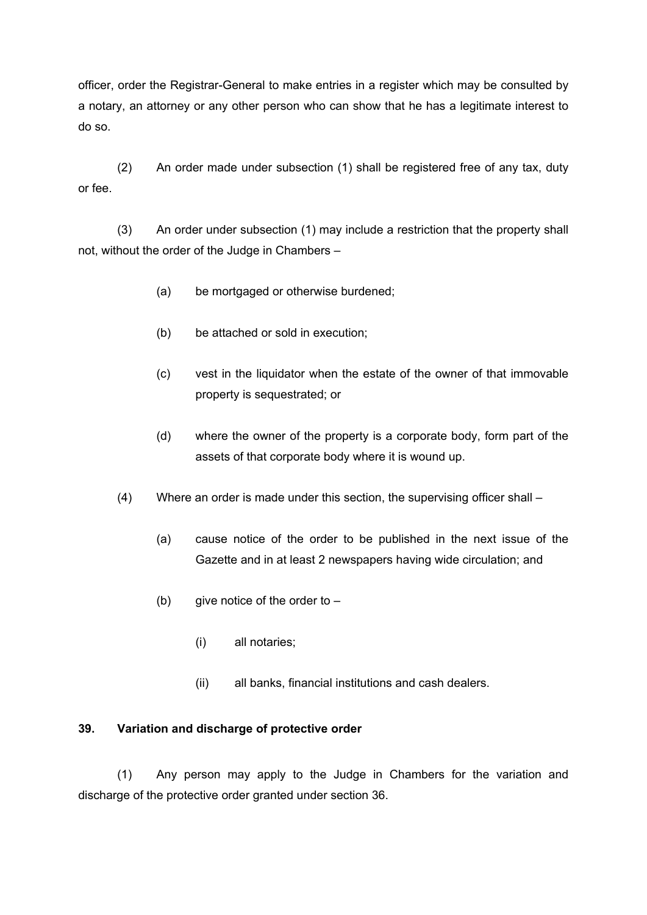officer, order the Registrar-General to make entries in a register which may be consulted by a notary, an attorney or any other person who can show that he has a legitimate interest to do so.

(2) An order made under subsection (1) shall be registered free of any tax, duty or fee.

(3) An order under subsection (1) may include a restriction that the property shall not, without the order of the Judge in Chambers –

- (a) be mortgaged or otherwise burdened;
- (b) be attached or sold in execution;
- (c) vest in the liquidator when the estate of the owner of that immovable property is sequestrated; or
- (d) where the owner of the property is a corporate body, form part of the assets of that corporate body where it is wound up.
- (4) Where an order is made under this section, the supervising officer shall
	- (a) cause notice of the order to be published in the next issue of the Gazette and in at least 2 newspapers having wide circulation; and
	- (b) give notice of the order to  $-$ 
		- (i) all notaries;
		- (ii) all banks, financial institutions and cash dealers.

# **39. Variation and discharge of protective order**

(1) Any person may apply to the Judge in Chambers for the variation and discharge of the protective order granted under section 36.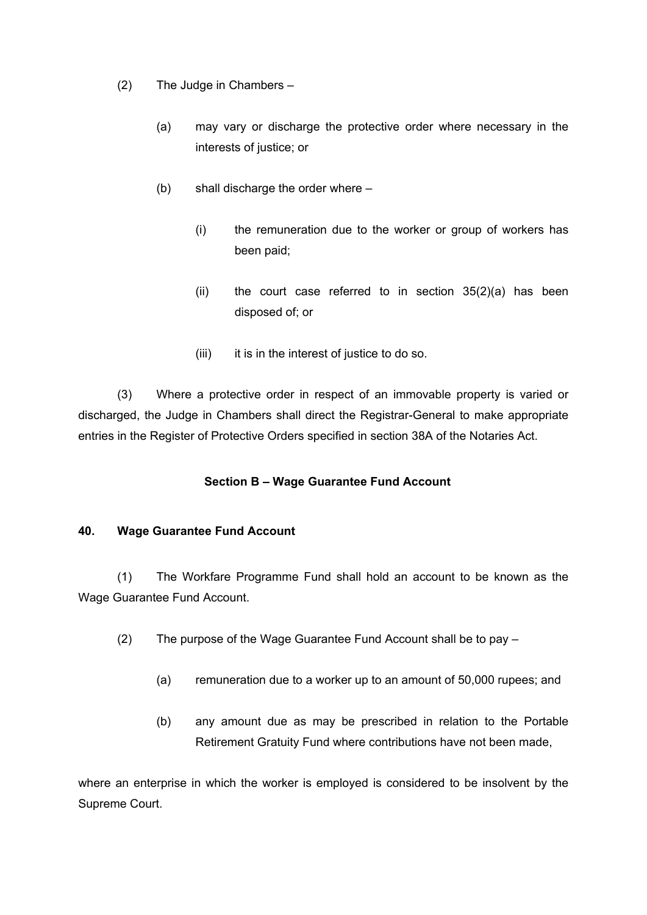- (2) The Judge in Chambers
	- (a) may vary or discharge the protective order where necessary in the interests of justice; or
	- (b) shall discharge the order where
		- (i) the remuneration due to the worker or group of workers has been paid;
		- (ii) the court case referred to in section  $35(2)(a)$  has been disposed of; or
		- (iii) it is in the interest of justice to do so.

(3) Where a protective order in respect of an immovable property is varied or discharged, the Judge in Chambers shall direct the Registrar-General to make appropriate entries in the Register of Protective Orders specified in section 38A of the Notaries Act.

# **Section B – Wage Guarantee Fund Account**

#### **40. Wage Guarantee Fund Account**

(1) The Workfare Programme Fund shall hold an account to be known as the Wage Guarantee Fund Account.

- (2) The purpose of the Wage Guarantee Fund Account shall be to pay
	- (a) remuneration due to a worker up to an amount of 50,000 rupees; and
	- (b) any amount due as may be prescribed in relation to the Portable Retirement Gratuity Fund where contributions have not been made,

where an enterprise in which the worker is employed is considered to be insolvent by the Supreme Court.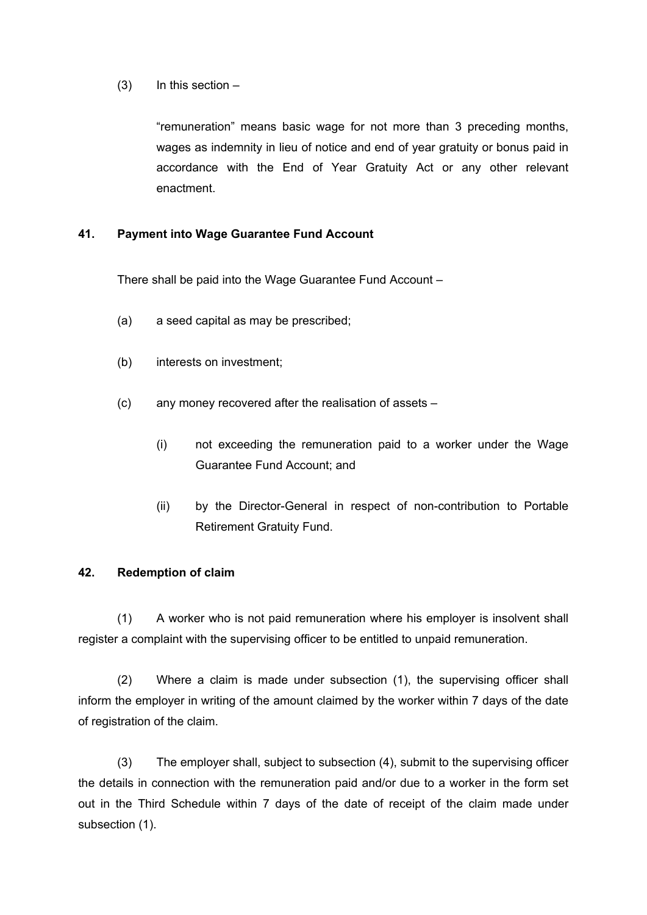#### $(3)$  In this section –

"remuneration" means basic wage for not more than 3 preceding months, wages as indemnity in lieu of notice and end of year gratuity or bonus paid in accordance with the End of Year Gratuity Act or any other relevant enactment.

### **41. Payment into Wage Guarantee Fund Account**

There shall be paid into the Wage Guarantee Fund Account –

- (a) a seed capital as may be prescribed;
- (b) interests on investment;
- (c) any money recovered after the realisation of assets
	- (i) not exceeding the remuneration paid to a worker under the Wage Guarantee Fund Account; and
	- (ii) by the Director-General in respect of non-contribution to Portable Retirement Gratuity Fund.

#### **42. Redemption of claim**

(1) A worker who is not paid remuneration where his employer is insolvent shall register a complaint with the supervising officer to be entitled to unpaid remuneration.

(2) Where a claim is made under subsection (1), the supervising officer shall inform the employer in writing of the amount claimed by the worker within 7 days of the date of registration of the claim.

(3) The employer shall, subject to subsection (4), submit to the supervising officer the details in connection with the remuneration paid and/or due to a worker in the form set out in the Third Schedule within 7 days of the date of receipt of the claim made under subsection (1).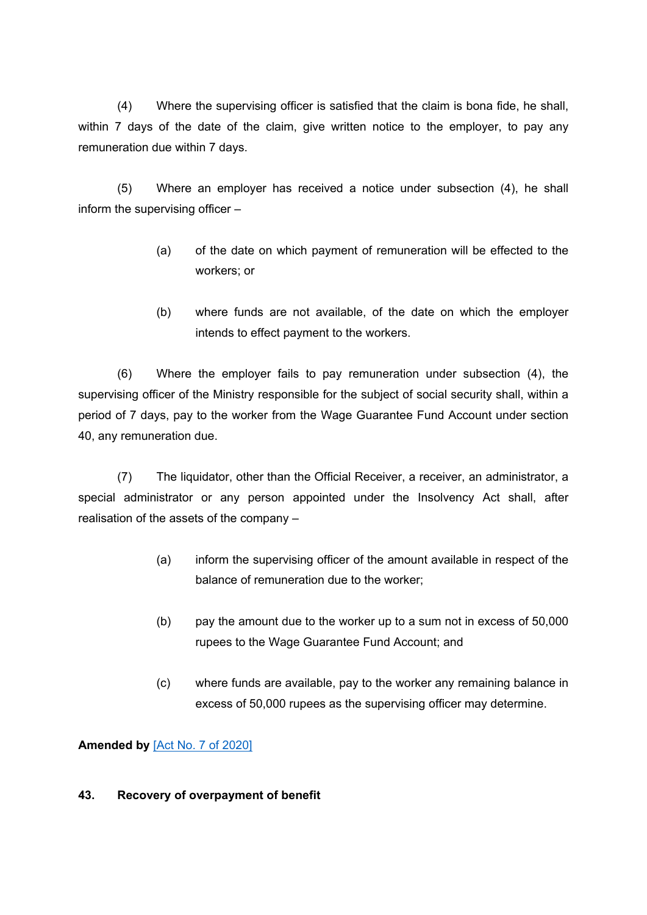(4) Where the supervising officer is satisfied that the claim is bona fide, he shall, within 7 days of the date of the claim, give written notice to the employer, to pay any remuneration due within 7 days.

(5) Where an employer has received a notice under subsection (4), he shall inform the supervising officer –

- (a) of the date on which payment of remuneration will be effected to the workers; or
- (b) where funds are not available, of the date on which the employer intends to effect payment to the workers.

(6) Where the employer fails to pay remuneration under subsection (4), the supervising officer of the Ministry responsible for the subject of social security shall, within a period of 7 days, pay to the worker from the Wage Guarantee Fund Account under section 40, any remuneration due.

(7) The liquidator, other than the Official Receiver, a receiver, an administrator, a special administrator or any person appointed under the Insolvency Act shall, after realisation of the assets of the company –

- (a) inform the supervising officer of the amount available in respect of the balance of remuneration due to the worker;
- (b) pay the amount due to the worker up to a sum not in excess of 50,000 rupees to the Wage Guarantee Fund Account; and
- (c) where funds are available, pay to the worker any remaining balance in excess of 50,000 rupees as the supervising officer may determine.

**Amended by** [Act No. 7 of [2020\]](https://supremecourt.govmu.org/_layouts/CLIS.DMS/search/searchdocumentbykey.aspx?ID=%5BAct%20No.%207%20of%202020%5D&list=Legislations)

# **43. Recovery of overpayment of benefit**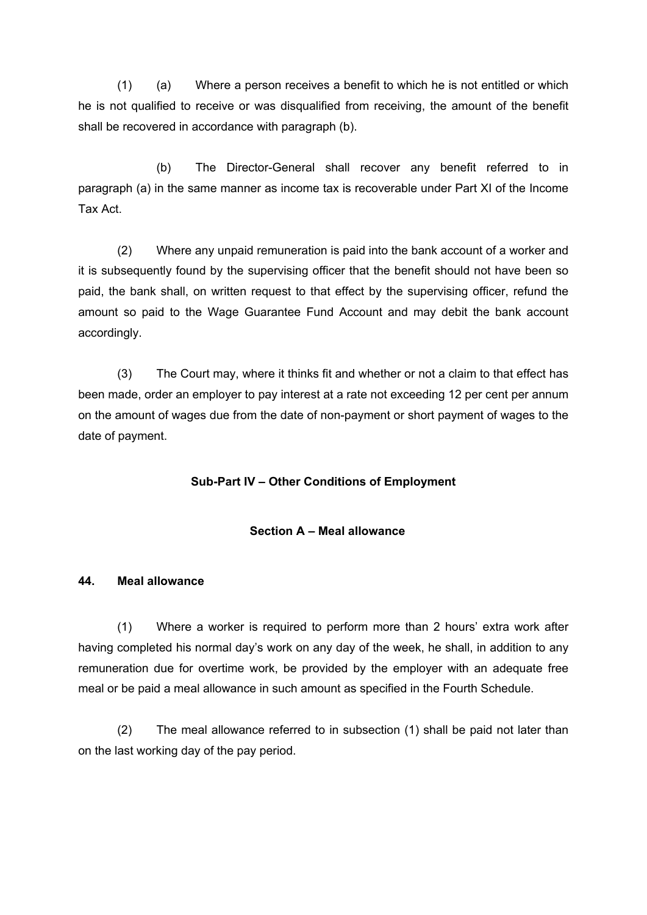(1) (a) Where a person receives a benefit to which he is not entitled or which he is not qualified to receive or was disqualified from receiving, the amount of the benefit shall be recovered in accordance with paragraph (b).

(b) The Director-General shall recover any benefit referred to in paragraph (a) in the same manner as income tax is recoverable under Part XI of the Income Tax Act.

(2) Where any unpaid remuneration is paid into the bank account of a worker and it is subsequently found by the supervising officer that the benefit should not have been so paid, the bank shall, on written request to that effect by the supervising officer, refund the amount so paid to the Wage Guarantee Fund Account and may debit the bank account accordingly.

(3) The Court may, where it thinks fit and whether or not a claim to that effect has been made, order an employer to pay interest at a rate not exceeding 12 per cent per annum on the amount of wages due from the date of non-payment or short payment of wages to the date of payment.

#### **Sub-Part IV – Other Conditions of Employment**

#### **Section A – Meal allowance**

#### **44. Meal allowance**

(1) Where a worker is required to perform more than 2 hours' extra work after having completed his normal day's work on any day of the week, he shall, in addition to any remuneration due for overtime work, be provided by the employer with an adequate free meal or be paid a meal allowance in such amount as specified in the Fourth Schedule.

(2) The meal allowance referred to in subsection (1) shall be paid not later than on the last working day of the pay period.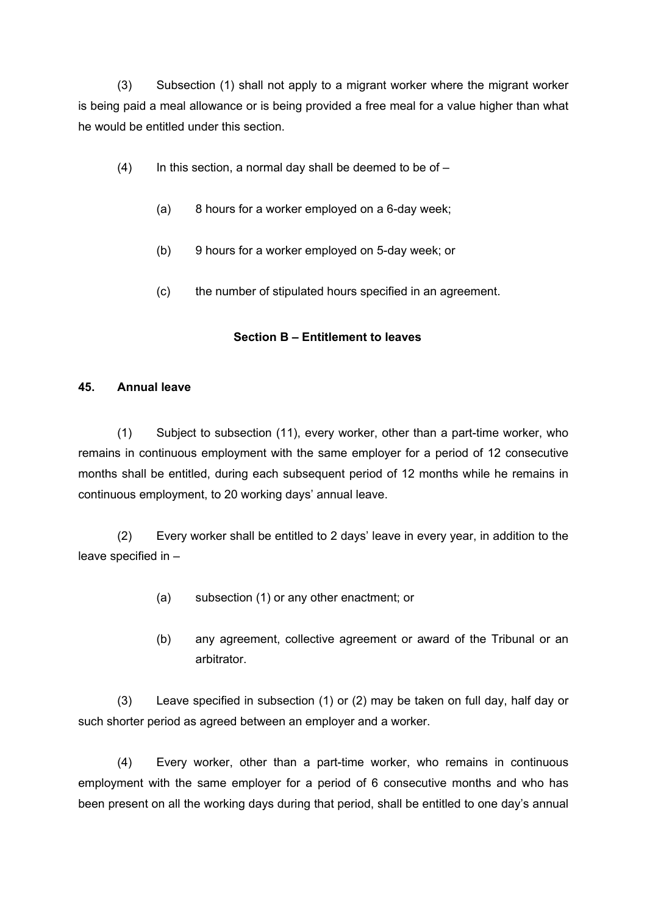(3) Subsection (1) shall not apply to a migrant worker where the migrant worker is being paid a meal allowance or is being provided a free meal for a value higher than what he would be entitled under this section.

- $(4)$  In this section, a normal day shall be deemed to be of
	- (a) 8 hours for a worker employed on a 6-day week;
	- (b) 9 hours for a worker employed on 5-day week; or
	- (c) the number of stipulated hours specified in an agreement.

# **Section B – Entitlement to leaves**

### **45. Annual leave**

(1) Subject to subsection (11), every worker, other than a part-time worker, who remains in continuous employment with the same employer for a period of 12 consecutive months shall be entitled, during each subsequent period of 12 months while he remains in continuous employment, to 20 working days' annual leave.

(2) Every worker shall be entitled to 2 days' leave in every year, in addition to the leave specified in –

- (a) subsection (1) or any other enactment; or
- (b) any agreement, collective agreement or award of the Tribunal or an arbitrator.

(3) Leave specified in subsection (1) or (2) may be taken on full day, half day or such shorter period as agreed between an employer and a worker.

(4) Every worker, other than a part-time worker, who remains in continuous employment with the same employer for a period of 6 consecutive months and who has been present on all the working days during that period, shall be entitled to one day's annual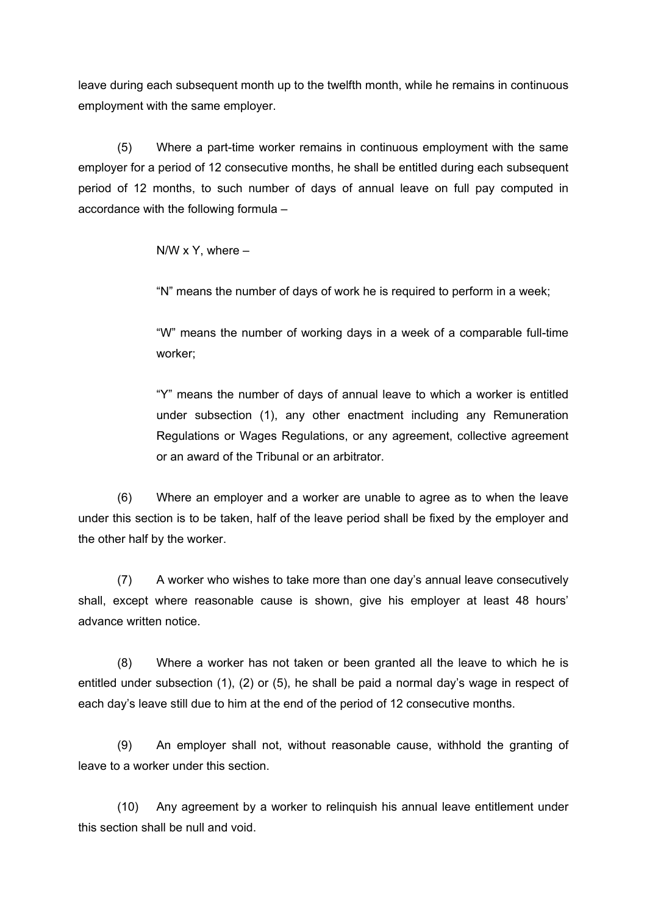leave during each subsequent month up to the twelfth month, while he remains in continuous employment with the same employer.

(5) Where a part-time worker remains in continuous employment with the same employer for a period of 12 consecutive months, he shall be entitled during each subsequent period of 12 months, to such number of days of annual leave on full pay computed in accordance with the following formula –

 $N/W \times Y$ , where  $-$ 

"N" means the number of days of work he is required to perform in a week;

"W" means the number of working days in a week of a comparable full-time worker;

"Y" means the number of days of annual leave to which a worker is entitled under subsection (1), any other enactment including any Remuneration Regulations or Wages Regulations, or any agreement, collective agreement or an award of the Tribunal or an arbitrator.

(6) Where an employer and a worker are unable to agree as to when the leave under this section is to be taken, half of the leave period shall be fixed by the employer and the other half by the worker.

(7) A worker who wishes to take more than one day's annual leave consecutively shall, except where reasonable cause is shown, give his employer at least 48 hours' advance written notice.

(8) Where a worker has not taken or been granted all the leave to which he is entitled under subsection (1), (2) or (5), he shall be paid a normal day's wage in respect of each day's leave still due to him at the end of the period of 12 consecutive months.

(9) An employer shall not, without reasonable cause, withhold the granting of leave to a worker under this section.

(10) Any agreement by a worker to relinquish his annual leave entitlement under this section shall be null and void.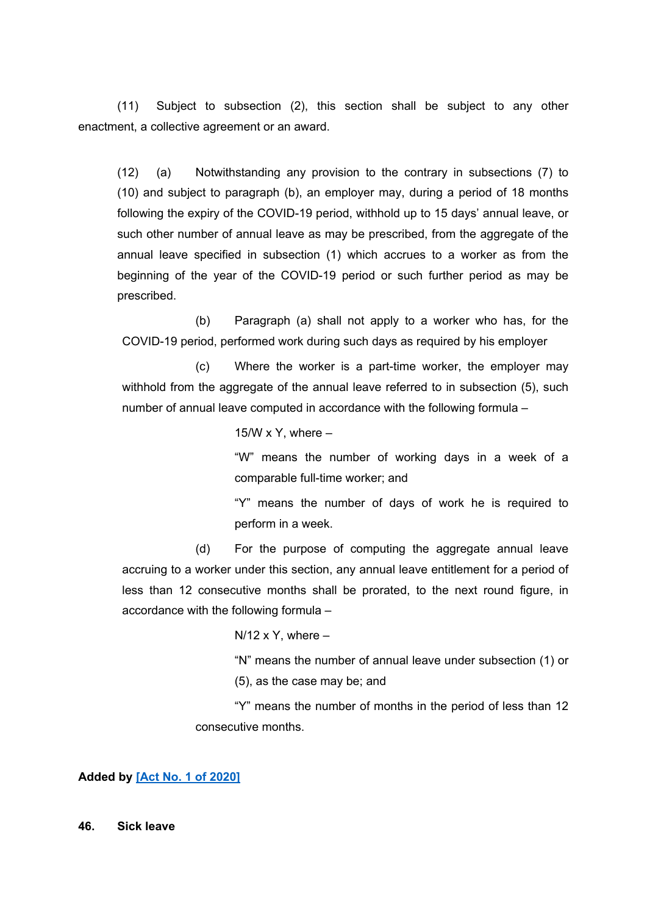(11) Subject to subsection (2), this section shall be subject to any other enactment, a collective agreement or an award.

(12) (a) Notwithstanding any provision to the contrary in subsections (7) to (10) and subject to paragraph (b), an employer may, during a period of 18 months following the expiry of the COVID-19 period, withhold up to 15 days' annual leave, or such other number of annual leave as may be prescribed, from the aggregate of the annual leave specified in subsection (1) which accrues to a worker as from the beginning of the year of the COVID-19 period or such further period as may be prescribed.

(b) Paragraph (a) shall not apply to a worker who has, for the COVID-19 period, performed work during such days as required by his employer

(c) Where the worker is a part-time worker, the employer may withhold from the aggregate of the annual leave referred to in subsection (5), such number of annual leave computed in accordance with the following formula –

15/W x Y, where  $-$ 

"W" means the number of working days in a week of a comparable full-time worker; and

"Y" means the number of days of work he is required to perform in a week.

(d) For the purpose of computing the aggregate annual leave accruing to a worker under this section, any annual leave entitlement for a period of less than 12 consecutive months shall be prorated, to the next round figure, in accordance with the following formula –

 $N/12$  x Y, where  $-$ 

"N" means the number of annual leave under subsection (1) or (5), as the case may be; and

"Y" means the number of months in the period of less than 12 consecutive months.

**Added by [Act No. 1 of [2020\]](https://supremecourt.govmu.org/_layouts/CLIS.DMS/search/searchdocumentbykey.aspx?ID=%5BAct%20No.%201%20of%202020%5D&list=Legislations)**

**46. Sick leave**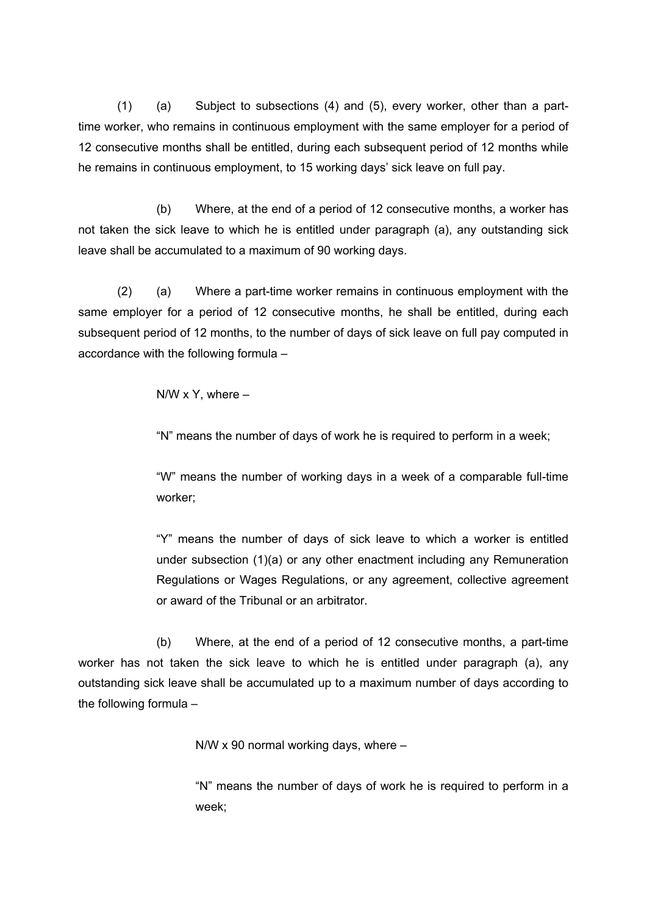(1) (a) Subject to subsections (4) and (5), every worker, other than a parttime worker, who remains in continuous employment with the same employer for a period of 12 consecutive months shall be entitled, during each subsequent period of 12 months while he remains in continuous employment, to 15 working days' sick leave on full pay.

(b) Where, at the end of a period of 12 consecutive months, a worker has not taken the sick leave to which he is entitled under paragraph (a), any outstanding sick leave shall be accumulated to a maximum of 90 working days.

(2) (a) Where a part-time worker remains in continuous employment with the same employer for a period of 12 consecutive months, he shall be entitled, during each subsequent period of 12 months, to the number of days of sick leave on full pay computed in accordance with the following formula –

 $N/W \times Y$ , where  $-$ 

"N" means the number of days of work he is required to perform in a week;

"W" means the number of working days in a week of a comparable full-time worker;

"Y" means the number of days of sick leave to which a worker is entitled under subsection (1)(a) or any other enactment including any Remuneration Regulations or Wages Regulations, or any agreement, collective agreement or award of the Tribunal or an arbitrator.

(b) Where, at the end of a period of 12 consecutive months, a part-time worker has not taken the sick leave to which he is entitled under paragraph (a), any outstanding sick leave shall be accumulated up to a maximum number of days according to the following formula –

N/W x 90 normal working days, where –

"N" means the number of days of work he is required to perform in a week;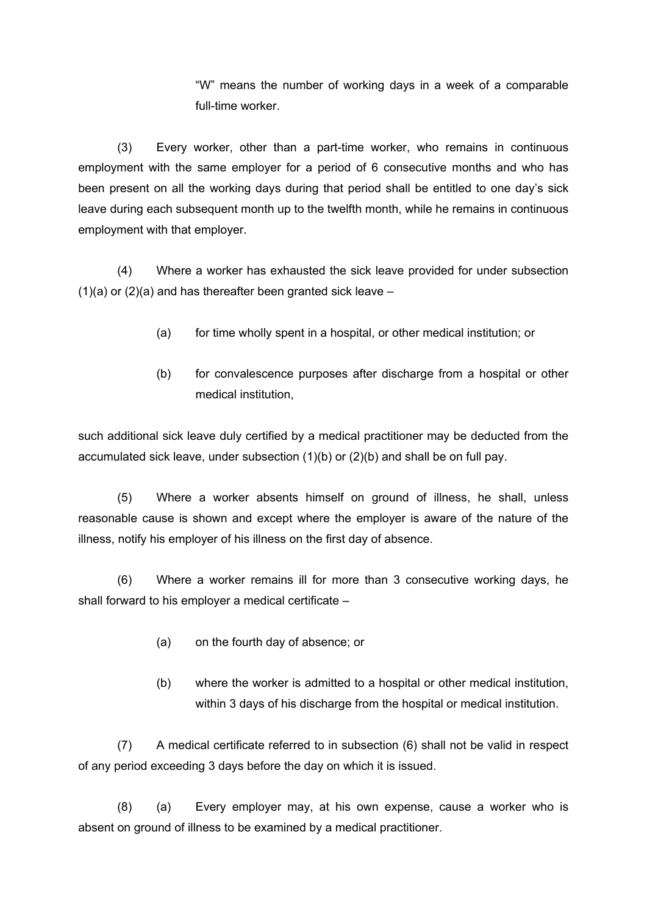"W" means the number of working days in a week of a comparable full-time worker.

(3) Every worker, other than a part-time worker, who remains in continuous employment with the same employer for a period of 6 consecutive months and who has been present on all the working days during that period shall be entitled to one day's sick leave during each subsequent month up to the twelfth month, while he remains in continuous employment with that employer.

(4) Where a worker has exhausted the sick leave provided for under subsection  $(1)(a)$  or  $(2)(a)$  and has thereafter been granted sick leave –

- (a) for time wholly spent in a hospital, or other medical institution; or
- (b) for convalescence purposes after discharge from a hospital or other medical institution,

such additional sick leave duly certified by a medical practitioner may be deducted from the accumulated sick leave, under subsection (1)(b) or (2)(b) and shall be on full pay.

(5) Where a worker absents himself on ground of illness, he shall, unless reasonable cause is shown and except where the employer is aware of the nature of the illness, notify his employer of his illness on the first day of absence.

(6) Where a worker remains ill for more than 3 consecutive working days, he shall forward to his employer a medical certificate –

- (a) on the fourth day of absence; or
- (b) where the worker is admitted to a hospital or other medical institution, within 3 days of his discharge from the hospital or medical institution.

(7) A medical certificate referred to in subsection (6) shall not be valid in respect of any period exceeding 3 days before the day on which it is issued.

(8) (a) Every employer may, at his own expense, cause a worker who is absent on ground of illness to be examined by a medical practitioner.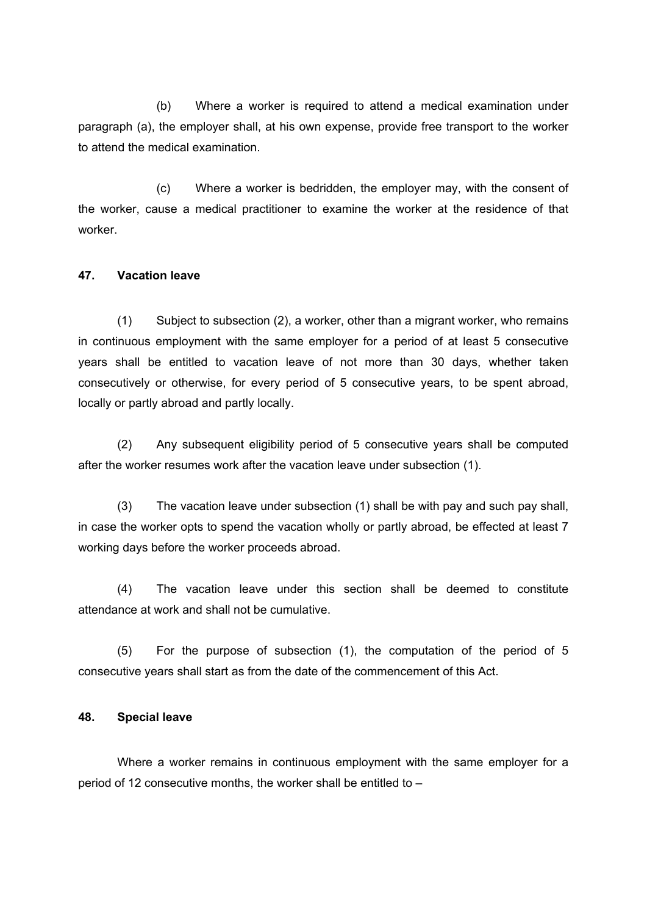(b) Where a worker is required to attend a medical examination under paragraph (a), the employer shall, at his own expense, provide free transport to the worker to attend the medical examination.

(c) Where a worker is bedridden, the employer may, with the consent of the worker, cause a medical practitioner to examine the worker at the residence of that worker.

#### **47. Vacation leave**

(1) Subject to subsection (2), a worker, other than a migrant worker, who remains in continuous employment with the same employer for a period of at least 5 consecutive years shall be entitled to vacation leave of not more than 30 days, whether taken consecutively or otherwise, for every period of 5 consecutive years, to be spent abroad, locally or partly abroad and partly locally.

(2) Any subsequent eligibility period of 5 consecutive years shall be computed after the worker resumes work after the vacation leave under subsection (1).

(3) The vacation leave under subsection (1) shall be with pay and such pay shall, in case the worker opts to spend the vacation wholly or partly abroad, be effected at least 7 working days before the worker proceeds abroad.

(4) The vacation leave under this section shall be deemed to constitute attendance at work and shall not be cumulative.

(5) For the purpose of subsection (1), the computation of the period of 5 consecutive years shall start as from the date of the commencement of this Act.

#### **48. Special leave**

Where a worker remains in continuous employment with the same employer for a period of 12 consecutive months, the worker shall be entitled to –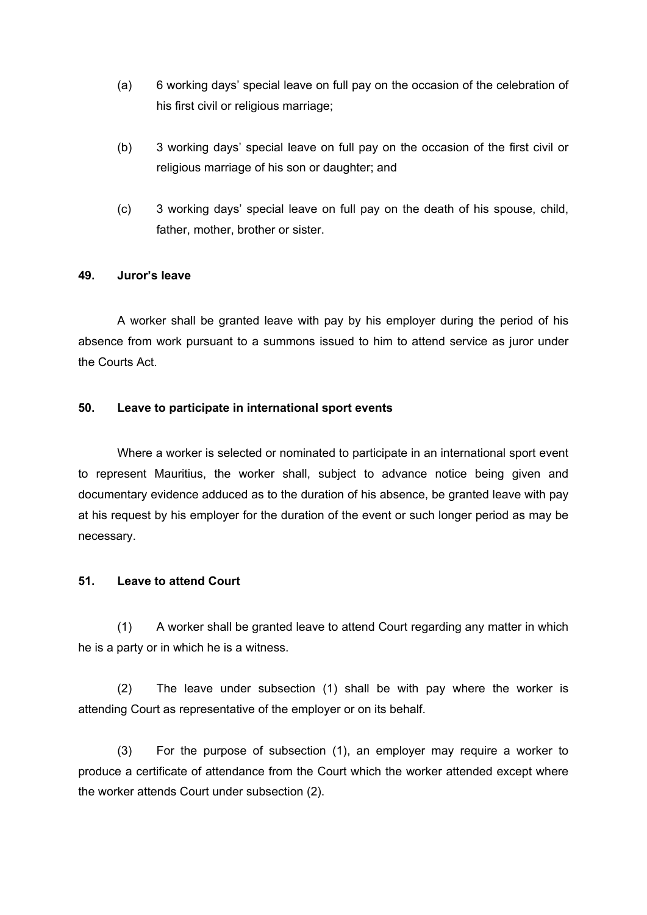- (a) 6 working days' special leave on full pay on the occasion of the celebration of his first civil or religious marriage;
- (b) 3 working days' special leave on full pay on the occasion of the first civil or religious marriage of his son or daughter; and
- (c) 3 working days' special leave on full pay on the death of his spouse, child, father, mother, brother or sister.

#### **49. Juror's leave**

A worker shall be granted leave with pay by his employer during the period of his absence from work pursuant to a summons issued to him to attend service as juror under the Courts Act.

#### **50. Leave to participate in international sport events**

Where a worker is selected or nominated to participate in an international sport event to represent Mauritius, the worker shall, subject to advance notice being given and documentary evidence adduced as to the duration of his absence, be granted leave with pay at his request by his employer for the duration of the event or such longer period as may be necessary.

#### **51. Leave to attend Court**

(1) A worker shall be granted leave to attend Court regarding any matter in which he is a party or in which he is a witness.

(2) The leave under subsection (1) shall be with pay where the worker is attending Court as representative of the employer or on its behalf.

(3) For the purpose of subsection (1), an employer may require a worker to produce a certificate of attendance from the Court which the worker attended except where the worker attends Court under subsection (2).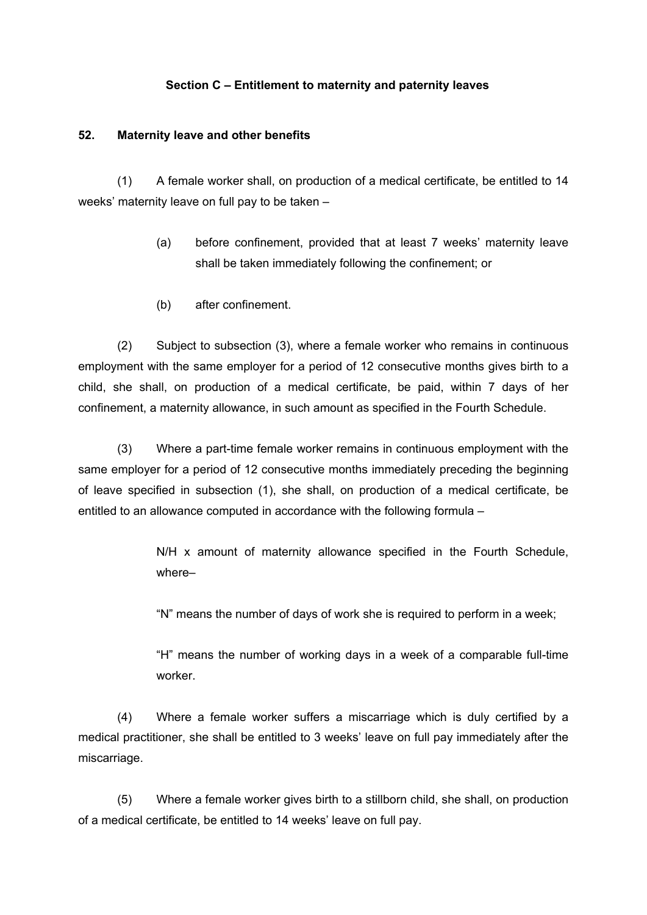#### **Section C – Entitlement to maternity and paternity leaves**

#### **52. Maternity leave and other benefits**

(1) A female worker shall, on production of a medical certificate, be entitled to 14 weeks' maternity leave on full pay to be taken –

- (a) before confinement, provided that at least 7 weeks' maternity leave shall be taken immediately following the confinement; or
- (b) after confinement.

(2) Subject to subsection (3), where a female worker who remains in continuous employment with the same employer for a period of 12 consecutive months gives birth to a child, she shall, on production of a medical certificate, be paid, within 7 days of her confinement, a maternity allowance, in such amount as specified in the Fourth Schedule.

(3) Where a part-time female worker remains in continuous employment with the same employer for a period of 12 consecutive months immediately preceding the beginning of leave specified in subsection (1), she shall, on production of a medical certificate, be entitled to an allowance computed in accordance with the following formula –

> N/H x amount of maternity allowance specified in the Fourth Schedule, where–

"N" means the number of days of work she is required to perform in a week;

"H" means the number of working days in a week of a comparable full-time worker.

(4) Where a female worker suffers a miscarriage which is duly certified by a medical practitioner, she shall be entitled to 3 weeks' leave on full pay immediately after the miscarriage.

(5) Where a female worker gives birth to a stillborn child, she shall, on production of a medical certificate, be entitled to 14 weeks' leave on full pay.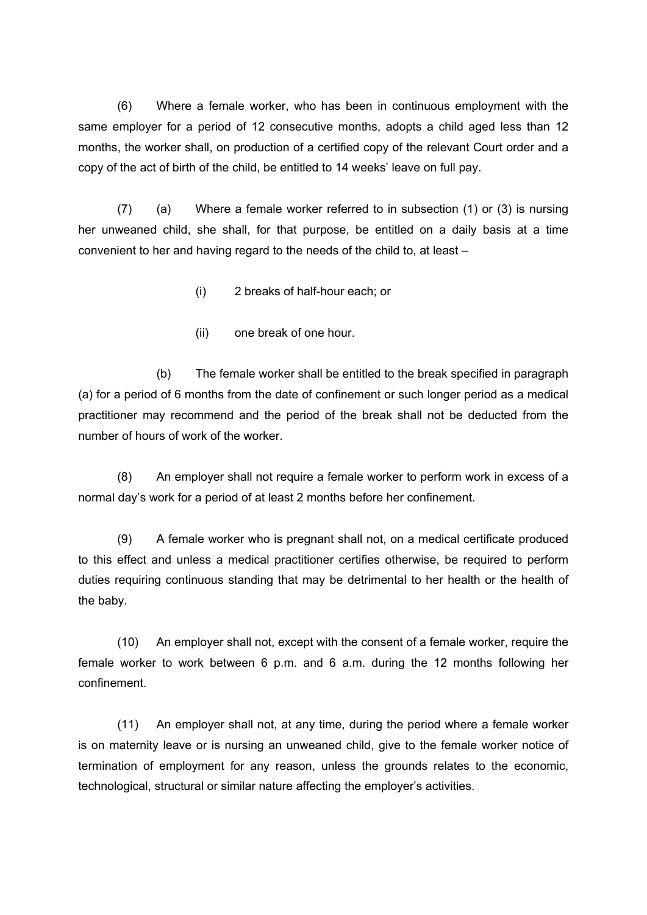(6) Where a female worker, who has been in continuous employment with the same employer for a period of 12 consecutive months, adopts a child aged less than 12 months, the worker shall, on production of a certified copy of the relevant Court order and a copy of the act of birth of the child, be entitled to 14 weeks' leave on full pay.

(7) (a) Where a female worker referred to in subsection (1) or (3) is nursing her unweaned child, she shall, for that purpose, be entitled on a daily basis at a time convenient to her and having regard to the needs of the child to, at least –

- (i) 2 breaks of half-hour each; or
- (ii) one break of one hour.

(b) The female worker shall be entitled to the break specified in paragraph (a) for a period of 6 months from the date of confinement or such longer period as a medical practitioner may recommend and the period of the break shall not be deducted from the number of hours of work of the worker.

(8) An employer shall not require a female worker to perform work in excess of a normal day's work for a period of at least 2 months before her confinement.

(9) A female worker who is pregnant shall not, on a medical certificate produced to this effect and unless a medical practitioner certifies otherwise, be required to perform duties requiring continuous standing that may be detrimental to her health or the health of the baby.

(10) An employer shall not, except with the consent of a female worker, require the female worker to work between 6 p.m. and 6 a.m. during the 12 months following her confinement.

(11) An employer shall not, at any time, during the period where a female worker is on maternity leave or is nursing an unweaned child, give to the female worker notice of termination of employment for any reason, unless the grounds relates to the economic, technological, structural or similar nature affecting the employer's activities.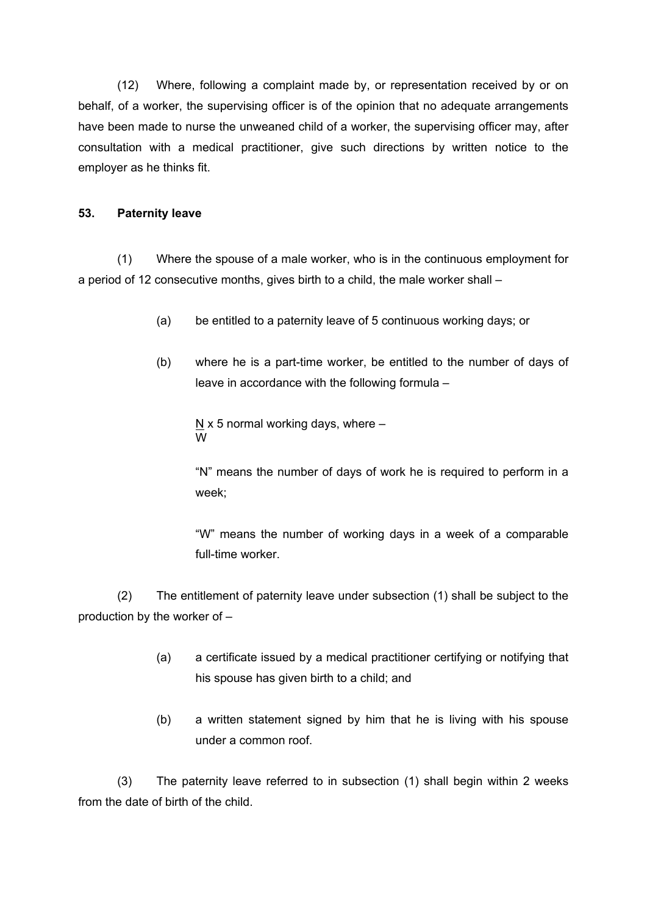(12) Where, following a complaint made by, or representation received by or on behalf, of a worker, the supervising officer is of the opinion that no adequate arrangements have been made to nurse the unweaned child of a worker, the supervising officer may, after consultation with a medical practitioner, give such directions by written notice to the employer as he thinks fit.

#### **53. Paternity leave**

(1) Where the spouse of a male worker, who is in the continuous employment for a period of 12 consecutive months, gives birth to a child, the male worker shall –

- (a) be entitled to a paternity leave of 5 continuous working days; or
- (b) where he is a part-time worker, be entitled to the number of days of leave in accordance with the following formula –
	- N  $\times$  5 normal working days, where  $-$ W

"N" means the number of days of work he is required to perform in a week;

"W" means the number of working days in a week of a comparable full-time worker.

(2) The entitlement of paternity leave under subsection (1) shall be subject to the production by the worker of –

- (a) a certificate issued by a medical practitioner certifying or notifying that his spouse has given birth to a child; and
- (b) a written statement signed by him that he is living with his spouse under a common roof.

(3) The paternity leave referred to in subsection (1) shall begin within 2 weeks from the date of birth of the child.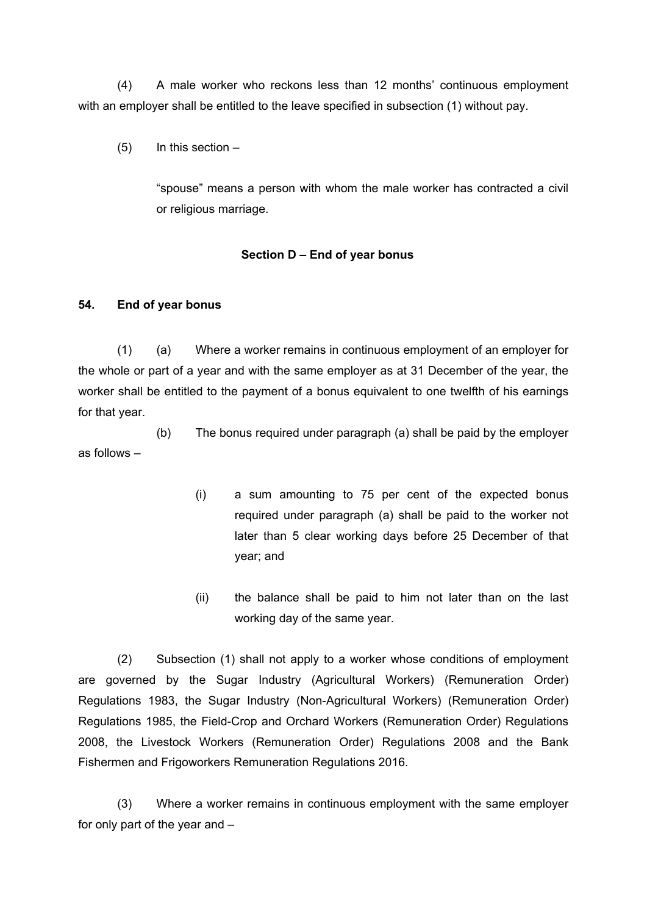(4) A male worker who reckons less than 12 months' continuous employment with an employer shall be entitled to the leave specified in subsection (1) without pay.

 $(5)$  In this section  $-$ 

"spouse" means a person with whom the male worker has contracted a civil or religious marriage.

#### **Section D – End of year bonus**

#### **54. End of year bonus**

(1) (a) Where a worker remains in continuous employment of an employer for the whole or part of a year and with the same employer as at 31 December of the year, the worker shall be entitled to the payment of a bonus equivalent to one twelfth of his earnings for that year.

(b) The bonus required under paragraph (a) shall be paid by the employer as follows –

- (i) a sum amounting to 75 per cent of the expected bonus required under paragraph (a) shall be paid to the worker not later than 5 clear working days before 25 December of that year; and
- (ii) the balance shall be paid to him not later than on the last working day of the same year.

(2) Subsection (1) shall not apply to a worker whose conditions of employment are governed by the Sugar Industry (Agricultural Workers) (Remuneration Order) Regulations 1983, the Sugar Industry (Non-Agricultural Workers) (Remuneration Order) Regulations 1985, the Field-Crop and Orchard Workers (Remuneration Order) Regulations 2008, the Livestock Workers (Remuneration Order) Regulations 2008 and the Bank Fishermen and Frigoworkers Remuneration Regulations 2016.

(3) Where a worker remains in continuous employment with the same employer for only part of the year and –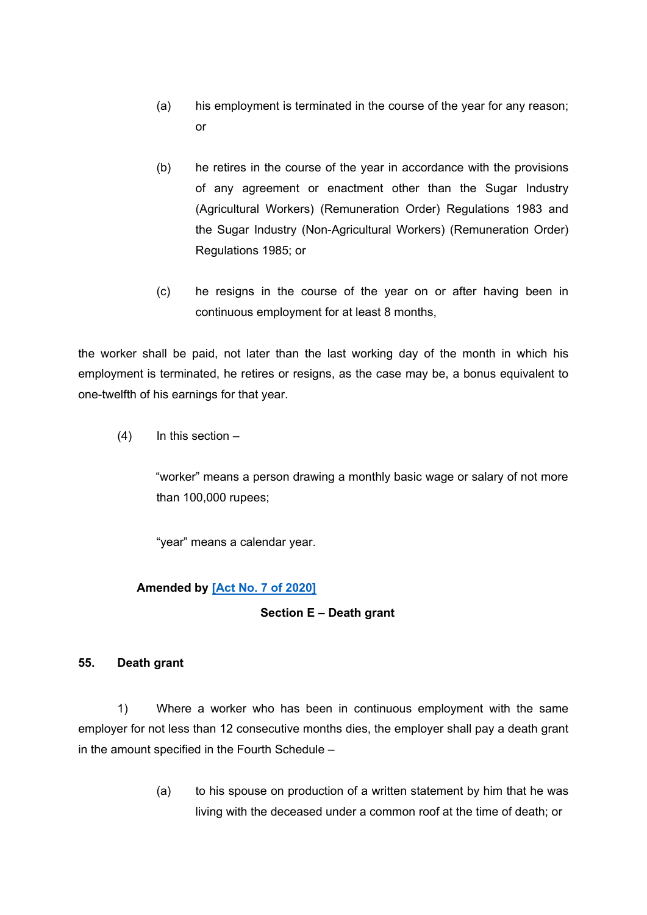- (a) his employment is terminated in the course of the year for any reason; or
- (b) he retires in the course of the year in accordance with the provisions of any agreement or enactment other than the Sugar Industry (Agricultural Workers) (Remuneration Order) Regulations 1983 and the Sugar Industry (Non-Agricultural Workers) (Remuneration Order) Regulations 1985; or
- (c) he resigns in the course of the year on or after having been in continuous employment for at least 8 months,

the worker shall be paid, not later than the last working day of the month in which his employment is terminated, he retires or resigns, as the case may be, a bonus equivalent to one-twelfth of his earnings for that year.

 $(4)$  In this section –

"worker" means a person drawing a monthly basic wage or salary of not more than 100,000 rupees;

"year" means a calendar year.

# **Amended by [Act No. 7 of [2020\]](https://supremecourt.govmu.org/_layouts/CLIS.DMS/search/searchdocumentbykey.aspx?ID=%5BAct%20No.%207%20of%202020%5D&list=Legislations)**

#### **Section E – Death grant**

#### **55. Death grant**

1) Where a worker who has been in continuous employment with the same employer for not less than 12 consecutive months dies, the employer shall pay a death grant in the amount specified in the Fourth Schedule –

> (a) to his spouse on production of a written statement by him that he was living with the deceased under a common roof at the time of death; or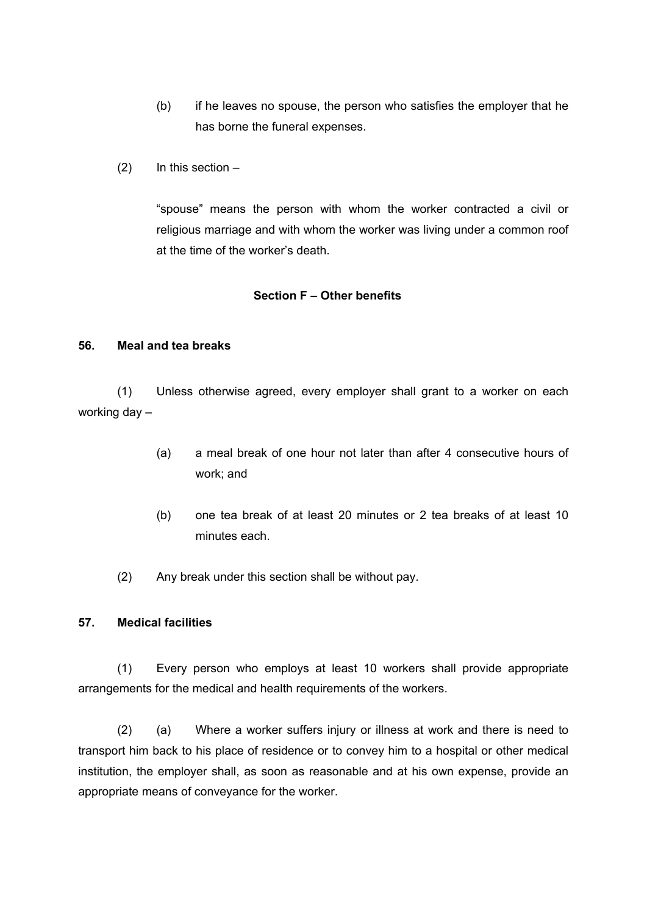- (b) if he leaves no spouse, the person who satisfies the employer that he has borne the funeral expenses.
- $(2)$  In this section –

"spouse" means the person with whom the worker contracted a civil or religious marriage and with whom the worker was living under a common roof at the time of the worker's death.

#### **Section F – Other benefits**

#### **56. Meal and tea breaks**

(1) Unless otherwise agreed, every employer shall grant to a worker on each working day –

- (a) a meal break of one hour not later than after 4 consecutive hours of work; and
- (b) one tea break of at least 20 minutes or 2 tea breaks of at least 10 minutes each.
- (2) Any break under this section shall be without pay.

#### **57. Medical facilities**

(1) Every person who employs at least 10 workers shall provide appropriate arrangements for the medical and health requirements of the workers.

(2) (a) Where a worker suffers injury or illness at work and there is need to transport him back to his place of residence or to convey him to a hospital or other medical institution, the employer shall, as soon as reasonable and at his own expense, provide an appropriate means of conveyance for the worker.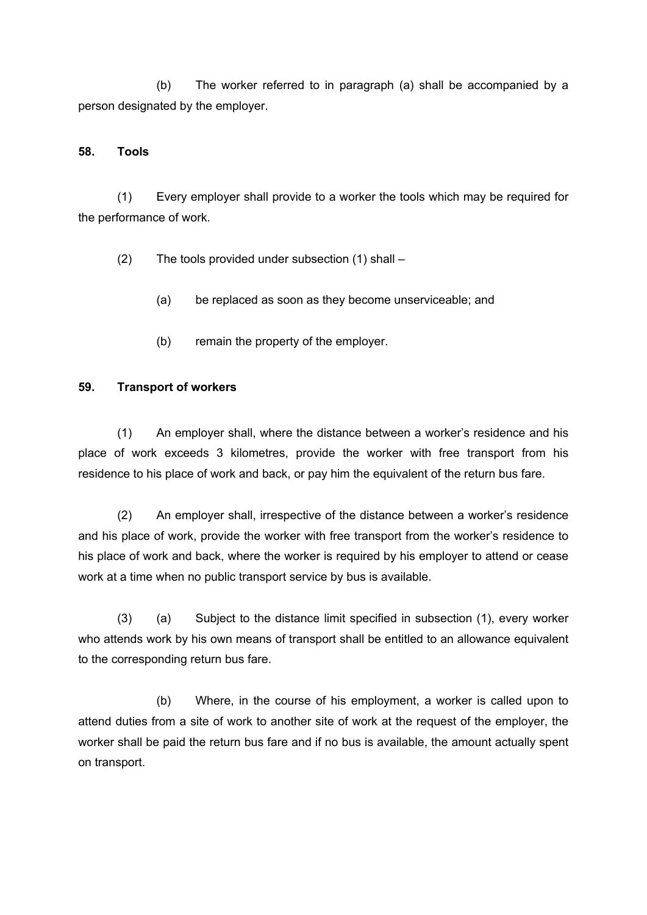(b) The worker referred to in paragraph (a) shall be accompanied by a person designated by the employer.

#### **58. Tools**

(1) Every employer shall provide to a worker the tools which may be required for the performance of work.

(2) The tools provided under subsection (1) shall –

- (a) be replaced as soon as they become unserviceable; and
- (b) remain the property of the employer.

#### **59. Transport of workers**

(1) An employer shall, where the distance between a worker's residence and his place of work exceeds 3 kilometres, provide the worker with free transport from his residence to his place of work and back, or pay him the equivalent of the return bus fare.

(2) An employer shall, irrespective of the distance between a worker's residence and his place of work, provide the worker with free transport from the worker's residence to his place of work and back, where the worker is required by his employer to attend or cease work at a time when no public transport service by bus is available.

(3) (a) Subject to the distance limit specified in subsection (1), every worker who attends work by his own means of transport shall be entitled to an allowance equivalent to the corresponding return bus fare.

(b) Where, in the course of his employment, a worker is called upon to attend duties from a site of work to another site of work at the request of the employer, the worker shall be paid the return bus fare and if no bus is available, the amount actually spent on transport.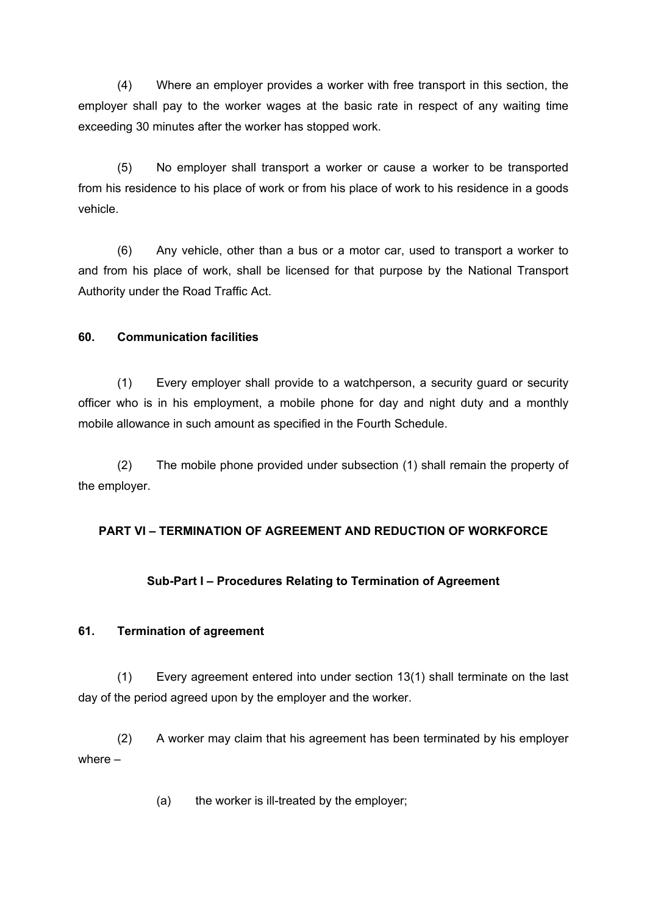(4) Where an employer provides a worker with free transport in this section, the employer shall pay to the worker wages at the basic rate in respect of any waiting time exceeding 30 minutes after the worker has stopped work.

(5) No employer shall transport a worker or cause a worker to be transported from his residence to his place of work or from his place of work to his residence in a goods vehicle.

(6) Any vehicle, other than a bus or a motor car, used to transport a worker to and from his place of work, shall be licensed for that purpose by the National Transport Authority under the Road Traffic Act.

# **60. Communication facilities**

(1) Every employer shall provide to a watchperson, a security guard or security officer who is in his employment, a mobile phone for day and night duty and a monthly mobile allowance in such amount as specified in the Fourth Schedule.

(2) The mobile phone provided under subsection (1) shall remain the property of the employer.

# **PART VI – TERMINATION OF AGREEMENT AND REDUCTION OF WORKFORCE**

# **Sub-Part I – Procedures Relating to Termination of Agreement**

#### **61. Termination of agreement**

(1) Every agreement entered into under section 13(1) shall terminate on the last day of the period agreed upon by the employer and the worker.

(2) A worker may claim that his agreement has been terminated by his employer where –

(a) the worker is ill-treated by the employer;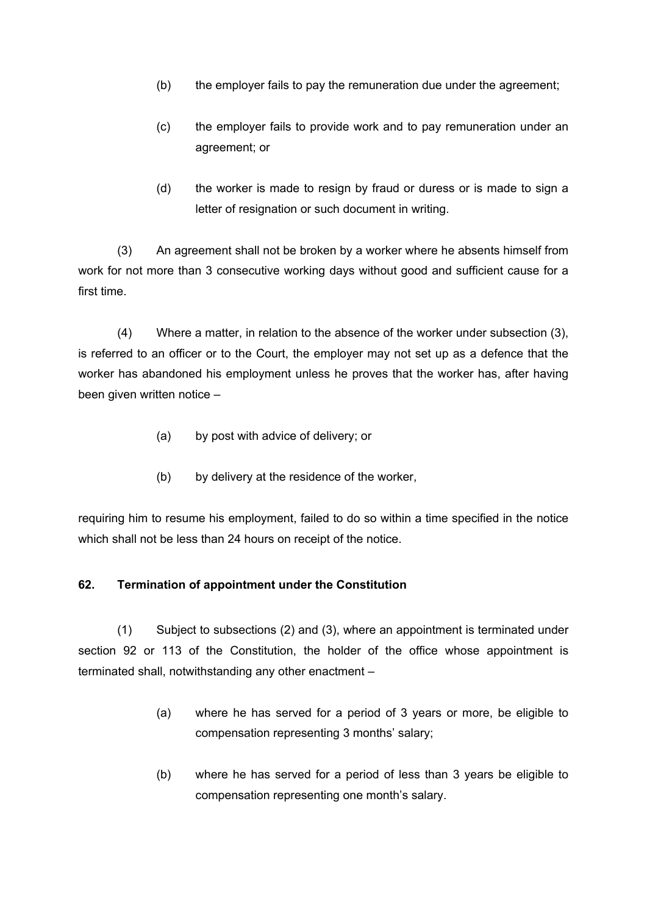- (b) the employer fails to pay the remuneration due under the agreement;
- (c) the employer fails to provide work and to pay remuneration under an agreement; or
- (d) the worker is made to resign by fraud or duress or is made to sign a letter of resignation or such document in writing.

(3) An agreement shall not be broken by a worker where he absents himself from work for not more than 3 consecutive working days without good and sufficient cause for a first time.

(4) Where a matter, in relation to the absence of the worker under subsection (3), is referred to an officer or to the Court, the employer may not set up as a defence that the worker has abandoned his employment unless he proves that the worker has, after having been given written notice –

- (a) by post with advice of delivery; or
- (b) by delivery at the residence of the worker,

requiring him to resume his employment, failed to do so within a time specified in the notice which shall not be less than 24 hours on receipt of the notice.

#### **62. Termination of appointment under the Constitution**

(1) Subject to subsections (2) and (3), where an appointment is terminated under section 92 or 113 of the Constitution, the holder of the office whose appointment is terminated shall, notwithstanding any other enactment –

- (a) where he has served for a period of 3 years or more, be eligible to compensation representing 3 months' salary;
- (b) where he has served for a period of less than 3 years be eligible to compensation representing one month's salary.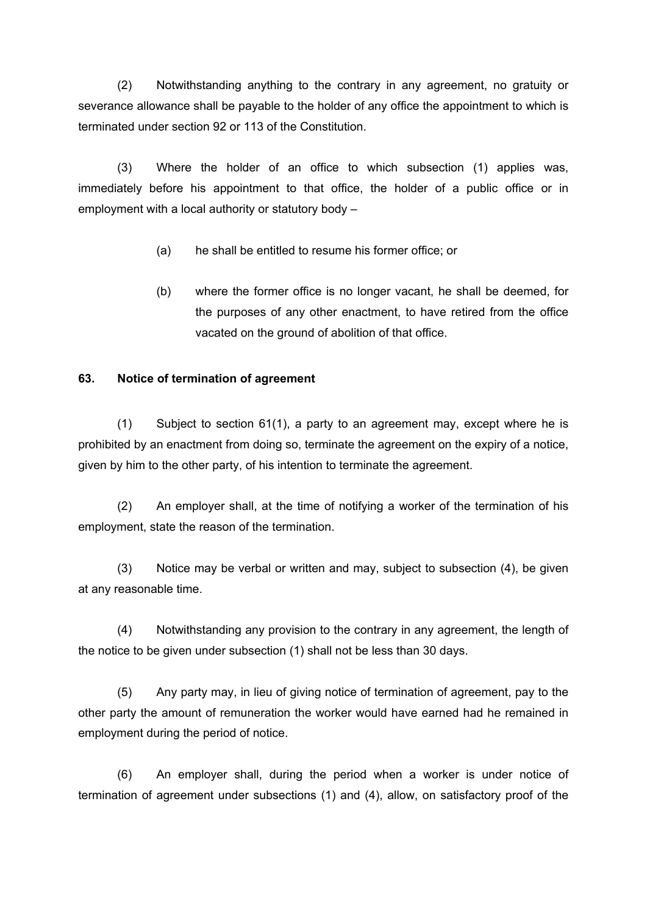(2) Notwithstanding anything to the contrary in any agreement, no gratuity or severance allowance shall be payable to the holder of any office the appointment to which is terminated under section 92 or 113 of the Constitution.

(3) Where the holder of an office to which subsection (1) applies was, immediately before his appointment to that office, the holder of a public office or in employment with a local authority or statutory body –

- (a) he shall be entitled to resume his former office; or
- (b) where the former office is no longer vacant, he shall be deemed, for the purposes of any other enactment, to have retired from the office vacated on the ground of abolition of that office.

# **63. Notice of termination of agreement**

(1) Subject to section 61(1), a party to an agreement may, except where he is prohibited by an enactment from doing so, terminate the agreement on the expiry of a notice, given by him to the other party, of his intention to terminate the agreement.

(2) An employer shall, at the time of notifying a worker of the termination of his employment, state the reason of the termination.

(3) Notice may be verbal or written and may, subject to subsection (4), be given at any reasonable time.

(4) Notwithstanding any provision to the contrary in any agreement, the length of the notice to be given under subsection (1) shall not be less than 30 days.

(5) Any party may, in lieu of giving notice of termination of agreement, pay to the other party the amount of remuneration the worker would have earned had he remained in employment during the period of notice.

(6) An employer shall, during the period when a worker is under notice of termination of agreement under subsections (1) and (4), allow, on satisfactory proof of the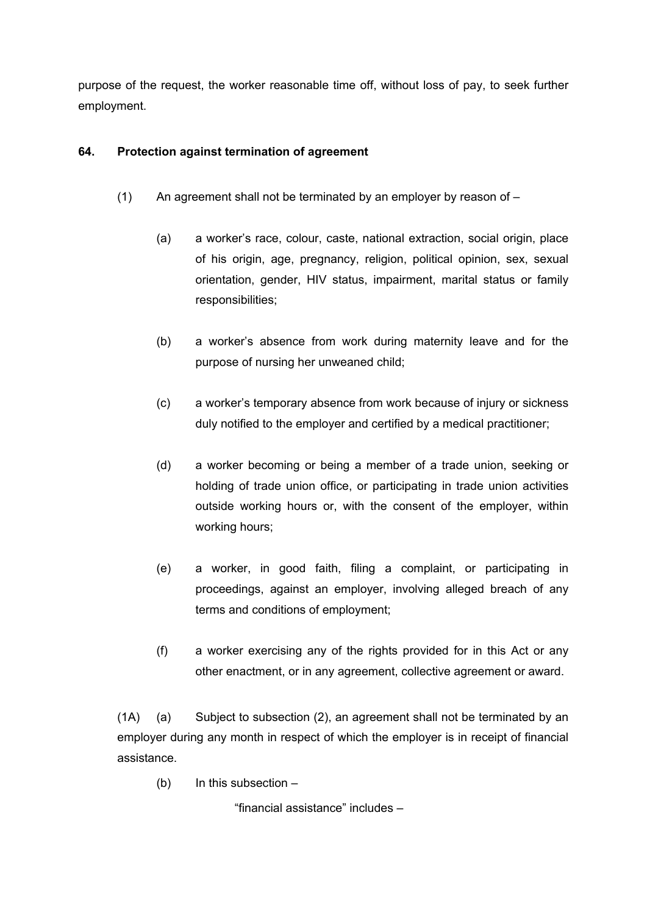purpose of the request, the worker reasonable time off, without loss of pay, to seek further employment.

# **64. Protection against termination of agreement**

- (1) An agreement shall not be terminated by an employer by reason of  $-$ 
	- (a) a worker's race, colour, caste, national extraction, social origin, place of his origin, age, pregnancy, religion, political opinion, sex, sexual orientation, gender, HIV status, impairment, marital status or family responsibilities;
	- (b) a worker's absence from work during maternity leave and for the purpose of nursing her unweaned child;
	- (c) a worker's temporary absence from work because of injury or sickness duly notified to the employer and certified by a medical practitioner;
	- (d) a worker becoming or being a member of a trade union, seeking or holding of trade union office, or participating in trade union activities outside working hours or, with the consent of the employer, within working hours;
	- (e) a worker, in good faith, filing a complaint, or participating in proceedings, against an employer, involving alleged breach of any terms and conditions of employment;
	- (f) a worker exercising any of the rights provided for in this Act or any other enactment, or in any agreement, collective agreement or award.

(1A) (a) Subject to subsection (2), an agreement shall not be terminated by an employer during any month in respect of which the employer is in receipt of financial assistance.

(b) In this subsection –

"financial assistance" includes –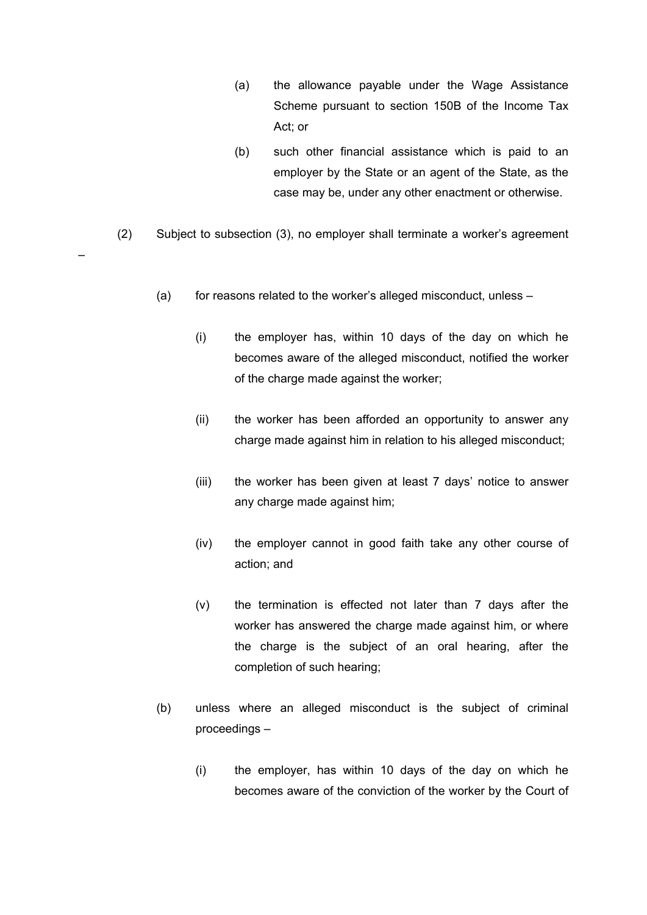- (a) the allowance payable under the Wage Assistance Scheme pursuant to section 150B of the Income Tax Act; or
- (b) such other financial assistance which is paid to an employer by the State or an agent of the State, as the case may be, under any other enactment or otherwise.
- (2) Subject to subsection (3), no employer shall terminate a worker's agreement

–

- (a) for reasons related to the worker's alleged misconduct, unless
	- (i) the employer has, within 10 days of the day on which he becomes aware of the alleged misconduct, notified the worker of the charge made against the worker;
	- (ii) the worker has been afforded an opportunity to answer any charge made against him in relation to his alleged misconduct;
	- (iii) the worker has been given at least 7 days' notice to answer any charge made against him;
	- (iv) the employer cannot in good faith take any other course of action; and
	- (v) the termination is effected not later than 7 days after the worker has answered the charge made against him, or where the charge is the subject of an oral hearing, after the completion of such hearing;
- (b) unless where an alleged misconduct is the subject of criminal proceedings –
	- (i) the employer, has within 10 days of the day on which he becomes aware of the conviction of the worker by the Court of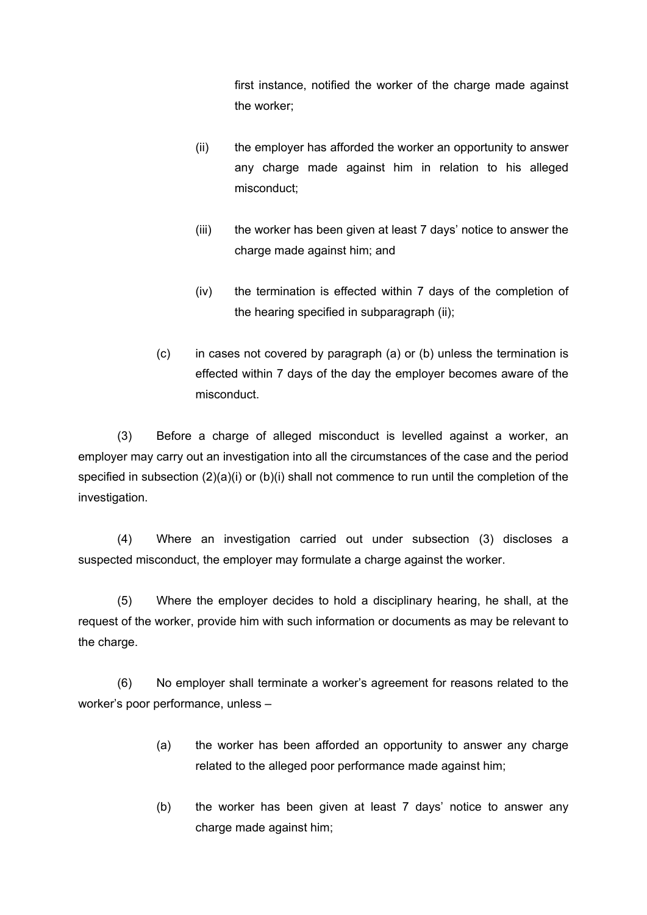first instance, notified the worker of the charge made against the worker;

- (ii) the employer has afforded the worker an opportunity to answer any charge made against him in relation to his alleged misconduct;
- (iii) the worker has been given at least 7 days' notice to answer the charge made against him; and
- (iv) the termination is effected within 7 days of the completion of the hearing specified in subparagraph (ii);
- (c) in cases not covered by paragraph (a) or (b) unless the termination is effected within 7 days of the day the employer becomes aware of the misconduct.

(3) Before a charge of alleged misconduct is levelled against a worker, an employer may carry out an investigation into all the circumstances of the case and the period specified in subsection (2)(a)(i) or (b)(i) shall not commence to run until the completion of the investigation.

(4) Where an investigation carried out under subsection (3) discloses a suspected misconduct, the employer may formulate a charge against the worker.

(5) Where the employer decides to hold a disciplinary hearing, he shall, at the request of the worker, provide him with such information or documents as may be relevant to the charge.

(6) No employer shall terminate a worker's agreement for reasons related to the worker's poor performance, unless –

- (a) the worker has been afforded an opportunity to answer any charge related to the alleged poor performance made against him;
- (b) the worker has been given at least 7 days' notice to answer any charge made against him;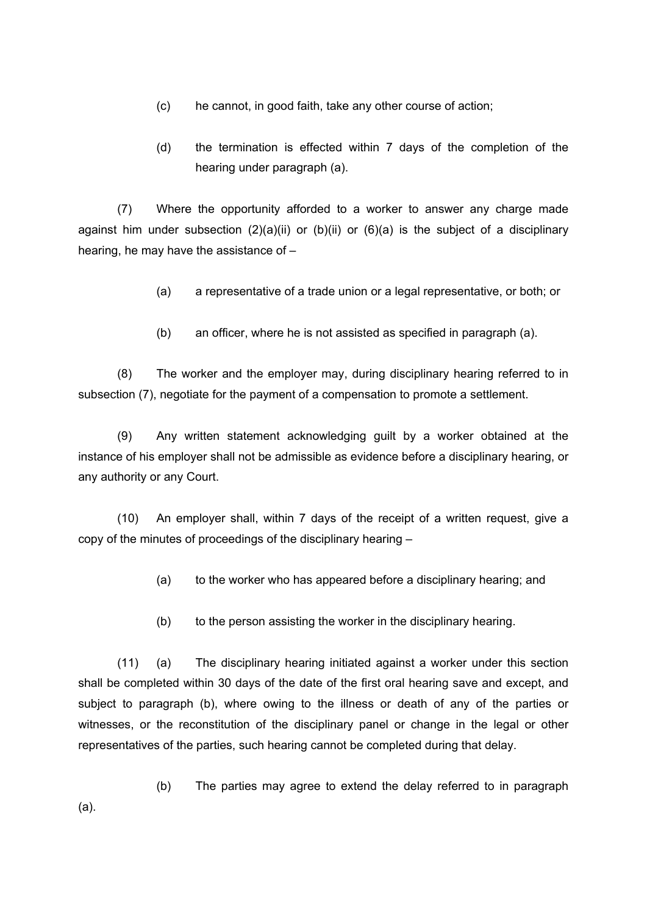- (c) he cannot, in good faith, take any other course of action;
- (d) the termination is effected within 7 days of the completion of the hearing under paragraph (a).

(7) Where the opportunity afforded to a worker to answer any charge made against him under subsection  $(2)(a)(ii)$  or  $(b)(ii)$  or  $(6)(a)$  is the subject of a disciplinary hearing, he may have the assistance of –

- (a) a representative of a trade union or a legal representative, or both; or
- (b) an officer, where he is not assisted as specified in paragraph (a).

(8) The worker and the employer may, during disciplinary hearing referred to in subsection (7), negotiate for the payment of a compensation to promote a settlement.

(9) Any written statement acknowledging guilt by a worker obtained at the instance of his employer shall not be admissible as evidence before a disciplinary hearing, or any authority or any Court.

(10) An employer shall, within 7 days of the receipt of a written request, give a copy of the minutes of proceedings of the disciplinary hearing –

- (a) to the worker who has appeared before a disciplinary hearing; and
- (b) to the person assisting the worker in the disciplinary hearing.

(11) (a) The disciplinary hearing initiated against a worker under this section shall be completed within 30 days of the date of the first oral hearing save and except, and subject to paragraph (b), where owing to the illness or death of any of the parties or witnesses, or the reconstitution of the disciplinary panel or change in the legal or other representatives of the parties, such hearing cannot be completed during that delay.

(b) The parties may agree to extend the delay referred to in paragraph (a).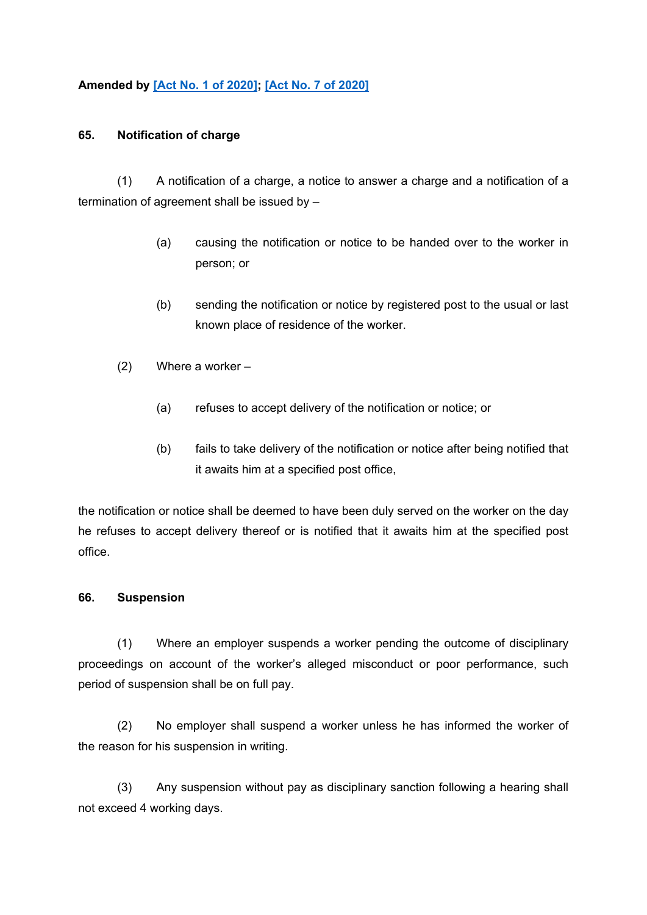# **Amended by [Act No. 1 of [2020\]](https://supremecourt.govmu.org/_layouts/CLIS.DMS/search/searchdocumentbykey.aspx?ID=%5BAct%20No.%201%20of%202020%5D&list=Legislations); [Act No. 7 of [2020\]](https://supremecourt.govmu.org/_layouts/CLIS.DMS/search/searchdocumentbykey.aspx?ID=%5BAct%20No.%207%20of%202020%5D&list=Legislations)**

#### **65. Notification of charge**

(1) A notification of a charge, a notice to answer a charge and a notification of a termination of agreement shall be issued by –

- (a) causing the notification or notice to be handed over to the worker in person; or
- (b) sending the notification or notice by registered post to the usual or last known place of residence of the worker.
- (2) Where a worker
	- (a) refuses to accept delivery of the notification or notice; or
	- (b) fails to take delivery of the notification or notice after being notified that it awaits him at a specified post office,

the notification or notice shall be deemed to have been duly served on the worker on the day he refuses to accept delivery thereof or is notified that it awaits him at the specified post office.

## **66. Suspension**

(1) Where an employer suspends a worker pending the outcome of disciplinary proceedings on account of the worker's alleged misconduct or poor performance, such period of suspension shall be on full pay.

(2) No employer shall suspend a worker unless he has informed the worker of the reason for his suspension in writing.

(3) Any suspension without pay as disciplinary sanction following a hearing shall not exceed 4 working days.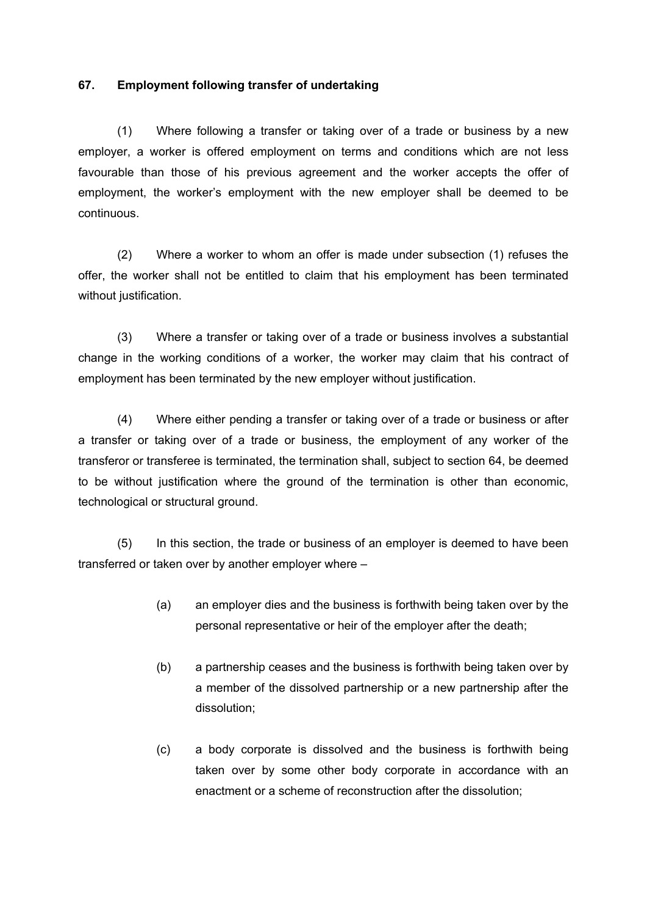## **67. Employment following transfer of undertaking**

(1) Where following a transfer or taking over of a trade or business by a new employer, a worker is offered employment on terms and conditions which are not less favourable than those of his previous agreement and the worker accepts the offer of employment, the worker's employment with the new employer shall be deemed to be continuous.

(2) Where a worker to whom an offer is made under subsection (1) refuses the offer, the worker shall not be entitled to claim that his employment has been terminated without justification.

(3) Where a transfer or taking over of a trade or business involves a substantial change in the working conditions of a worker, the worker may claim that his contract of employment has been terminated by the new employer without justification.

(4) Where either pending a transfer or taking over of a trade or business or after a transfer or taking over of a trade or business, the employment of any worker of the transferor or transferee is terminated, the termination shall, subject to section 64, be deemed to be without justification where the ground of the termination is other than economic, technological or structural ground.

(5) In this section, the trade or business of an employer is deemed to have been transferred or taken over by another employer where –

- (a) an employer dies and the business is forthwith being taken over by the personal representative or heir of the employer after the death;
- (b) a partnership ceases and the business is forthwith being taken over by a member of the dissolved partnership or a new partnership after the dissolution;
- (c) a body corporate is dissolved and the business is forthwith being taken over by some other body corporate in accordance with an enactment or a scheme of reconstruction after the dissolution;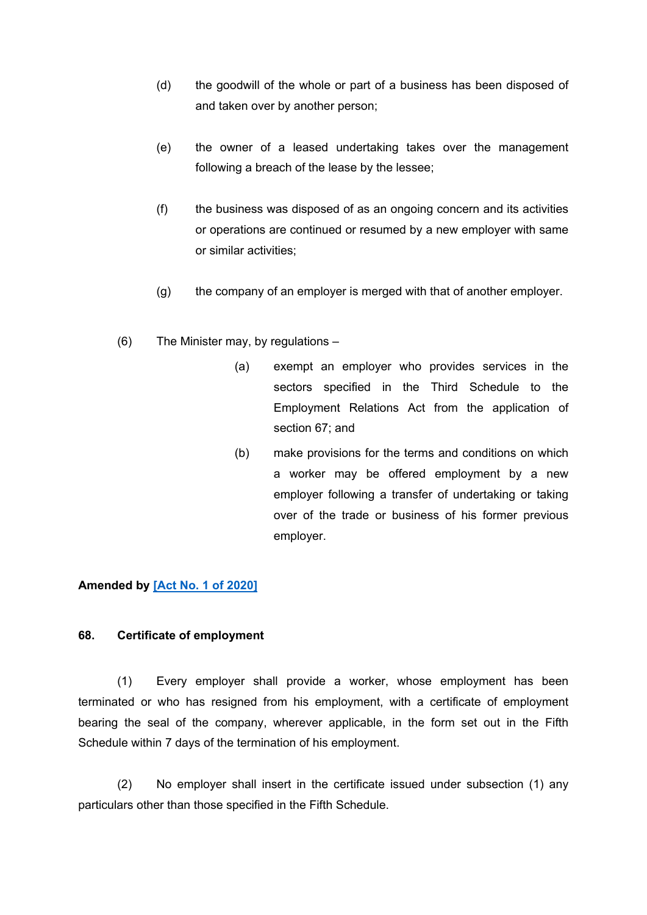- (d) the goodwill of the whole or part of a business has been disposed of and taken over by another person;
- (e) the owner of a leased undertaking takes over the management following a breach of the lease by the lessee;
- (f) the business was disposed of as an ongoing concern and its activities or operations are continued or resumed by a new employer with same or similar activities;
- (g) the company of an employer is merged with that of another employer.
- (6) The Minister may, by regulations
	- (a) exempt an employer who provides services in the sectors specified in the Third Schedule to the Employment Relations Act from the application of section 67; and
	- (b) make provisions for the terms and conditions on which a worker may be offered employment by a new employer following a transfer of undertaking or taking over of the trade or business of his former previous employer.

## **Amended by [Act No. 1 of [2020\]](https://supremecourt.govmu.org/_layouts/CLIS.DMS/search/searchdocumentbykey.aspx?ID=%5BAct%20No.%201%20of%202020%5D&list=Legislations)**

#### **68. Certificate of employment**

(1) Every employer shall provide a worker, whose employment has been terminated or who has resigned from his employment, with a certificate of employment bearing the seal of the company, wherever applicable, in the form set out in the Fifth Schedule within 7 days of the termination of his employment.

(2) No employer shall insert in the certificate issued under subsection (1) any particulars other than those specified in the Fifth Schedule.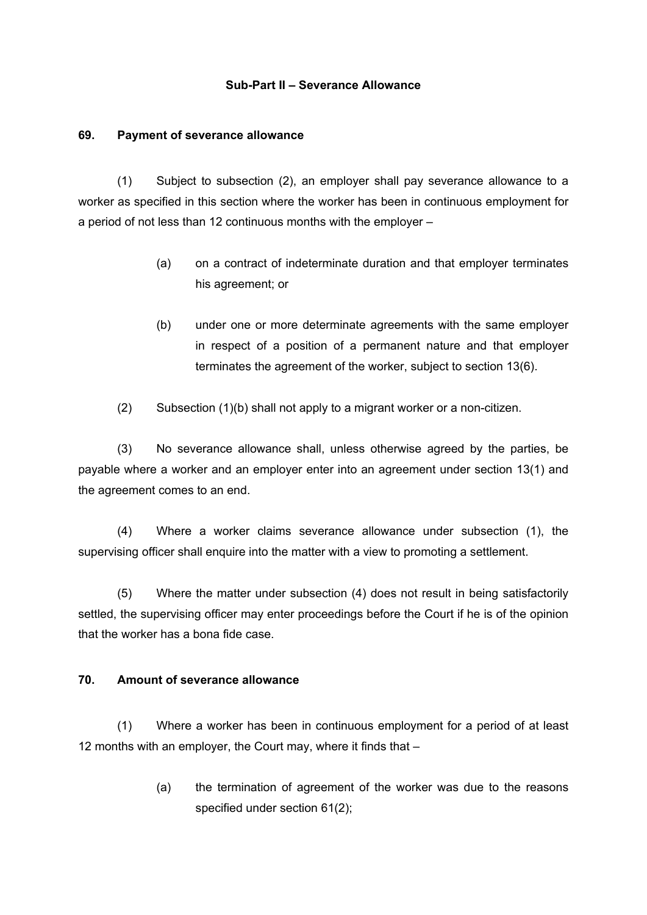#### **Sub-Part II – Severance Allowance**

#### **69. Payment of severance allowance**

(1) Subject to subsection (2), an employer shall pay severance allowance to a worker as specified in this section where the worker has been in continuous employment for a period of not less than 12 continuous months with the employer –

- (a) on a contract of indeterminate duration and that employer terminates his agreement; or
- (b) under one or more determinate agreements with the same employer in respect of a position of a permanent nature and that employer terminates the agreement of the worker, subject to section 13(6).
- (2) Subsection (1)(b) shall not apply to a migrant worker or a non-citizen.

(3) No severance allowance shall, unless otherwise agreed by the parties, be payable where a worker and an employer enter into an agreement under section 13(1) and the agreement comes to an end.

(4) Where a worker claims severance allowance under subsection (1), the supervising officer shall enquire into the matter with a view to promoting a settlement.

(5) Where the matter under subsection (4) does not result in being satisfactorily settled, the supervising officer may enter proceedings before the Court if he is of the opinion that the worker has a bona fide case.

## **70. Amount of severance allowance**

(1) Where a worker has been in continuous employment for a period of at least 12 months with an employer, the Court may, where it finds that –

> (a) the termination of agreement of the worker was due to the reasons specified under section 61(2);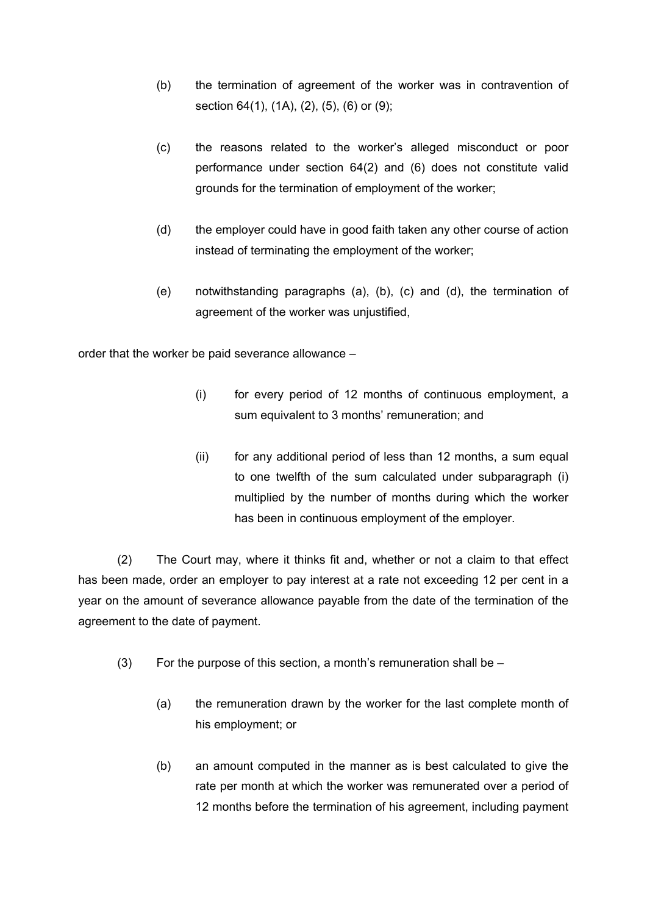- (b) the termination of agreement of the worker was in contravention of section 64(1), (1A), (2), (5), (6) or (9);
- (c) the reasons related to the worker's alleged misconduct or poor performance under section 64(2) and (6) does not constitute valid grounds for the termination of employment of the worker;
- (d) the employer could have in good faith taken any other course of action instead of terminating the employment of the worker;
- (e) notwithstanding paragraphs (a), (b), (c) and (d), the termination of agreement of the worker was unjustified,

order that the worker be paid severance allowance –

- (i) for every period of 12 months of continuous employment, a sum equivalent to 3 months' remuneration; and
- (ii) for any additional period of less than 12 months, a sum equal to one twelfth of the sum calculated under subparagraph (i) multiplied by the number of months during which the worker has been in continuous employment of the employer.

(2) The Court may, where it thinks fit and, whether or not a claim to that effect has been made, order an employer to pay interest at a rate not exceeding 12 per cent in a year on the amount of severance allowance payable from the date of the termination of the agreement to the date of payment.

- $(3)$  For the purpose of this section, a month's remuneration shall be  $-$ 
	- (a) the remuneration drawn by the worker for the last complete month of his employment; or
	- (b) an amount computed in the manner as is best calculated to give the rate per month at which the worker was remunerated over a period of 12 months before the termination of his agreement, including payment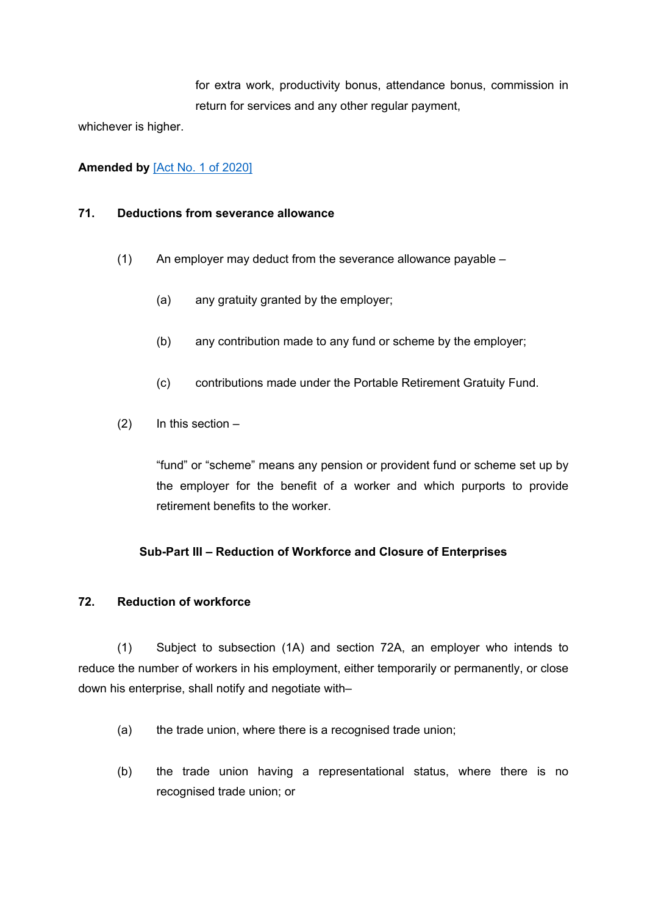for extra work, productivity bonus, attendance bonus, commission in return for services and any other regular payment,

whichever is higher.

## **Amended by** [Act No. 1 of [2020\]](https://supremecourt.govmu.org/_layouts/CLIS.DMS/search/searchdocumentbykey.aspx?ID=%5BAct%20No.%201%20of%202020%5D&list=Legislations)

#### **71. Deductions from severance allowance**

- (1) An employer may deduct from the severance allowance payable
	- (a) any gratuity granted by the employer;
	- (b) any contribution made to any fund or scheme by the employer;
	- (c) contributions made under the Portable Retirement Gratuity Fund.
- (2) In this section –

"fund" or "scheme" means any pension or provident fund or scheme set up by the employer for the benefit of a worker and which purports to provide retirement benefits to the worker.

## **Sub-Part III – Reduction of Workforce and Closure of Enterprises**

#### **72. Reduction of workforce**

(1) Subject to subsection (1A) and section 72A, an employer who intends to reduce the number of workers in his employment, either temporarily or permanently, or close down his enterprise, shall notify and negotiate with–

- (a) the trade union, where there is a recognised trade union;
- (b) the trade union having a representational status, where there is no recognised trade union; or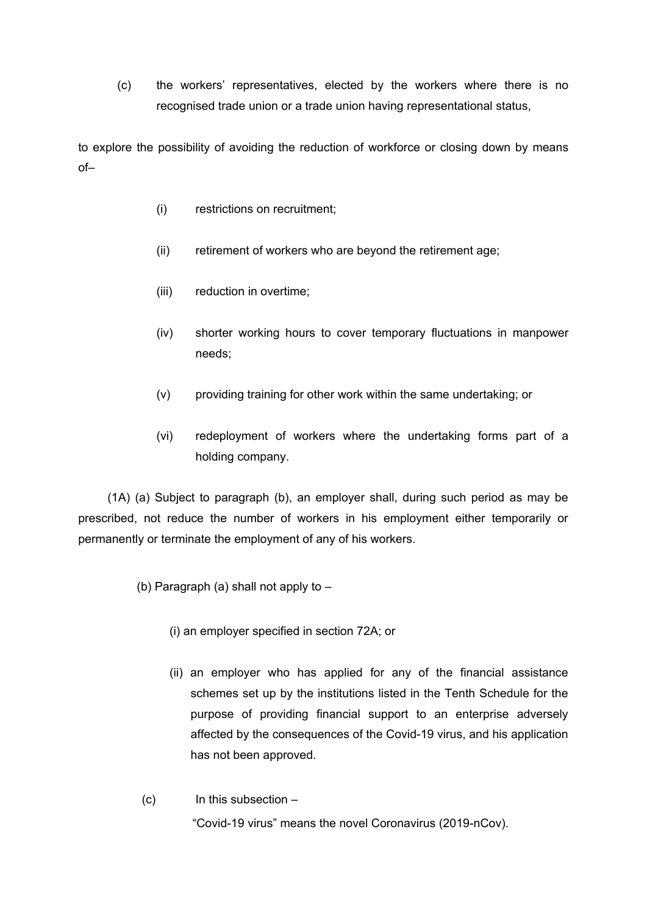(c) the workers' representatives, elected by the workers where there is no recognised trade union or a trade union having representational status,

to explore the possibility of avoiding the reduction of workforce or closing down by means of–

- (i) restrictions on recruitment;
- (ii) retirement of workers who are beyond the retirement age;
- (iii) reduction in overtime;
- (iv) shorter working hours to cover temporary fluctuations in manpower needs;
- (v) providing training for other work within the same undertaking; or
- (vi) redeployment of workers where the undertaking forms part of a holding company.

(1A) (a) Subject to paragraph (b), an employer shall, during such period as may be prescribed, not reduce the number of workers in his employment either temporarily or permanently or terminate the employment of any of his workers.

(b) Paragraph (a) shall not apply to –

- (i) an employer specified in section 72A; or
- (ii) an employer who has applied for any of the financial assistance schemes set up by the institutions listed in the Tenth Schedule for the purpose of providing financial support to an enterprise adversely affected by the consequences of the Covid-19 virus, and his application has not been approved.
- (c) In this subsection "Covid-19 virus" means the novel Coronavirus (2019-nCov).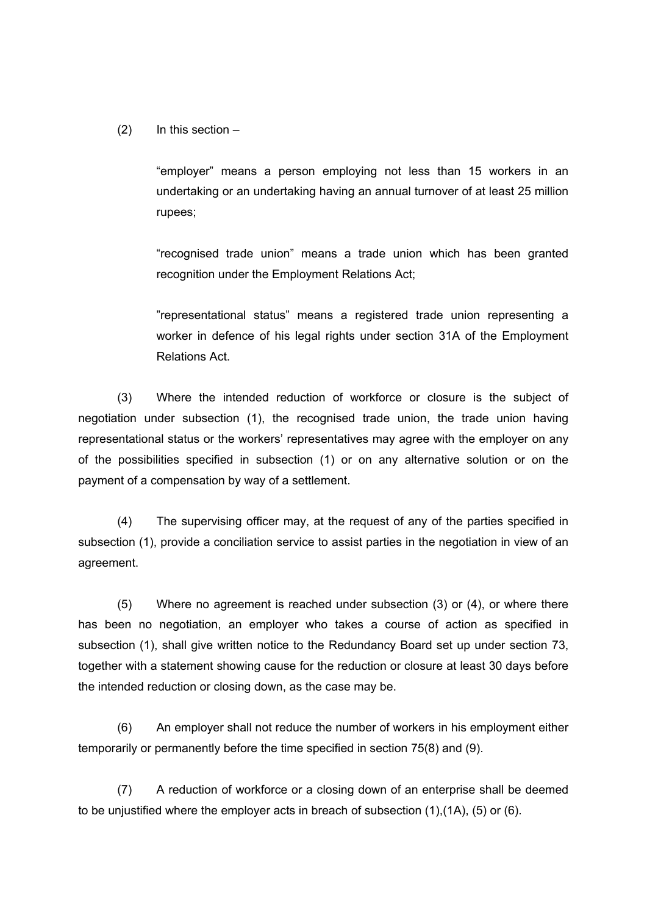(2) In this section –

"employer" means a person employing not less than 15 workers in an undertaking or an undertaking having an annual turnover of at least 25 million rupees;

"recognised trade union" means a trade union which has been granted recognition under the Employment Relations Act;

"representational status" means a registered trade union representing a worker in defence of his legal rights under section 31A of the Employment Relations Act.

(3) Where the intended reduction of workforce or closure is the subject of negotiation under subsection (1), the recognised trade union, the trade union having representational status or the workers' representatives may agree with the employer on any of the possibilities specified in subsection (1) or on any alternative solution or on the payment of a compensation by way of a settlement.

(4) The supervising officer may, at the request of any of the parties specified in subsection (1), provide a conciliation service to assist parties in the negotiation in view of an agreement.

(5) Where no agreement is reached under subsection (3) or (4), or where there has been no negotiation, an employer who takes a course of action as specified in subsection (1), shall give written notice to the Redundancy Board set up under section 73, together with a statement showing cause for the reduction or closure at least 30 days before the intended reduction or closing down, as the case may be.

(6) An employer shall not reduce the number of workers in his employment either temporarily or permanently before the time specified in section 75(8) and (9).

(7) A reduction of workforce or a closing down of an enterprise shall be deemed to be unjustified where the employer acts in breach of subsection (1),(1A), (5) or (6).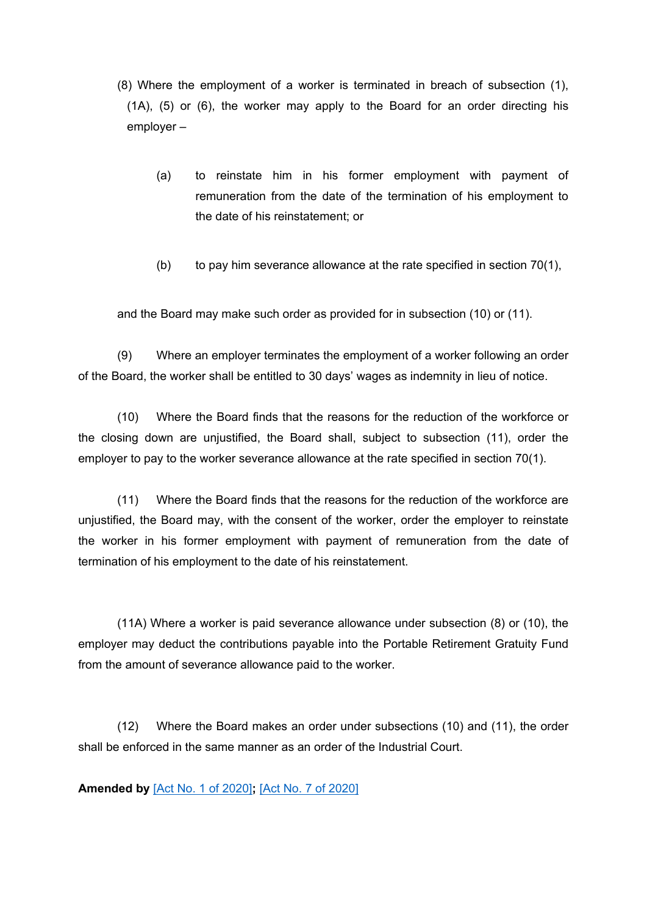- (8) Where the employment of a worker is terminated in breach of subsection (1), (1A), (5) or (6), the worker may apply to the Board for an order directing his employer –
	- (a) to reinstate him in his former employment with payment of remuneration from the date of the termination of his employment to the date of his reinstatement; or
	- (b) to pay him severance allowance at the rate specified in section 70(1),

and the Board may make such order as provided for in subsection (10) or (11).

(9) Where an employer terminates the employment of a worker following an order of the Board, the worker shall be entitled to 30 days' wages as indemnity in lieu of notice.

(10) Where the Board finds that the reasons for the reduction of the workforce or the closing down are unjustified, the Board shall, subject to subsection (11), order the employer to pay to the worker severance allowance at the rate specified in section 70(1).

(11) Where the Board finds that the reasons for the reduction of the workforce are unjustified, the Board may, with the consent of the worker, order the employer to reinstate the worker in his former employment with payment of remuneration from the date of termination of his employment to the date of his reinstatement.

(11A) Where a worker is paid severance allowance under subsection (8) or (10), the employer may deduct the contributions payable into the Portable Retirement Gratuity Fund from the amount of severance allowance paid to the worker.

(12) Where the Board makes an order under subsections (10) and (11), the order shall be enforced in the same manner as an order of the Industrial Court.

**Amended by** [Act No. 1 of [2020\]](https://supremecourt.govmu.org/_layouts/CLIS.DMS/search/searchdocumentbykey.aspx?ID=%5BAct%20No.%201%20of%202020%5D&list=Legislations)**;** [Act No. 7 of [2020\]](https://supremecourt.govmu.org/_layouts/CLIS.DMS/search/searchdocumentbykey.aspx?ID=%5BAct%20No.%207%20of%202020%5D&list=Legislations)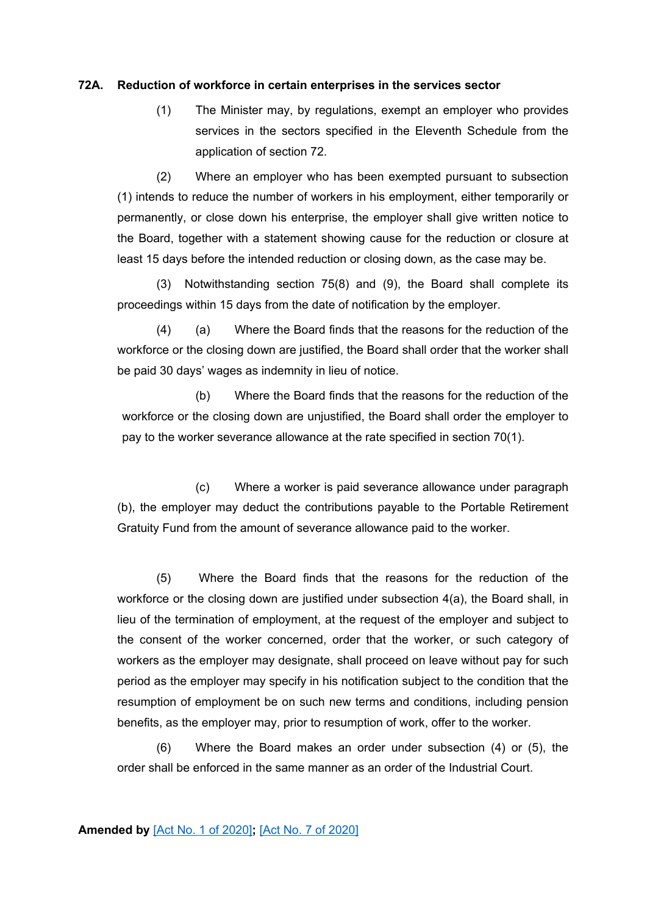#### **72A. Reduction of workforce in certain enterprises in the services sector**

(1) The Minister may, by regulations, exempt an employer who provides services in the sectors specified in the Eleventh Schedule from the application of section 72.

(2) Where an employer who has been exempted pursuant to subsection (1) intends to reduce the number of workers in his employment, either temporarily or permanently, or close down his enterprise, the employer shall give written notice to the Board, together with a statement showing cause for the reduction or closure at least 15 days before the intended reduction or closing down, as the case may be.

(3) Notwithstanding section 75(8) and (9), the Board shall complete its proceedings within 15 days from the date of notification by the employer.

(4) (a) Where the Board finds that the reasons for the reduction of the workforce or the closing down are justified, the Board shall order that the worker shall be paid 30 days' wages as indemnity in lieu of notice.

(b) Where the Board finds that the reasons for the reduction of the workforce or the closing down are unjustified, the Board shall order the employer to pay to the worker severance allowance at the rate specified in section 70(1).

(c) Where a worker is paid severance allowance under paragraph (b), the employer may deduct the contributions payable to the Portable Retirement Gratuity Fund from the amount of severance allowance paid to the worker.

(5) Where the Board finds that the reasons for the reduction of the workforce or the closing down are justified under subsection 4(a), the Board shall, in lieu of the termination of employment, at the request of the employer and subject to the consent of the worker concerned, order that the worker, or such category of workers as the employer may designate, shall proceed on leave without pay for such period as the employer may specify in his notification subject to the condition that the resumption of employment be on such new terms and conditions, including pension benefits, as the employer may, prior to resumption of work, offer to the worker.

(6) Where the Board makes an order under subsection (4) or (5), the order shall be enforced in the same manner as an order of the Industrial Court.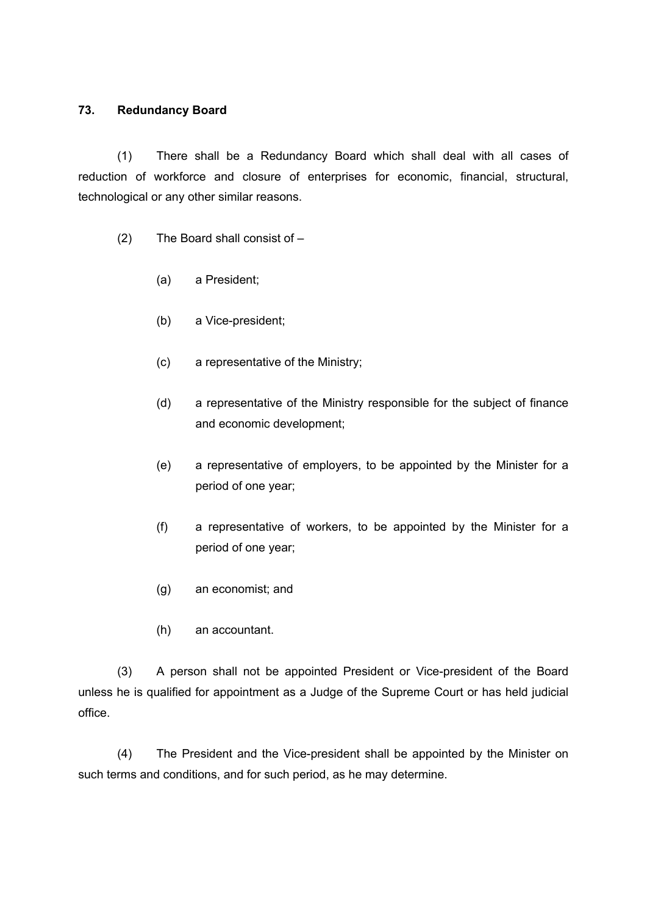## **73. Redundancy Board**

(1) There shall be a Redundancy Board which shall deal with all cases of reduction of workforce and closure of enterprises for economic, financial, structural, technological or any other similar reasons.

- (2) The Board shall consist of
	- (a) a President;
	- (b) a Vice-president;
	- (c) a representative of the Ministry;
	- (d) a representative of the Ministry responsible for the subject of finance and economic development;
	- (e) a representative of employers, to be appointed by the Minister for a period of one year;
	- (f) a representative of workers, to be appointed by the Minister for a period of one year;
	- (g) an economist; and
	- (h) an accountant.

(3) A person shall not be appointed President or Vice-president of the Board unless he is qualified for appointment as a Judge of the Supreme Court or has held judicial office.

(4) The President and the Vice-president shall be appointed by the Minister on such terms and conditions, and for such period, as he may determine.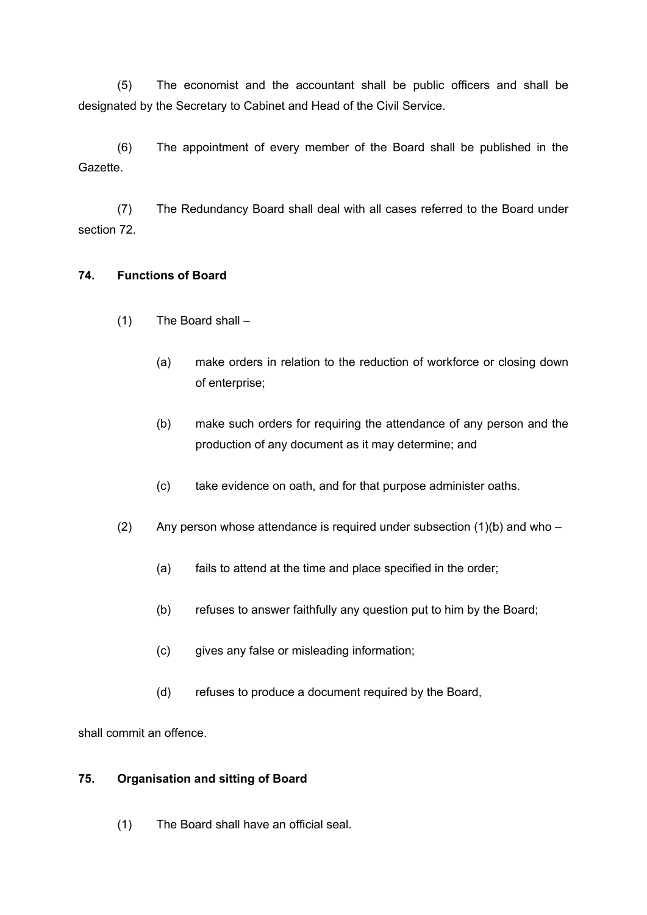(5) The economist and the accountant shall be public officers and shall be designated by the Secretary to Cabinet and Head of the Civil Service.

(6) The appointment of every member of the Board shall be published in the Gazette.

(7) The Redundancy Board shall deal with all cases referred to the Board under section 72.

## **74. Functions of Board**

- (1) The Board shall
	- (a) make orders in relation to the reduction of workforce or closing down of enterprise;
	- (b) make such orders for requiring the attendance of any person and the production of any document as it may determine; and
	- (c) take evidence on oath, and for that purpose administer oaths.
- (2) Any person whose attendance is required under subsection  $(1)(b)$  and who
	- (a) fails to attend at the time and place specified in the order;
	- (b) refuses to answer faithfully any question put to him by the Board;
	- (c) gives any false or misleading information;
	- (d) refuses to produce a document required by the Board,

shall commit an offence.

## **75. Organisation and sitting of Board**

(1) The Board shall have an official seal.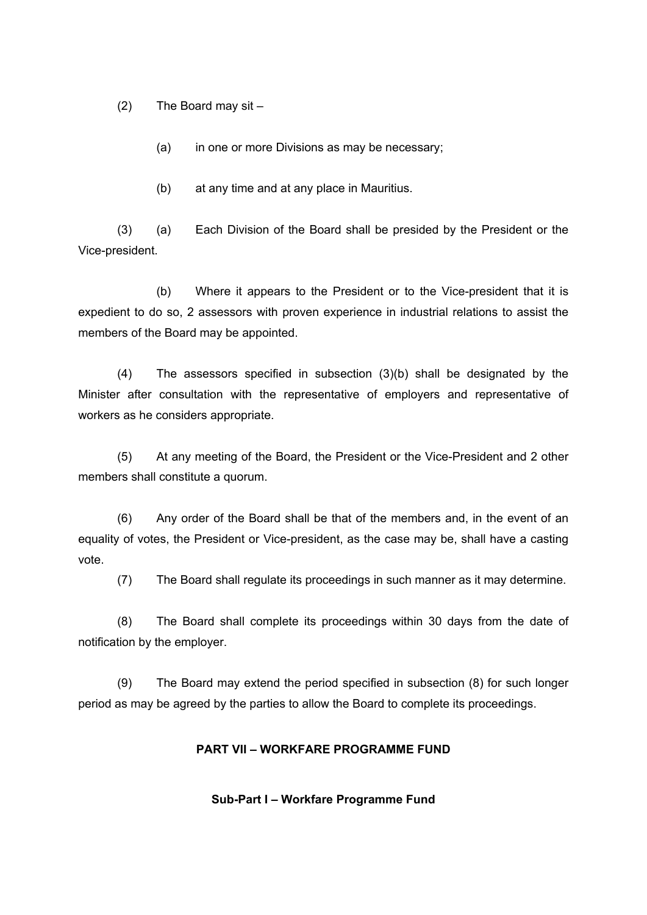(2) The Board may sit –

(a) in one or more Divisions as may be necessary;

(b) at any time and at any place in Mauritius.

(3) (a) Each Division of the Board shall be presided by the President or the Vice-president.

(b) Where it appears to the President or to the Vice-president that it is expedient to do so, 2 assessors with proven experience in industrial relations to assist the members of the Board may be appointed.

(4) The assessors specified in subsection (3)(b) shall be designated by the Minister after consultation with the representative of employers and representative of workers as he considers appropriate.

(5) At any meeting of the Board, the President or the Vice-President and 2 other members shall constitute a quorum.

(6) Any order of the Board shall be that of the members and, in the event of an equality of votes, the President or Vice-president, as the case may be, shall have a casting vote.

(7) The Board shall regulate its proceedings in such manner as it may determine.

(8) The Board shall complete its proceedings within 30 days from the date of notification by the employer.

(9) The Board may extend the period specified in subsection (8) for such longer period as may be agreed by the parties to allow the Board to complete its proceedings.

#### **PART VII – WORKFARE PROGRAMME FUND**

**Sub-Part I – Workfare Programme Fund**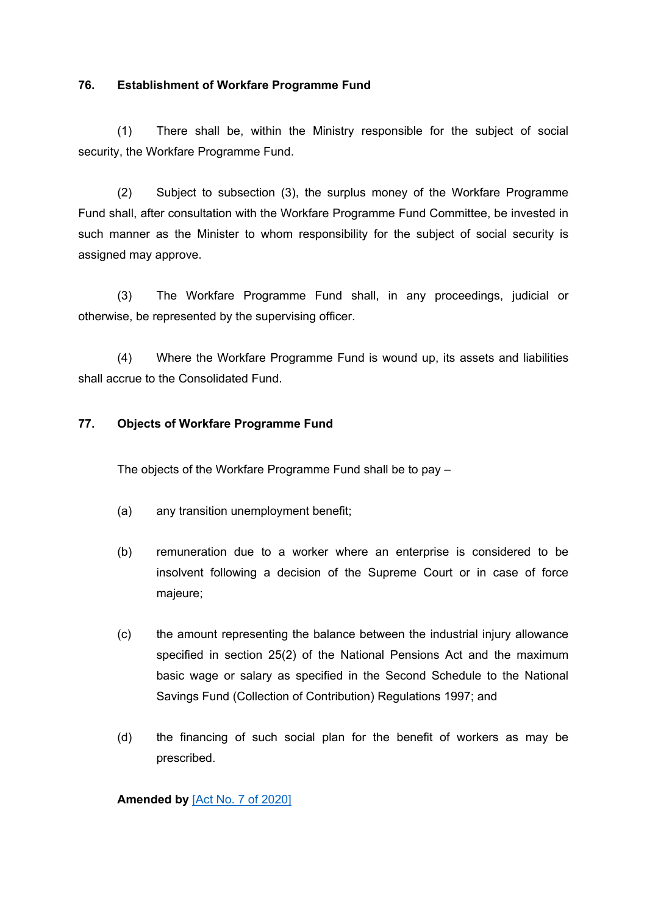## **76. Establishment of Workfare Programme Fund**

(1) There shall be, within the Ministry responsible for the subject of social security, the Workfare Programme Fund.

(2) Subject to subsection (3), the surplus money of the Workfare Programme Fund shall, after consultation with the Workfare Programme Fund Committee, be invested in such manner as the Minister to whom responsibility for the subject of social security is assigned may approve.

(3) The Workfare Programme Fund shall, in any proceedings, judicial or otherwise, be represented by the supervising officer.

(4) Where the Workfare Programme Fund is wound up, its assets and liabilities shall accrue to the Consolidated Fund.

## **77. Objects of Workfare Programme Fund**

The objects of the Workfare Programme Fund shall be to pay –

- (a) any transition unemployment benefit;
- (b) remuneration due to a worker where an enterprise is considered to be insolvent following a decision of the Supreme Court or in case of force majeure;
- (c) the amount representing the balance between the industrial injury allowance specified in section 25(2) of the National Pensions Act and the maximum basic wage or salary as specified in the Second Schedule to the National Savings Fund (Collection of Contribution) Regulations 1997; and
- (d) the financing of such social plan for the benefit of workers as may be prescribed.

## **Amended by** [Act No. 7 of [2020\]](https://supremecourt.govmu.org/_layouts/CLIS.DMS/search/searchdocumentbykey.aspx?ID=%5BAct%20No.%207%20of%202020%5D&list=Legislations)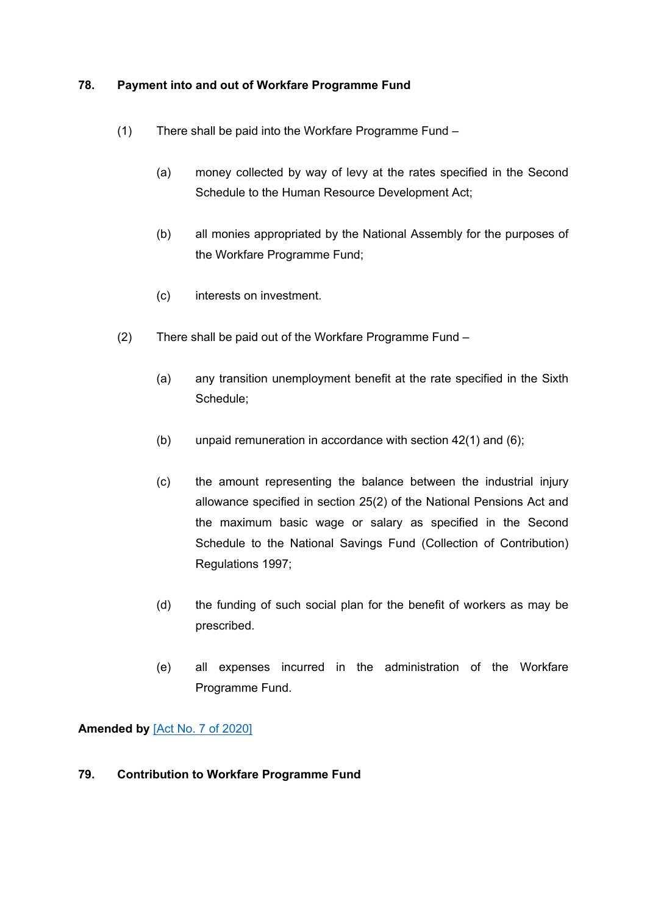## **78. Payment into and out of Workfare Programme Fund**

- (1) There shall be paid into the Workfare Programme Fund
	- (a) money collected by way of levy at the rates specified in the Second Schedule to the Human Resource Development Act;
	- (b) all monies appropriated by the National Assembly for the purposes of the Workfare Programme Fund;
	- (c) interests on investment.
- (2) There shall be paid out of the Workfare Programme Fund
	- (a) any transition unemployment benefit at the rate specified in the Sixth Schedule;
	- (b) unpaid remuneration in accordance with section 42(1) and (6);
	- (c) the amount representing the balance between the industrial injury allowance specified in section 25(2) of the National Pensions Act and the maximum basic wage or salary as specified in the Second Schedule to the National Savings Fund (Collection of Contribution) Regulations 1997;
	- (d) the funding of such social plan for the benefit of workers as may be prescribed.
	- (e) all expenses incurred in the administration of the Workfare Programme Fund.

**Amended by** [Act No. 7 of [2020\]](https://supremecourt.govmu.org/_layouts/CLIS.DMS/search/searchdocumentbykey.aspx?ID=%5BAct%20No.%207%20of%202020%5D&list=Legislations)

## **79. Contribution to Workfare Programme Fund**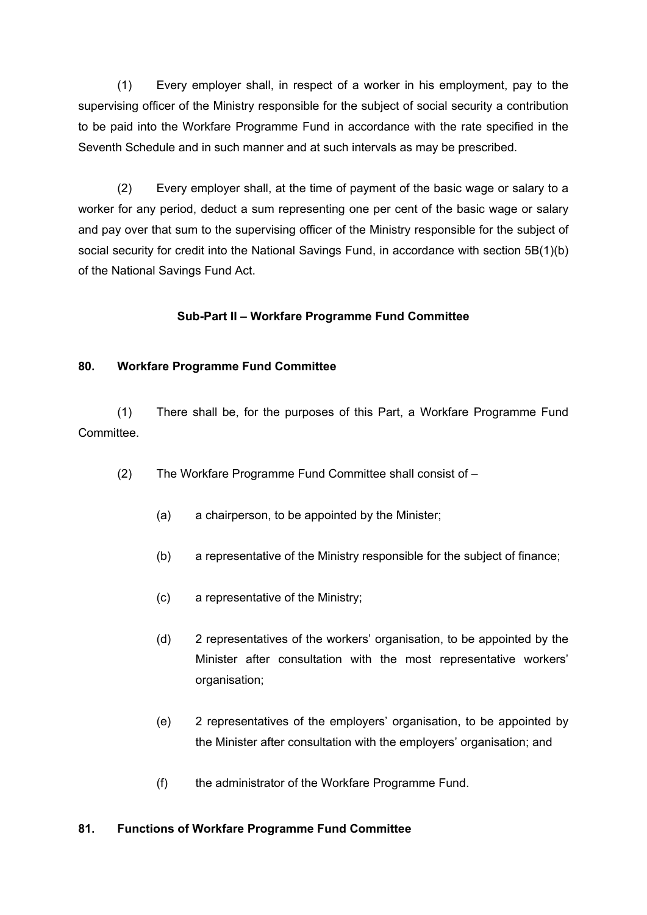(1) Every employer shall, in respect of a worker in his employment, pay to the supervising officer of the Ministry responsible for the subject of social security a contribution to be paid into the Workfare Programme Fund in accordance with the rate specified in the Seventh Schedule and in such manner and at such intervals as may be prescribed.

(2) Every employer shall, at the time of payment of the basic wage or salary to a worker for any period, deduct a sum representing one per cent of the basic wage or salary and pay over that sum to the supervising officer of the Ministry responsible for the subject of social security for credit into the National Savings Fund, in accordance with section 5B(1)(b) of the National Savings Fund Act.

# **Sub-Part II – Workfare Programme Fund Committee**

## **80. Workfare Programme Fund Committee**

(1) There shall be, for the purposes of this Part, a Workfare Programme Fund Committee.

- (2) The Workfare Programme Fund Committee shall consist of
	- (a) a chairperson, to be appointed by the Minister;
	- (b) a representative of the Ministry responsible for the subject of finance;
	- (c) a representative of the Ministry;
	- (d) 2 representatives of the workers' organisation, to be appointed by the Minister after consultation with the most representative workers' organisation;
	- (e) 2 representatives of the employers' organisation, to be appointed by the Minister after consultation with the employers' organisation; and
	- (f) the administrator of the Workfare Programme Fund.

## **81. Functions of Workfare Programme Fund Committee**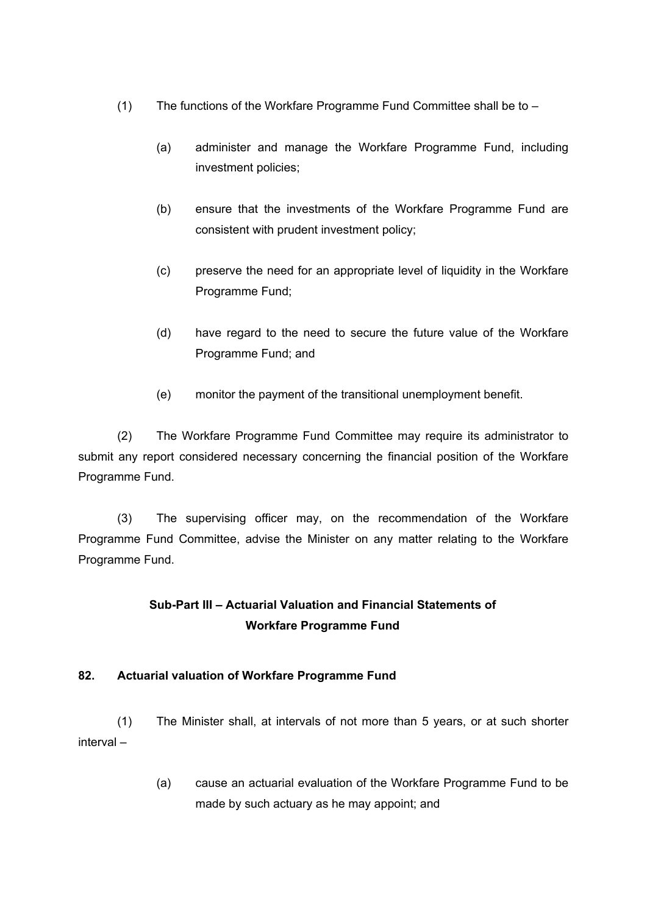- (1) The functions of the Workfare Programme Fund Committee shall be to
	- (a) administer and manage the Workfare Programme Fund, including investment policies;
	- (b) ensure that the investments of the Workfare Programme Fund are consistent with prudent investment policy;
	- (c) preserve the need for an appropriate level of liquidity in the Workfare Programme Fund;
	- (d) have regard to the need to secure the future value of the Workfare Programme Fund; and
	- (e) monitor the payment of the transitional unemployment benefit.

(2) The Workfare Programme Fund Committee may require its administrator to submit any report considered necessary concerning the financial position of the Workfare Programme Fund.

(3) The supervising officer may, on the recommendation of the Workfare Programme Fund Committee, advise the Minister on any matter relating to the Workfare Programme Fund.

# **Sub-Part III – Actuarial Valuation and Financial Statements of Workfare Programme Fund**

# **82. Actuarial valuation of Workfare Programme Fund**

(1) The Minister shall, at intervals of not more than 5 years, or at such shorter interval –

> (a) cause an actuarial evaluation of the Workfare Programme Fund to be made by such actuary as he may appoint; and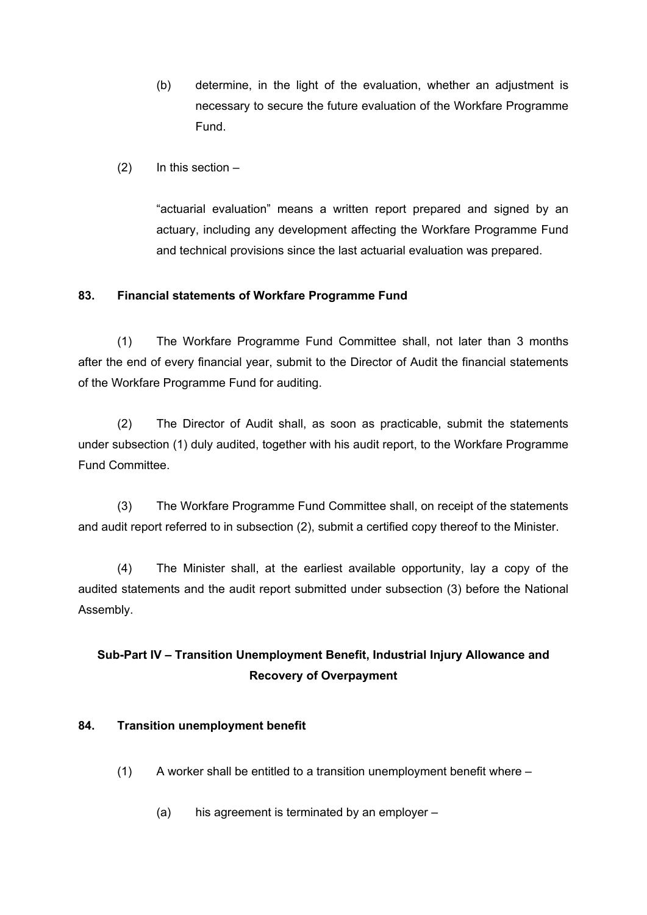- (b) determine, in the light of the evaluation, whether an adjustment is necessary to secure the future evaluation of the Workfare Programme Fund.
- $(2)$  In this section –

"actuarial evaluation" means a written report prepared and signed by an actuary, including any development affecting the Workfare Programme Fund and technical provisions since the last actuarial evaluation was prepared.

## **83. Financial statements of Workfare Programme Fund**

(1) The Workfare Programme Fund Committee shall, not later than 3 months after the end of every financial year, submit to the Director of Audit the financial statements of the Workfare Programme Fund for auditing.

(2) The Director of Audit shall, as soon as practicable, submit the statements under subsection (1) duly audited, together with his audit report, to the Workfare Programme Fund Committee.

(3) The Workfare Programme Fund Committee shall, on receipt of the statements and audit report referred to in subsection (2), submit a certified copy thereof to the Minister.

(4) The Minister shall, at the earliest available opportunity, lay a copy of the audited statements and the audit report submitted under subsection (3) before the National Assembly.

# **Sub-Part IV – Transition Unemployment Benefit, Industrial Injury Allowance and Recovery of Overpayment**

## **84. Transition unemployment benefit**

- $(1)$  A worker shall be entitled to a transition unemployment benefit where
	- (a) his agreement is terminated by an employer –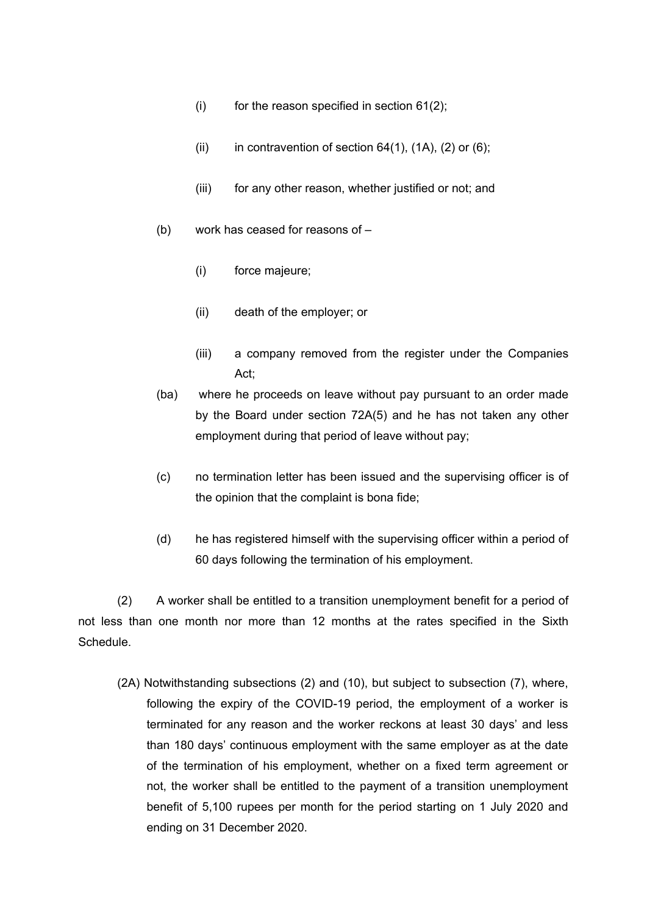- (i) for the reason specified in section  $61(2)$ ;
- (ii) in contravention of section  $64(1)$ ,  $(1A)$ ,  $(2)$  or  $(6)$ ;
- (iii) for any other reason, whether justified or not; and
- (b) work has ceased for reasons of
	- (i) force majeure;
	- (ii) death of the employer; or
	- (iii) a company removed from the register under the Companies Act;
- (ba) where he proceeds on leave without pay pursuant to an order made by the Board under section 72A(5) and he has not taken any other employment during that period of leave without pay;
- (c) no termination letter has been issued and the supervising officer is of the opinion that the complaint is bona fide;
- (d) he has registered himself with the supervising officer within a period of 60 days following the termination of his employment.

(2) A worker shall be entitled to a transition unemployment benefit for a period of not less than one month nor more than 12 months at the rates specified in the Sixth **Schedule** 

(2A) Notwithstanding subsections (2) and (10), but subject to subsection (7), where, following the expiry of the COVID-19 period, the employment of a worker is terminated for any reason and the worker reckons at least 30 days' and less than 180 days' continuous employment with the same employer as at the date of the termination of his employment, whether on a fixed term agreement or not, the worker shall be entitled to the payment of a transition unemployment benefit of 5,100 rupees per month for the period starting on 1 July 2020 and ending on 31 December 2020.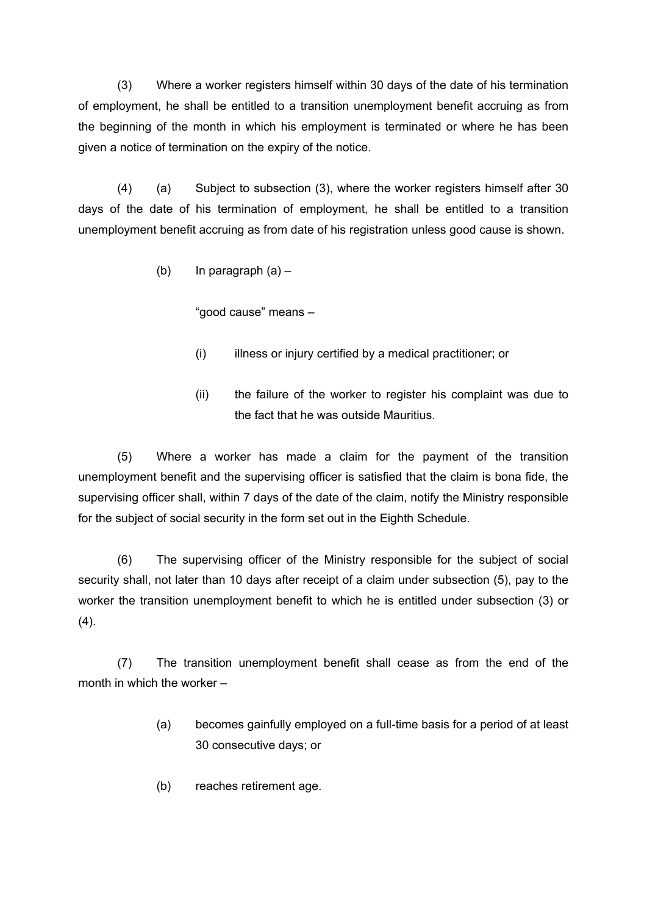(3) Where a worker registers himself within 30 days of the date of his termination of employment, he shall be entitled to a transition unemployment benefit accruing as from the beginning of the month in which his employment is terminated or where he has been given a notice of termination on the expiry of the notice.

(4) (a) Subject to subsection (3), where the worker registers himself after 30 days of the date of his termination of employment, he shall be entitled to a transition unemployment benefit accruing as from date of his registration unless good cause is shown.

(b) In paragraph  $(a)$  –

"good cause" means –

- (i) illness or injury certified by a medical practitioner; or
- (ii) the failure of the worker to register his complaint was due to the fact that he was outside Mauritius.

(5) Where a worker has made a claim for the payment of the transition unemployment benefit and the supervising officer is satisfied that the claim is bona fide, the supervising officer shall, within 7 days of the date of the claim, notify the Ministry responsible for the subject of social security in the form set out in the Eighth Schedule.

(6) The supervising officer of the Ministry responsible for the subject of social security shall, not later than 10 days after receipt of a claim under subsection (5), pay to the worker the transition unemployment benefit to which he is entitled under subsection (3) or  $(4)$ .

(7) The transition unemployment benefit shall cease as from the end of the month in which the worker –

- (a) becomes gainfully employed on a full-time basis for a period of at least 30 consecutive days; or
- (b) reaches retirement age.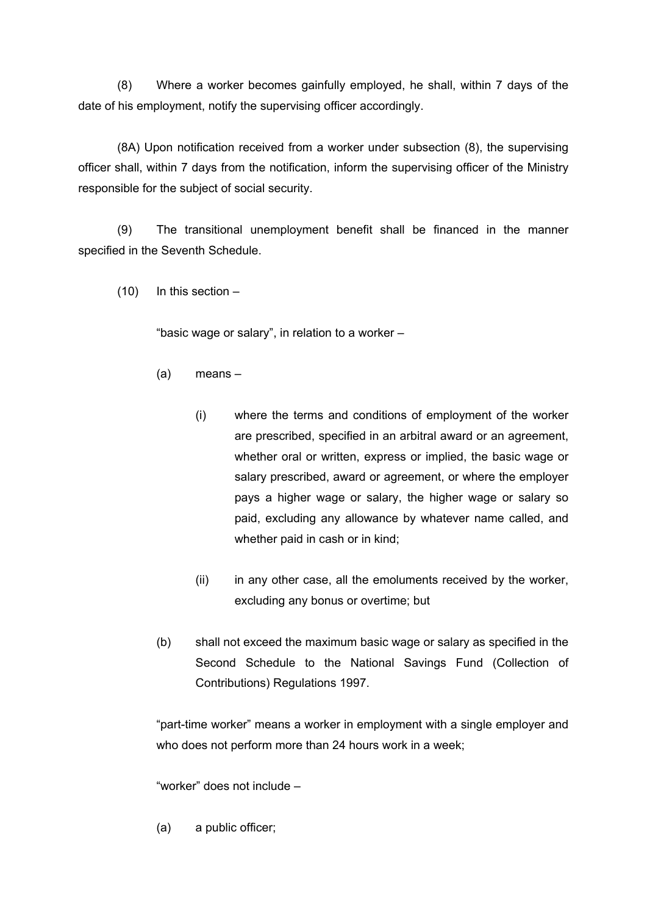(8) Where a worker becomes gainfully employed, he shall, within 7 days of the date of his employment, notify the supervising officer accordingly.

(8A) Upon notification received from a worker under subsection (8), the supervising officer shall, within 7 days from the notification, inform the supervising officer of the Ministry responsible for the subject of social security.

(9) The transitional unemployment benefit shall be financed in the manner specified in the Seventh Schedule.

 $(10)$  In this section –

"basic wage or salary", in relation to a worker –

- (a) means
	- (i) where the terms and conditions of employment of the worker are prescribed, specified in an arbitral award or an agreement, whether oral or written, express or implied, the basic wage or salary prescribed, award or agreement, or where the employer pays a higher wage or salary, the higher wage or salary so paid, excluding any allowance by whatever name called, and whether paid in cash or in kind;
	- (ii) in any other case, all the emoluments received by the worker, excluding any bonus or overtime; but
- (b) shall not exceed the maximum basic wage or salary as specified in the Second Schedule to the National Savings Fund (Collection of Contributions) Regulations 1997.

"part-time worker" means a worker in employment with a single employer and who does not perform more than 24 hours work in a week;

"worker" does not include –

(a) a public officer;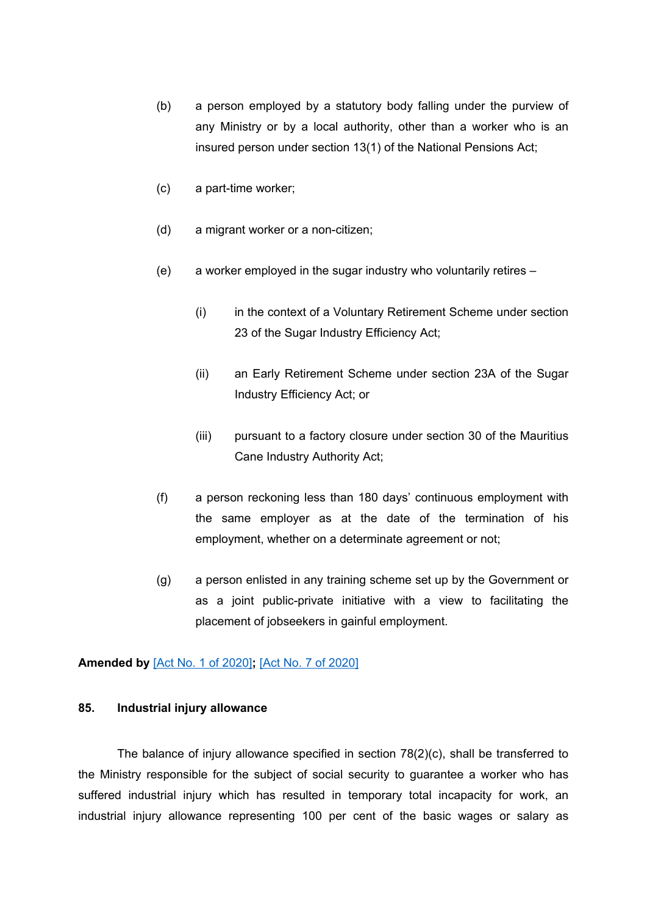- (b) a person employed by a statutory body falling under the purview of any Ministry or by a local authority, other than a worker who is an insured person under section 13(1) of the National Pensions Act;
- (c) a part-time worker;
- (d) a migrant worker or a non-citizen;
- (e) a worker employed in the sugar industry who voluntarily retires
	- (i) in the context of a Voluntary Retirement Scheme under section 23 of the Sugar Industry Efficiency Act;
	- (ii) an Early Retirement Scheme under section 23A of the Sugar Industry Efficiency Act; or
	- (iii) pursuant to a factory closure under section 30 of the Mauritius Cane Industry Authority Act;
- (f) a person reckoning less than 180 days' continuous employment with the same employer as at the date of the termination of his employment, whether on a determinate agreement or not;
- (g) a person enlisted in any training scheme set up by the Government or as a joint public-private initiative with a view to facilitating the placement of jobseekers in gainful employment.

#### **Amended by** [Act No. 1 of [2020\]](https://supremecourt.govmu.org/_layouts/CLIS.DMS/search/searchdocumentbykey.aspx?ID=%5BAct%20No.%201%20of%202020%5D&list=Legislations)**;** [Act No. 7 of [2020\]](https://supremecourt.govmu.org/_layouts/CLIS.DMS/search/searchdocumentbykey.aspx?ID=%5BAct%20No.%207%20of%202020%5D&list=Legislations)

## **85. Industrial injury allowance**

The balance of injury allowance specified in section 78(2)(c), shall be transferred to the Ministry responsible for the subject of social security to guarantee a worker who has suffered industrial injury which has resulted in temporary total incapacity for work, an industrial injury allowance representing 100 per cent of the basic wages or salary as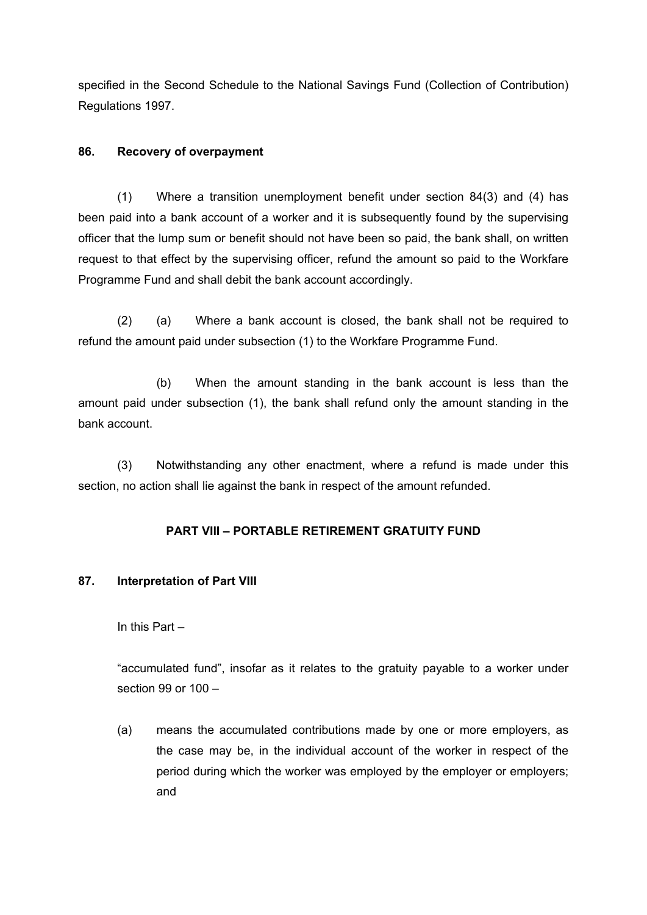specified in the Second Schedule to the National Savings Fund (Collection of Contribution) Regulations 1997.

## **86. Recovery of overpayment**

(1) Where a transition unemployment benefit under section 84(3) and (4) has been paid into a bank account of a worker and it is subsequently found by the supervising officer that the lump sum or benefit should not have been so paid, the bank shall, on written request to that effect by the supervising officer, refund the amount so paid to the Workfare Programme Fund and shall debit the bank account accordingly.

(2) (a) Where a bank account is closed, the bank shall not be required to refund the amount paid under subsection (1) to the Workfare Programme Fund.

(b) When the amount standing in the bank account is less than the amount paid under subsection (1), the bank shall refund only the amount standing in the bank account.

(3) Notwithstanding any other enactment, where a refund is made under this section, no action shall lie against the bank in respect of the amount refunded.

## **PART VIII – PORTABLE RETIREMENT GRATUITY FUND**

## **87. Interpretation of Part VIII**

## In this Part –

"accumulated fund", insofar as it relates to the gratuity payable to a worker under section 99 or 100 –

(a) means the accumulated contributions made by one or more employers, as the case may be, in the individual account of the worker in respect of the period during which the worker was employed by the employer or employers; and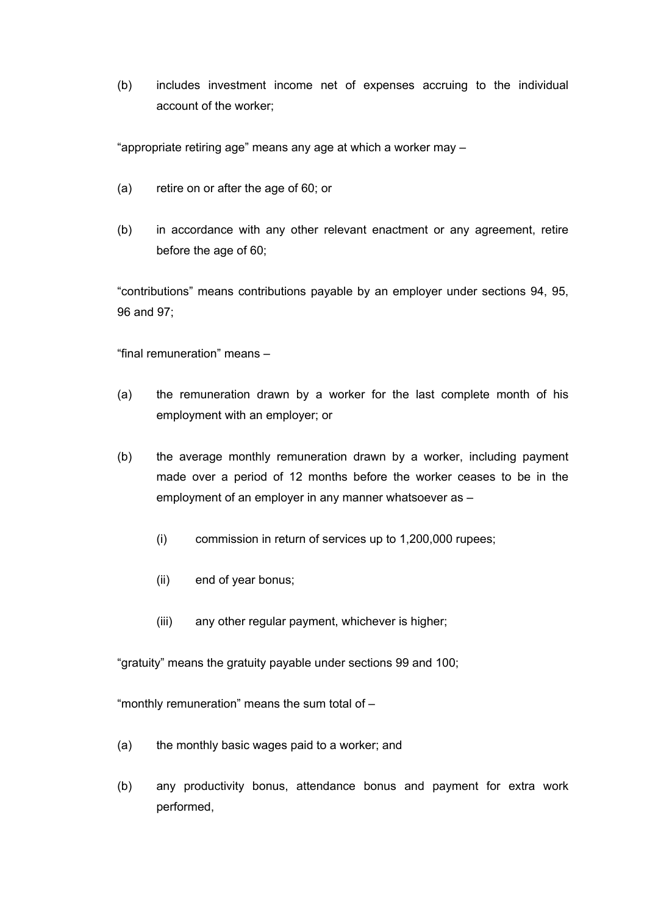(b) includes investment income net of expenses accruing to the individual account of the worker;

"appropriate retiring age" means any age at which a worker may –

- (a) retire on or after the age of 60; or
- (b) in accordance with any other relevant enactment or any agreement, retire before the age of 60;

"contributions" means contributions payable by an employer under sections 94, 95, 96 and 97;

"final remuneration" means –

- (a) the remuneration drawn by a worker for the last complete month of his employment with an employer; or
- (b) the average monthly remuneration drawn by a worker, including payment made over a period of 12 months before the worker ceases to be in the employment of an employer in any manner whatsoever as –
	- (i) commission in return of services up to 1,200,000 rupees;
	- (ii) end of year bonus;
	- (iii) any other regular payment, whichever is higher;

"gratuity" means the gratuity payable under sections 99 and 100;

"monthly remuneration" means the sum total of –

- (a) the monthly basic wages paid to a worker; and
- (b) any productivity bonus, attendance bonus and payment for extra work performed,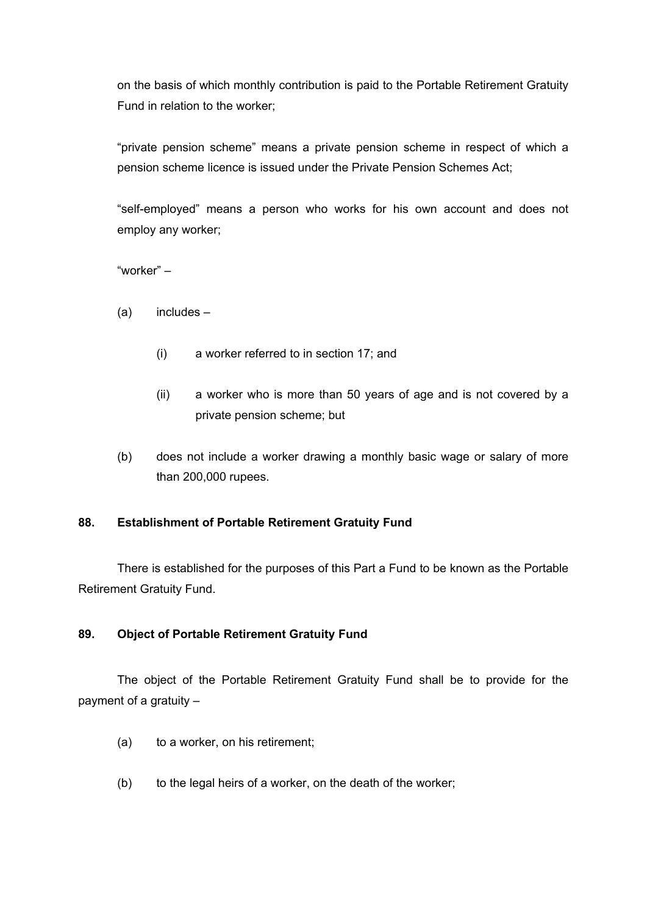on the basis of which monthly contribution is paid to the Portable Retirement Gratuity Fund in relation to the worker;

"private pension scheme" means a private pension scheme in respect of which a pension scheme licence is issued under the Private Pension Schemes Act;

"self-employed" means a person who works for his own account and does not employ any worker;

"worker" –

- (a) includes
	- (i) a worker referred to in section 17; and
	- (ii) a worker who is more than 50 years of age and is not covered by a private pension scheme; but
- (b) does not include a worker drawing a monthly basic wage or salary of more than 200,000 rupees.

# **88. Establishment of Portable Retirement Gratuity Fund**

There is established for the purposes of this Part a Fund to be known as the Portable Retirement Gratuity Fund.

## **89. Object of Portable Retirement Gratuity Fund**

The object of the Portable Retirement Gratuity Fund shall be to provide for the payment of a gratuity –

- (a) to a worker, on his retirement;
- (b) to the legal heirs of a worker, on the death of the worker;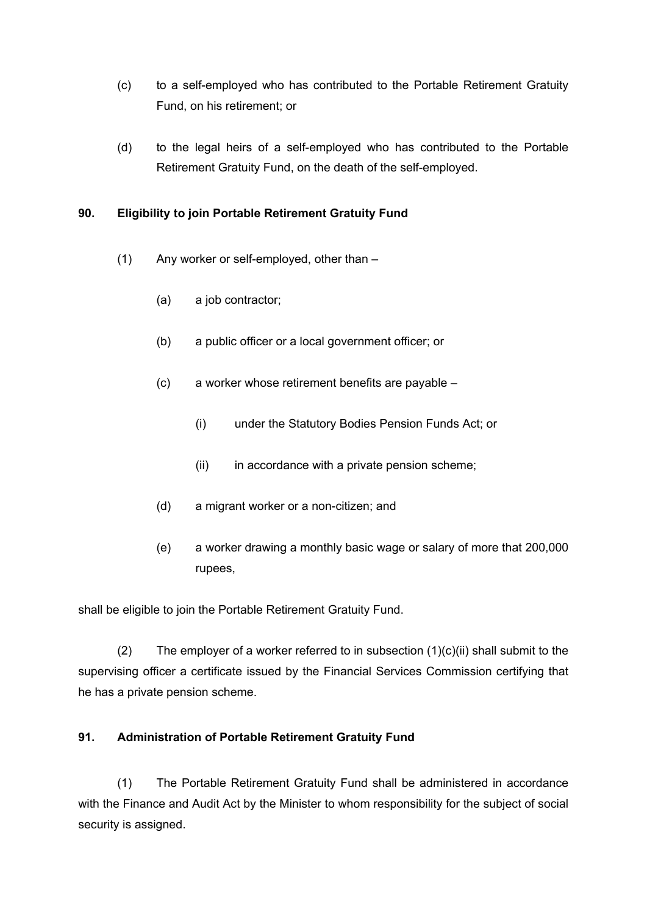- (c) to a self-employed who has contributed to the Portable Retirement Gratuity Fund, on his retirement; or
- (d) to the legal heirs of a self-employed who has contributed to the Portable Retirement Gratuity Fund, on the death of the self-employed.

# **90. Eligibility to join Portable Retirement Gratuity Fund**

- (1) Any worker or self-employed, other than
	- (a) a job contractor;
	- (b) a public officer or a local government officer; or
	- (c) a worker whose retirement benefits are payable
		- (i) under the Statutory Bodies Pension Funds Act; or
		- (ii) in accordance with a private pension scheme;
	- (d) a migrant worker or a non-citizen; and
	- (e) a worker drawing a monthly basic wage or salary of more that 200,000 rupees,

shall be eligible to join the Portable Retirement Gratuity Fund.

(2) The employer of a worker referred to in subsection  $(1)(c)(ii)$  shall submit to the supervising officer a certificate issued by the Financial Services Commission certifying that he has a private pension scheme.

# **91. Administration of Portable Retirement Gratuity Fund**

(1) The Portable Retirement Gratuity Fund shall be administered in accordance with the Finance and Audit Act by the Minister to whom responsibility for the subject of social security is assigned.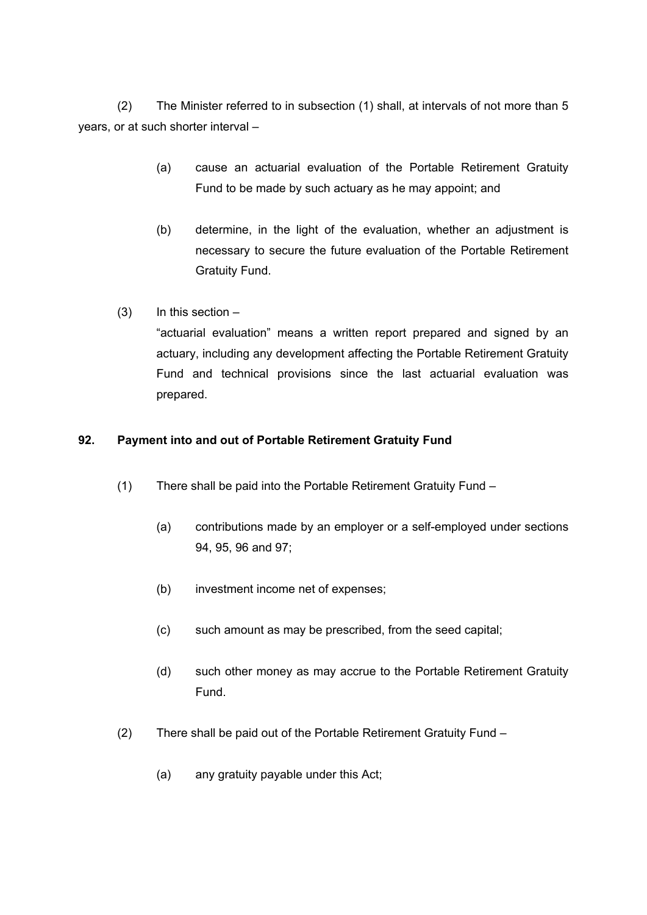(2) The Minister referred to in subsection (1) shall, at intervals of not more than 5 years, or at such shorter interval –

- (a) cause an actuarial evaluation of the Portable Retirement Gratuity Fund to be made by such actuary as he may appoint; and
- (b) determine, in the light of the evaluation, whether an adjustment is necessary to secure the future evaluation of the Portable Retirement Gratuity Fund.
- $(3)$  In this section "actuarial evaluation" means a written report prepared and signed by an actuary, including any development affecting the Portable Retirement Gratuity Fund and technical provisions since the last actuarial evaluation was prepared.

# **92. Payment into and out of Portable Retirement Gratuity Fund**

- (1) There shall be paid into the Portable Retirement Gratuity Fund
	- (a) contributions made by an employer or a self-employed under sections 94, 95, 96 and 97;
	- (b) investment income net of expenses;
	- (c) such amount as may be prescribed, from the seed capital;
	- (d) such other money as may accrue to the Portable Retirement Gratuity Fund.
- (2) There shall be paid out of the Portable Retirement Gratuity Fund
	- (a) any gratuity payable under this Act;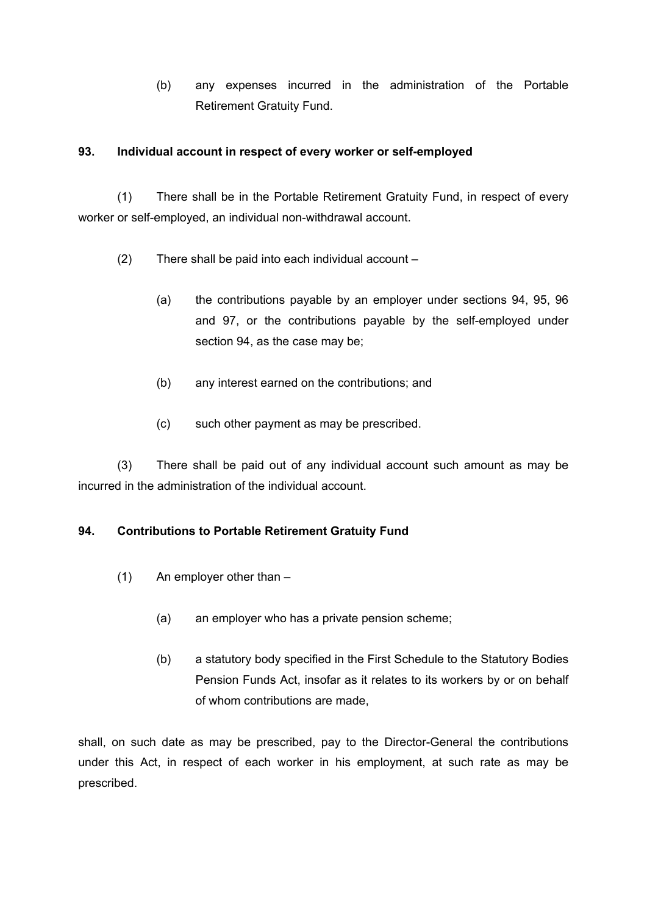(b) any expenses incurred in the administration of the Portable Retirement Gratuity Fund.

# **93. Individual account in respect of every worker or self-employed**

(1) There shall be in the Portable Retirement Gratuity Fund, in respect of every worker or self-employed, an individual non-withdrawal account.

- (2) There shall be paid into each individual account
	- (a) the contributions payable by an employer under sections 94, 95, 96 and 97, or the contributions payable by the self-employed under section 94, as the case may be;
	- (b) any interest earned on the contributions; and
	- (c) such other payment as may be prescribed.

(3) There shall be paid out of any individual account such amount as may be incurred in the administration of the individual account.

# **94. Contributions to Portable Retirement Gratuity Fund**

- (1) An employer other than
	- (a) an employer who has a private pension scheme;
	- (b) a statutory body specified in the First Schedule to the Statutory Bodies Pension Funds Act, insofar as it relates to its workers by or on behalf of whom contributions are made,

shall, on such date as may be prescribed, pay to the Director-General the contributions under this Act, in respect of each worker in his employment, at such rate as may be prescribed.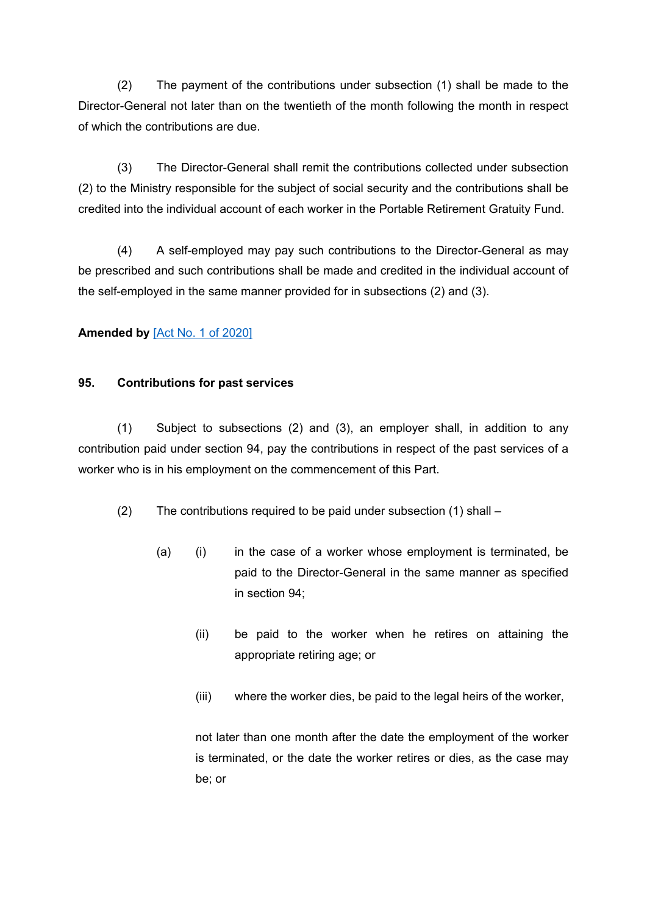(2) The payment of the contributions under subsection (1) shall be made to the Director-General not later than on the twentieth of the month following the month in respect of which the contributions are due.

(3) The Director-General shall remit the contributions collected under subsection (2) to the Ministry responsible for the subject of social security and the contributions shall be credited into the individual account of each worker in the Portable Retirement Gratuity Fund.

(4) A self-employed may pay such contributions to the Director-General as may be prescribed and such contributions shall be made and credited in the individual account of the self-employed in the same manner provided for in subsections (2) and (3).

# **Amended by** [Act No. 1 of [2020\]](https://supremecourt.govmu.org/_layouts/CLIS.DMS/search/searchdocumentbykey.aspx?ID=%5BAct%20No.%201%20of%202020%5D&list=Legislations)

## **95. Contributions for past services**

(1) Subject to subsections (2) and (3), an employer shall, in addition to any contribution paid under section 94, pay the contributions in respect of the past services of a worker who is in his employment on the commencement of this Part.

(2) The contributions required to be paid under subsection (1) shall –

- (a) (i) in the case of a worker whose employment is terminated, be paid to the Director-General in the same manner as specified in section 94;
	- (ii) be paid to the worker when he retires on attaining the appropriate retiring age; or
	- (iii) where the worker dies, be paid to the legal heirs of the worker,

not later than one month after the date the employment of the worker is terminated, or the date the worker retires or dies, as the case may be; or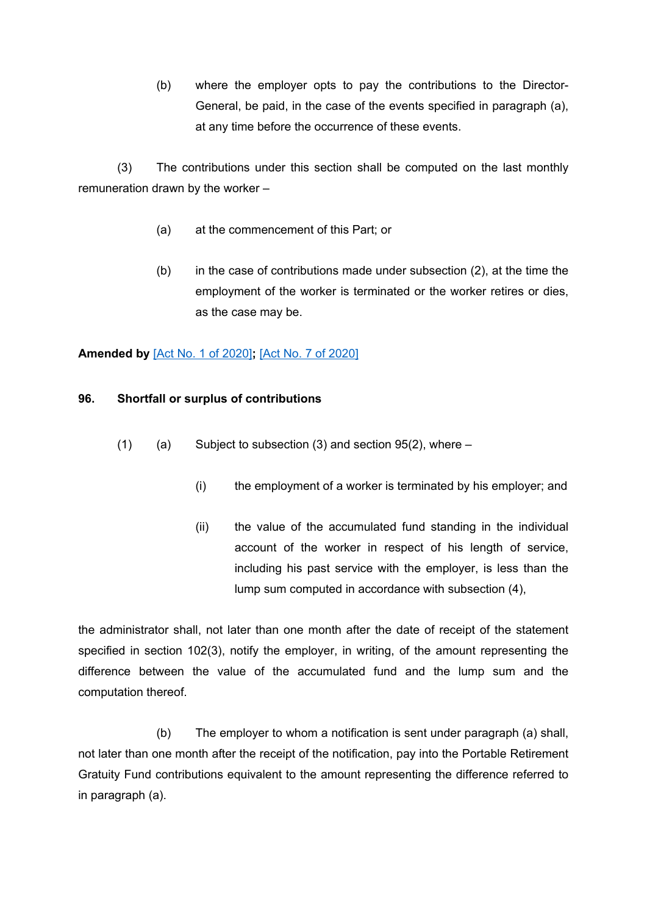(b) where the employer opts to pay the contributions to the Director-General, be paid, in the case of the events specified in paragraph (a), at any time before the occurrence of these events.

(3) The contributions under this section shall be computed on the last monthly remuneration drawn by the worker –

- (a) at the commencement of this Part; or
- (b) in the case of contributions made under subsection (2), at the time the employment of the worker is terminated or the worker retires or dies, as the case may be.

# **Amended by** [Act No. 1 of [2020\]](https://supremecourt.govmu.org/_layouts/CLIS.DMS/search/searchdocumentbykey.aspx?ID=%5BAct%20No.%201%20of%202020%5D&list=Legislations)**;** [Act No. 7 of [2020\]](https://supremecourt.govmu.org/_layouts/CLIS.DMS/search/searchdocumentbykey.aspx?ID=%5BAct%20No.%207%20of%202020%5D&list=Legislations)

# **96. Shortfall or surplus of contributions**

- $(1)$  (a) Subject to subsection (3) and section 95(2), where
	- (i) the employment of a worker is terminated by his employer; and
	- (ii) the value of the accumulated fund standing in the individual account of the worker in respect of his length of service, including his past service with the employer, is less than the lump sum computed in accordance with subsection (4),

the administrator shall, not later than one month after the date of receipt of the statement specified in section 102(3), notify the employer, in writing, of the amount representing the difference between the value of the accumulated fund and the lump sum and the computation thereof.

(b) The employer to whom a notification is sent under paragraph (a) shall, not later than one month after the receipt of the notification, pay into the Portable Retirement Gratuity Fund contributions equivalent to the amount representing the difference referred to in paragraph (a).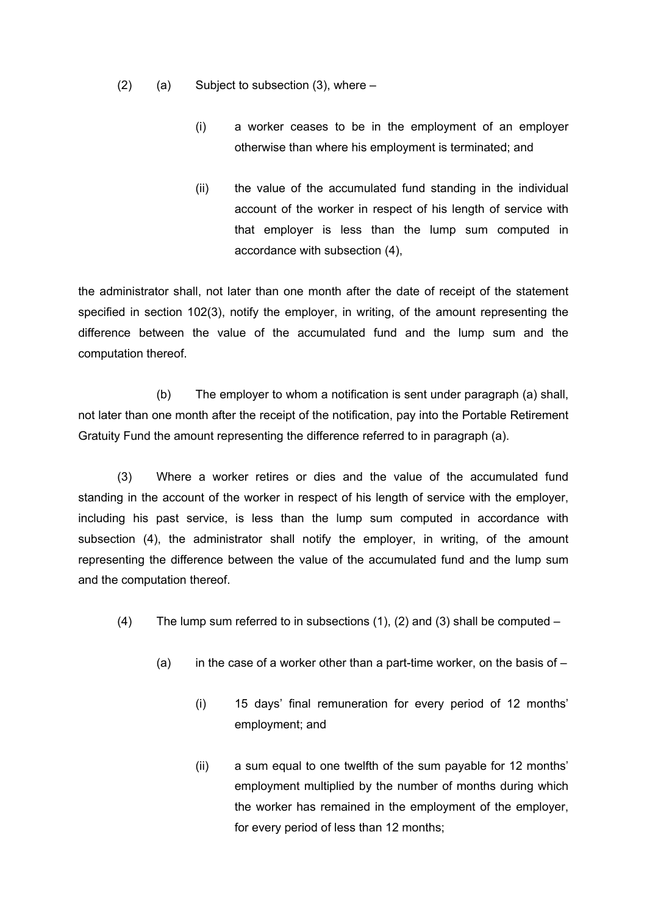- $(2)$  (a) Subject to subsection  $(3)$ , where
	- (i) a worker ceases to be in the employment of an employer otherwise than where his employment is terminated; and
	- (ii) the value of the accumulated fund standing in the individual account of the worker in respect of his length of service with that employer is less than the lump sum computed in accordance with subsection (4),

the administrator shall, not later than one month after the date of receipt of the statement specified in section 102(3), notify the employer, in writing, of the amount representing the difference between the value of the accumulated fund and the lump sum and the computation thereof.

(b) The employer to whom a notification is sent under paragraph (a) shall, not later than one month after the receipt of the notification, pay into the Portable Retirement Gratuity Fund the amount representing the difference referred to in paragraph (a).

(3) Where a worker retires or dies and the value of the accumulated fund standing in the account of the worker in respect of his length of service with the employer, including his past service, is less than the lump sum computed in accordance with subsection (4), the administrator shall notify the employer, in writing, of the amount representing the difference between the value of the accumulated fund and the lump sum and the computation thereof.

- (4) The lump sum referred to in subsections (1), (2) and (3) shall be computed  $-$ 
	- (a) in the case of a worker other than a part-time worker, on the basis of  $-$ 
		- (i) 15 days' final remuneration for every period of 12 months' employment; and
		- (ii) a sum equal to one twelfth of the sum payable for 12 months' employment multiplied by the number of months during which the worker has remained in the employment of the employer, for every period of less than 12 months;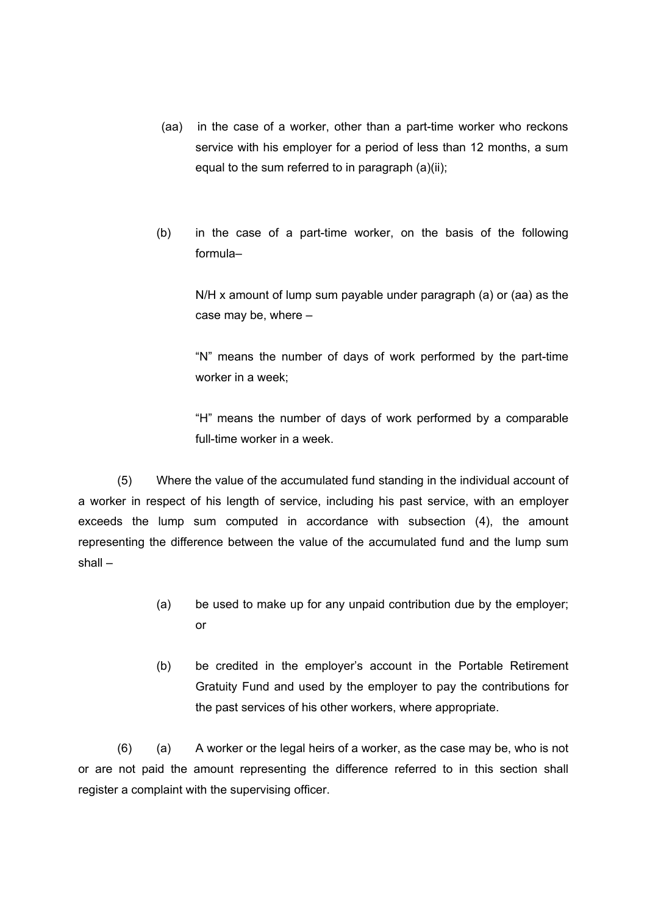- (aa) in the case of a worker, other than a part-time worker who reckons service with his employer for a period of less than 12 months, a sum equal to the sum referred to in paragraph (a)(ii);
- (b) in the case of a part-time worker, on the basis of the following formula–

N/H x amount of lump sum payable under paragraph (a) or (aa) as the case may be, where –

"N" means the number of days of work performed by the part-time worker in a week;

"H" means the number of days of work performed by a comparable full-time worker in a week.

(5) Where the value of the accumulated fund standing in the individual account of a worker in respect of his length of service, including his past service, with an employer exceeds the lump sum computed in accordance with subsection (4), the amount representing the difference between the value of the accumulated fund and the lump sum shall –

- (a) be used to make up for any unpaid contribution due by the employer; or
- (b) be credited in the employer's account in the Portable Retirement Gratuity Fund and used by the employer to pay the contributions for the past services of his other workers, where appropriate.

(6) (a) A worker or the legal heirs of a worker, as the case may be, who is not or are not paid the amount representing the difference referred to in this section shall register a complaint with the supervising officer.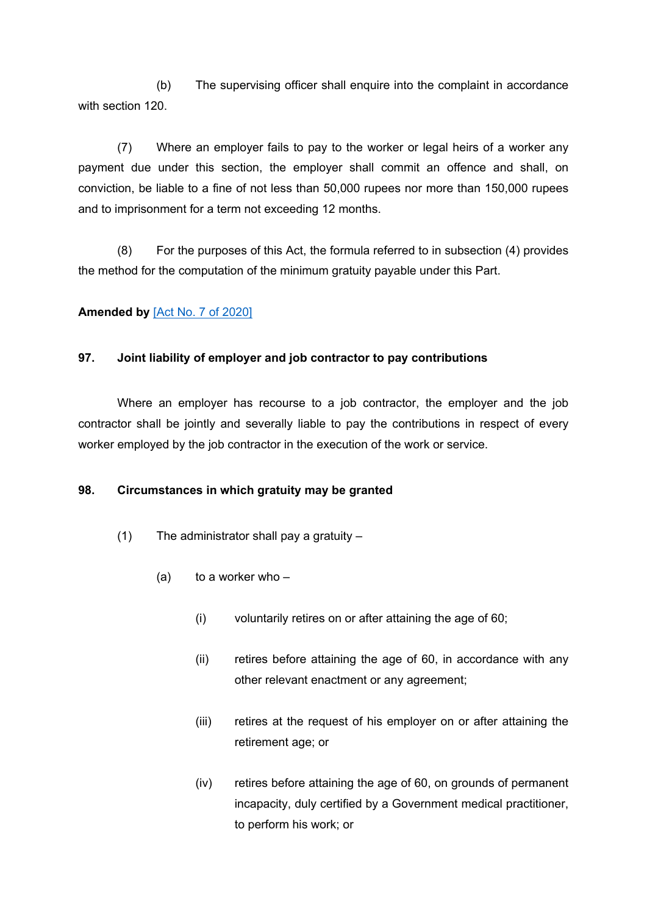(b) The supervising officer shall enquire into the complaint in accordance with section 120.

(7) Where an employer fails to pay to the worker or legal heirs of a worker any payment due under this section, the employer shall commit an offence and shall, on conviction, be liable to a fine of not less than 50,000 rupees nor more than 150,000 rupees and to imprisonment for a term not exceeding 12 months.

(8) For the purposes of this Act, the formula referred to in subsection (4) provides the method for the computation of the minimum gratuity payable under this Part.

# **Amended by** [Act No. 7 of [2020\]](https://supremecourt.govmu.org/_layouts/CLIS.DMS/search/searchdocumentbykey.aspx?ID=%5BAct%20No.%207%20of%202020%5D&list=Legislations)

## **97. Joint liability of employer and job contractor to pay contributions**

Where an employer has recourse to a job contractor, the employer and the job contractor shall be jointly and severally liable to pay the contributions in respect of every worker employed by the job contractor in the execution of the work or service.

## **98. Circumstances in which gratuity may be granted**

- (1) The administrator shall pay a gratuity
	- (a) to a worker who  $-$ 
		- (i) voluntarily retires on or after attaining the age of 60;
		- (ii) retires before attaining the age of 60, in accordance with any other relevant enactment or any agreement;
		- (iii) retires at the request of his employer on or after attaining the retirement age; or
		- (iv) retires before attaining the age of 60, on grounds of permanent incapacity, duly certified by a Government medical practitioner, to perform his work; or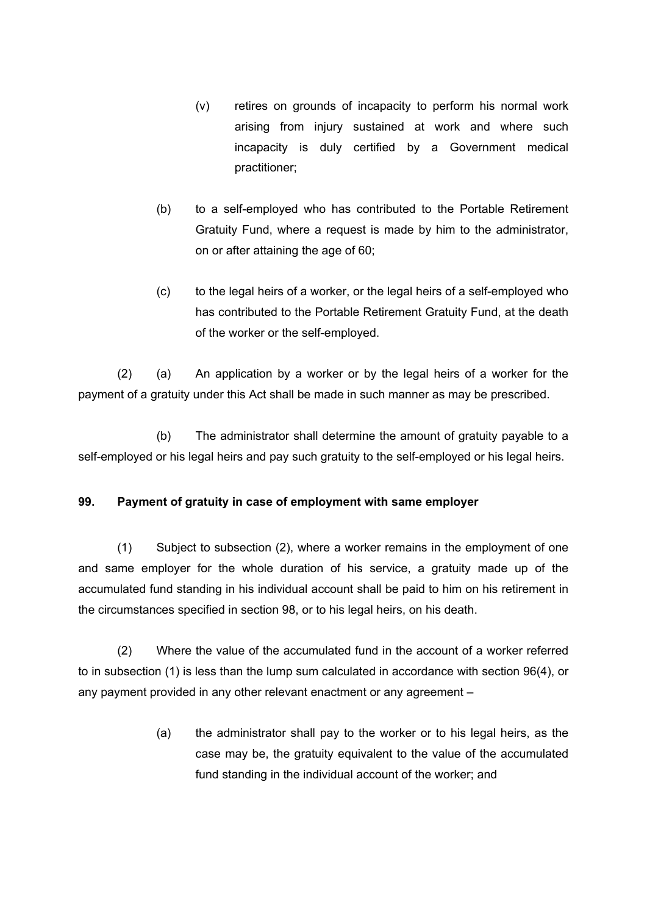- (v) retires on grounds of incapacity to perform his normal work arising from injury sustained at work and where such incapacity is duly certified by a Government medical practitioner;
- (b) to a self-employed who has contributed to the Portable Retirement Gratuity Fund, where a request is made by him to the administrator, on or after attaining the age of 60;
- (c) to the legal heirs of a worker, or the legal heirs of a self-employed who has contributed to the Portable Retirement Gratuity Fund, at the death of the worker or the self-employed.

(2) (a) An application by a worker or by the legal heirs of a worker for the payment of a gratuity under this Act shall be made in such manner as may be prescribed.

(b) The administrator shall determine the amount of gratuity payable to a self-employed or his legal heirs and pay such gratuity to the self-employed or his legal heirs.

## **99. Payment of gratuity in case of employment with same employer**

(1) Subject to subsection (2), where a worker remains in the employment of one and same employer for the whole duration of his service, a gratuity made up of the accumulated fund standing in his individual account shall be paid to him on his retirement in the circumstances specified in section 98, or to his legal heirs, on his death.

(2) Where the value of the accumulated fund in the account of a worker referred to in subsection (1) is less than the lump sum calculated in accordance with section 96(4), or any payment provided in any other relevant enactment or any agreement –

> (a) the administrator shall pay to the worker or to his legal heirs, as the case may be, the gratuity equivalent to the value of the accumulated fund standing in the individual account of the worker; and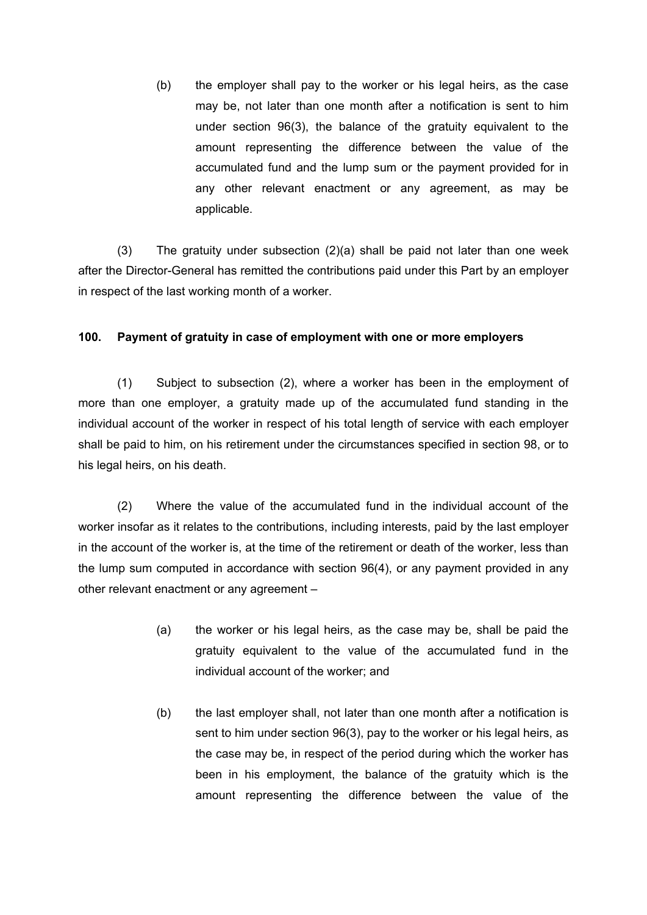(b) the employer shall pay to the worker or his legal heirs, as the case may be, not later than one month after a notification is sent to him under section 96(3), the balance of the gratuity equivalent to the amount representing the difference between the value of the accumulated fund and the lump sum or the payment provided for in any other relevant enactment or any agreement, as may be applicable.

(3) The gratuity under subsection (2)(a) shall be paid not later than one week after the Director-General has remitted the contributions paid under this Part by an employer in respect of the last working month of a worker.

## **100. Payment of gratuity in case of employment with one or more employers**

(1) Subject to subsection (2), where a worker has been in the employment of more than one employer, a gratuity made up of the accumulated fund standing in the individual account of the worker in respect of his total length of service with each employer shall be paid to him, on his retirement under the circumstances specified in section 98, or to his legal heirs, on his death.

(2) Where the value of the accumulated fund in the individual account of the worker insofar as it relates to the contributions, including interests, paid by the last employer in the account of the worker is, at the time of the retirement or death of the worker, less than the lump sum computed in accordance with section 96(4), or any payment provided in any other relevant enactment or any agreement –

- (a) the worker or his legal heirs, as the case may be, shall be paid the gratuity equivalent to the value of the accumulated fund in the individual account of the worker; and
- (b) the last employer shall, not later than one month after a notification is sent to him under section 96(3), pay to the worker or his legal heirs, as the case may be, in respect of the period during which the worker has been in his employment, the balance of the gratuity which is the amount representing the difference between the value of the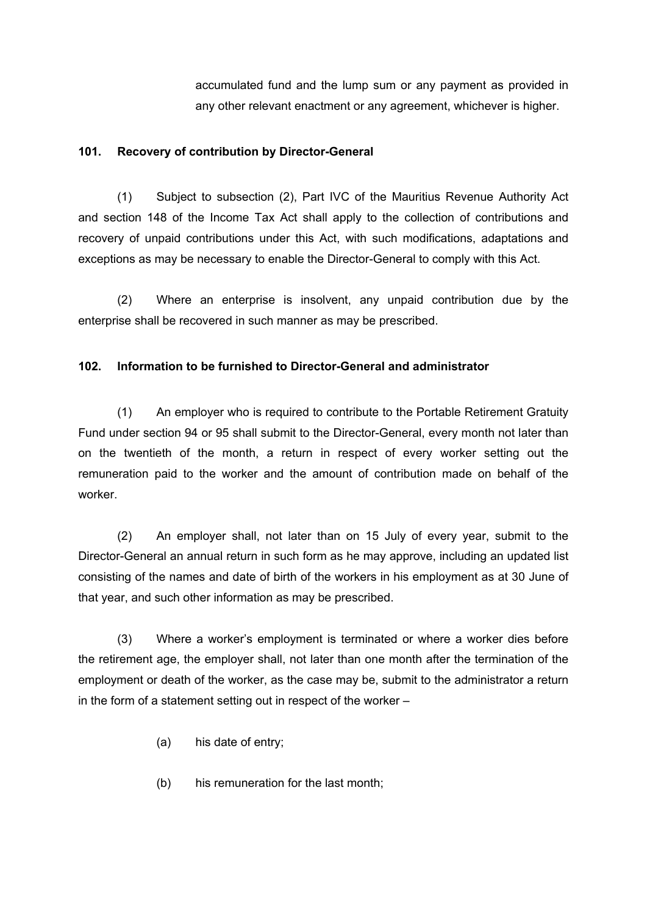accumulated fund and the lump sum or any payment as provided in any other relevant enactment or any agreement, whichever is higher.

## **101. Recovery of contribution by Director-General**

(1) Subject to subsection (2), Part IVC of the Mauritius Revenue Authority Act and section 148 of the Income Tax Act shall apply to the collection of contributions and recovery of unpaid contributions under this Act, with such modifications, adaptations and exceptions as may be necessary to enable the Director-General to comply with this Act.

(2) Where an enterprise is insolvent, any unpaid contribution due by the enterprise shall be recovered in such manner as may be prescribed.

## **102. Information to be furnished to Director-General and administrator**

(1) An employer who is required to contribute to the Portable Retirement Gratuity Fund under section 94 or 95 shall submit to the Director-General, every month not later than on the twentieth of the month, a return in respect of every worker setting out the remuneration paid to the worker and the amount of contribution made on behalf of the worker.

(2) An employer shall, not later than on 15 July of every year, submit to the Director-General an annual return in such form as he may approve, including an updated list consisting of the names and date of birth of the workers in his employment as at 30 June of that year, and such other information as may be prescribed.

(3) Where a worker's employment is terminated or where a worker dies before the retirement age, the employer shall, not later than one month after the termination of the employment or death of the worker, as the case may be, submit to the administrator a return in the form of a statement setting out in respect of the worker –

- (a) his date of entry;
- (b) his remuneration for the last month;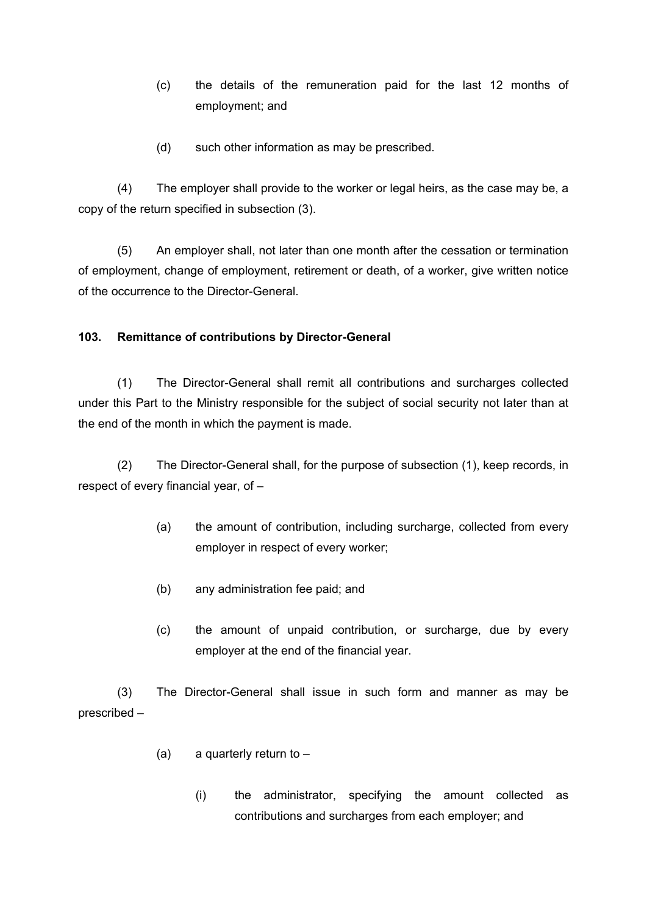- (c) the details of the remuneration paid for the last 12 months of employment; and
- (d) such other information as may be prescribed.

(4) The employer shall provide to the worker or legal heirs, as the case may be, a copy of the return specified in subsection (3).

(5) An employer shall, not later than one month after the cessation or termination of employment, change of employment, retirement or death, of a worker, give written notice of the occurrence to the Director-General.

## **103. Remittance of contributions by Director-General**

(1) The Director-General shall remit all contributions and surcharges collected under this Part to the Ministry responsible for the subject of social security not later than at the end of the month in which the payment is made.

(2) The Director-General shall, for the purpose of subsection (1), keep records, in respect of every financial year, of –

- (a) the amount of contribution, including surcharge, collected from every employer in respect of every worker;
- (b) any administration fee paid; and
- (c) the amount of unpaid contribution, or surcharge, due by every employer at the end of the financial year.

(3) The Director-General shall issue in such form and manner as may be prescribed –

- (a) a quarterly return to  $-$ 
	- (i) the administrator, specifying the amount collected as contributions and surcharges from each employer; and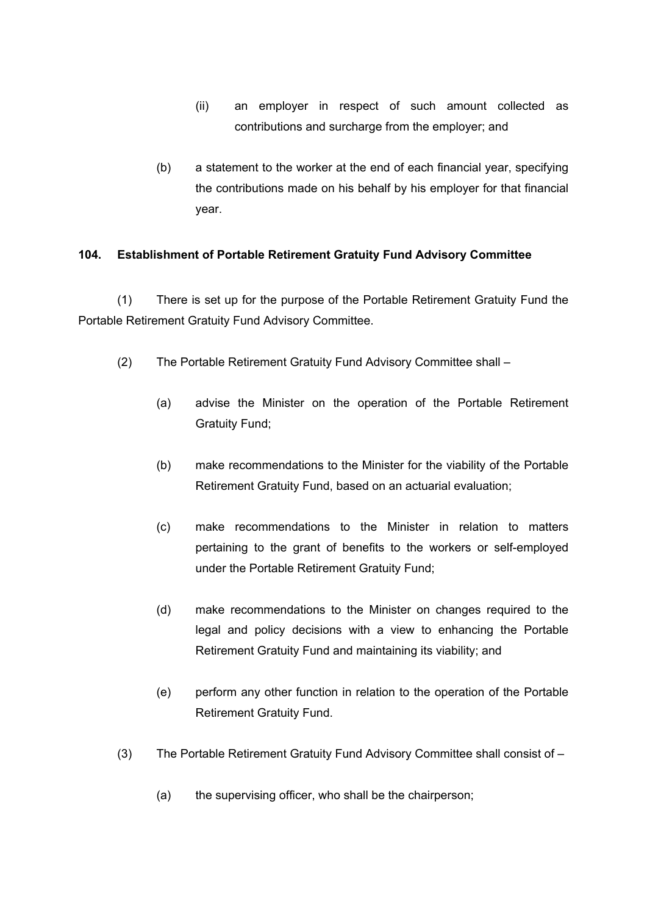- (ii) an employer in respect of such amount collected as contributions and surcharge from the employer; and
- (b) a statement to the worker at the end of each financial year, specifying the contributions made on his behalf by his employer for that financial year.

## **104. Establishment of Portable Retirement Gratuity Fund Advisory Committee**

(1) There is set up for the purpose of the Portable Retirement Gratuity Fund the Portable Retirement Gratuity Fund Advisory Committee.

- (2) The Portable Retirement Gratuity Fund Advisory Committee shall
	- (a) advise the Minister on the operation of the Portable Retirement Gratuity Fund;
	- (b) make recommendations to the Minister for the viability of the Portable Retirement Gratuity Fund, based on an actuarial evaluation;
	- (c) make recommendations to the Minister in relation to matters pertaining to the grant of benefits to the workers or self-employed under the Portable Retirement Gratuity Fund;
	- (d) make recommendations to the Minister on changes required to the legal and policy decisions with a view to enhancing the Portable Retirement Gratuity Fund and maintaining its viability; and
	- (e) perform any other function in relation to the operation of the Portable Retirement Gratuity Fund.
- (3) The Portable Retirement Gratuity Fund Advisory Committee shall consist of
	- (a) the supervising officer, who shall be the chairperson;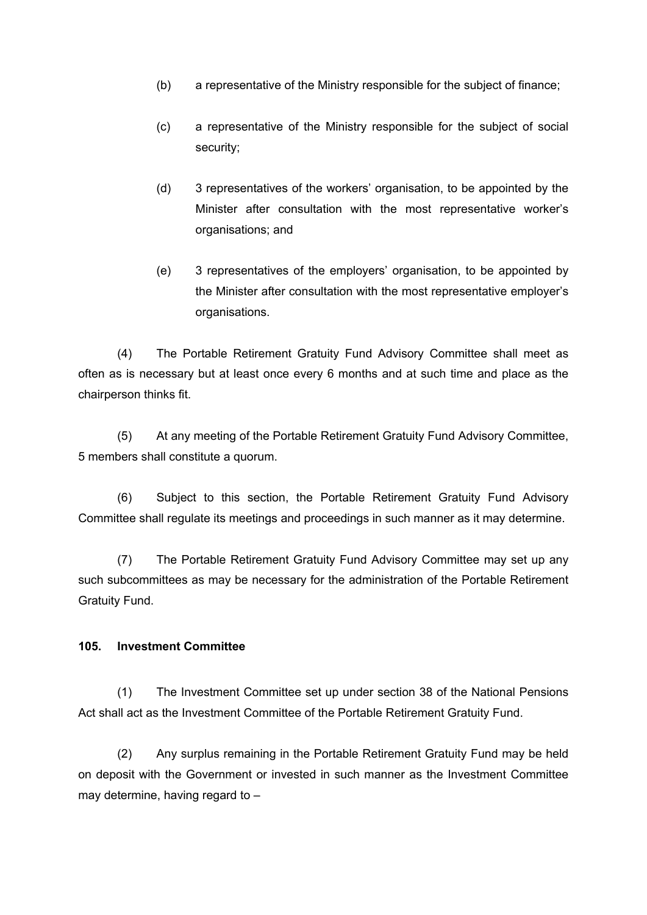- (b) a representative of the Ministry responsible for the subject of finance;
- (c) a representative of the Ministry responsible for the subject of social security;
- (d) 3 representatives of the workers' organisation, to be appointed by the Minister after consultation with the most representative worker's organisations; and
- (e) 3 representatives of the employers' organisation, to be appointed by the Minister after consultation with the most representative employer's organisations.

(4) The Portable Retirement Gratuity Fund Advisory Committee shall meet as often as is necessary but at least once every 6 months and at such time and place as the chairperson thinks fit.

(5) At any meeting of the Portable Retirement Gratuity Fund Advisory Committee, 5 members shall constitute a quorum.

(6) Subject to this section, the Portable Retirement Gratuity Fund Advisory Committee shall regulate its meetings and proceedings in such manner as it may determine.

(7) The Portable Retirement Gratuity Fund Advisory Committee may set up any such subcommittees as may be necessary for the administration of the Portable Retirement Gratuity Fund.

### **105. Investment Committee**

(1) The Investment Committee set up under section 38 of the National Pensions Act shall act as the Investment Committee of the Portable Retirement Gratuity Fund.

(2) Any surplus remaining in the Portable Retirement Gratuity Fund may be held on deposit with the Government or invested in such manner as the Investment Committee may determine, having regard to –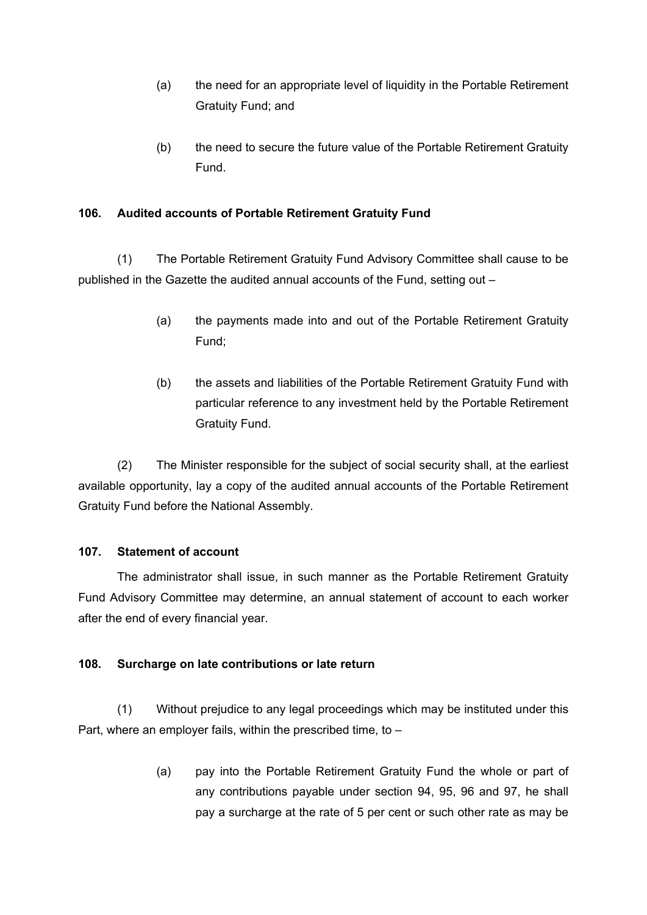- (a) the need for an appropriate level of liquidity in the Portable Retirement Gratuity Fund; and
- (b) the need to secure the future value of the Portable Retirement Gratuity Fund.

## **106. Audited accounts of Portable Retirement Gratuity Fund**

(1) The Portable Retirement Gratuity Fund Advisory Committee shall cause to be published in the Gazette the audited annual accounts of the Fund, setting out –

- (a) the payments made into and out of the Portable Retirement Gratuity Fund;
- (b) the assets and liabilities of the Portable Retirement Gratuity Fund with particular reference to any investment held by the Portable Retirement Gratuity Fund.

(2) The Minister responsible for the subject of social security shall, at the earliest available opportunity, lay a copy of the audited annual accounts of the Portable Retirement Gratuity Fund before the National Assembly.

### **107. Statement of account**

The administrator shall issue, in such manner as the Portable Retirement Gratuity Fund Advisory Committee may determine, an annual statement of account to each worker after the end of every financial year.

### **108. Surcharge on late contributions or late return**

(1) Without prejudice to any legal proceedings which may be instituted under this Part, where an employer fails, within the prescribed time, to –

> (a) pay into the Portable Retirement Gratuity Fund the whole or part of any contributions payable under section 94, 95, 96 and 97, he shall pay a surcharge at the rate of 5 per cent or such other rate as may be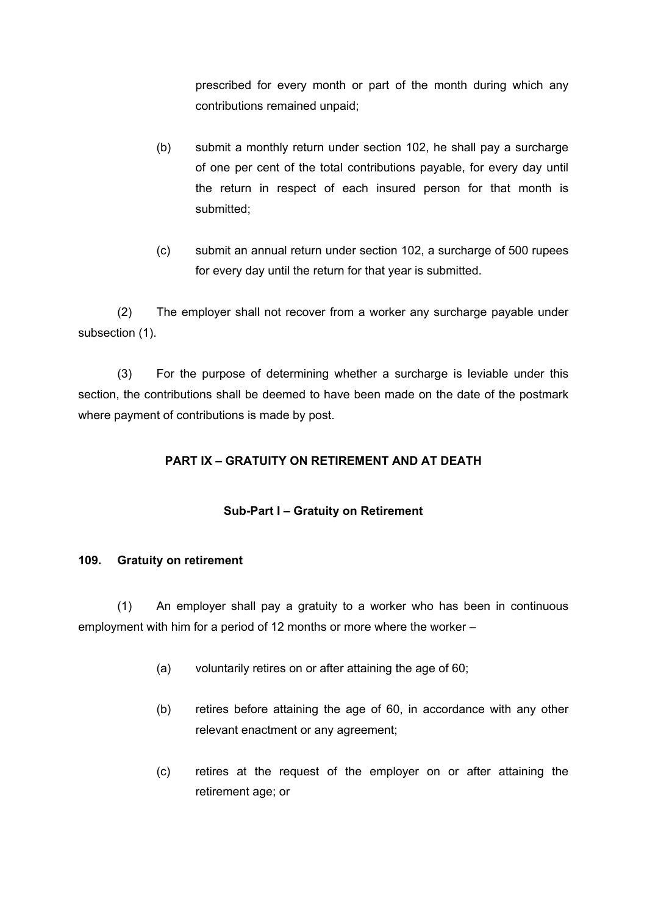prescribed for every month or part of the month during which any contributions remained unpaid;

- (b) submit a monthly return under section 102, he shall pay a surcharge of one per cent of the total contributions payable, for every day until the return in respect of each insured person for that month is submitted;
- (c) submit an annual return under section 102, a surcharge of 500 rupees for every day until the return for that year is submitted.

(2) The employer shall not recover from a worker any surcharge payable under subsection (1).

(3) For the purpose of determining whether a surcharge is leviable under this section, the contributions shall be deemed to have been made on the date of the postmark where payment of contributions is made by post.

# **PART IX – GRATUITY ON RETIREMENT AND AT DEATH**

## **Sub-Part I – Gratuity on Retirement**

### **109. Gratuity on retirement**

(1) An employer shall pay a gratuity to a worker who has been in continuous employment with him for a period of 12 months or more where the worker –

- (a) voluntarily retires on or after attaining the age of 60;
- (b) retires before attaining the age of 60, in accordance with any other relevant enactment or any agreement;
- (c) retires at the request of the employer on or after attaining the retirement age; or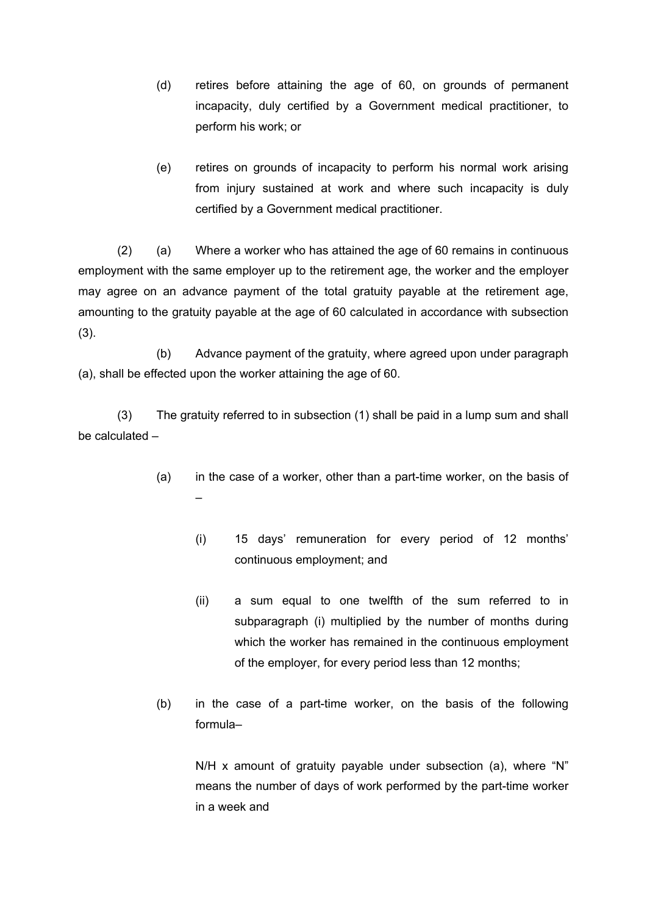- (d) retires before attaining the age of 60, on grounds of permanent incapacity, duly certified by a Government medical practitioner, to perform his work; or
- (e) retires on grounds of incapacity to perform his normal work arising from injury sustained at work and where such incapacity is duly certified by a Government medical practitioner.

(2) (a) Where a worker who has attained the age of 60 remains in continuous employment with the same employer up to the retirement age, the worker and the employer may agree on an advance payment of the total gratuity payable at the retirement age, amounting to the gratuity payable at the age of 60 calculated in accordance with subsection (3).

(b) Advance payment of the gratuity, where agreed upon under paragraph (a), shall be effected upon the worker attaining the age of 60.

(3) The gratuity referred to in subsection (1) shall be paid in a lump sum and shall be calculated –

- (a) in the case of a worker, other than a part-time worker, on the basis of –
	- (i) 15 days' remuneration for every period of 12 months' continuous employment; and
	- (ii) a sum equal to one twelfth of the sum referred to in subparagraph (i) multiplied by the number of months during which the worker has remained in the continuous employment of the employer, for every period less than 12 months;
- (b) in the case of a part-time worker, on the basis of the following formula–

N/H x amount of gratuity payable under subsection (a), where "N" means the number of days of work performed by the part-time worker in a week and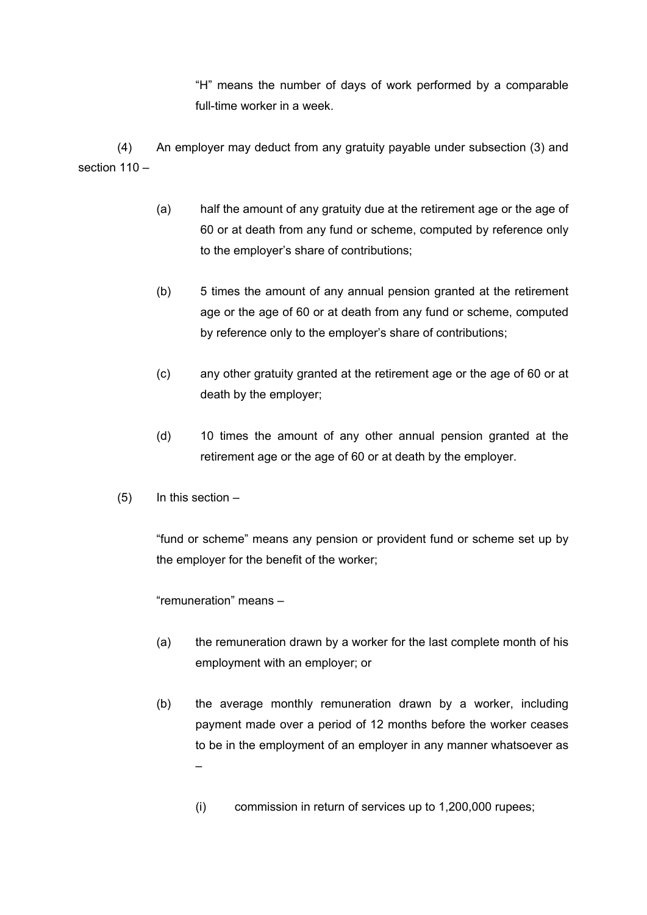"H" means the number of days of work performed by a comparable full-time worker in a week.

(4) An employer may deduct from any gratuity payable under subsection (3) and section 110 –

- (a) half the amount of any gratuity due at the retirement age or the age of 60 or at death from any fund or scheme, computed by reference only to the employer's share of contributions;
- (b) 5 times the amount of any annual pension granted at the retirement age or the age of 60 or at death from any fund or scheme, computed by reference only to the employer's share of contributions;
- (c) any other gratuity granted at the retirement age or the age of 60 or at death by the employer;
- (d) 10 times the amount of any other annual pension granted at the retirement age or the age of 60 or at death by the employer.
- $(5)$  In this section –

"fund or scheme" means any pension or provident fund or scheme set up by the employer for the benefit of the worker;

"remuneration" means –

- (a) the remuneration drawn by a worker for the last complete month of his employment with an employer; or
- (b) the average monthly remuneration drawn by a worker, including payment made over a period of 12 months before the worker ceases to be in the employment of an employer in any manner whatsoever as –
	- (i) commission in return of services up to 1,200,000 rupees;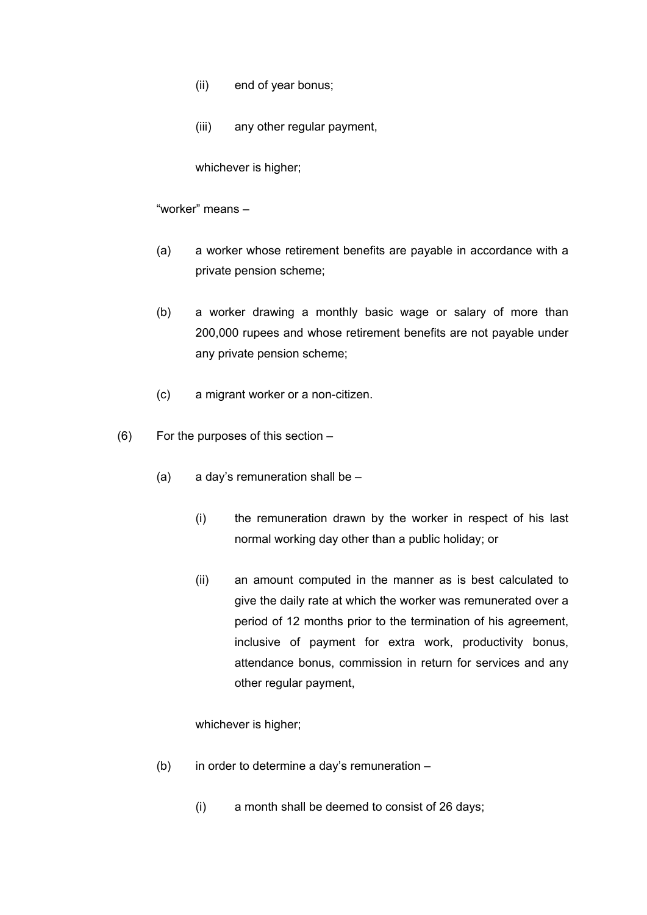- (ii) end of year bonus;
- (iii) any other regular payment,

whichever is higher;

"worker" means –

- (a) a worker whose retirement benefits are payable in accordance with a private pension scheme;
- (b) a worker drawing a monthly basic wage or salary of more than 200,000 rupees and whose retirement benefits are not payable under any private pension scheme;
- (c) a migrant worker or a non-citizen.
- (6) For the purposes of this section
	- (a) a day's remuneration shall be
		- (i) the remuneration drawn by the worker in respect of his last normal working day other than a public holiday; or
		- (ii) an amount computed in the manner as is best calculated to give the daily rate at which the worker was remunerated over a period of 12 months prior to the termination of his agreement, inclusive of payment for extra work, productivity bonus, attendance bonus, commission in return for services and any other regular payment,

whichever is higher;

- (b) in order to determine a day's remuneration
	- (i) a month shall be deemed to consist of 26 days;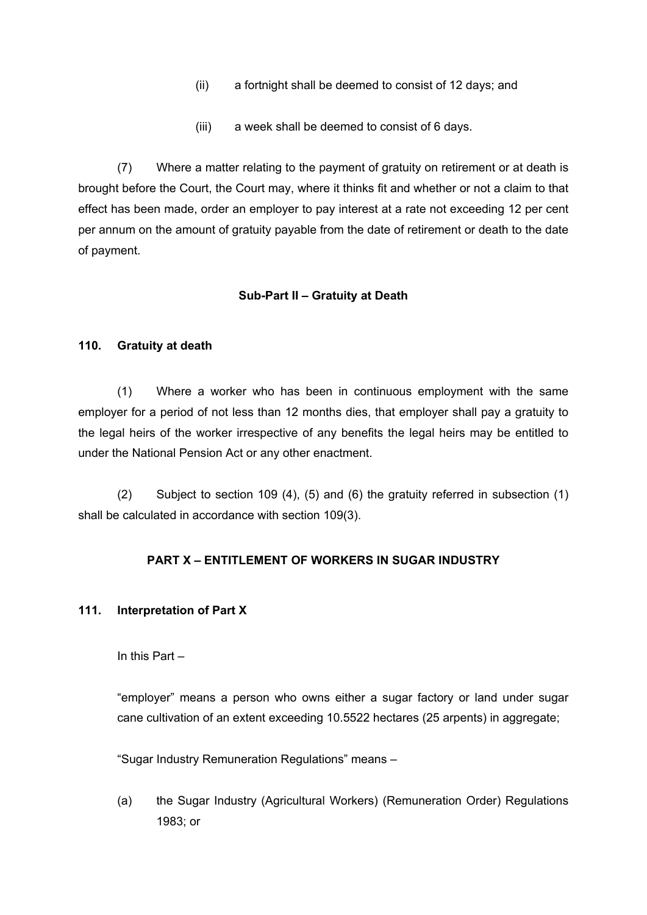- (ii) a fortnight shall be deemed to consist of 12 days; and
- (iii) a week shall be deemed to consist of 6 days.

(7) Where a matter relating to the payment of gratuity on retirement or at death is brought before the Court, the Court may, where it thinks fit and whether or not a claim to that effect has been made, order an employer to pay interest at a rate not exceeding 12 per cent per annum on the amount of gratuity payable from the date of retirement or death to the date of payment.

## **Sub-Part II – Gratuity at Death**

### **110. Gratuity at death**

(1) Where a worker who has been in continuous employment with the same employer for a period of not less than 12 months dies, that employer shall pay a gratuity to the legal heirs of the worker irrespective of any benefits the legal heirs may be entitled to under the National Pension Act or any other enactment.

(2) Subject to section 109 (4), (5) and (6) the gratuity referred in subsection (1) shall be calculated in accordance with section 109(3).

## **PART X – ENTITLEMENT OF WORKERS IN SUGAR INDUSTRY**

### **111. Interpretation of Part X**

In this Part –

"employer" means a person who owns either a sugar factory or land under sugar cane cultivation of an extent exceeding 10.5522 hectares (25 arpents) in aggregate;

"Sugar Industry Remuneration Regulations" means –

(a) the Sugar Industry (Agricultural Workers) (Remuneration Order) Regulations 1983; or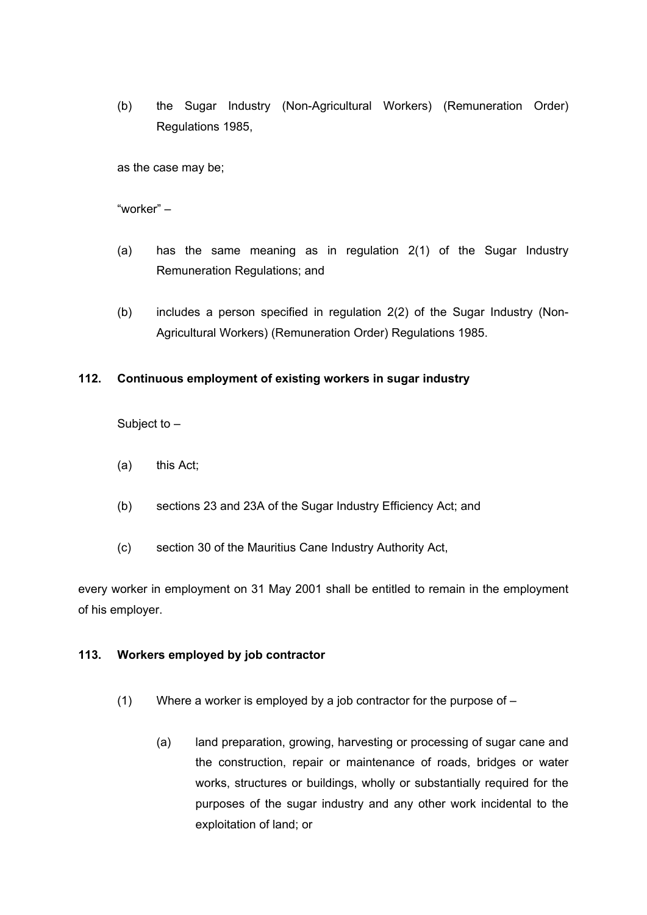(b) the Sugar Industry (Non-Agricultural Workers) (Remuneration Order) Regulations 1985,

as the case may be;

"worker" –

- (a) has the same meaning as in regulation 2(1) of the Sugar Industry Remuneration Regulations; and
- (b) includes a person specified in regulation 2(2) of the Sugar Industry (Non-Agricultural Workers) (Remuneration Order) Regulations 1985.

### **112. Continuous employment of existing workers in sugar industry**

Subject to –

- (a) this Act;
- (b) sections 23 and 23A of the Sugar Industry Efficiency Act; and
- (c) section 30 of the Mauritius Cane Industry Authority Act,

every worker in employment on 31 May 2001 shall be entitled to remain in the employment of his employer.

#### **113. Workers employed by job contractor**

- (1) Where a worker is employed by a job contractor for the purpose of  $-$ 
	- (a) land preparation, growing, harvesting or processing of sugar cane and the construction, repair or maintenance of roads, bridges or water works, structures or buildings, wholly or substantially required for the purposes of the sugar industry and any other work incidental to the exploitation of land; or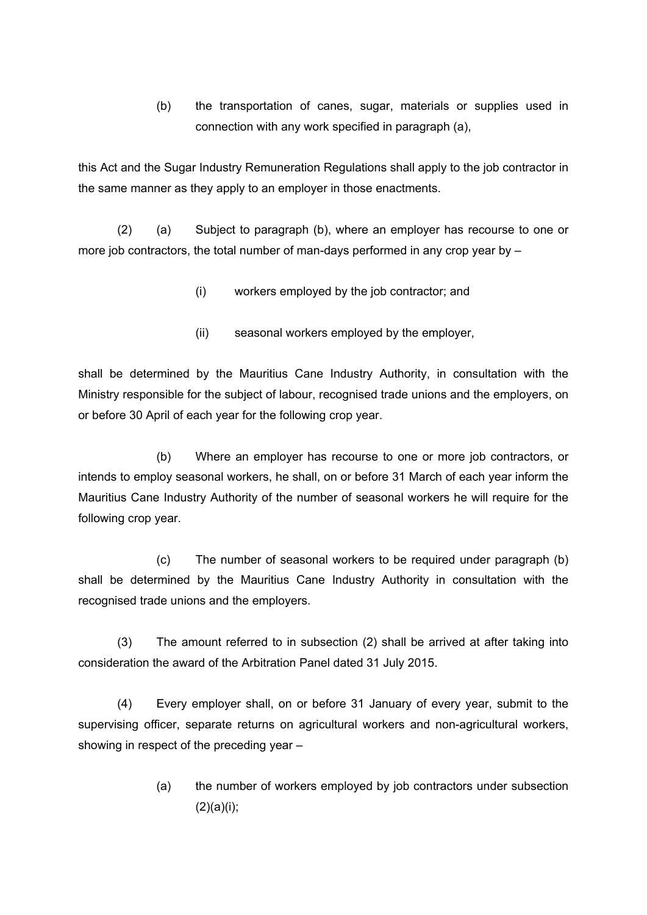(b) the transportation of canes, sugar, materials or supplies used in connection with any work specified in paragraph (a),

this Act and the Sugar Industry Remuneration Regulations shall apply to the job contractor in the same manner as they apply to an employer in those enactments.

(2) (a) Subject to paragraph (b), where an employer has recourse to one or more job contractors, the total number of man-days performed in any crop year by –

- (i) workers employed by the job contractor; and
- (ii) seasonal workers employed by the employer,

shall be determined by the Mauritius Cane Industry Authority, in consultation with the Ministry responsible for the subject of labour, recognised trade unions and the employers, on or before 30 April of each year for the following crop year.

(b) Where an employer has recourse to one or more job contractors, or intends to employ seasonal workers, he shall, on or before 31 March of each year inform the Mauritius Cane Industry Authority of the number of seasonal workers he will require for the following crop year.

(c) The number of seasonal workers to be required under paragraph (b) shall be determined by the Mauritius Cane Industry Authority in consultation with the recognised trade unions and the employers.

(3) The amount referred to in subsection (2) shall be arrived at after taking into consideration the award of the Arbitration Panel dated 31 July 2015.

(4) Every employer shall, on or before 31 January of every year, submit to the supervising officer, separate returns on agricultural workers and non-agricultural workers, showing in respect of the preceding year –

> (a) the number of workers employed by job contractors under subsection  $(2)(a)(i);$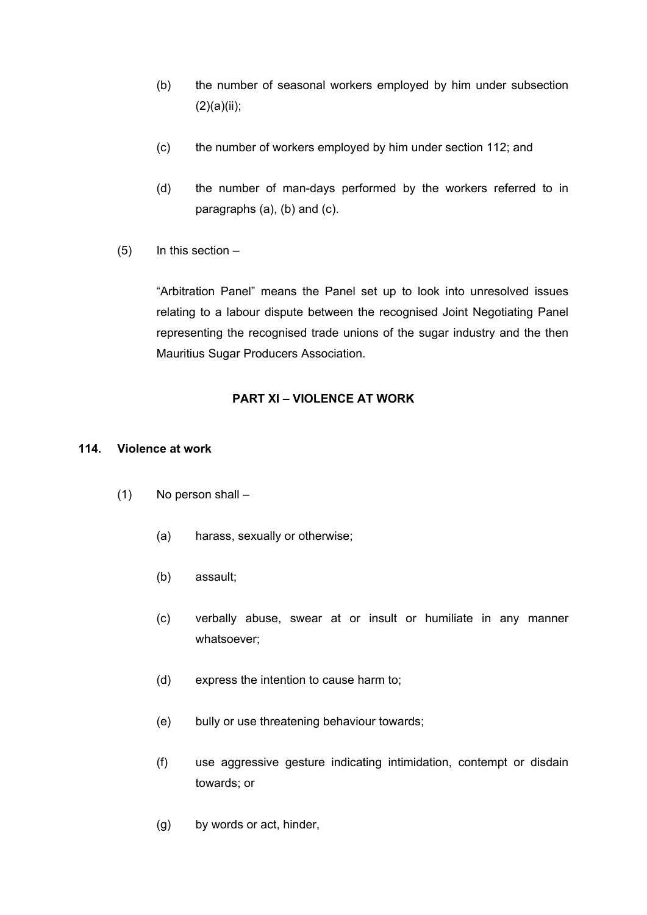- (b) the number of seasonal workers employed by him under subsection  $(2)(a)(ii);$
- (c) the number of workers employed by him under section 112; and
- (d) the number of man-days performed by the workers referred to in paragraphs (a), (b) and (c).
- (5) In this section –

"Arbitration Panel" means the Panel set up to look into unresolved issues relating to a labour dispute between the recognised Joint Negotiating Panel representing the recognised trade unions of the sugar industry and the then Mauritius Sugar Producers Association.

## **PART XI – VIOLENCE AT WORK**

#### **114. Violence at work**

- (1) No person shall
	- (a) harass, sexually or otherwise;
	- (b) assault;
	- (c) verbally abuse, swear at or insult or humiliate in any manner whatsoever;
	- (d) express the intention to cause harm to;
	- (e) bully or use threatening behaviour towards;
	- (f) use aggressive gesture indicating intimidation, contempt or disdain towards; or
	- (g) by words or act, hinder,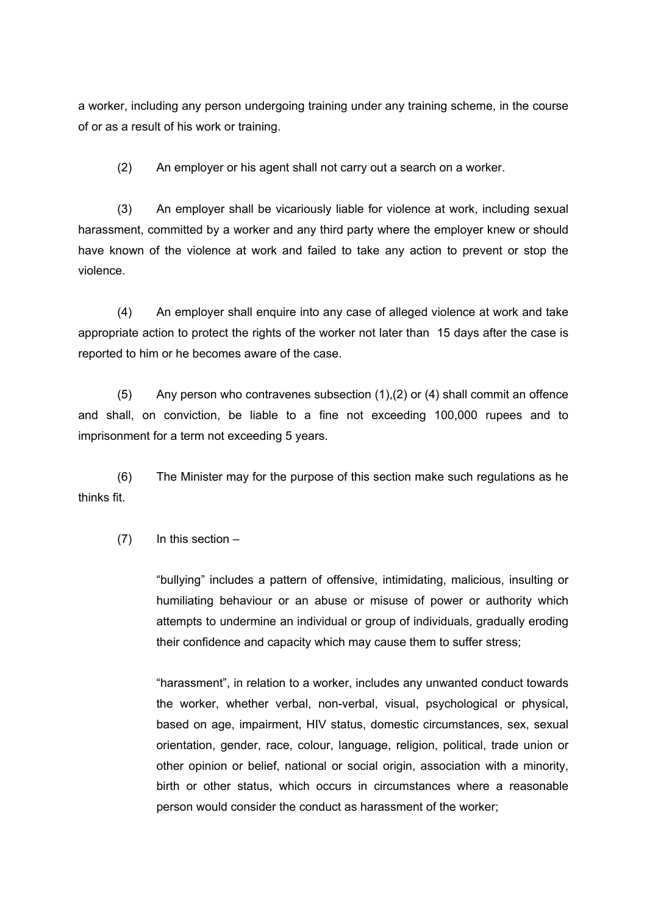a worker, including any person undergoing training under any training scheme, in the course of or as a result of his work or training.

(2) An employer or his agent shall not carry out a search on a worker.

(3) An employer shall be vicariously liable for violence at work, including sexual harassment, committed by a worker and any third party where the employer knew or should have known of the violence at work and failed to take any action to prevent or stop the violence.

(4) An employer shall enquire into any case of alleged violence at work and take appropriate action to protect the rights of the worker not later than 15 days after the case is reported to him or he becomes aware of the case.

(5) Any person who contravenes subsection (1),(2) or (4) shall commit an offence and shall, on conviction, be liable to a fine not exceeding 100,000 rupees and to imprisonment for a term not exceeding 5 years.

(6) The Minister may for the purpose of this section make such regulations as he thinks fit.

#### $(7)$  In this section –

"bullying" includes a pattern of offensive, intimidating, malicious, insulting or humiliating behaviour or an abuse or misuse of power or authority which attempts to undermine an individual or group of individuals, gradually eroding their confidence and capacity which may cause them to suffer stress;

"harassment", in relation to a worker, includes any unwanted conduct towards the worker, whether verbal, non-verbal, visual, psychological or physical, based on age, impairment, HIV status, domestic circumstances, sex, sexual orientation, gender, race, colour, language, religion, political, trade union or other opinion or belief, national or social origin, association with a minority, birth or other status, which occurs in circumstances where a reasonable person would consider the conduct as harassment of the worker;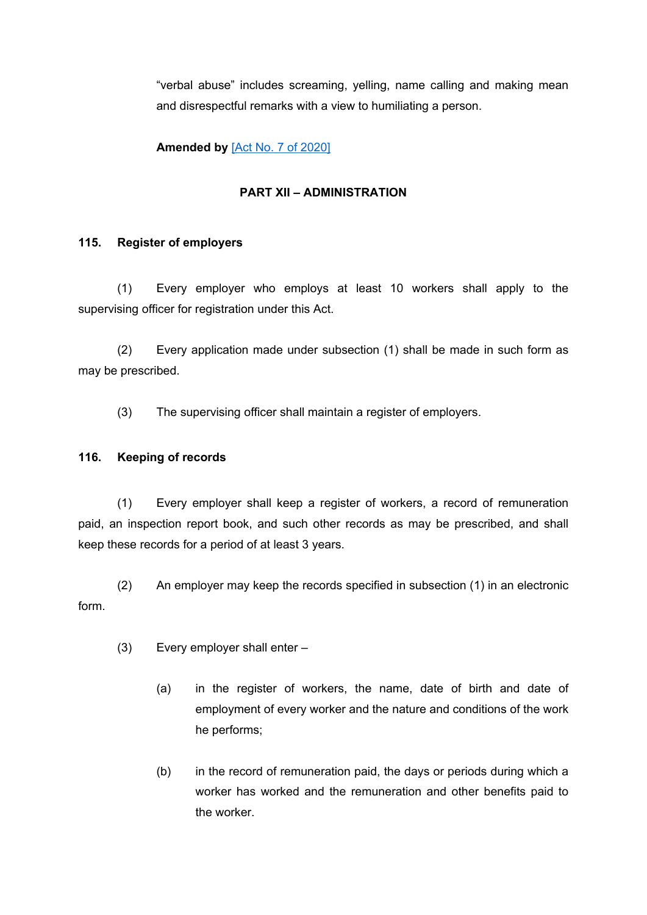"verbal abuse" includes screaming, yelling, name calling and making mean and disrespectful remarks with a view to humiliating a person.

**Amended by** [Act No. 7 of [2020\]](https://supremecourt.govmu.org/_layouts/CLIS.DMS/search/searchdocumentbykey.aspx?ID=%5BAct%20No.%207%20of%202020%5D&list=Legislations)

## **PART XII – ADMINISTRATION**

## **115. Register of employers**

(1) Every employer who employs at least 10 workers shall apply to the supervising officer for registration under this Act.

(2) Every application made under subsection (1) shall be made in such form as may be prescribed.

(3) The supervising officer shall maintain a register of employers.

## **116. Keeping of records**

(1) Every employer shall keep a register of workers, a record of remuneration paid, an inspection report book, and such other records as may be prescribed, and shall keep these records for a period of at least 3 years.

(2) An employer may keep the records specified in subsection (1) in an electronic form.

- (3) Every employer shall enter
	- (a) in the register of workers, the name, date of birth and date of employment of every worker and the nature and conditions of the work he performs;
	- (b) in the record of remuneration paid, the days or periods during which a worker has worked and the remuneration and other benefits paid to the worker.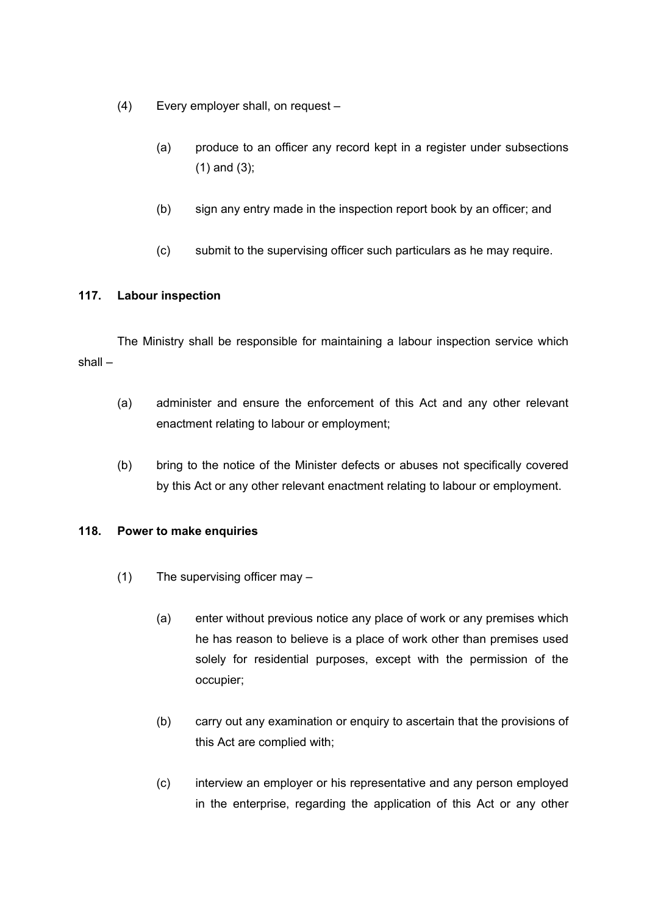- (4) Every employer shall, on request
	- (a) produce to an officer any record kept in a register under subsections (1) and (3);
	- (b) sign any entry made in the inspection report book by an officer; and
	- (c) submit to the supervising officer such particulars as he may require.

## **117. Labour inspection**

The Ministry shall be responsible for maintaining a labour inspection service which shall –

- (a) administer and ensure the enforcement of this Act and any other relevant enactment relating to labour or employment;
- (b) bring to the notice of the Minister defects or abuses not specifically covered by this Act or any other relevant enactment relating to labour or employment.

### **118. Power to make enquiries**

- (1) The supervising officer may
	- (a) enter without previous notice any place of work or any premises which he has reason to believe is a place of work other than premises used solely for residential purposes, except with the permission of the occupier;
	- (b) carry out any examination or enquiry to ascertain that the provisions of this Act are complied with;
	- (c) interview an employer or his representative and any person employed in the enterprise, regarding the application of this Act or any other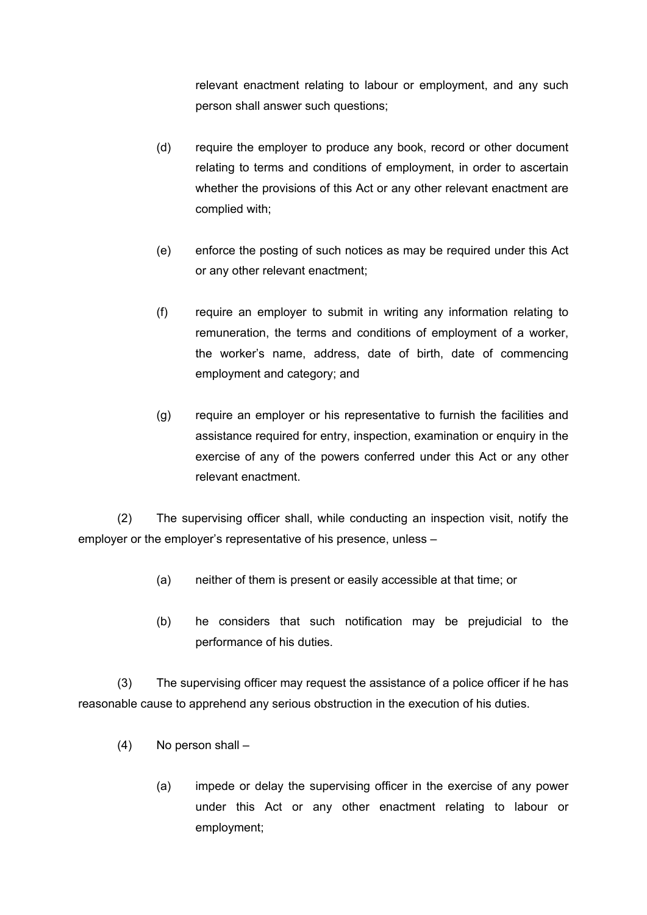relevant enactment relating to labour or employment, and any such person shall answer such questions;

- (d) require the employer to produce any book, record or other document relating to terms and conditions of employment, in order to ascertain whether the provisions of this Act or any other relevant enactment are complied with;
- (e) enforce the posting of such notices as may be required under this Act or any other relevant enactment;
- (f) require an employer to submit in writing any information relating to remuneration, the terms and conditions of employment of a worker, the worker's name, address, date of birth, date of commencing employment and category; and
- (g) require an employer or his representative to furnish the facilities and assistance required for entry, inspection, examination or enquiry in the exercise of any of the powers conferred under this Act or any other relevant enactment.

(2) The supervising officer shall, while conducting an inspection visit, notify the employer or the employer's representative of his presence, unless –

- (a) neither of them is present or easily accessible at that time; or
- (b) he considers that such notification may be prejudicial to the performance of his duties.

(3) The supervising officer may request the assistance of a police officer if he has reasonable cause to apprehend any serious obstruction in the execution of his duties.

- (4) No person shall
	- (a) impede or delay the supervising officer in the exercise of any power under this Act or any other enactment relating to labour or employment;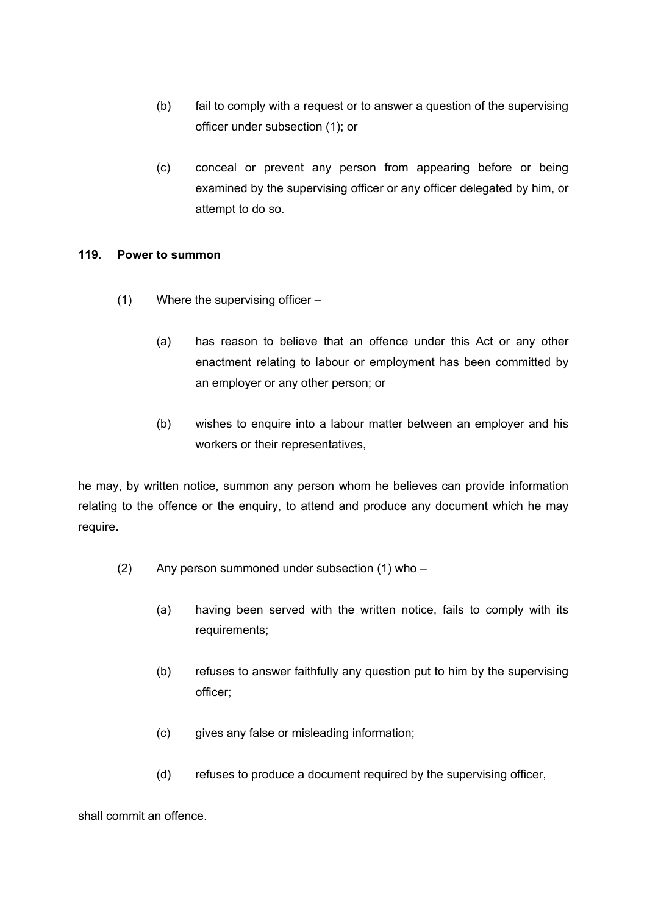- (b) fail to comply with a request or to answer a question of the supervising officer under subsection (1); or
- (c) conceal or prevent any person from appearing before or being examined by the supervising officer or any officer delegated by him, or attempt to do so.

### **119. Power to summon**

- (1) Where the supervising officer
	- (a) has reason to believe that an offence under this Act or any other enactment relating to labour or employment has been committed by an employer or any other person; or
	- (b) wishes to enquire into a labour matter between an employer and his workers or their representatives,

he may, by written notice, summon any person whom he believes can provide information relating to the offence or the enquiry, to attend and produce any document which he may require.

- (2) Any person summoned under subsection (1) who
	- (a) having been served with the written notice, fails to comply with its requirements;
	- (b) refuses to answer faithfully any question put to him by the supervising officer;
	- (c) gives any false or misleading information;
	- (d) refuses to produce a document required by the supervising officer,

shall commit an offence.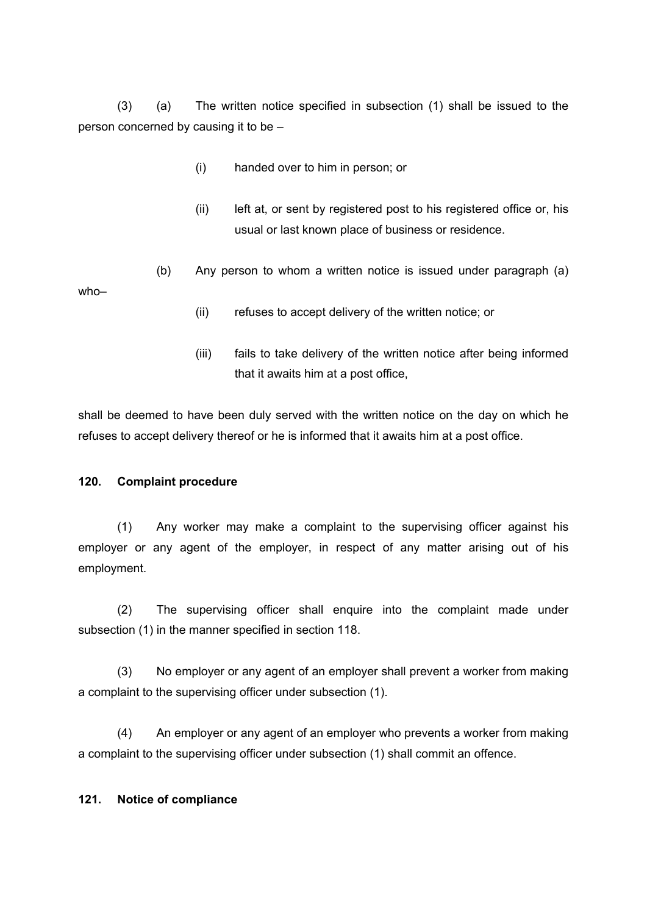(3) (a) The written notice specified in subsection (1) shall be issued to the person concerned by causing it to be –

- (i) handed over to him in person; or
- (ii) left at, or sent by registered post to his registered office or, his usual or last known place of business or residence.

(b) Any person to whom a written notice is issued under paragraph (a) who–

- (ii) refuses to accept delivery of the written notice; or
- (iii) fails to take delivery of the written notice after being informed that it awaits him at a post office,

shall be deemed to have been duly served with the written notice on the day on which he refuses to accept delivery thereof or he is informed that it awaits him at a post office.

### **120. Complaint procedure**

(1) Any worker may make a complaint to the supervising officer against his employer or any agent of the employer, in respect of any matter arising out of his employment.

(2) The supervising officer shall enquire into the complaint made under subsection (1) in the manner specified in section 118.

(3) No employer or any agent of an employer shall prevent a worker from making a complaint to the supervising officer under subsection (1).

(4) An employer or any agent of an employer who prevents a worker from making a complaint to the supervising officer under subsection (1) shall commit an offence.

#### **121. Notice of compliance**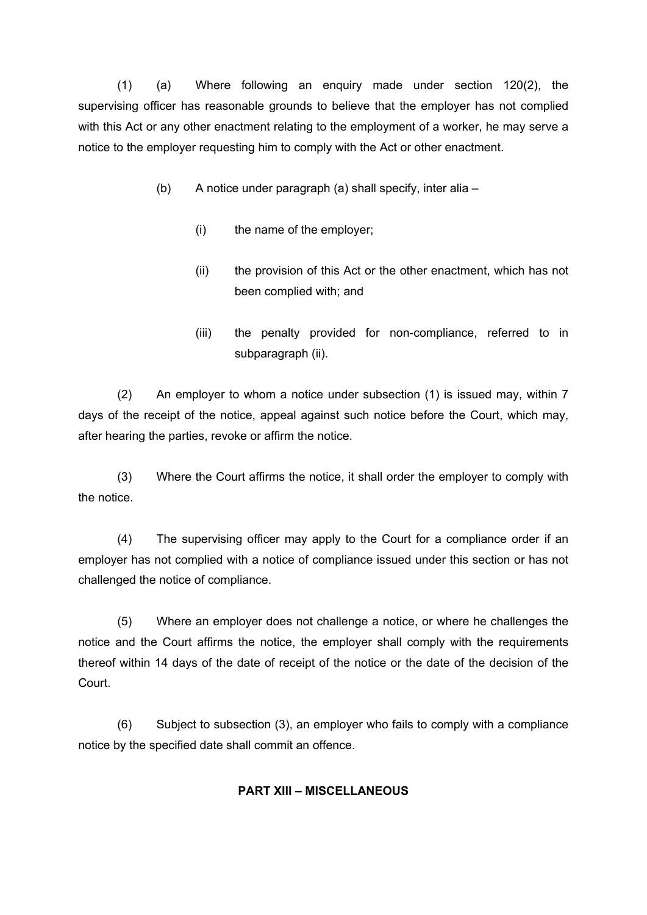(1) (a) Where following an enquiry made under section 120(2), the supervising officer has reasonable grounds to believe that the employer has not complied with this Act or any other enactment relating to the employment of a worker, he may serve a notice to the employer requesting him to comply with the Act or other enactment.

- (b) A notice under paragraph (a) shall specify, inter alia
	- (i) the name of the employer;
	- (ii) the provision of this Act or the other enactment, which has not been complied with; and
	- (iii) the penalty provided for non-compliance, referred to in subparagraph (ii).

(2) An employer to whom a notice under subsection (1) is issued may, within 7 days of the receipt of the notice, appeal against such notice before the Court, which may, after hearing the parties, revoke or affirm the notice.

(3) Where the Court affirms the notice, it shall order the employer to comply with the notice.

(4) The supervising officer may apply to the Court for a compliance order if an employer has not complied with a notice of compliance issued under this section or has not challenged the notice of compliance.

(5) Where an employer does not challenge a notice, or where he challenges the notice and the Court affirms the notice, the employer shall comply with the requirements thereof within 14 days of the date of receipt of the notice or the date of the decision of the Court.

(6) Subject to subsection (3), an employer who fails to comply with a compliance notice by the specified date shall commit an offence.

### **PART XIII – MISCELLANEOUS**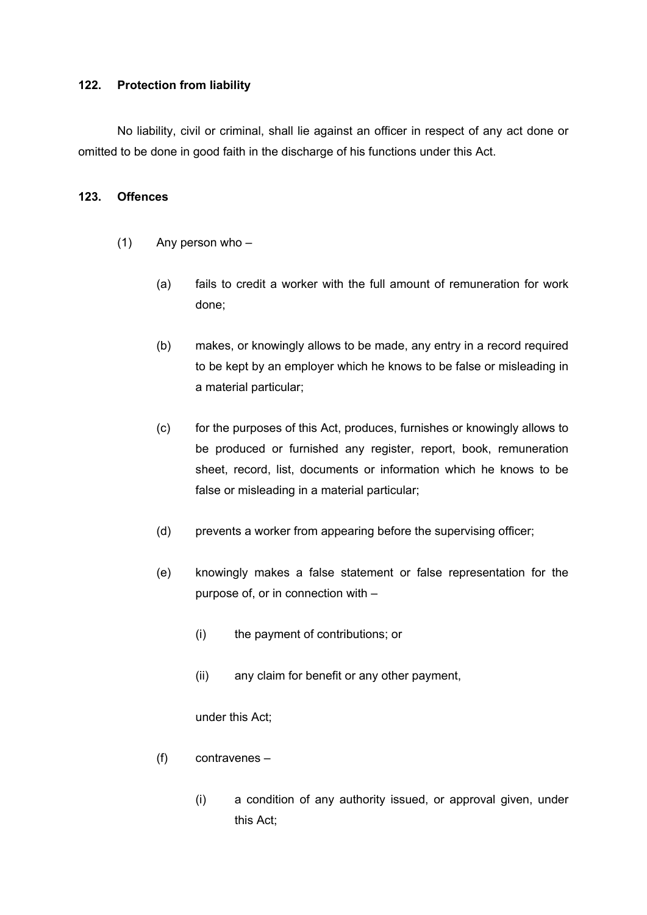#### **122. Protection from liability**

No liability, civil or criminal, shall lie against an officer in respect of any act done or omitted to be done in good faith in the discharge of his functions under this Act.

#### **123. Offences**

- (1) Any person who
	- (a) fails to credit a worker with the full amount of remuneration for work done;
	- (b) makes, or knowingly allows to be made, any entry in a record required to be kept by an employer which he knows to be false or misleading in a material particular;
	- (c) for the purposes of this Act, produces, furnishes or knowingly allows to be produced or furnished any register, report, book, remuneration sheet, record, list, documents or information which he knows to be false or misleading in a material particular;
	- (d) prevents a worker from appearing before the supervising officer;
	- (e) knowingly makes a false statement or false representation for the purpose of, or in connection with –
		- (i) the payment of contributions; or
		- (ii) any claim for benefit or any other payment,

under this Act;

- (f) contravenes
	- (i) a condition of any authority issued, or approval given, under this Act;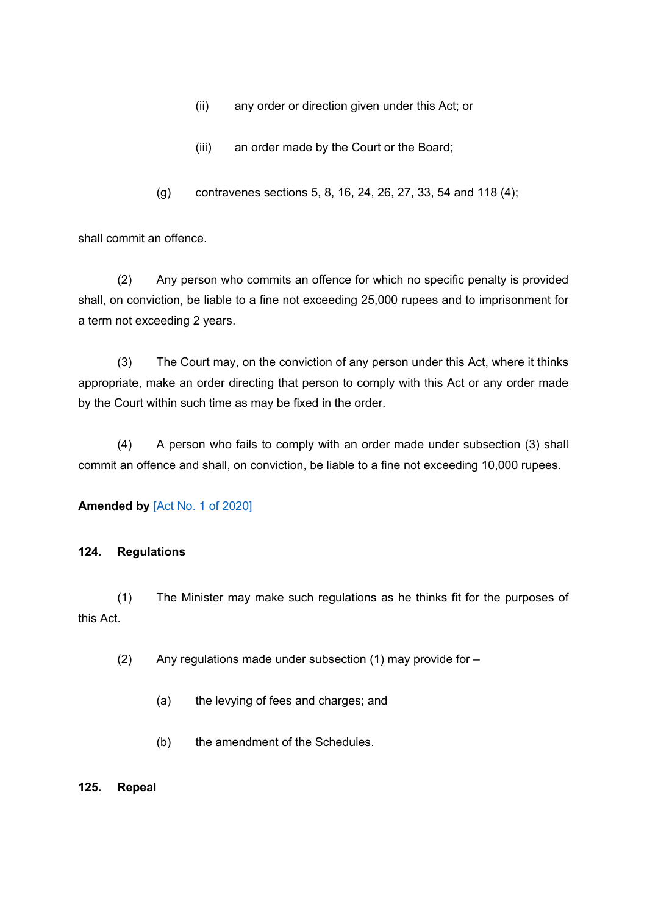- (ii) any order or direction given under this Act; or
- (iii) an order made by the Court or the Board;
- (g) contravenes sections 5, 8, 16, 24, 26, 27, 33, 54 and 118 (4);

shall commit an offence.

(2) Any person who commits an offence for which no specific penalty is provided shall, on conviction, be liable to a fine not exceeding 25,000 rupees and to imprisonment for a term not exceeding 2 years.

(3) The Court may, on the conviction of any person under this Act, where it thinks appropriate, make an order directing that person to comply with this Act or any order made by the Court within such time as may be fixed in the order.

(4) A person who fails to comply with an order made under subsection (3) shall commit an offence and shall, on conviction, be liable to a fine not exceeding 10,000 rupees.

### **Amended by** [Act No. 1 of [2020\]](https://supremecourt.govmu.org/_layouts/CLIS.DMS/search/searchdocumentbykey.aspx?ID=%5BAct%20No.%201%20of%202020%5D&list=Legislations)

#### **124. Regulations**

(1) The Minister may make such regulations as he thinks fit for the purposes of this Act.

- (2) Any regulations made under subsection (1) may provide for
	- (a) the levying of fees and charges; and
	- (b) the amendment of the Schedules.

#### **125. Repeal**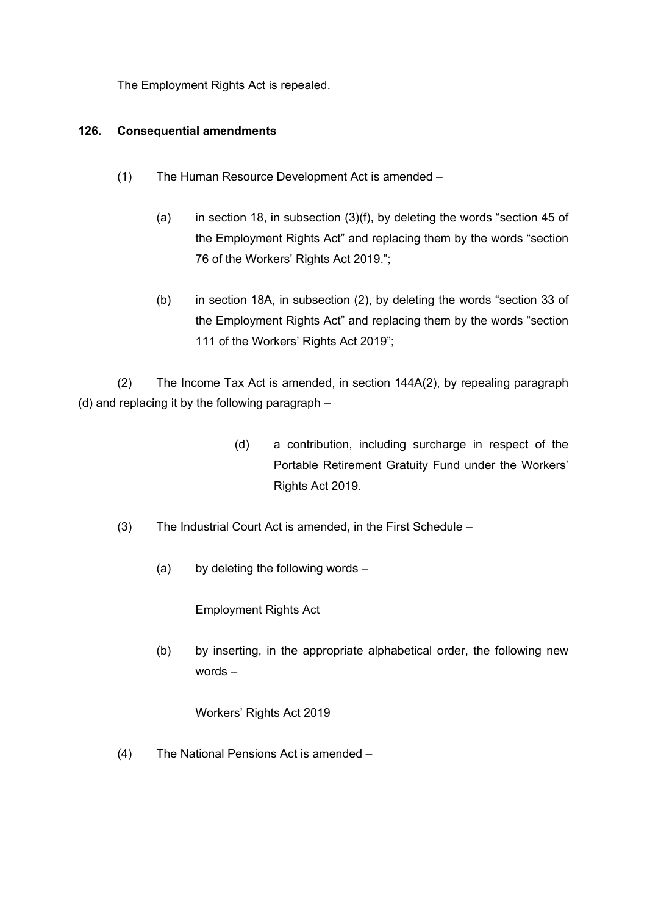The Employment Rights Act is repealed.

## **126. Consequential amendments**

- (1) The Human Resource Development Act is amended
	- (a) in section 18, in subsection (3)(f), by deleting the words "section 45 of the Employment Rights Act" and replacing them by the words "section 76 of the Workers' Rights Act 2019.";
	- (b) in section 18A, in subsection (2), by deleting the words "section 33 of the Employment Rights Act" and replacing them by the words "section 111 of the Workers' Rights Act 2019";

(2) The Income Tax Act is amended, in section 144A(2), by repealing paragraph (d) and replacing it by the following paragraph –

- (d) a contribution, including surcharge in respect of the Portable Retirement Gratuity Fund under the Workers' Rights Act 2019.
- (3) The Industrial Court Act is amended, in the First Schedule
	- (a) by deleting the following words –

Employment Rights Act

(b) by inserting, in the appropriate alphabetical order, the following new words –

Workers' Rights Act 2019

(4) The National Pensions Act is amended –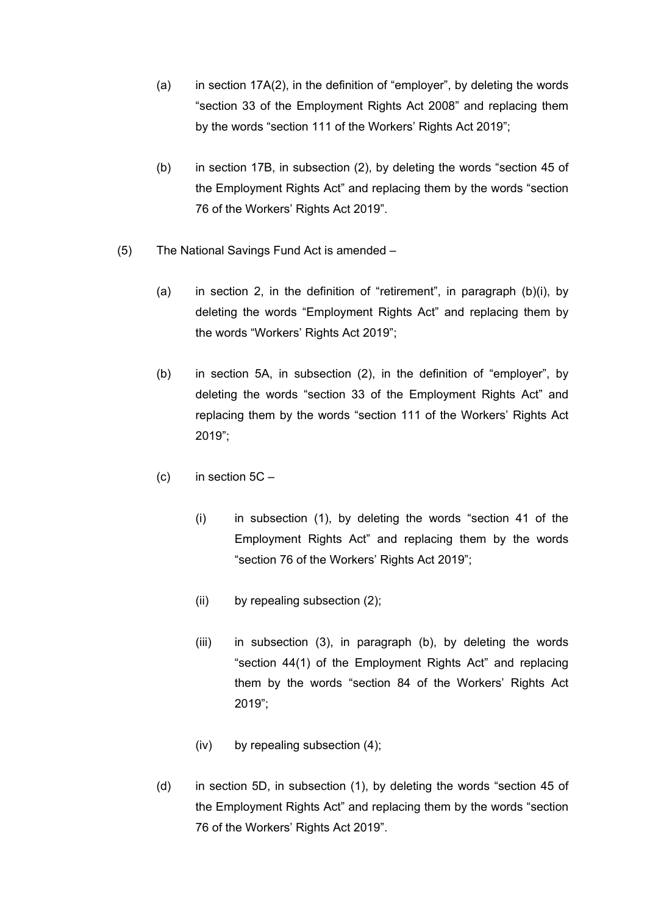- (a) in section 17A(2), in the definition of "employer", by deleting the words "section 33 of the Employment Rights Act 2008" and replacing them by the words "section 111 of the Workers' Rights Act 2019";
- (b) in section 17B, in subsection (2), by deleting the words "section 45 of the Employment Rights Act" and replacing them by the words "section 76 of the Workers' Rights Act 2019".
- (5) The National Savings Fund Act is amended
	- (a) in section 2, in the definition of "retirement", in paragraph (b)(i), by deleting the words "Employment Rights Act" and replacing them by the words "Workers' Rights Act 2019";
	- (b) in section 5A, in subsection (2), in the definition of "employer", by deleting the words "section 33 of the Employment Rights Act" and replacing them by the words "section 111 of the Workers' Rights Act 2019";
	- (c) in section  $5C -$ 
		- (i) in subsection (1), by deleting the words "section 41 of the Employment Rights Act" and replacing them by the words "section 76 of the Workers' Rights Act 2019";
		- (ii) by repealing subsection (2);
		- (iii) in subsection (3), in paragraph (b), by deleting the words "section 44(1) of the Employment Rights Act" and replacing them by the words "section 84 of the Workers' Rights Act 2019";
		- (iv) by repealing subsection (4);
	- (d) in section 5D, in subsection (1), by deleting the words "section 45 of the Employment Rights Act" and replacing them by the words "section 76 of the Workers' Rights Act 2019".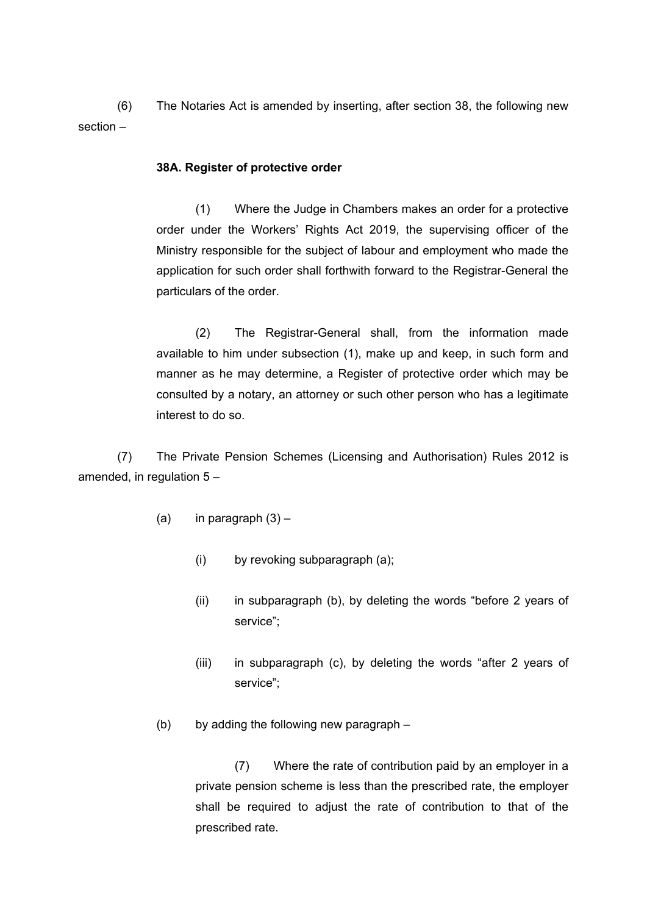(6) The Notaries Act is amended by inserting, after section 38, the following new section –

#### **38A. Register of protective order**

(1) Where the Judge in Chambers makes an order for a protective order under the Workers' Rights Act 2019, the supervising officer of the Ministry responsible for the subject of labour and employment who made the application for such order shall forthwith forward to the Registrar-General the particulars of the order.

(2) The Registrar-General shall, from the information made available to him under subsection (1), make up and keep, in such form and manner as he may determine, a Register of protective order which may be consulted by a notary, an attorney or such other person who has a legitimate interest to do so.

(7) The Private Pension Schemes (Licensing and Authorisation) Rules 2012 is amended, in regulation 5 –

- (a) in paragraph  $(3)$ 
	- (i) by revoking subparagraph (a);
	- (ii) in subparagraph (b), by deleting the words "before 2 years of service";
	- (iii) in subparagraph (c), by deleting the words "after 2 years of service";
- (b) by adding the following new paragraph –

(7) Where the rate of contribution paid by an employer in a private pension scheme is less than the prescribed rate, the employer shall be required to adjust the rate of contribution to that of the prescribed rate.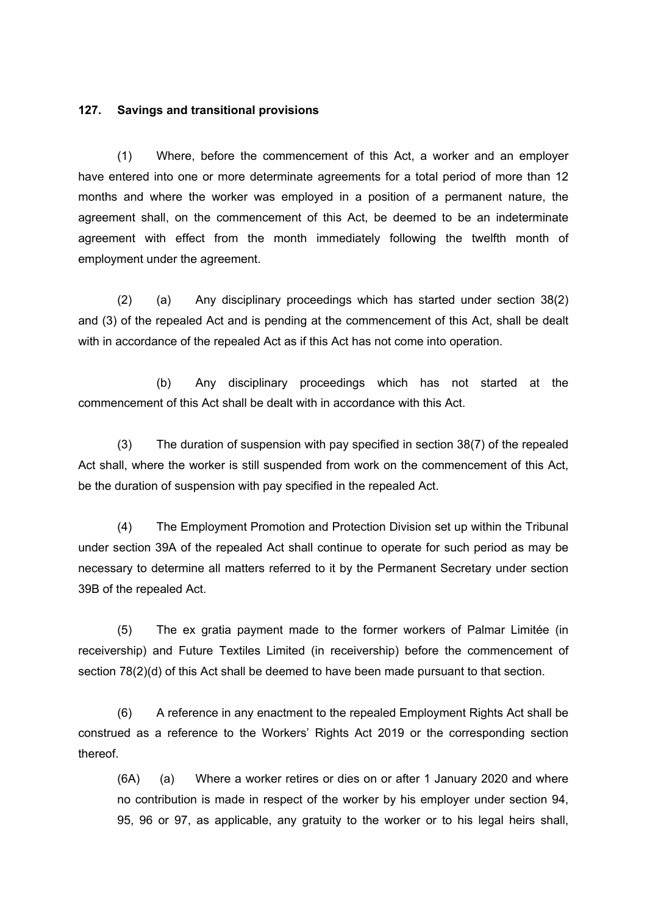#### **127. Savings and transitional provisions**

(1) Where, before the commencement of this Act, a worker and an employer have entered into one or more determinate agreements for a total period of more than 12 months and where the worker was employed in a position of a permanent nature, the agreement shall, on the commencement of this Act, be deemed to be an indeterminate agreement with effect from the month immediately following the twelfth month of employment under the agreement.

(2) (a) Any disciplinary proceedings which has started under section 38(2) and (3) of the repealed Act and is pending at the commencement of this Act, shall be dealt with in accordance of the repealed Act as if this Act has not come into operation.

(b) Any disciplinary proceedings which has not started at the commencement of this Act shall be dealt with in accordance with this Act.

(3) The duration of suspension with pay specified in section 38(7) of the repealed Act shall, where the worker is still suspended from work on the commencement of this Act, be the duration of suspension with pay specified in the repealed Act.

(4) The Employment Promotion and Protection Division set up within the Tribunal under section 39A of the repealed Act shall continue to operate for such period as may be necessary to determine all matters referred to it by the Permanent Secretary under section 39B of the repealed Act.

(5) The ex gratia payment made to the former workers of Palmar Limitée (in receivership) and Future Textiles Limited (in receivership) before the commencement of section 78(2)(d) of this Act shall be deemed to have been made pursuant to that section.

(6) A reference in any enactment to the repealed Employment Rights Act shall be construed as a reference to the Workers' Rights Act 2019 or the corresponding section thereof.

(6A) (a) Where a worker retires or dies on or after 1 January 2020 and where no contribution is made in respect of the worker by his employer under section 94, 95, 96 or 97, as applicable, any gratuity to the worker or to his legal heirs shall,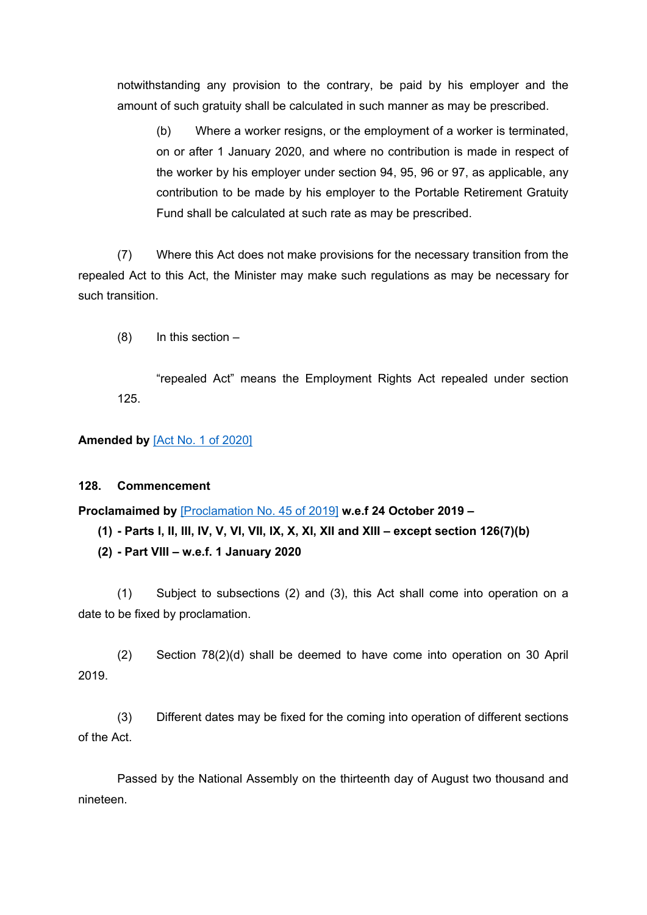notwithstanding any provision to the contrary, be paid by his employer and the amount of such gratuity shall be calculated in such manner as may be prescribed.

(b) Where a worker resigns, or the employment of a worker is terminated, on or after 1 January 2020, and where no contribution is made in respect of the worker by his employer under section 94, 95, 96 or 97, as applicable, any contribution to be made by his employer to the Portable Retirement Gratuity Fund shall be calculated at such rate as may be prescribed.

(7) Where this Act does not make provisions for the necessary transition from the repealed Act to this Act, the Minister may make such regulations as may be necessary for such transition.

(8) In this section –

"repealed Act" means the Employment Rights Act repealed under section 125.

### **Amended by** [Act No. 1 of [2020\]](https://supremecourt.govmu.org/_layouts/CLIS.DMS/search/searchdocumentbykey.aspx?ID=%5BAct%20No.%201%20of%202020%5D&list=Legislations)

### **128. Commencement**

**Proclamaimed by** [\[Proclamation](https://supremecourt.govmu.org/_layouts/CLIS.DMS/search/searchdocumentbykey.aspx?ID=%5BProclamation%20No.%2045%20of%202019%5D&list=Legislations) No. 45 of 2019] **w.e.f 24 October 2019 –**

```
(1) - Parts I, II, III, IV, V, VI, VII, IX, X, XI, XII and XIII - except section 126(7)(b)
```
**(2) - Part VIII – w.e.f. 1 January 2020**

(1) Subject to subsections (2) and (3), this Act shall come into operation on a date to be fixed by proclamation.

(2) Section 78(2)(d) shall be deemed to have come into operation on 30 April 2019.

(3) Different dates may be fixed for the coming into operation of different sections of the Act.

Passed by the National Assembly on the thirteenth day of August two thousand and nineteen.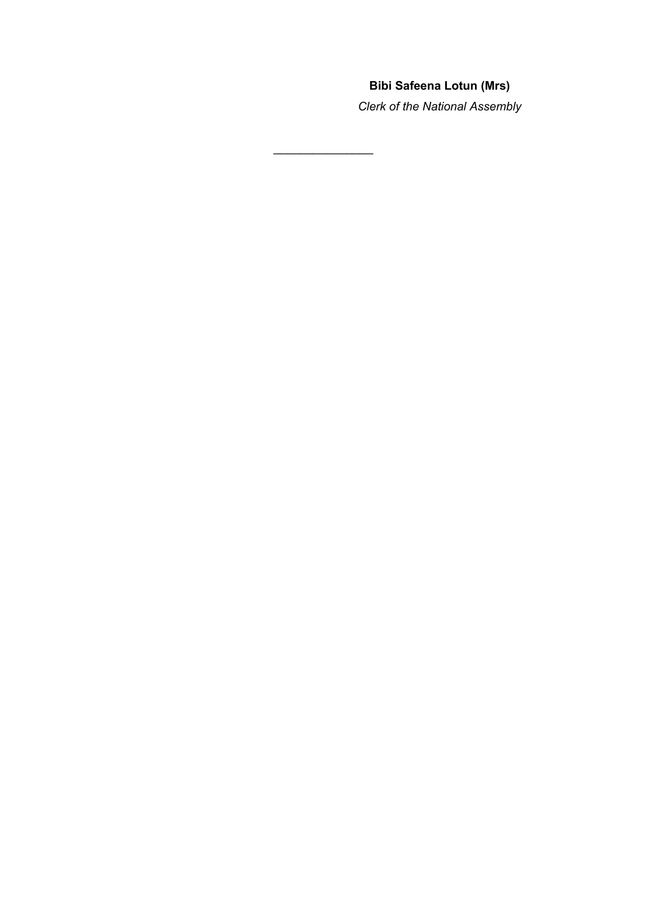# **Bibi Safeena Lotun (Mrs)**

*Clerk of the National Assembly*

 $\mathcal{L}$  , we have the set of the set of the set of the set of the set of the set of the set of the set of the set of the set of the set of the set of the set of the set of the set of the set of the set of the set of the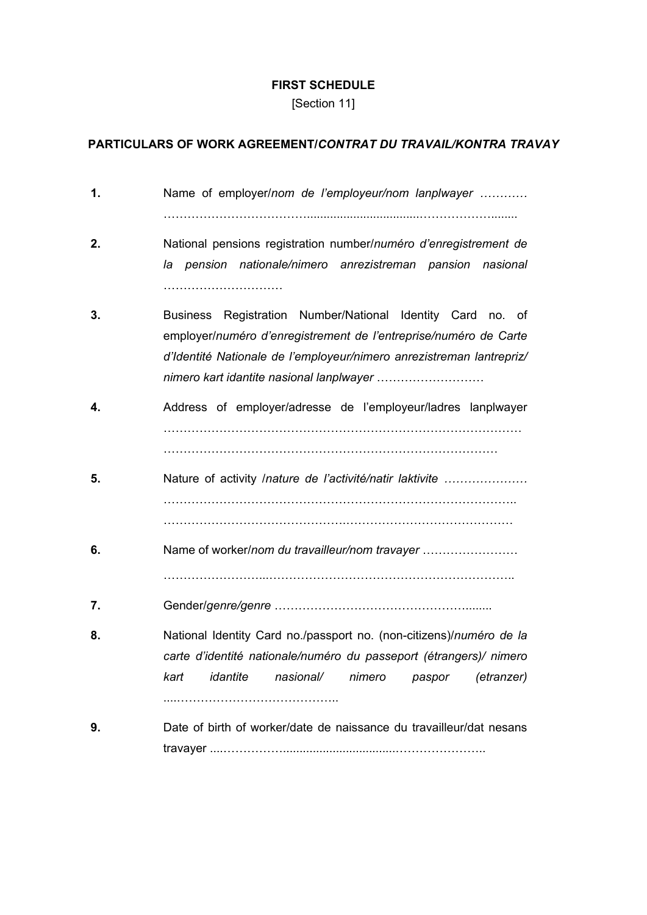#### **FIRST SCHEDULE**

[Section 11]

## **PARTICULARS OF WORK AGREEMENT/***CONTRAT DU TRAVAIL/KONTRA TRAVAY*

**1.** Name of employer/*nom de l'employeur/nom lanplwayer …………*  $\mathcal{L}^{\text{max}}_{\text{max}}$ **2.** National pensions registration number/*numéro d'enregistrement de la pension nationale/nimero anrezistreman pansion nasional* ………………………… **3.** Business Registration Number/National Identity Card no. of employer/*numéro d'enregistrement de l'entreprise/numéro de Carte d'Identité Nationale de l'employeur/nimero anrezistreman lantrepriz/ nimero kart idantite nasional lanplwayer* ……………………… **4.** Address of employer/adresse de l'employeur/ladres lanplwayer ……………………………………………………………………………… ………………………………………………………………………… **5.** Nature of activity /*nature de l'activité/natir laktivite …………………* …………………………………………………………………………….. ……………………………………….…………………………………… **6.** Name of worker/*nom du travailleur/nom travayer* …………………… ……………………...…………………………………………………….. **7.** Gender/*genre/genre* …………………………………………........ **8.** National Identity Card no./passport no. (non-citizens)/*numéro de la carte d'identité nationale/numéro du passeport (étrangers)/ nimero kart idantite nasional/ nimero paspor (etranzer)* ....………………………………….. **9.** Date of birth of worker/date de naissance du travailleur/dat nesans travayer ....……………..................................…………………..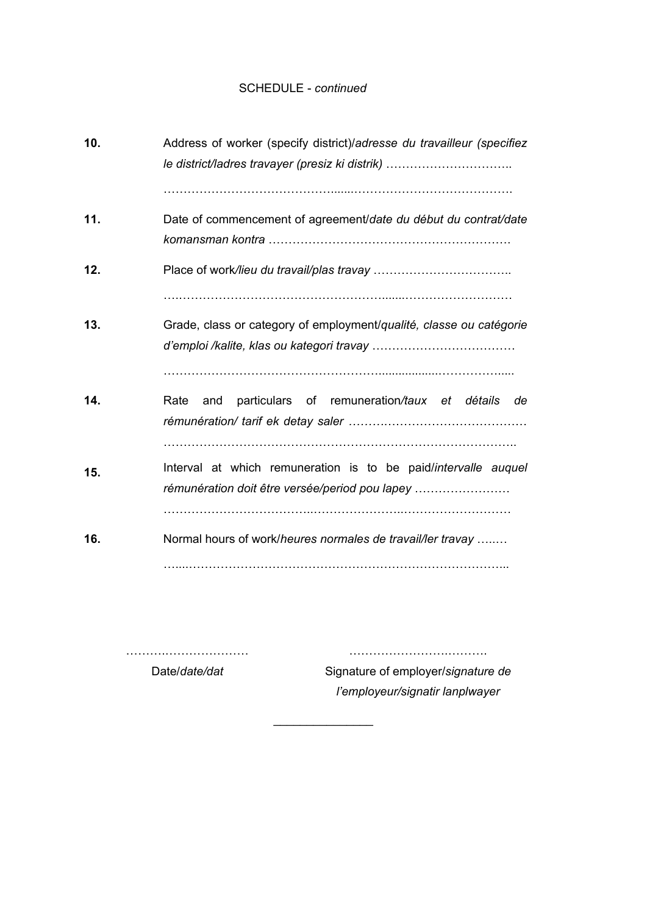### SCHEDULE - *continued*

| 10. | Address of worker (specify district)/adresse du travailleur (specifiez<br>le district/ladres travayer (presiz ki distrik) |
|-----|---------------------------------------------------------------------------------------------------------------------------|
| 11. | Date of commencement of agreement/date du début du contrat/date                                                           |
| 12. |                                                                                                                           |
| 13. | Grade, class or category of employment/qualité, classe ou catégorie                                                       |
| 14. | particulars of remuneration/taux et détails<br>Rate<br>and<br>de                                                          |
| 15. | Interval at which remuneration is to be paid/intervalle auquel<br>rémunération doit être versée/period pou lapey          |
| 16. | Normal hours of work/heures normales de travail/ler travay                                                                |

 $\frac{1}{2}$  ,  $\frac{1}{2}$  ,  $\frac{1}{2}$  ,  $\frac{1}{2}$  ,  $\frac{1}{2}$  ,  $\frac{1}{2}$  ,  $\frac{1}{2}$  ,  $\frac{1}{2}$ 

……….………………… Date/*date/dat*

Signature of employer/*signature de l'employeur/signatir lanplwayer*

…………………….……….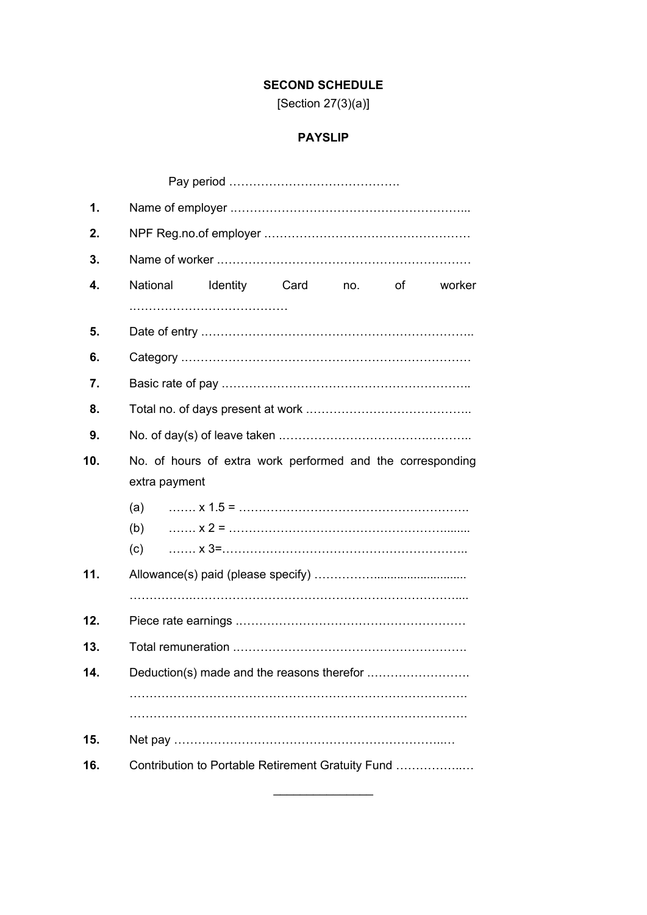# **SECOND SCHEDULE**

[Section 27(3)(a)]

# **PAYSLIP**

| 1.  |                                                                             |  |  |  |  |
|-----|-----------------------------------------------------------------------------|--|--|--|--|
| 2.  |                                                                             |  |  |  |  |
| 3.  |                                                                             |  |  |  |  |
| 4.  | National<br>Identity<br>Card<br>οf<br>worker<br>no.                         |  |  |  |  |
|     |                                                                             |  |  |  |  |
| 5.  |                                                                             |  |  |  |  |
| 6.  |                                                                             |  |  |  |  |
| 7.  |                                                                             |  |  |  |  |
| 8.  |                                                                             |  |  |  |  |
| 9.  |                                                                             |  |  |  |  |
| 10. | No. of hours of extra work performed and the corresponding<br>extra payment |  |  |  |  |
|     | (a)<br>(b)<br>(c)                                                           |  |  |  |  |
| 11. |                                                                             |  |  |  |  |
|     |                                                                             |  |  |  |  |
| 12. |                                                                             |  |  |  |  |
| 13. |                                                                             |  |  |  |  |
| 14. |                                                                             |  |  |  |  |
|     |                                                                             |  |  |  |  |
|     |                                                                             |  |  |  |  |
| 15. |                                                                             |  |  |  |  |
| 16. | Contribution to Portable Retirement Gratuity Fund                           |  |  |  |  |

 $\mathcal{L}$  , we have the set of the set of the set of the set of the set of the set of the set of the set of the set of the set of the set of the set of the set of the set of the set of the set of the set of the set of the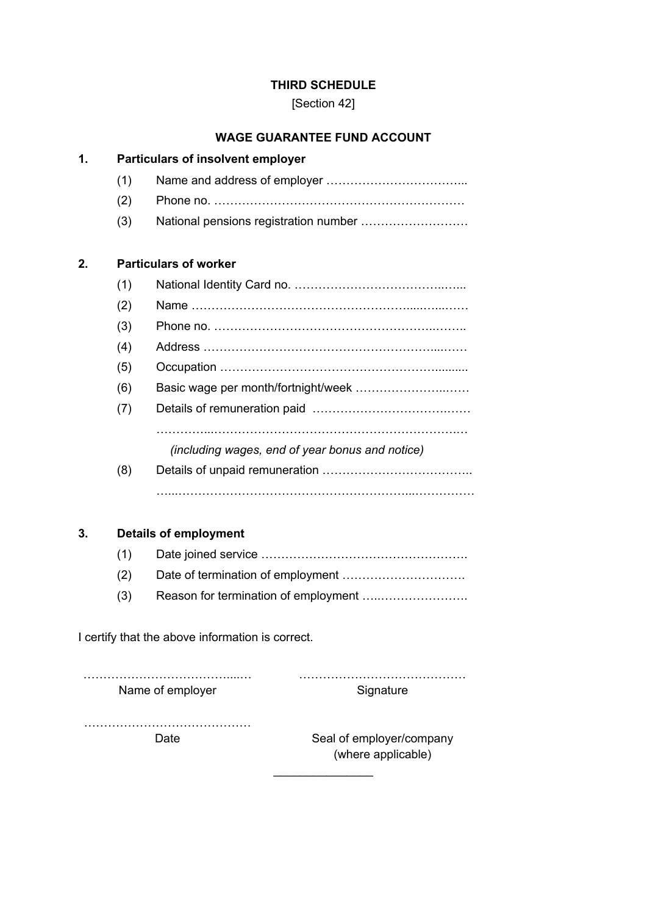## **THIRD SCHEDULE**

[Section 42]

## **WAGE GUARANTEE FUND ACCOUNT**

| 1. |     | <b>Particulars of insolvent employer</b>        |  |  |  |
|----|-----|-------------------------------------------------|--|--|--|
|    | (1) |                                                 |  |  |  |
|    | (2) |                                                 |  |  |  |
|    | (3) | National pensions registration number           |  |  |  |
| 2. |     | <b>Particulars of worker</b>                    |  |  |  |
|    | (1) |                                                 |  |  |  |
|    | (2) |                                                 |  |  |  |
|    | (3) |                                                 |  |  |  |
|    | (4) |                                                 |  |  |  |
|    | (5) |                                                 |  |  |  |
|    | (6) |                                                 |  |  |  |
|    | (7) |                                                 |  |  |  |
|    |     | (including wages, end of year bonus and notice) |  |  |  |
|    | (8) |                                                 |  |  |  |
|    |     |                                                 |  |  |  |
|    |     |                                                 |  |  |  |
| 3. |     | <b>Details of employment</b>                    |  |  |  |
|    | (1) |                                                 |  |  |  |
|    | (2) |                                                 |  |  |  |
|    | (3) | Reason for termination of employment            |  |  |  |

I certify that the above information is correct.

………………………………....… …………………………………… Name of employer

**Signature** 

……………………………………

Date Seal of employer/company (where applicable)

 $\overline{\phantom{a}}$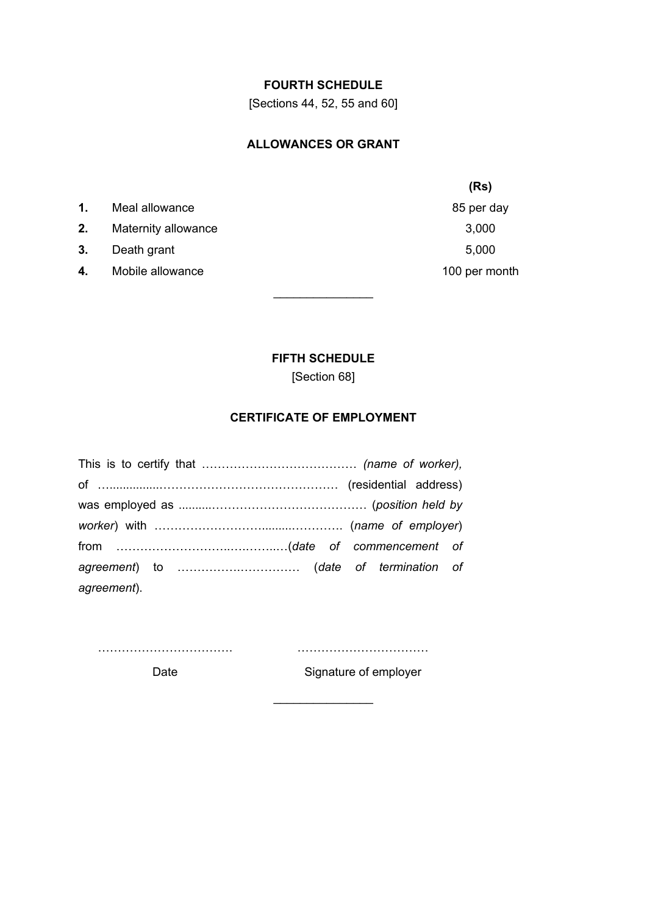## **FOURTH SCHEDULE**

[Sections 44, 52, 55 and 60]

### **ALLOWANCES OR GRANT**

- **1.** Meal allowance **85 per day**
- **2.** Maternity allowance 3,000
- **3.** Death grant 5,000
- **4.** Mobile allowance **100** per month

**(Rs)**

## **FIFTH SCHEDULE**

 $\frac{1}{2}$  ,  $\frac{1}{2}$  ,  $\frac{1}{2}$  ,  $\frac{1}{2}$  ,  $\frac{1}{2}$  ,  $\frac{1}{2}$  ,  $\frac{1}{2}$  ,  $\frac{1}{2}$ 

[Section 68]

## **CERTIFICATE OF EMPLOYMENT**

| agreement). |  |  |  |
|-------------|--|--|--|

Date

…………………………….

…………………………… Signature of employer

 $\mathcal{L}$  , we have the set of the set of the set of the set of the set of the set of the set of the set of the set of the set of the set of the set of the set of the set of the set of the set of the set of the set of the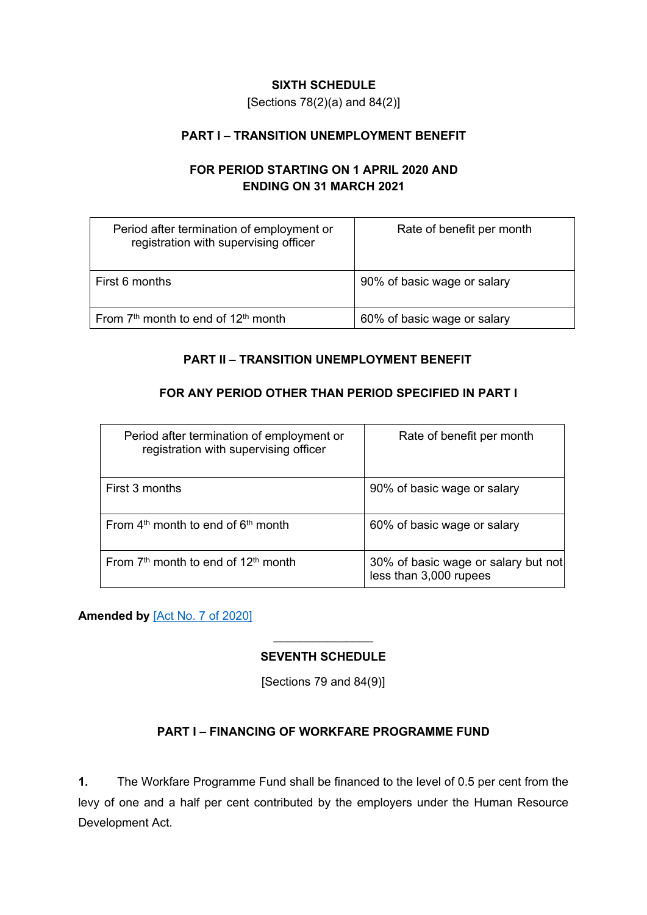## **SIXTH SCHEDULE**

[Sections 78(2)(a) and 84(2)]

## **PART I – TRANSITION UNEMPLOYMENT BENEFIT**

# **FOR PERIOD STARTING ON 1 APRIL 2020 AND ENDING ON 31 MARCH 2021**

| Period after termination of employment or<br>registration with supervising officer | Rate of benefit per month   |
|------------------------------------------------------------------------------------|-----------------------------|
| First 6 months                                                                     | 90% of basic wage or salary |
| From 7 <sup>th</sup> month to end of 12 <sup>th</sup> month                        | 60% of basic wage or salary |

## **PART II – TRANSITION UNEMPLOYMENT BENEFIT**

## **FOR ANY PERIOD OTHER THAN PERIOD SPECIFIED IN PART I**

| Period after termination of employment or<br>registration with supervising officer | Rate of benefit per month                                     |
|------------------------------------------------------------------------------------|---------------------------------------------------------------|
| First 3 months                                                                     | 90% of basic wage or salary                                   |
| From $4th$ month to end of $6th$ month                                             | 60% of basic wage or salary                                   |
| From $7th$ month to end of 12 <sup>th</sup> month                                  | 30% of basic wage or salary but not<br>less than 3,000 rupees |

**Amended by** [Act No. 7 of [2020\]](https://supremecourt.govmu.org/_layouts/CLIS.DMS/search/searchdocumentbykey.aspx?ID=%5BAct%20No.%207%20of%202020%5D&list=Legislations)

# $\mathcal{L}$  , we have the set of the set of the set of the set of the set of the set of the set of the set of the set of the set of the set of the set of the set of the set of the set of the set of the set of the set of the **SEVENTH SCHEDULE**

[Sections 79 and 84(9)]

## **PART I – FINANCING OF WORKFARE PROGRAMME FUND**

**1.** The Workfare Programme Fund shall be financed to the level of 0.5 per cent from the levy of one and a half per cent contributed by the employers under the Human Resource Development Act.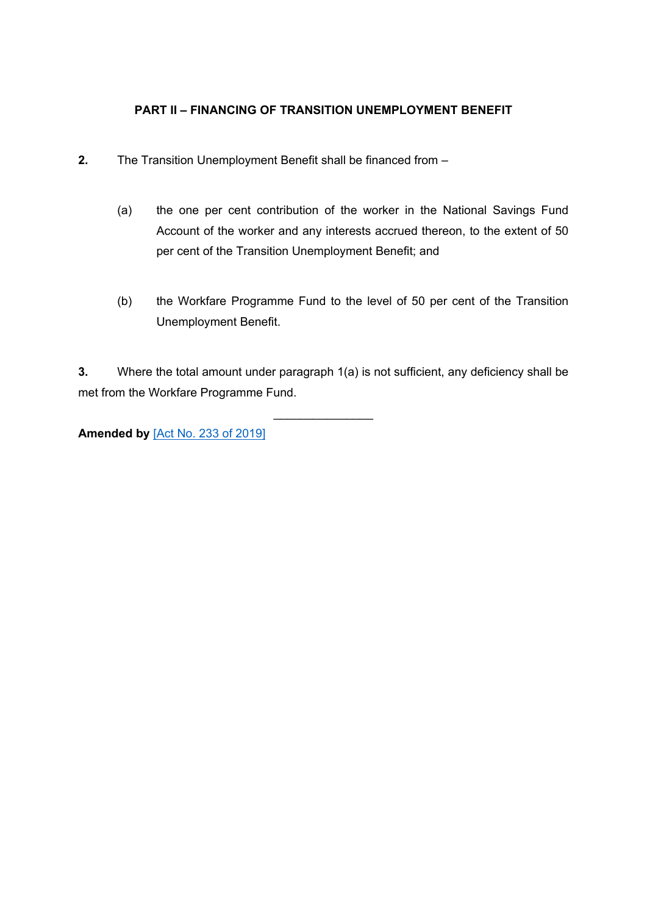## **PART II – FINANCING OF TRANSITION UNEMPLOYMENT BENEFIT**

- **2.** The Transition Unemployment Benefit shall be financed from
	- (a) the one per cent contribution of the worker in the National Savings Fund Account of the worker and any interests accrued thereon, to the extent of 50 per cent of the Transition Unemployment Benefit; and
	- (b) the Workfare Programme Fund to the level of 50 per cent of the Transition Unemployment Benefit.

**3.** Where the total amount under paragraph 1(a) is not sufficient, any deficiency shall be met from the Workfare Programme Fund.

 $\mathcal{L}$  , we have the set of the set of the set of the set of the set of the set of the set of the set of the set of the set of the set of the set of the set of the set of the set of the set of the set of the set of the

**Amended by** [Act No. 233 of [2019\]](https://supremecourt.govmu.org/_layouts/CLIS.DMS/search/searchdocumentbykey.aspx?ID=%5BAct%20No.%20233%20of%202019%5D&list=Legislations)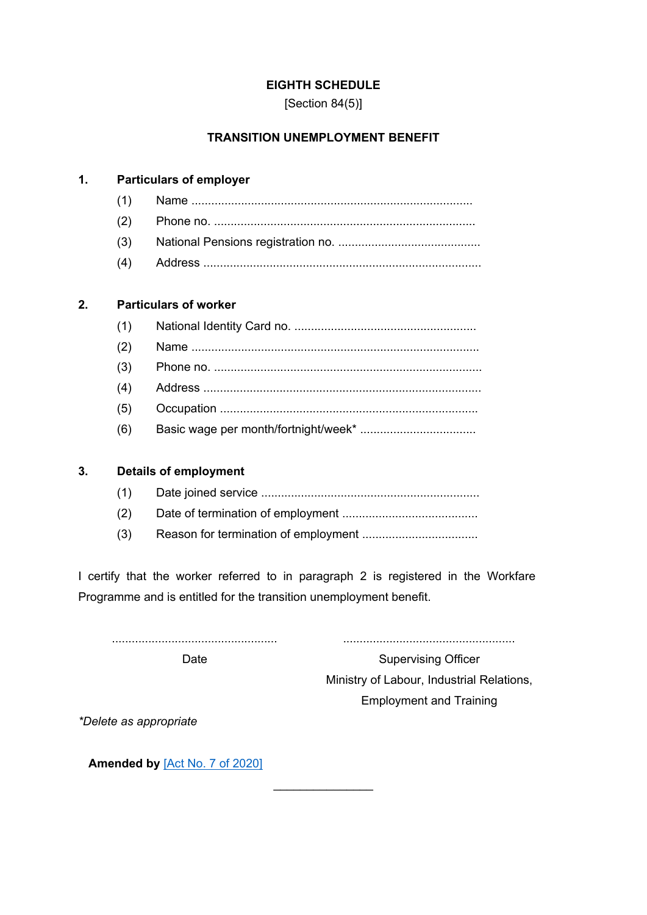#### **EIGHTH SCHEDULE**

[Section 84(5)]

## **TRANSITION UNEMPLOYMENT BENEFIT**

# **1. Particulars of employer**

#### **2. Particulars of worker**

| (1) |  |
|-----|--|
| (2) |  |
|     |  |
| (4) |  |
| (5) |  |
| (6) |  |

#### **3. Details of employment**

- (1) Date joined service ..................................................................
- (2) Date of termination of employment .........................................
- (3) Reason for termination of employment ...................................

I certify that the worker referred to in paragraph 2 is registered in the Workfare Programme and is entitled for the transition unemployment benefit.

 $\mathcal{L}$  , we have the set of the set of the set of the set of the set of the set of the set of the set of the set of the set of the set of the set of the set of the set of the set of the set of the set of the set of the

..................................................

Date

....................................................

Supervising Officer Ministry of Labour, Industrial Relations, Employment and Training

*\*Delete as appropriate*

**Amended by** [Act No. 7 of [2020\]](https://supremecourt.govmu.org/_layouts/CLIS.DMS/search/searchdocumentbykey.aspx?ID=%5BAct%20No.%207%20of%202020%5D&list=Legislations)